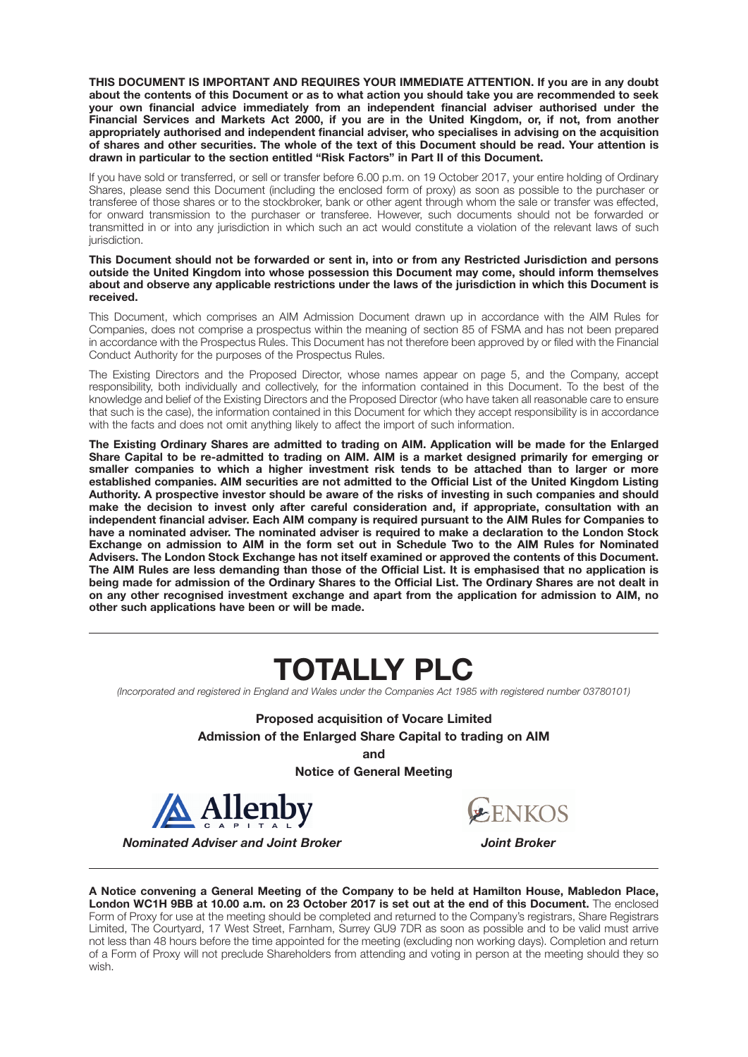**THIS DOCUMENT IS IMPORTANT AND REQUIRES YOUR IMMEDIATE ATTENTION. If you are in any doubt about the contents of this Document or as to what action you should take you are recommended to seek your own financial advice immediately from an independent financial adviser authorised under the Financial Services and Markets Act 2000, if you are in the United Kingdom, or, if not, from another appropriately authorised and independent financial adviser, who specialises in advising on the acquisition of shares and other securities. The whole of the text of this Document should be read. Your attention is drawn in particular to the section entitled "Risk Factors" in Part II of this Document.**

If you have sold or transferred, or sell or transfer before 6.00 p.m. on 19 October 2017, your entire holding of Ordinary Shares, please send this Document (including the enclosed form of proxy) as soon as possible to the purchaser or transferee of those shares or to the stockbroker, bank or other agent through whom the sale or transfer was effected, for onward transmission to the purchaser or transferee. However, such documents should not be forwarded or transmitted in or into any jurisdiction in which such an act would constitute a violation of the relevant laws of such jurisdiction.

#### **This Document should not be forwarded or sent in, into or from any Restricted Jurisdiction and persons outside the United Kingdom into whose possession this Document may come, should inform themselves about and observe any applicable restrictions under the laws of the jurisdiction in which this Document is received.**

This Document, which comprises an AIM Admission Document drawn up in accordance with the AIM Rules for Companies, does not comprise a prospectus within the meaning of section 85 of FSMA and has not been prepared in accordance with the Prospectus Rules. This Document has not therefore been approved by or filed with the Financial Conduct Authority for the purposes of the Prospectus Rules.

The Existing Directors and the Proposed Director, whose names appear on page 5, and the Company, accept responsibility, both individually and collectively, for the information contained in this Document. To the best of the knowledge and belief of the Existing Directors and the Proposed Director (who have taken all reasonable care to ensure that such is the case), the information contained in this Document for which they accept responsibility is in accordance with the facts and does not omit anything likely to affect the import of such information.

**The Existing Ordinary Shares are admitted to trading on AIM. Application will be made for the Enlarged Share Capital to be re-admitted to trading on AIM. AIM is a market designed primarily for emerging or smaller companies to which a higher investment risk tends to be attached than to larger or more established companies. AIM securities are not admitted to the Official List of the United Kingdom Listing Authority. A prospective investor should be aware of the risks of investing in such companies and should make the decision to invest only after careful consideration and, if appropriate, consultation with an independent financial adviser. Each AIM company is required pursuant to the AIM Rules for Companies to have a nominated adviser. The nominated adviser is required to make a declaration to the London Stock Exchange on admission to AIM in the form set out in Schedule Two to the AIM Rules for Nominated Advisers. The London Stock Exchange has not itself examined or approved the contents of this Document. The AIM Rules are less demanding than those of the Official List. It is emphasised that no application is being made for admission of the Ordinary Shares to the Official List. The Ordinary Shares are not dealt in on any other recognised investment exchange and apart from the application for admission to AIM, no other such applications have been or will be made.**

# **TOTALLY PLC**

*(Incorporated and registered in England and Wales under the Companies Act 1985 with registered number 03780101)*

**Proposed acquisition of Vocare Limited Admission of the Enlarged Share Capital to trading on AIM**

**and**

**Notice of General Meeting**



**ENKOS** 

 *Nominated Adviser and Joint Broker Joint Broker*

**A Notice convening a General Meeting of the Company to be held at Hamilton House, Mabledon Place, London WC1H 9BB at 10.00 a.m. on 23 October 2017 is set out at the end of this Document.** The enclosed Form of Proxy for use at the meeting should be completed and returned to the Company's registrars, Share Registrars Limited, The Courtyard, 17 West Street, Farnham, Surrey GU9 7DR as soon as possible and to be valid must arrive not less than 48 hours before the time appointed for the meeting (excluding non working days). Completion and return of a Form of Proxy will not preclude Shareholders from attending and voting in person at the meeting should they so wish.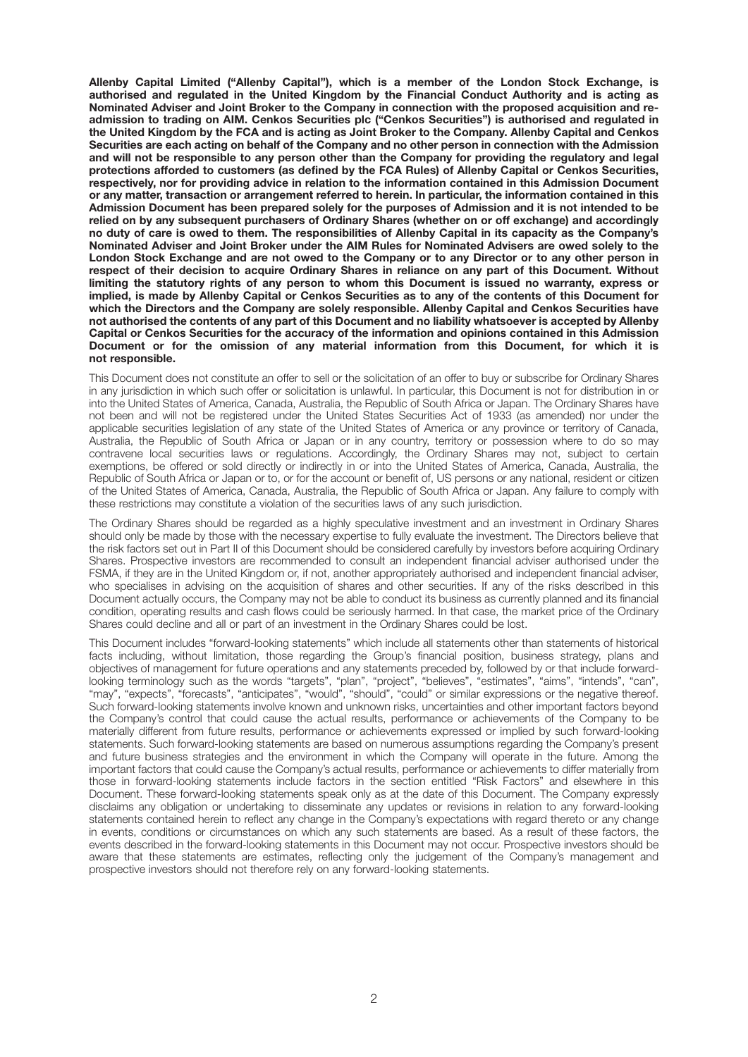**Allenby Capital Limited ("Allenby Capital"), which is a member of the London Stock Exchange, is authorised and regulated in the United Kingdom by the Financial Conduct Authority and is acting as Nominated Adviser and Joint Broker to the Company in connection with the proposed acquisition and readmission to trading on AIM. Cenkos Securities plc ("Cenkos Securities") is authorised and regulated in the United Kingdom by the FCA and is acting as Joint Broker to the Company. Allenby Capital and Cenkos Securities are each acting on behalf of the Company and no other person in connection with the Admission and will not be responsible to any person other than the Company for providing the regulatory and legal protections afforded to customers (as defined by the FCA Rules) of Allenby Capital or Cenkos Securities, respectively, nor for providing advice in relation to the information contained in this Admission Document or any matter, transaction or arrangement referred to herein. In particular, the information contained in this Admission Document has been prepared solely for the purposes of Admission and it is not intended to be relied on by any subsequent purchasers of Ordinary Shares (whether on or off exchange) and accordingly no duty of care is owed to them. The responsibilities of Allenby Capital in its capacity as the Company's Nominated Adviser and Joint Broker under the AIM Rules for Nominated Advisers are owed solely to the London Stock Exchange and are not owed to the Company or to any Director or to any other person in respect of their decision to acquire Ordinary Shares in reliance on any part of this Document. Without limiting the statutory rights of any person to whom this Document is issued no warranty, express or implied, is made by Allenby Capital or Cenkos Securities as to any of the contents of this Document for which the Directors and the Company are solely responsible. Allenby Capital and Cenkos Securities have not authorised the contents of any part of this Document and no liability whatsoever is accepted by Allenby Capital or Cenkos Securities for the accuracy of the information and opinions contained in this Admission Document or for the omission of any material information from this Document, for which it is not responsible.**

This Document does not constitute an offer to sell or the solicitation of an offer to buy or subscribe for Ordinary Shares in any jurisdiction in which such offer or solicitation is unlawful. In particular, this Document is not for distribution in or into the United States of America, Canada, Australia, the Republic of South Africa or Japan. The Ordinary Shares have not been and will not be registered under the United States Securities Act of 1933 (as amended) nor under the applicable securities legislation of any state of the United States of America or any province or territory of Canada, Australia, the Republic of South Africa or Japan or in any country, territory or possession where to do so may contravene local securities laws or regulations. Accordingly, the Ordinary Shares may not, subject to certain exemptions, be offered or sold directly or indirectly in or into the United States of America, Canada, Australia, the Republic of South Africa or Japan or to, or for the account or benefit of, US persons or any national, resident or citizen of the United States of America, Canada, Australia, the Republic of South Africa or Japan. Any failure to comply with these restrictions may constitute a violation of the securities laws of any such jurisdiction.

The Ordinary Shares should be regarded as a highly speculative investment and an investment in Ordinary Shares should only be made by those with the necessary expertise to fully evaluate the investment. The Directors believe that the risk factors set out in Part II of this Document should be considered carefully by investors before acquiring Ordinary Shares. Prospective investors are recommended to consult an independent financial adviser authorised under the FSMA, if they are in the United Kingdom or, if not, another appropriately authorised and independent financial adviser, who specialises in advising on the acquisition of shares and other securities. If any of the risks described in this Document actually occurs, the Company may not be able to conduct its business as currently planned and its financial condition, operating results and cash flows could be seriously harmed. In that case, the market price of the Ordinary Shares could decline and all or part of an investment in the Ordinary Shares could be lost.

This Document includes "forward-looking statements" which include all statements other than statements of historical facts including, without limitation, those regarding the Group's financial position, business strategy, plans and objectives of management for future operations and any statements preceded by, followed by or that include forwardlooking terminology such as the words "targets", "plan", "project", "believes", "estimates", "aims", "intends", "can", "may", "expects", "forecasts", "anticipates", "would", "should", "could" or similar expressions or the negative thereof. Such forward-looking statements involve known and unknown risks, uncertainties and other important factors beyond the Company's control that could cause the actual results, performance or achievements of the Company to be materially different from future results, performance or achievements expressed or implied by such forward-looking statements. Such forward-looking statements are based on numerous assumptions regarding the Company's present and future business strategies and the environment in which the Company will operate in the future. Among the important factors that could cause the Company's actual results, performance or achievements to differ materially from those in forward-looking statements include factors in the section entitled "Risk Factors" and elsewhere in this Document. These forward-looking statements speak only as at the date of this Document. The Company expressly disclaims any obligation or undertaking to disseminate any updates or revisions in relation to any forward-looking statements contained herein to reflect any change in the Company's expectations with regard thereto or any change in events, conditions or circumstances on which any such statements are based. As a result of these factors, the events described in the forward-looking statements in this Document may not occur. Prospective investors should be aware that these statements are estimates, reflecting only the judgement of the Company's management and prospective investors should not therefore rely on any forward-looking statements.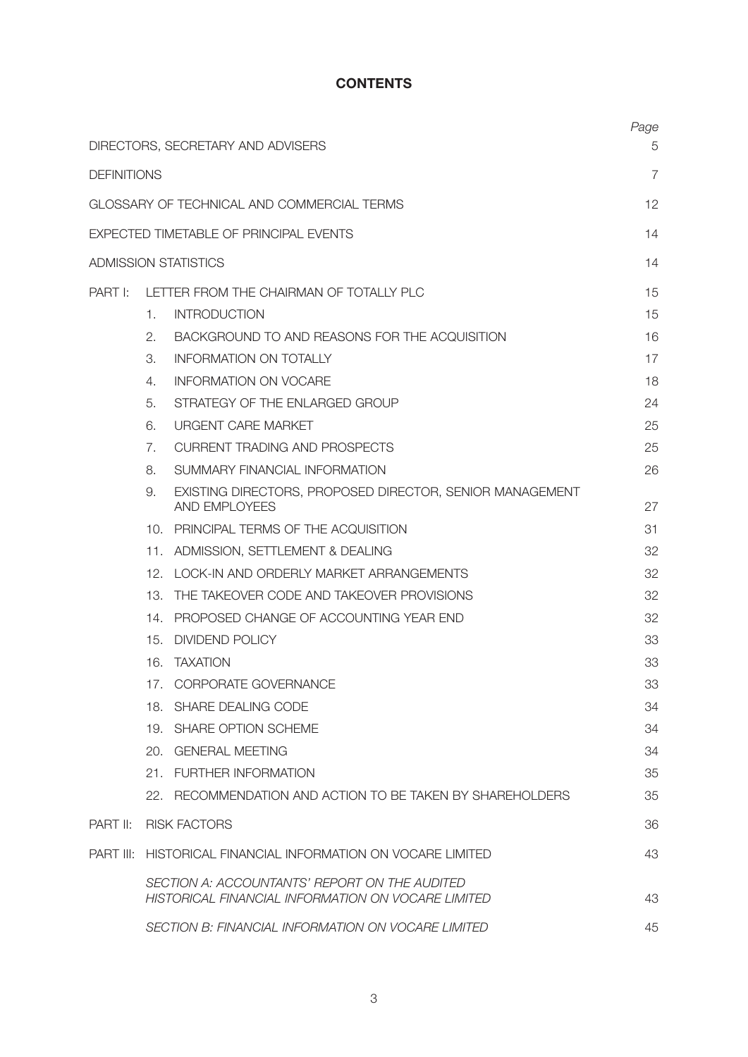## **CONTENTS**

|                    |                | DIRECTORS, SECRETARY AND ADVISERS                                                                   | Page<br>5 |
|--------------------|----------------|-----------------------------------------------------------------------------------------------------|-----------|
| <b>DEFINITIONS</b> |                |                                                                                                     | 7         |
|                    |                | GLOSSARY OF TECHNICAL AND COMMERCIAL TERMS                                                          | 12        |
|                    |                | EXPECTED TIMETABLE OF PRINCIPAL EVENTS                                                              | 14        |
|                    |                | <b>ADMISSION STATISTICS</b>                                                                         | 14        |
| PART I:            |                | LETTER FROM THE CHAIRMAN OF TOTALLY PLC                                                             | 15        |
|                    | 1.             | <b>INTRODUCTION</b>                                                                                 | 15        |
|                    | 2.             | BACKGROUND TO AND REASONS FOR THE ACQUISITION                                                       | 16        |
|                    | 3.             | <b>INFORMATION ON TOTALLY</b>                                                                       | 17        |
|                    | 4.             | <b>INFORMATION ON VOCARE</b>                                                                        | 18        |
|                    | 5.             | STRATEGY OF THE ENLARGED GROUP                                                                      | 24        |
|                    | 6.             | <b>URGENT CARE MARKET</b>                                                                           | 25        |
|                    | 7 <sub>1</sub> | <b>CURRENT TRADING AND PROSPECTS</b>                                                                | 25        |
|                    | 8.             | SUMMARY FINANCIAL INFORMATION                                                                       | 26        |
|                    | 9.             | EXISTING DIRECTORS, PROPOSED DIRECTOR, SENIOR MANAGEMENT<br>AND EMPLOYEES                           | 27        |
|                    |                | 10. PRINCIPAL TERMS OF THE ACQUISITION                                                              | 31        |
|                    |                | 11. ADMISSION, SETTLEMENT & DEALING                                                                 | 32        |
|                    |                | 12. LOCK-IN AND ORDERLY MARKET ARRANGEMENTS                                                         | 32        |
|                    | 13.            | THE TAKEOVER CODE AND TAKEOVER PROVISIONS                                                           | 32        |
|                    | 14.            | PROPOSED CHANGE OF ACCOUNTING YEAR END                                                              | 32        |
|                    | 15.            | <b>DIVIDEND POLICY</b>                                                                              | 33        |
|                    |                | 16. TAXATION                                                                                        | 33        |
|                    |                | 17. CORPORATE GOVERNANCE                                                                            | 33        |
|                    |                | 18. SHARE DEALING CODE                                                                              | 34        |
|                    |                | 19. SHARE OPTION SCHEME                                                                             | 34        |
|                    |                | 20. GENERAL MEETING                                                                                 | 34        |
|                    |                | 21. FURTHER INFORMATION                                                                             | 35        |
|                    |                | 22. RECOMMENDATION AND ACTION TO BE TAKEN BY SHAREHOLDERS                                           | 35        |
| PART II:           |                | <b>RISK FACTORS</b>                                                                                 | 36        |
|                    |                | <b>PART III: HISTORICAL FINANCIAL INFORMATION ON VOCARE LIMITED</b>                                 | 43        |
|                    |                | SECTION A: ACCOUNTANTS' REPORT ON THE AUDITED<br>HISTORICAL FINANCIAL INFORMATION ON VOCARE LIMITED | 43        |
|                    |                | SECTION B: FINANCIAL INFORMATION ON VOCARE LIMITED                                                  | 45        |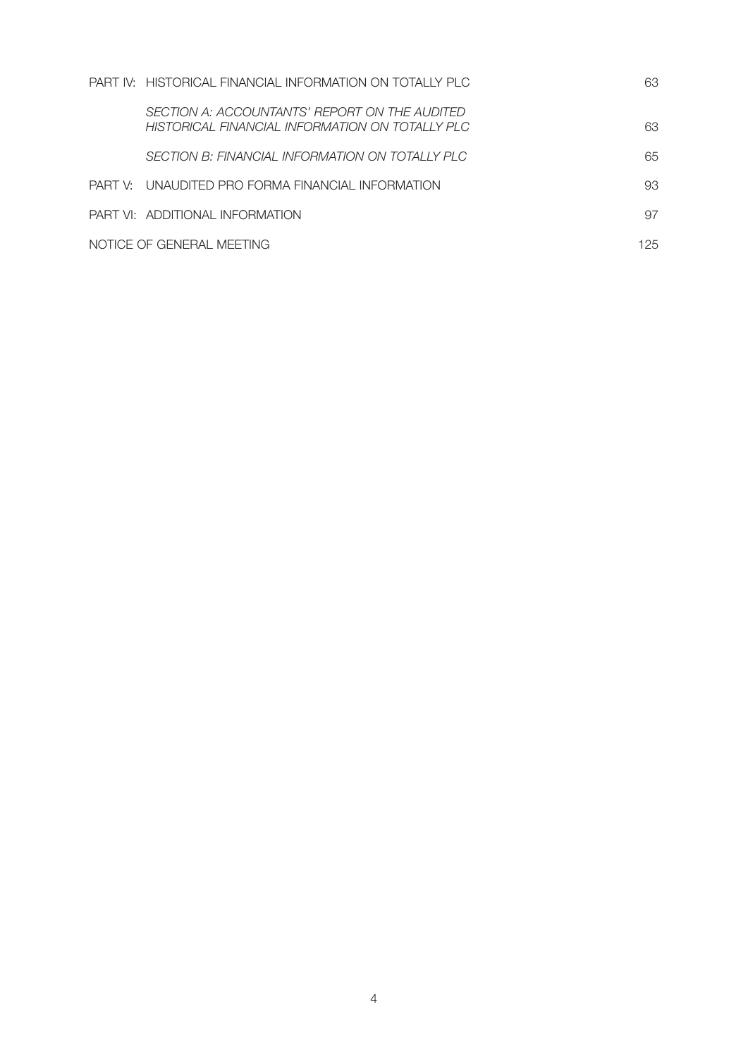| PART IV: HISTORICAL FINANCIAL INFORMATION ON TOTALLY PLC                                         | 63  |
|--------------------------------------------------------------------------------------------------|-----|
| SECTION A: ACCOUNTANTS' REPORT ON THE AUDITED<br>HISTORICAL FINANCIAL INFORMATION ON TOTALLY PLC | 63  |
| SECTION B: FINANCIAL INFORMATION ON TOTALLY PLC                                                  | 65  |
| PART V: UNAUDITED PRO FORMA FINANCIAL INFORMATION                                                | 93  |
| PART VI: ADDITIONAL INFORMATION                                                                  | 97  |
| NOTICE OF GENERAL MEETING                                                                        | 125 |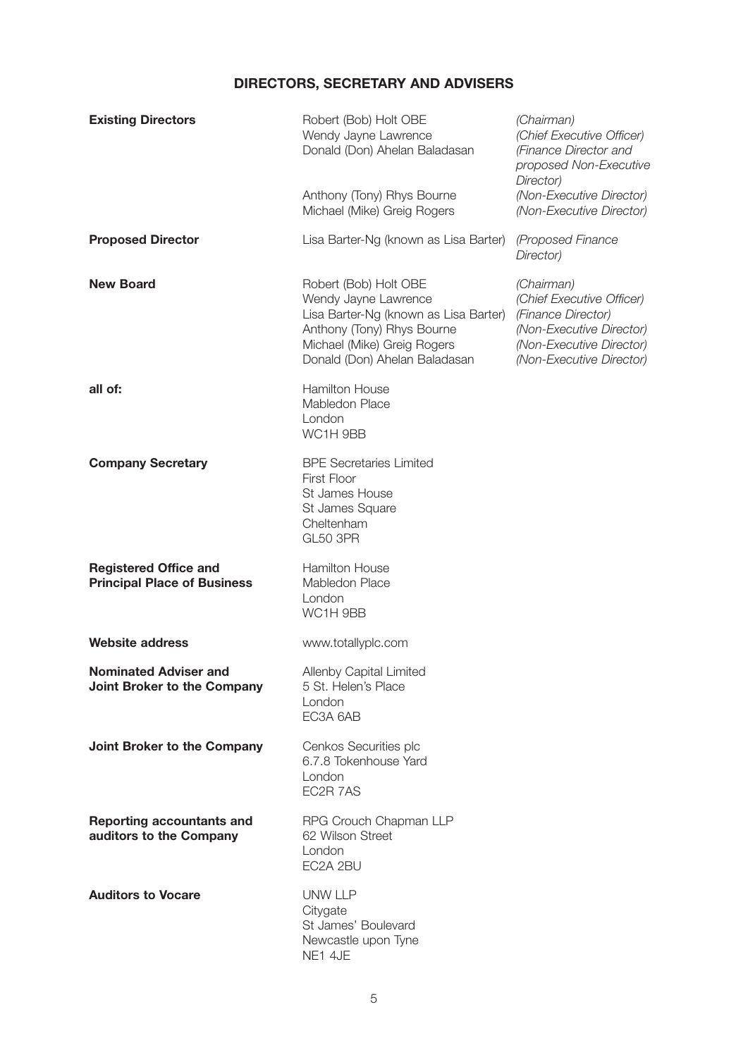# **DIRECTORS, SECRETARY AND ADVISERS**

| <b>Existing Directors</b>                                          | Robert (Bob) Holt OBE<br>Wendy Jayne Lawrence<br>Donald (Don) Ahelan Baladasan<br>Anthony (Tony) Rhys Bourne<br>Michael (Mike) Greig Rogers                                          | (Chairman)<br>(Chief Executive Officer)<br>(Finance Director and<br>proposed Non-Executive<br>Director)<br>(Non-Executive Director)<br>(Non-Executive Director) |
|--------------------------------------------------------------------|--------------------------------------------------------------------------------------------------------------------------------------------------------------------------------------|-----------------------------------------------------------------------------------------------------------------------------------------------------------------|
| <b>Proposed Director</b>                                           | Lisa Barter-Ng (known as Lisa Barter)                                                                                                                                                | (Proposed Finance<br>Director)                                                                                                                                  |
| <b>New Board</b>                                                   | Robert (Bob) Holt OBE<br>Wendy Jayne Lawrence<br>Lisa Barter-Ng (known as Lisa Barter)<br>Anthony (Tony) Rhys Bourne<br>Michael (Mike) Greig Rogers<br>Donald (Don) Ahelan Baladasan | (Chairman)<br>(Chief Executive Officer)<br>(Finance Director)<br>(Non-Executive Director)<br>(Non-Executive Director)<br>(Non-Executive Director)               |
| all of:                                                            | <b>Hamilton House</b><br>Mabledon Place<br>London<br>WC1H 9BB                                                                                                                        |                                                                                                                                                                 |
| <b>Company Secretary</b>                                           | <b>BPE Secretaries Limited</b><br>First Floor<br>St James House<br>St James Square<br>Cheltenham<br>GL50 3PR                                                                         |                                                                                                                                                                 |
| <b>Registered Office and</b><br><b>Principal Place of Business</b> | <b>Hamilton House</b><br>Mabledon Place<br>London<br>WC1H 9BB                                                                                                                        |                                                                                                                                                                 |
| <b>Website address</b>                                             | www.totallyplc.com                                                                                                                                                                   |                                                                                                                                                                 |
| <b>Nominated Adviser and</b><br>Joint Broker to the Company        | Allenby Capital Limited<br>5 St. Helen's Place<br>London<br>EC3A 6AB                                                                                                                 |                                                                                                                                                                 |
| Joint Broker to the Company                                        | Cenkos Securities plc<br>6.7.8 Tokenhouse Yard<br>London<br>EC2R 7AS                                                                                                                 |                                                                                                                                                                 |
| <b>Reporting accountants and</b><br>auditors to the Company        | RPG Crouch Chapman LLP<br>62 Wilson Street<br>London<br>EC2A 2BU                                                                                                                     |                                                                                                                                                                 |
| <b>Auditors to Vocare</b>                                          | <b>UNW LLP</b><br>Citygate<br>St James' Boulevard<br>Newcastle upon Tyne<br>NE1 4JE                                                                                                  |                                                                                                                                                                 |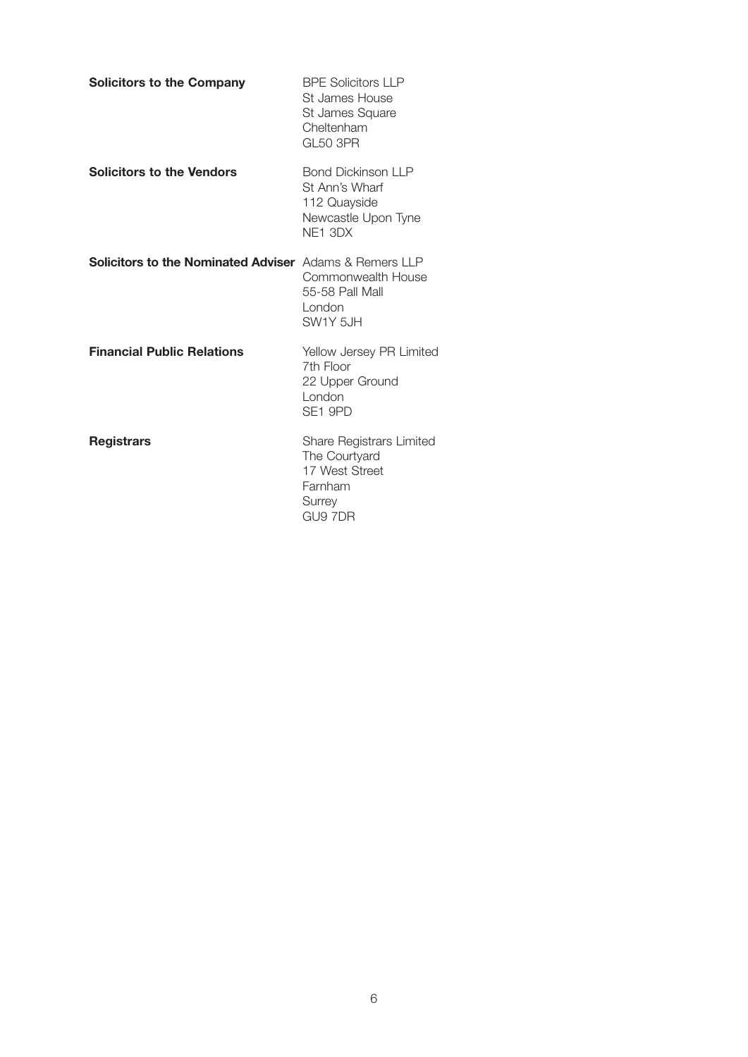| <b>Solicitors to the Company</b>                              | <b>BPE Solicitors LLP</b><br>St James House<br>St James Square<br>Cheltenham<br><b>GL50 3PR</b> |
|---------------------------------------------------------------|-------------------------------------------------------------------------------------------------|
| <b>Solicitors to the Vendors</b>                              | <b>Bond Dickinson LLP</b><br>St Ann's Wharf<br>112 Quayside<br>Newcastle Upon Tyne<br>NF1 3DX   |
| <b>Solicitors to the Nominated Adviser</b> Adams & Remers LLP | Commonwealth House<br>55-58 Pall Mall<br>London<br>SW1Y 5JH                                     |
| <b>Financial Public Relations</b>                             | Yellow Jersey PR Limited<br>7th Floor<br>22 Upper Ground<br>London<br>SE1 9PD                   |
| <b>Registrars</b>                                             | Share Registrars Limited<br>The Courtyard<br>17 West Street<br>Farnham<br>Surrey<br>GU9 7DR     |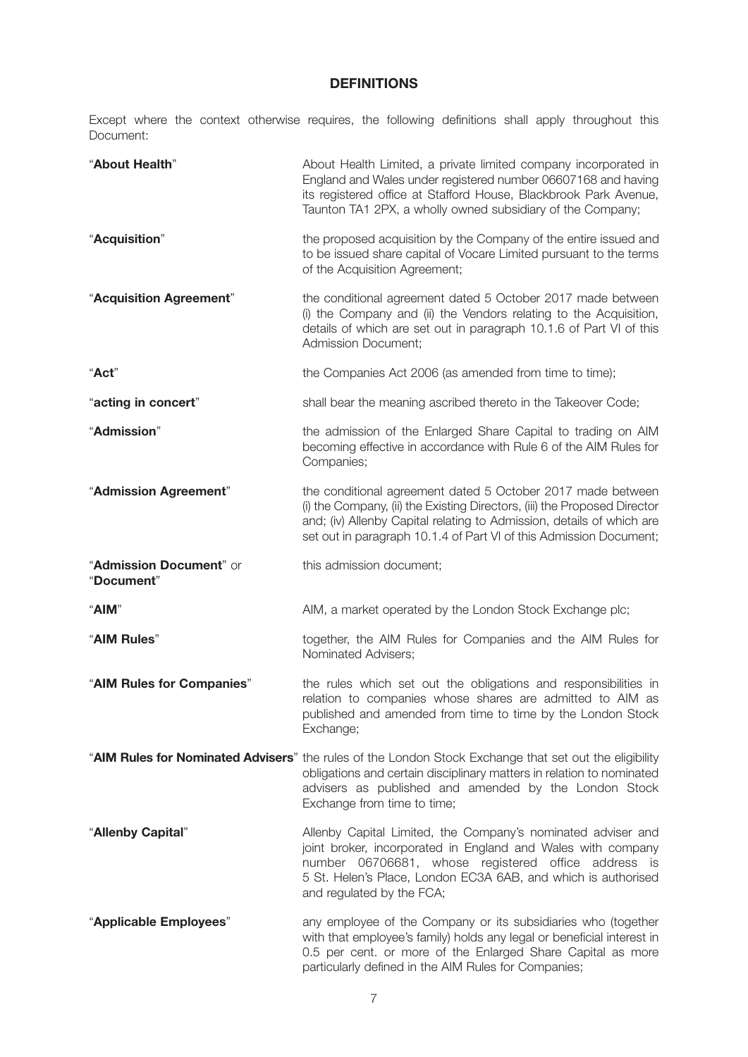## **DEFINITIONS**

Except where the context otherwise requires, the following definitions shall apply throughout this Document:

| "About Health"                        | About Health Limited, a private limited company incorporated in<br>England and Wales under registered number 06607168 and having<br>its registered office at Stafford House, Blackbrook Park Avenue,<br>Taunton TA1 2PX, a wholly owned subsidiary of the Company;                      |
|---------------------------------------|-----------------------------------------------------------------------------------------------------------------------------------------------------------------------------------------------------------------------------------------------------------------------------------------|
| "Acquisition"                         | the proposed acquisition by the Company of the entire issued and<br>to be issued share capital of Vocare Limited pursuant to the terms<br>of the Acquisition Agreement;                                                                                                                 |
| "Acquisition Agreement"               | the conditional agreement dated 5 October 2017 made between<br>(i) the Company and (ii) the Vendors relating to the Acquisition,<br>details of which are set out in paragraph 10.1.6 of Part VI of this<br>Admission Document;                                                          |
| "Act"                                 | the Companies Act 2006 (as amended from time to time);                                                                                                                                                                                                                                  |
| "acting in concert"                   | shall bear the meaning ascribed thereto in the Takeover Code;                                                                                                                                                                                                                           |
| "Admission"                           | the admission of the Enlarged Share Capital to trading on AIM<br>becoming effective in accordance with Rule 6 of the AIM Rules for<br>Companies;                                                                                                                                        |
| "Admission Agreement"                 | the conditional agreement dated 5 October 2017 made between<br>(i) the Company, (ii) the Existing Directors, (iii) the Proposed Director<br>and; (iv) Allenby Capital relating to Admission, details of which are<br>set out in paragraph 10.1.4 of Part VI of this Admission Document; |
| "Admission Document" or<br>"Document" | this admission document;                                                                                                                                                                                                                                                                |
| "AIM"                                 | AIM, a market operated by the London Stock Exchange plc;                                                                                                                                                                                                                                |
| "AIM Rules"                           | together, the AIM Rules for Companies and the AIM Rules for<br>Nominated Advisers;                                                                                                                                                                                                      |
| "AIM Rules for Companies"             | the rules which set out the obligations and responsibilities in<br>relation to companies whose shares are admitted to AIM as<br>published and amended from time to time by the London Stock<br>Exchange;                                                                                |
|                                       | "AIM Rules for Nominated Advisers" the rules of the London Stock Exchange that set out the eligibility<br>obligations and certain disciplinary matters in relation to nominated<br>advisers as published and amended by the London Stock<br>Exchange from time to time;                 |
| "Allenby Capital"                     | Allenby Capital Limited, the Company's nominated adviser and<br>joint broker, incorporated in England and Wales with company<br>number 06706681, whose registered office address is<br>5 St. Helen's Place, London EC3A 6AB, and which is authorised<br>and regulated by the FCA;       |
| "Applicable Employees"                | any employee of the Company or its subsidiaries who (together<br>with that employee's family) holds any legal or beneficial interest in<br>0.5 per cent. or more of the Enlarged Share Capital as more<br>particularly defined in the AIM Rules for Companies;                          |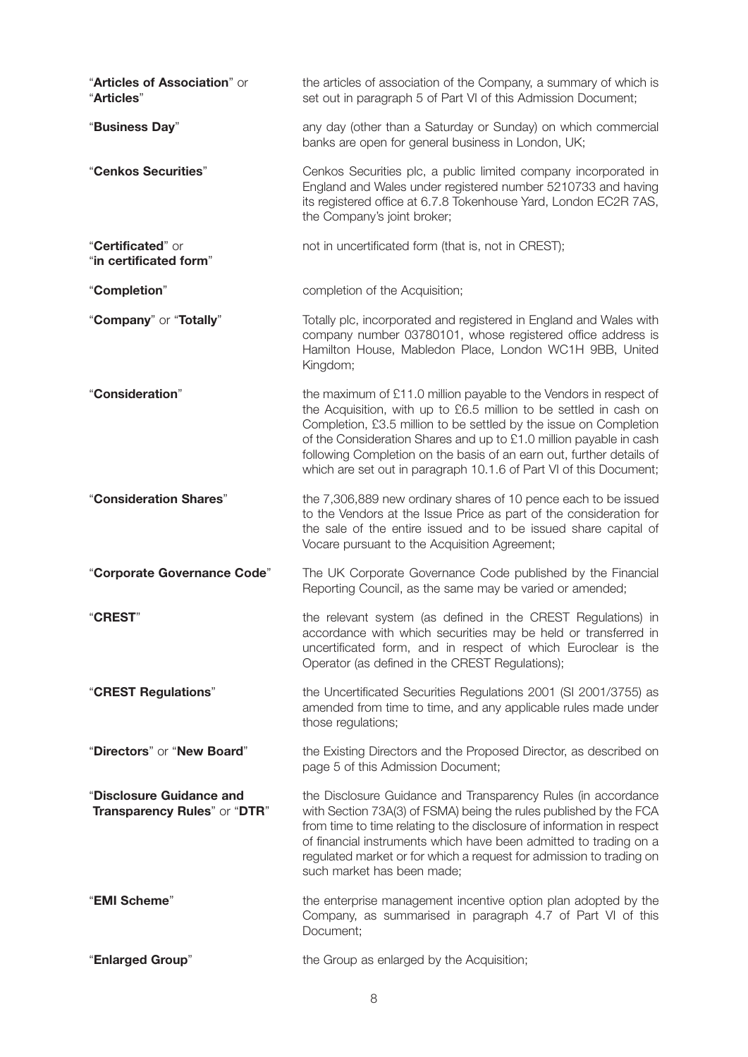| "Articles of Association" or<br>"Articles"               | the articles of association of the Company, a summary of which is<br>set out in paragraph 5 of Part VI of this Admission Document;                                                                                                                                                                                                                                                                                              |
|----------------------------------------------------------|---------------------------------------------------------------------------------------------------------------------------------------------------------------------------------------------------------------------------------------------------------------------------------------------------------------------------------------------------------------------------------------------------------------------------------|
| "Business Day"                                           | any day (other than a Saturday or Sunday) on which commercial<br>banks are open for general business in London, UK;                                                                                                                                                                                                                                                                                                             |
| "Cenkos Securities"                                      | Cenkos Securities plc, a public limited company incorporated in<br>England and Wales under registered number 5210733 and having<br>its registered office at 6.7.8 Tokenhouse Yard, London EC2R 7AS,<br>the Company's joint broker;                                                                                                                                                                                              |
| "Certificated" or<br>"in certificated form"              | not in uncertificated form (that is, not in CREST);                                                                                                                                                                                                                                                                                                                                                                             |
| "Completion"                                             | completion of the Acquisition;                                                                                                                                                                                                                                                                                                                                                                                                  |
| "Company" or "Totally"                                   | Totally plc, incorporated and registered in England and Wales with<br>company number 03780101, whose registered office address is<br>Hamilton House, Mabledon Place, London WC1H 9BB, United<br>Kingdom;                                                                                                                                                                                                                        |
| "Consideration"                                          | the maximum of £11.0 million payable to the Vendors in respect of<br>the Acquisition, with up to £6.5 million to be settled in cash on<br>Completion, £3.5 million to be settled by the issue on Completion<br>of the Consideration Shares and up to £1.0 million payable in cash<br>following Completion on the basis of an earn out, further details of<br>which are set out in paragraph 10.1.6 of Part VI of this Document; |
| "Consideration Shares"                                   | the 7,306,889 new ordinary shares of 10 pence each to be issued<br>to the Vendors at the Issue Price as part of the consideration for<br>the sale of the entire issued and to be issued share capital of<br>Vocare pursuant to the Acquisition Agreement;                                                                                                                                                                       |
| "Corporate Governance Code"                              | The UK Corporate Governance Code published by the Financial<br>Reporting Council, as the same may be varied or amended;                                                                                                                                                                                                                                                                                                         |
| <b>"CREST"</b>                                           | the relevant system (as defined in the CREST Regulations) in<br>accordance with which securities may be held or transferred in<br>uncertificated form, and in respect of which Euroclear is the<br>Operator (as defined in the CREST Regulations);                                                                                                                                                                              |
| "CREST Regulations"                                      | the Uncertificated Securities Regulations 2001 (SI 2001/3755) as<br>amended from time to time, and any applicable rules made under<br>those regulations;                                                                                                                                                                                                                                                                        |
| "Directors" or "New Board"                               | the Existing Directors and the Proposed Director, as described on<br>page 5 of this Admission Document;                                                                                                                                                                                                                                                                                                                         |
| "Disclosure Guidance and<br>Transparency Rules" or "DTR" | the Disclosure Guidance and Transparency Rules (in accordance<br>with Section 73A(3) of FSMA) being the rules published by the FCA<br>from time to time relating to the disclosure of information in respect<br>of financial instruments which have been admitted to trading on a<br>regulated market or for which a request for admission to trading on<br>such market has been made;                                          |
| "EMI Scheme"                                             | the enterprise management incentive option plan adopted by the<br>Company, as summarised in paragraph 4.7 of Part VI of this<br>Document;                                                                                                                                                                                                                                                                                       |
| "Enlarged Group"                                         | the Group as enlarged by the Acquisition;                                                                                                                                                                                                                                                                                                                                                                                       |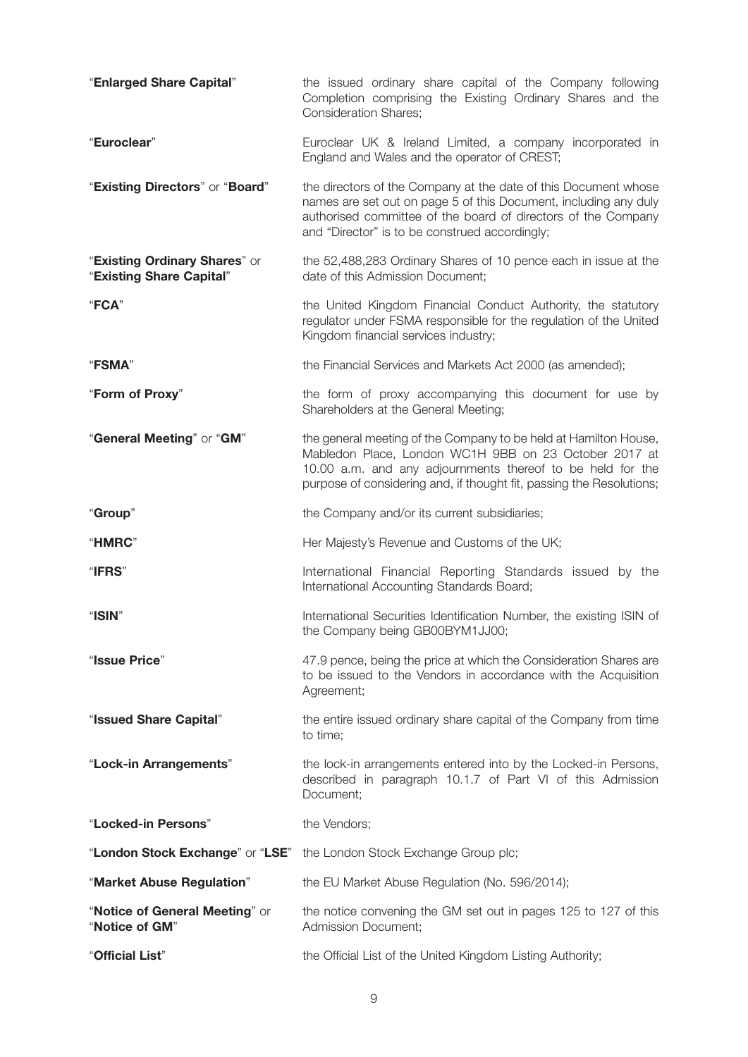| "Enlarged Share Capital"                                  | the issued ordinary share capital of the Company following<br>Completion comprising the Existing Ordinary Shares and the<br><b>Consideration Shares;</b>                                                                                                        |
|-----------------------------------------------------------|-----------------------------------------------------------------------------------------------------------------------------------------------------------------------------------------------------------------------------------------------------------------|
| "Euroclear"                                               | Euroclear UK & Ireland Limited, a company incorporated in<br>England and Wales and the operator of CREST;                                                                                                                                                       |
| "Existing Directors" or "Board"                           | the directors of the Company at the date of this Document whose<br>names are set out on page 5 of this Document, including any duly<br>authorised committee of the board of directors of the Company<br>and "Director" is to be construed accordingly;          |
| "Existing Ordinary Shares" or<br>"Existing Share Capital" | the 52,488,283 Ordinary Shares of 10 pence each in issue at the<br>date of this Admission Document;                                                                                                                                                             |
| "FCA"                                                     | the United Kingdom Financial Conduct Authority, the statutory<br>regulator under FSMA responsible for the regulation of the United<br>Kingdom financial services industry;                                                                                      |
| "FSMA"                                                    | the Financial Services and Markets Act 2000 (as amended);                                                                                                                                                                                                       |
| "Form of Proxy"                                           | the form of proxy accompanying this document for use by<br>Shareholders at the General Meeting;                                                                                                                                                                 |
| "General Meeting" or "GM"                                 | the general meeting of the Company to be held at Hamilton House,<br>Mabledon Place, London WC1H 9BB on 23 October 2017 at<br>10.00 a.m. and any adjournments thereof to be held for the<br>purpose of considering and, if thought fit, passing the Resolutions; |
| "Group"                                                   | the Company and/or its current subsidiaries;                                                                                                                                                                                                                    |
| "HMRC"                                                    | Her Majesty's Revenue and Customs of the UK;                                                                                                                                                                                                                    |
| "IFRS"                                                    | International Financial Reporting Standards issued by the<br>International Accounting Standards Board;                                                                                                                                                          |
| "ISIN"                                                    | International Securities Identification Number, the existing ISIN of<br>the Company being GB00BYM1JJ00;                                                                                                                                                         |
| "Issue Price"                                             | 47.9 pence, being the price at which the Consideration Shares are<br>to be issued to the Vendors in accordance with the Acquisition<br>Agreement;                                                                                                               |
| "Issued Share Capital"                                    | the entire issued ordinary share capital of the Company from time<br>to time;                                                                                                                                                                                   |
| "Lock-in Arrangements"                                    | the lock-in arrangements entered into by the Locked-in Persons,<br>described in paragraph 10.1.7 of Part VI of this Admission<br>Document;                                                                                                                      |
| "Locked-in Persons"                                       | the Vendors;                                                                                                                                                                                                                                                    |
| "London Stock Exchange" or "LSE"                          | the London Stock Exchange Group plc;                                                                                                                                                                                                                            |
| "Market Abuse Regulation"                                 | the EU Market Abuse Regulation (No. 596/2014);                                                                                                                                                                                                                  |
| "Notice of General Meeting" or<br>"Notice of GM"          | the notice convening the GM set out in pages 125 to 127 of this<br><b>Admission Document;</b>                                                                                                                                                                   |
| "Official List"                                           | the Official List of the United Kingdom Listing Authority;                                                                                                                                                                                                      |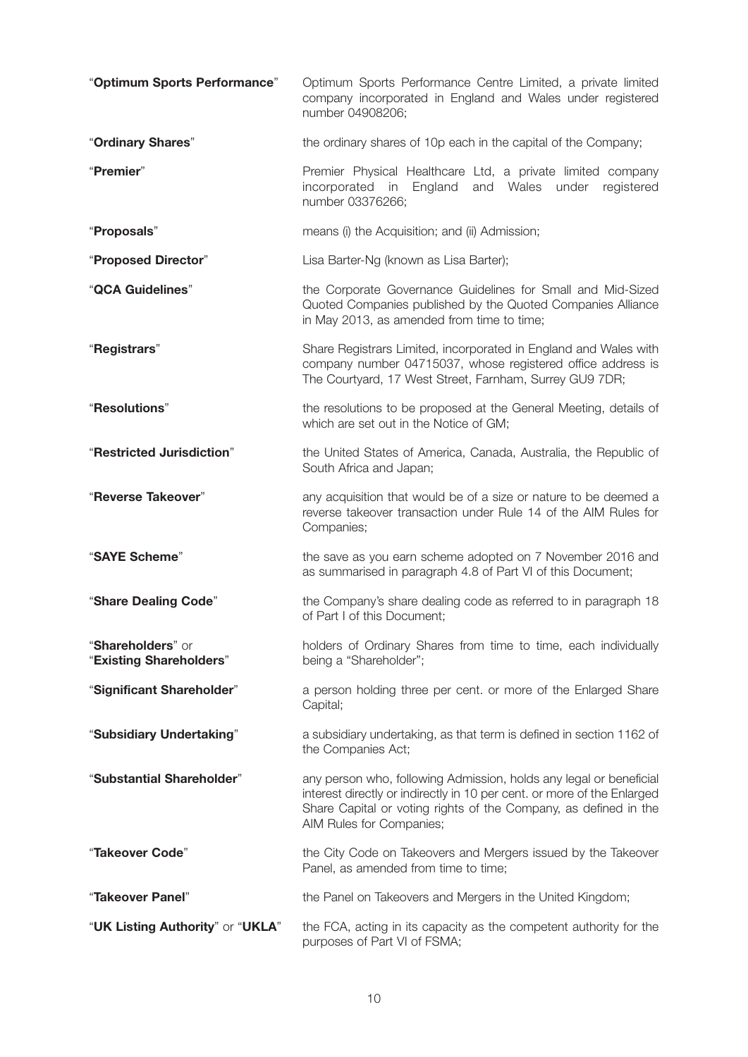| "Optimum Sports Performance"                 | Optimum Sports Performance Centre Limited, a private limited<br>company incorporated in England and Wales under registered<br>number 04908206;                                                                                                |
|----------------------------------------------|-----------------------------------------------------------------------------------------------------------------------------------------------------------------------------------------------------------------------------------------------|
| "Ordinary Shares"                            | the ordinary shares of 10p each in the capital of the Company;                                                                                                                                                                                |
| "Premier"                                    | Premier Physical Healthcare Ltd, a private limited company<br>incorporated in<br>England<br>and Wales under<br>registered<br>number 03376266;                                                                                                 |
| "Proposals"                                  | means (i) the Acquisition; and (ii) Admission;                                                                                                                                                                                                |
| "Proposed Director"                          | Lisa Barter-Ng (known as Lisa Barter);                                                                                                                                                                                                        |
| "QCA Guidelines"                             | the Corporate Governance Guidelines for Small and Mid-Sized<br>Quoted Companies published by the Quoted Companies Alliance<br>in May 2013, as amended from time to time;                                                                      |
| "Registrars"                                 | Share Registrars Limited, incorporated in England and Wales with<br>company number 04715037, whose registered office address is<br>The Courtyard, 17 West Street, Farnham, Surrey GU9 7DR;                                                    |
| "Resolutions"                                | the resolutions to be proposed at the General Meeting, details of<br>which are set out in the Notice of GM;                                                                                                                                   |
| "Restricted Jurisdiction"                    | the United States of America, Canada, Australia, the Republic of<br>South Africa and Japan;                                                                                                                                                   |
| "Reverse Takeover"                           | any acquisition that would be of a size or nature to be deemed a<br>reverse takeover transaction under Rule 14 of the AIM Rules for<br>Companies;                                                                                             |
| "SAYE Scheme"                                | the save as you earn scheme adopted on 7 November 2016 and<br>as summarised in paragraph 4.8 of Part VI of this Document;                                                                                                                     |
| "Share Dealing Code"                         | the Company's share dealing code as referred to in paragraph 18<br>of Part I of this Document;                                                                                                                                                |
| "Shareholders" or<br>"Existing Shareholders" | holders of Ordinary Shares from time to time, each individually<br>being a "Shareholder";                                                                                                                                                     |
| "Significant Shareholder"                    | a person holding three per cent. or more of the Enlarged Share<br>Capital;                                                                                                                                                                    |
| "Subsidiary Undertaking"                     | a subsidiary undertaking, as that term is defined in section 1162 of<br>the Companies Act;                                                                                                                                                    |
| "Substantial Shareholder"                    | any person who, following Admission, holds any legal or beneficial<br>interest directly or indirectly in 10 per cent. or more of the Enlarged<br>Share Capital or voting rights of the Company, as defined in the<br>AIM Rules for Companies; |
| "Takeover Code"                              | the City Code on Takeovers and Mergers issued by the Takeover<br>Panel, as amended from time to time;                                                                                                                                         |
| "Takeover Panel"                             | the Panel on Takeovers and Mergers in the United Kingdom;                                                                                                                                                                                     |
| "UK Listing Authority" or "UKLA"             | the FCA, acting in its capacity as the competent authority for the<br>purposes of Part VI of FSMA;                                                                                                                                            |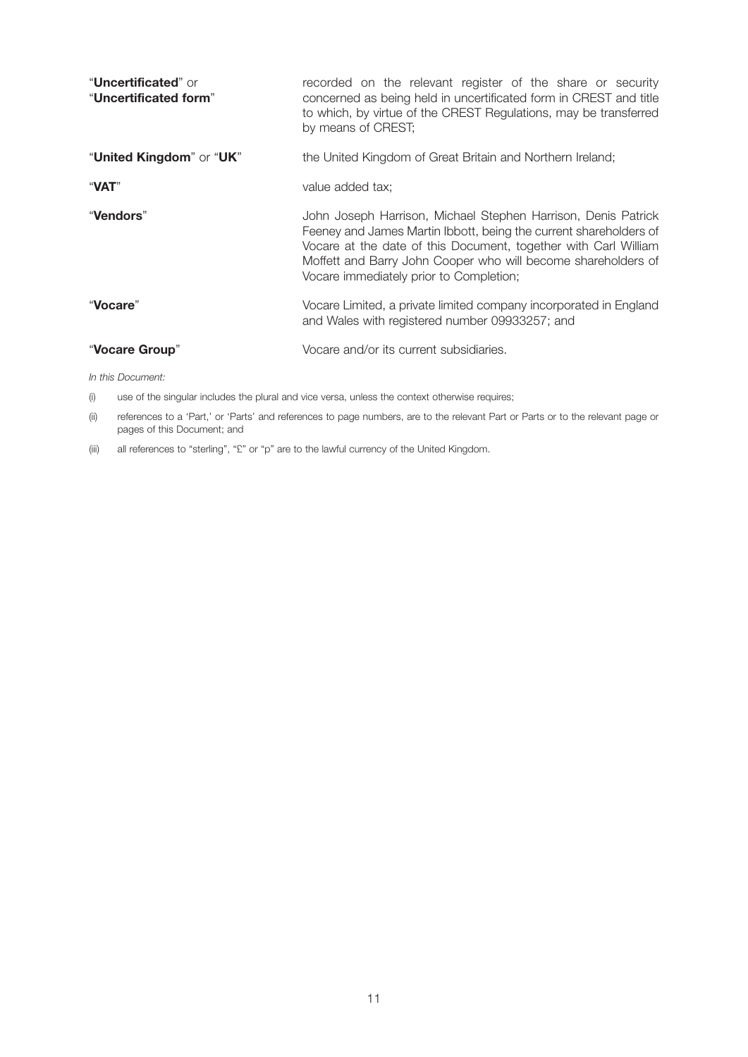| " <b>Uncertificated</b> " or<br>"Uncertificated form" | recorded on the relevant register of the share or security<br>concerned as being held in uncertificated form in CREST and title<br>to which, by virtue of the CREST Regulations, may be transferred<br>by means of CREST;                                                                                         |
|-------------------------------------------------------|-------------------------------------------------------------------------------------------------------------------------------------------------------------------------------------------------------------------------------------------------------------------------------------------------------------------|
| "United Kingdom" or "UK"                              | the United Kingdom of Great Britain and Northern Ireland;                                                                                                                                                                                                                                                         |
| "VAT"                                                 | value added tax;                                                                                                                                                                                                                                                                                                  |
| "Vendors"                                             | John Joseph Harrison, Michael Stephen Harrison, Denis Patrick<br>Feeney and James Martin Ibbott, being the current shareholders of<br>Vocare at the date of this Document, together with Carl William<br>Moffett and Barry John Cooper who will become shareholders of<br>Vocare immediately prior to Completion; |
| "Vocare"                                              | Vocare Limited, a private limited company incorporated in England<br>and Wales with registered number 09933257; and                                                                                                                                                                                               |
| "Vocare Group"                                        | Vocare and/or its current subsidiaries.                                                                                                                                                                                                                                                                           |
| In this Document:                                     |                                                                                                                                                                                                                                                                                                                   |

(i) use of the singular includes the plural and vice versa, unless the context otherwise requires;

(ii) references to a 'Part,' or 'Parts' and references to page numbers, are to the relevant Part or Parts or to the relevant page or pages of this Document; and

(iii) all references to "sterling", "£" or "p" are to the lawful currency of the United Kingdom.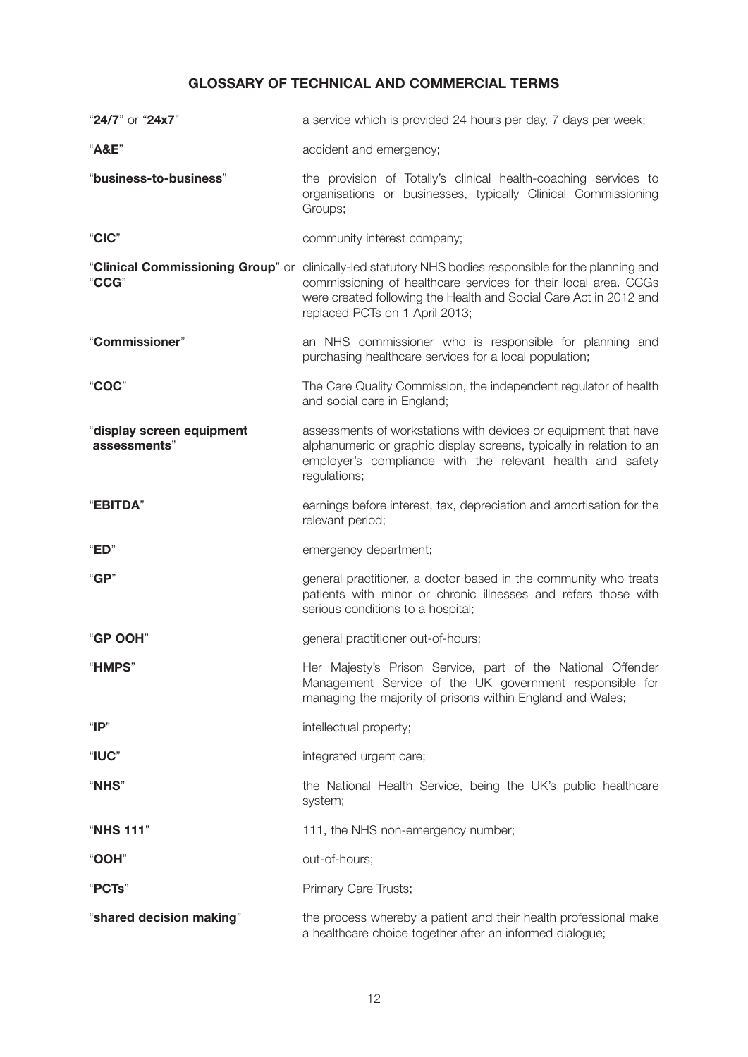## **GLOSSARY OF TECHNICAL AND COMMERCIAL TERMS**

| "24/7" or "24x7"                          | a service which is provided 24 hours per day, 7 days per week;                                                                                                                                                                                                                   |
|-------------------------------------------|----------------------------------------------------------------------------------------------------------------------------------------------------------------------------------------------------------------------------------------------------------------------------------|
| "A&E"                                     | accident and emergency;                                                                                                                                                                                                                                                          |
| "business-to-business"                    | the provision of Totally's clinical health-coaching services to<br>organisations or businesses, typically Clinical Commissioning<br>Groups;                                                                                                                                      |
| "CIC"                                     | community interest company;                                                                                                                                                                                                                                                      |
| "CCG"                                     | "Clinical Commissioning Group" or clinically-led statutory NHS bodies responsible for the planning and<br>commissioning of healthcare services for their local area. CCGs<br>were created following the Health and Social Care Act in 2012 and<br>replaced PCTs on 1 April 2013; |
| "Commissioner"                            | an NHS commissioner who is responsible for planning and<br>purchasing healthcare services for a local population;                                                                                                                                                                |
| "CQC"                                     | The Care Quality Commission, the independent regulator of health<br>and social care in England;                                                                                                                                                                                  |
| "display screen equipment<br>assessments" | assessments of workstations with devices or equipment that have<br>alphanumeric or graphic display screens, typically in relation to an<br>employer's compliance with the relevant health and safety<br>regulations;                                                             |
| "EBITDA"                                  | earnings before interest, tax, depreciation and amortisation for the<br>relevant period;                                                                                                                                                                                         |
| "ED"                                      | emergency department;                                                                                                                                                                                                                                                            |
| "GP"                                      | general practitioner, a doctor based in the community who treats<br>patients with minor or chronic illnesses and refers those with<br>serious conditions to a hospital;                                                                                                          |
| "GP OOH"                                  | general practitioner out-of-hours;                                                                                                                                                                                                                                               |
| "HMPS"                                    | Her Majesty's Prison Service, part of the National Offender<br>Management Service of the UK government responsible for<br>managing the majority of prisons within England and Wales;                                                                                             |
| " $P$ "                                   | intellectual property;                                                                                                                                                                                                                                                           |
| "IUC"                                     | integrated urgent care;                                                                                                                                                                                                                                                          |
| "NHS"                                     | the National Health Service, being the UK's public healthcare<br>system;                                                                                                                                                                                                         |
| "NHS 111"                                 | 111, the NHS non-emergency number;                                                                                                                                                                                                                                               |
| "OOH"                                     | out-of-hours;                                                                                                                                                                                                                                                                    |
| "PCTs"                                    | Primary Care Trusts;                                                                                                                                                                                                                                                             |
| "shared decision making"                  | the process whereby a patient and their health professional make<br>a healthcare choice together after an informed dialogue;                                                                                                                                                     |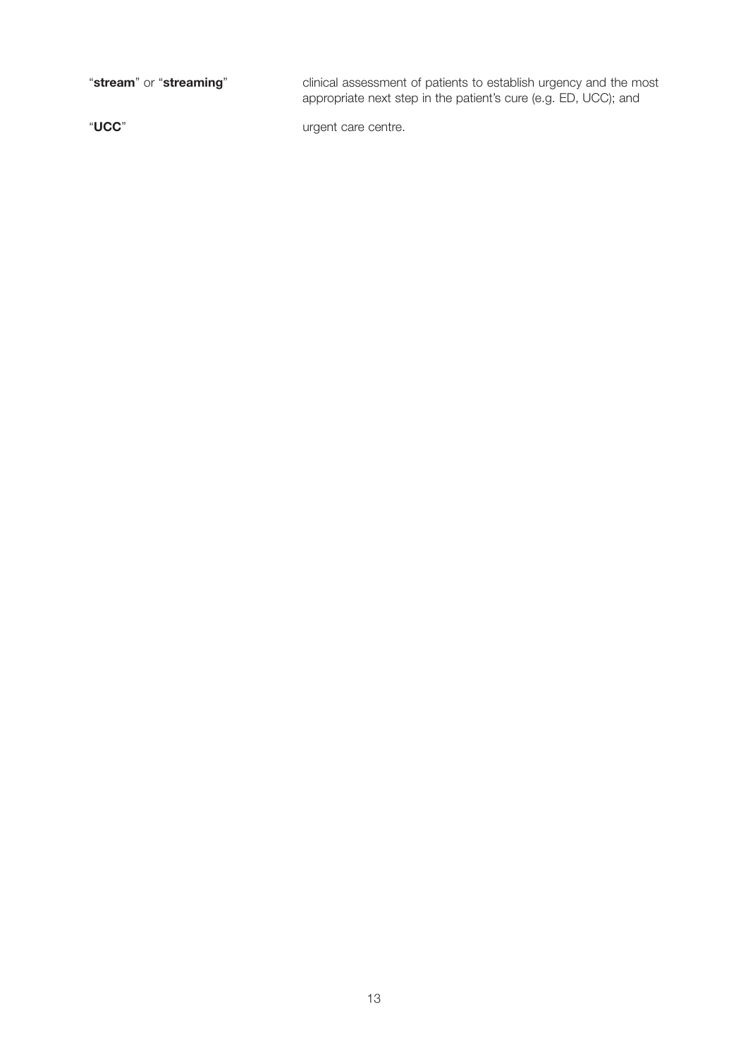"**stream**" or "**streaming**" clinical assessment of patients to establish urgency and the most appropriate next step in the patient's cure (e.g. ED, UCC); and

"**UCC**" urgent care centre.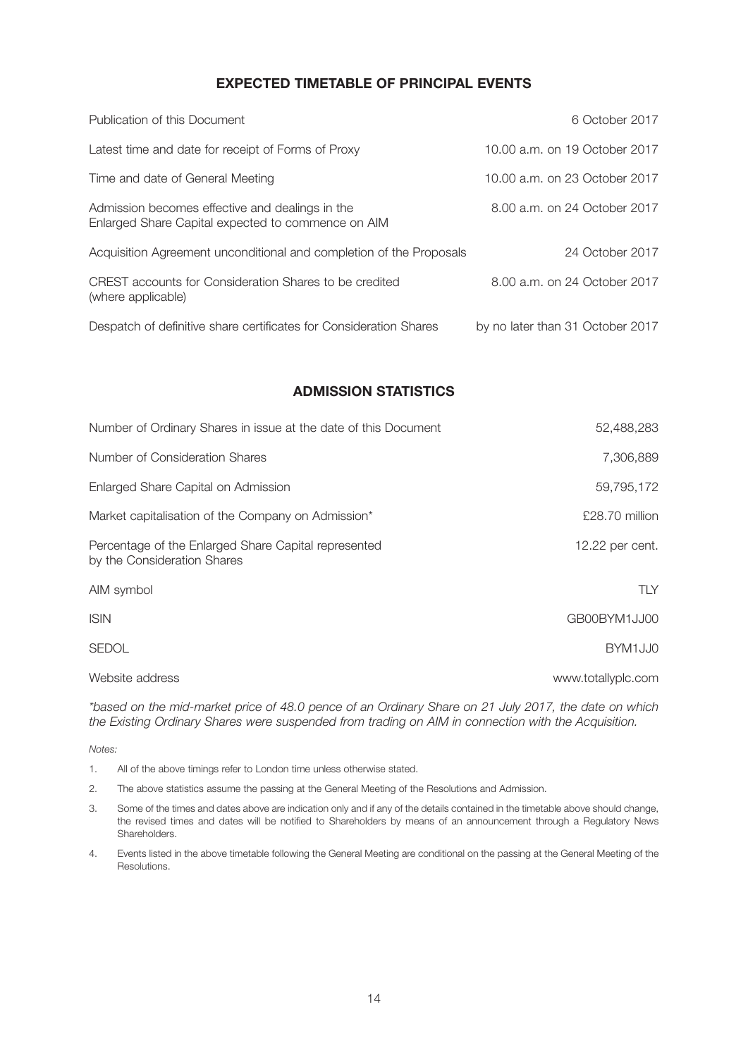## **EXPECTED TIMETABLE OF PRINCIPAL EVENTS**

| Publication of this Document                                                                          | 6 October 2017                   |
|-------------------------------------------------------------------------------------------------------|----------------------------------|
| Latest time and date for receipt of Forms of Proxy                                                    | 10.00 a.m. on 19 October 2017    |
| Time and date of General Meeting                                                                      | 10.00 a.m. on 23 October 2017    |
| Admission becomes effective and dealings in the<br>Enlarged Share Capital expected to commence on AIM | 8.00 a.m. on 24 October 2017     |
| Acquisition Agreement unconditional and completion of the Proposals                                   | 24 October 2017                  |
| CREST accounts for Consideration Shares to be credited<br>(where applicable)                          | 8.00 a.m. on 24 October 2017     |
| Despatch of definitive share certificates for Consideration Shares                                    | by no later than 31 October 2017 |

## **ADMISSION STATISTICS**

| Number of Ordinary Shares in issue at the date of this Document                     | 52,488,283         |
|-------------------------------------------------------------------------------------|--------------------|
| Number of Consideration Shares                                                      | 7,306,889          |
| Enlarged Share Capital on Admission                                                 | 59,795,172         |
| Market capitalisation of the Company on Admission*                                  | £28.70 million     |
| Percentage of the Enlarged Share Capital represented<br>by the Consideration Shares | 12.22 per cent.    |
| AIM symbol                                                                          | TLY                |
| <b>ISIN</b>                                                                         | GB00BYM1JJ00       |
| <b>SEDOL</b>                                                                        | BYM1JJ0            |
| Website address                                                                     | www.totallyplc.com |

*\*based on the mid-market price of 48.0 pence of an Ordinary Share on 21 July 2017, the date on which the Existing Ordinary Shares were suspended from trading on AIM in connection with the Acquisition.*

*Notes:*

- 1. All of the above timings refer to London time unless otherwise stated.
- 2. The above statistics assume the passing at the General Meeting of the Resolutions and Admission.
- 3. Some of the times and dates above are indication only and if any of the details contained in the timetable above should change, the revised times and dates will be notified to Shareholders by means of an announcement through a Regulatory News Shareholders.
- 4. Events listed in the above timetable following the General Meeting are conditional on the passing at the General Meeting of the **Resolutions**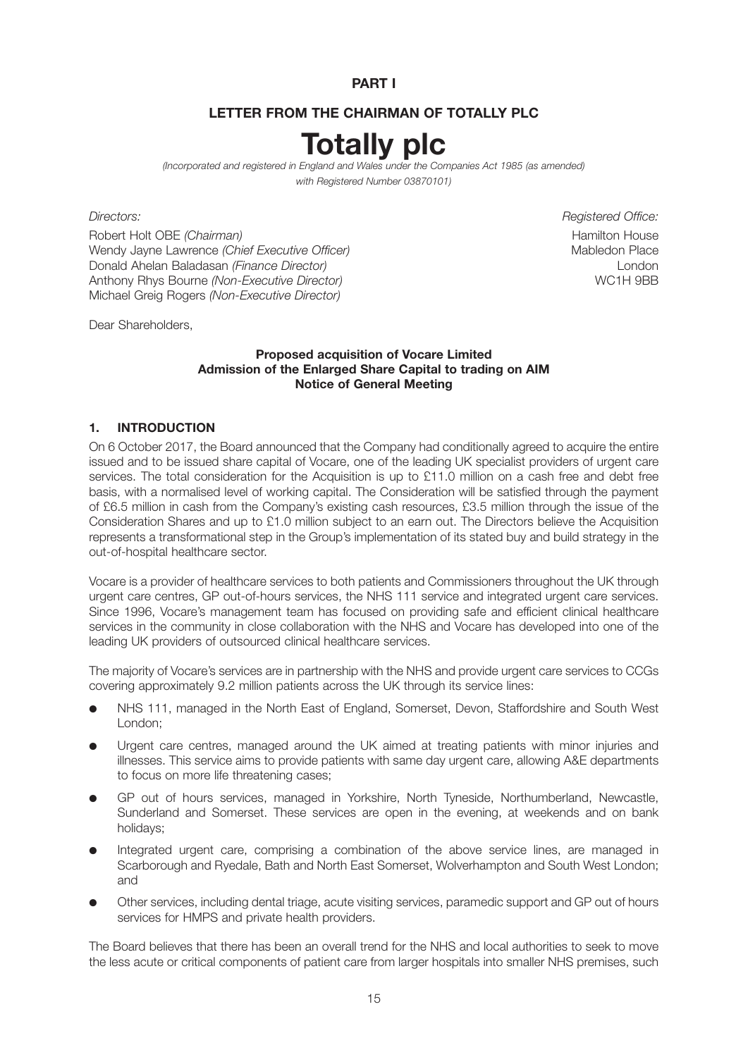**PART I**

## **LETTER FROM THE CHAIRMAN OF TOTALLY PLC**

# **Totally plc**

*(Incorporated and registered in England and Wales under the Companies Act 1985 (as amended) with Registered Number 03870101)*

Robert Holt OBE *(Chairman)* **Hamilton House Hamilton House** Wendy Jayne Lawrence *(Chief Executive Officer)* Mabledon Place **Mabledon Place** Donald Ahelan Baladasan *(Finance Director)* London Anthony Rhys Bourne *(Non-Executive Director)* and the second was a second water of the WC1H 9BB Michael Greig Rogers *(Non-Executive Director)*

*Directors: Registered Office:*

Dear Shareholders,

#### **Proposed acquisition of Vocare Limited Admission of the Enlarged Share Capital to trading on AIM Notice of General Meeting**

#### **1. INTRODUCTION**

On 6 October 2017, the Board announced that the Company had conditionally agreed to acquire the entire issued and to be issued share capital of Vocare, one of the leading UK specialist providers of urgent care services. The total consideration for the Acquisition is up to £11.0 million on a cash free and debt free basis, with a normalised level of working capital. The Consideration will be satisfied through the payment of £6.5 million in cash from the Company's existing cash resources, £3.5 million through the issue of the Consideration Shares and up to £1.0 million subject to an earn out. The Directors believe the Acquisition represents a transformational step in the Group's implementation of its stated buy and build strategy in the out-of-hospital healthcare sector.

Vocare is a provider of healthcare services to both patients and Commissioners throughout the UK through urgent care centres, GP out-of-hours services, the NHS 111 service and integrated urgent care services. Since 1996, Vocare's management team has focused on providing safe and efficient clinical healthcare services in the community in close collaboration with the NHS and Vocare has developed into one of the leading UK providers of outsourced clinical healthcare services.

The majority of Vocare's services are in partnership with the NHS and provide urgent care services to CCGs covering approximately 9.2 million patients across the UK through its service lines:

- NHS 111, managed in the North East of England, Somerset, Devon, Staffordshire and South West London;
- Urgent care centres, managed around the UK aimed at treating patients with minor injuries and illnesses. This service aims to provide patients with same day urgent care, allowing A&E departments to focus on more life threatening cases;
- GP out of hours services, managed in Yorkshire, North Tyneside, Northumberland, Newcastle, Sunderland and Somerset. These services are open in the evening, at weekends and on bank holidays;
- Integrated urgent care, comprising a combination of the above service lines, are managed in Scarborough and Ryedale, Bath and North East Somerset, Wolverhampton and South West London; and
- Other services, including dental triage, acute visiting services, paramedic support and GP out of hours services for HMPS and private health providers.

The Board believes that there has been an overall trend for the NHS and local authorities to seek to move the less acute or critical components of patient care from larger hospitals into smaller NHS premises, such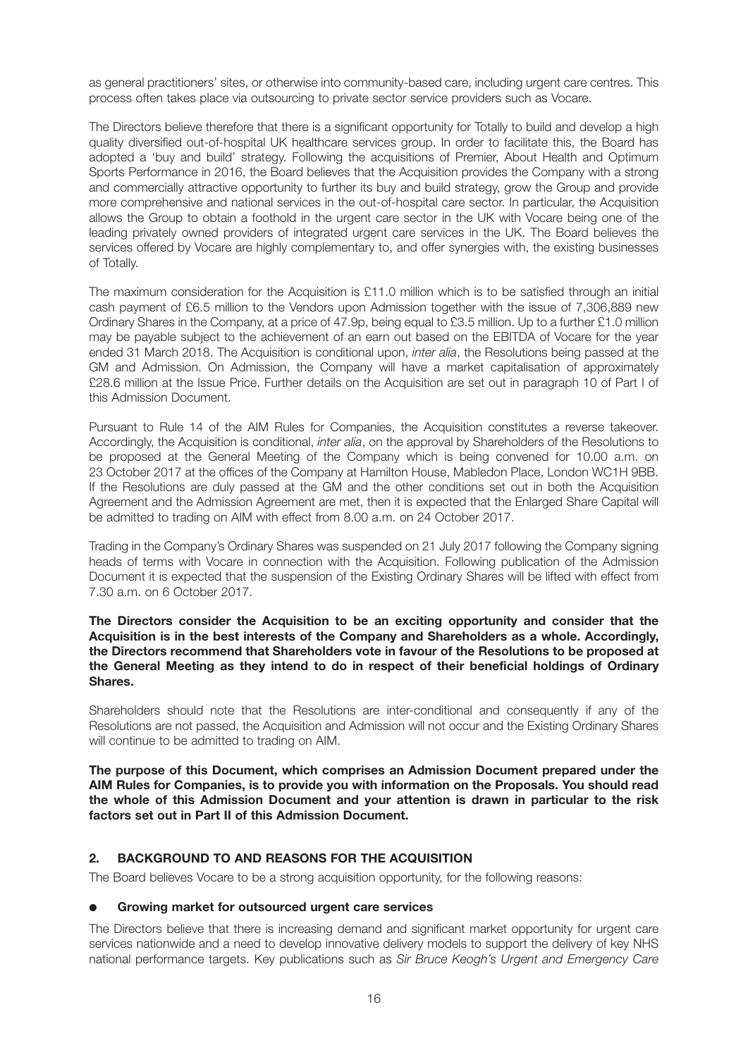as general practitioners' sites, or otherwise into community-based care, including urgent care centres. This process often takes place via outsourcing to private sector service providers such as Vocare.

The Directors believe therefore that there is a significant opportunity for Totally to build and develop a high quality diversified out-of-hospital UK healthcare services group. In order to facilitate this, the Board has adopted a 'buy and build' strategy. Following the acquisitions of Premier, About Health and Optimum Sports Performance in 2016, the Board believes that the Acquisition provides the Company with a strong and commercially attractive opportunity to further its buy and build strategy, grow the Group and provide more comprehensive and national services in the out-of-hospital care sector. In particular, the Acquisition allows the Group to obtain a foothold in the urgent care sector in the UK with Vocare being one of the leading privately owned providers of integrated urgent care services in the UK. The Board believes the services offered by Vocare are highly complementary to, and offer synergies with, the existing businesses of Totally.

The maximum consideration for the Acquisition is £11.0 million which is to be satisfied through an initial cash payment of £6.5 million to the Vendors upon Admission together with the issue of 7,306,889 new Ordinary Shares in the Company, at a price of 47.9p, being equal to £3.5 million. Up to a further £1.0 million may be payable subject to the achievement of an earn out based on the EBITDA of Vocare for the year ended 31 March 2018. The Acquisition is conditional upon, *inter alia*, the Resolutions being passed at the GM and Admission. On Admission, the Company will have a market capitalisation of approximately £28.6 million at the Issue Price. Further details on the Acquisition are set out in paragraph 10 of Part I of this Admission Document.

Pursuant to Rule 14 of the AIM Rules for Companies, the Acquisition constitutes a reverse takeover. Accordingly, the Acquisition is conditional, *inter alia*, on the approval by Shareholders of the Resolutions to be proposed at the General Meeting of the Company which is being convened for 10.00 a.m. on 23 October 2017 at the offices of the Company at Hamilton House, Mabledon Place, London WC1H 9BB. If the Resolutions are duly passed at the GM and the other conditions set out in both the Acquisition Agreement and the Admission Agreement are met, then it is expected that the Enlarged Share Capital will be admitted to trading on AIM with effect from 8.00 a.m. on 24 October 2017.

Trading in the Company's Ordinary Shares was suspended on 21 July 2017 following the Company signing heads of terms with Vocare in connection with the Acquisition. Following publication of the Admission Document it is expected that the suspension of the Existing Ordinary Shares will be lifted with effect from 7.30 a.m. on 6 October 2017.

**The Directors consider the Acquisition to be an exciting opportunity and consider that the Acquisition is in the best interests of the Company and Shareholders as a whole. Accordingly, the Directors recommend that Shareholders vote in favour of the Resolutions to be proposed at the General Meeting as they intend to do in respect of their beneficial holdings of Ordinary Shares.**

Shareholders should note that the Resolutions are inter-conditional and consequently if any of the Resolutions are not passed, the Acquisition and Admission will not occur and the Existing Ordinary Shares will continue to be admitted to trading on AIM.

**The purpose of this Document, which comprises an Admission Document prepared under the AIM Rules for Companies, is to provide you with information on the Proposals. You should read the whole of this Admission Document and your attention is drawn in particular to the risk factors set out in Part II of this Admission Document.**

## **2. BACKGROUND TO AND REASONS FOR THE ACQUISITION**

The Board believes Vocare to be a strong acquisition opportunity, for the following reasons:

#### ● **Growing market for outsourced urgent care services**

The Directors believe that there is increasing demand and significant market opportunity for urgent care services nationwide and a need to develop innovative delivery models to support the delivery of key NHS national performance targets. Key publications such as *Sir Bruce Keogh's Urgent and Emergency Care*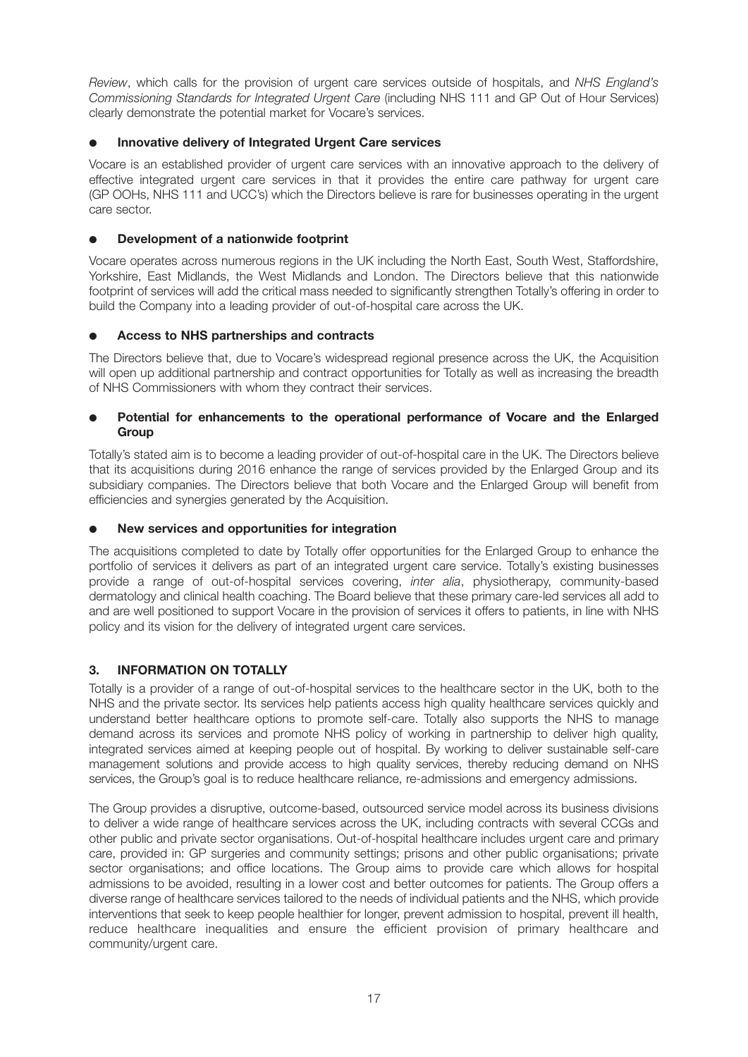*Review*, which calls for the provision of urgent care services outside of hospitals, and *NHS England's Commissioning Standards for Integrated Urgent Care* (including NHS 111 and GP Out of Hour Services) clearly demonstrate the potential market for Vocare's services.

## **Innovative delivery of Integrated Urgent Care services**

Vocare is an established provider of urgent care services with an innovative approach to the delivery of effective integrated urgent care services in that it provides the entire care pathway for urgent care (GP OOHs, NHS 111 and UCC's) which the Directors believe is rare for businesses operating in the urgent care sector.

## **Development of a nationwide footprint**

Vocare operates across numerous regions in the UK including the North East, South West, Staffordshire, Yorkshire, East Midlands, the West Midlands and London. The Directors believe that this nationwide footprint of services will add the critical mass needed to significantly strengthen Totally's offering in order to build the Company into a leading provider of out-of-hospital care across the UK.

## ● **Access to NHS partnerships and contracts**

The Directors believe that, due to Vocare's widespread regional presence across the UK, the Acquisition will open up additional partnership and contract opportunities for Totally as well as increasing the breadth of NHS Commissioners with whom they contract their services.

## Potential for enhancements to the operational performance of Vocare and the Enlarged **Group**

Totally's stated aim is to become a leading provider of out-of-hospital care in the UK. The Directors believe that its acquisitions during 2016 enhance the range of services provided by the Enlarged Group and its subsidiary companies. The Directors believe that both Vocare and the Enlarged Group will benefit from efficiencies and synergies generated by the Acquisition.

## **New services and opportunities for integration**

The acquisitions completed to date by Totally offer opportunities for the Enlarged Group to enhance the portfolio of services it delivers as part of an integrated urgent care service. Totally's existing businesses provide a range of out-of-hospital services covering, *inter alia*, physiotherapy, community-based dermatology and clinical health coaching. The Board believe that these primary care-led services all add to and are well positioned to support Vocare in the provision of services it offers to patients, in line with NHS policy and its vision for the delivery of integrated urgent care services.

## **3. INFORMATION ON TOTALLY**

Totally is a provider of a range of out-of-hospital services to the healthcare sector in the UK, both to the NHS and the private sector. Its services help patients access high quality healthcare services quickly and understand better healthcare options to promote self-care. Totally also supports the NHS to manage demand across its services and promote NHS policy of working in partnership to deliver high quality, integrated services aimed at keeping people out of hospital. By working to deliver sustainable self-care management solutions and provide access to high quality services, thereby reducing demand on NHS services, the Group's goal is to reduce healthcare reliance, re-admissions and emergency admissions.

The Group provides a disruptive, outcome-based, outsourced service model across its business divisions to deliver a wide range of healthcare services across the UK, including contracts with several CCGs and other public and private sector organisations. Out-of-hospital healthcare includes urgent care and primary care, provided in: GP surgeries and community settings; prisons and other public organisations; private sector organisations; and office locations. The Group aims to provide care which allows for hospital admissions to be avoided, resulting in a lower cost and better outcomes for patients. The Group offers a diverse range of healthcare services tailored to the needs of individual patients and the NHS, which provide interventions that seek to keep people healthier for longer, prevent admission to hospital, prevent ill health, reduce healthcare inequalities and ensure the efficient provision of primary healthcare and community/urgent care.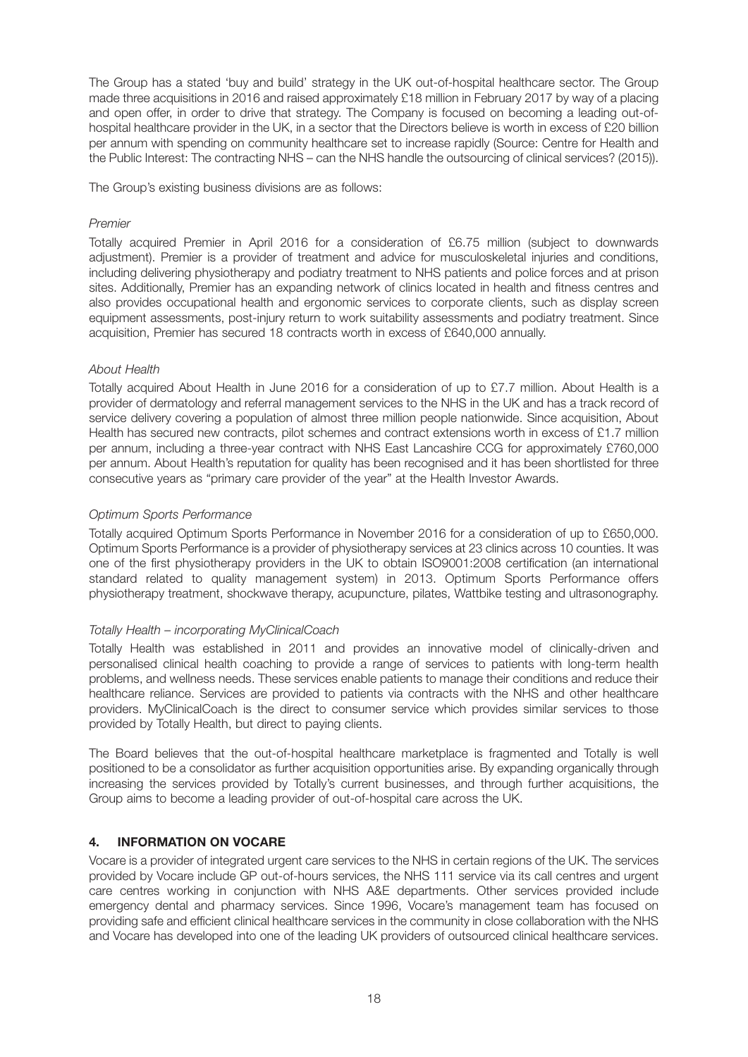The Group has a stated 'buy and build' strategy in the UK out-of-hospital healthcare sector. The Group made three acquisitions in 2016 and raised approximately £18 million in February 2017 by way of a placing and open offer, in order to drive that strategy. The Company is focused on becoming a leading out-ofhospital healthcare provider in the UK, in a sector that the Directors believe is worth in excess of £20 billion per annum with spending on community healthcare set to increase rapidly (Source: Centre for Health and the Public Interest: The contracting NHS – can the NHS handle the outsourcing of clinical services? (2015)).

The Group's existing business divisions are as follows:

#### *Premier*

Totally acquired Premier in April 2016 for a consideration of £6.75 million (subject to downwards adjustment). Premier is a provider of treatment and advice for musculoskeletal injuries and conditions, including delivering physiotherapy and podiatry treatment to NHS patients and police forces and at prison sites. Additionally, Premier has an expanding network of clinics located in health and fitness centres and also provides occupational health and ergonomic services to corporate clients, such as display screen equipment assessments, post-injury return to work suitability assessments and podiatry treatment. Since acquisition, Premier has secured 18 contracts worth in excess of £640,000 annually.

## *About Health*

Totally acquired About Health in June 2016 for a consideration of up to £7.7 million. About Health is a provider of dermatology and referral management services to the NHS in the UK and has a track record of service delivery covering a population of almost three million people nationwide. Since acquisition, About Health has secured new contracts, pilot schemes and contract extensions worth in excess of £1.7 million per annum, including a three-year contract with NHS East Lancashire CCG for approximately £760,000 per annum. About Health's reputation for quality has been recognised and it has been shortlisted for three consecutive years as "primary care provider of the year" at the Health Investor Awards.

## *Optimum Sports Performance*

Totally acquired Optimum Sports Performance in November 2016 for a consideration of up to £650,000. Optimum Sports Performance is a provider of physiotherapy services at 23 clinics across 10 counties. It was one of the first physiotherapy providers in the UK to obtain ISO9001:2008 certification (an international standard related to quality management system) in 2013. Optimum Sports Performance offers physiotherapy treatment, shockwave therapy, acupuncture, pilates, Wattbike testing and ultrasonography.

## *Totally Health – incorporating MyClinicalCoach*

Totally Health was established in 2011 and provides an innovative model of clinically-driven and personalised clinical health coaching to provide a range of services to patients with long-term health problems, and wellness needs. These services enable patients to manage their conditions and reduce their healthcare reliance. Services are provided to patients via contracts with the NHS and other healthcare providers. MyClinicalCoach is the direct to consumer service which provides similar services to those provided by Totally Health, but direct to paying clients.

The Board believes that the out-of-hospital healthcare marketplace is fragmented and Totally is well positioned to be a consolidator as further acquisition opportunities arise. By expanding organically through increasing the services provided by Totally's current businesses, and through further acquisitions, the Group aims to become a leading provider of out-of-hospital care across the UK.

## **4. INFORMATION ON VOCARE**

Vocare is a provider of integrated urgent care services to the NHS in certain regions of the UK. The services provided by Vocare include GP out-of-hours services, the NHS 111 service via its call centres and urgent care centres working in conjunction with NHS A&E departments. Other services provided include emergency dental and pharmacy services. Since 1996, Vocare's management team has focused on providing safe and efficient clinical healthcare services in the community in close collaboration with the NHS and Vocare has developed into one of the leading UK providers of outsourced clinical healthcare services.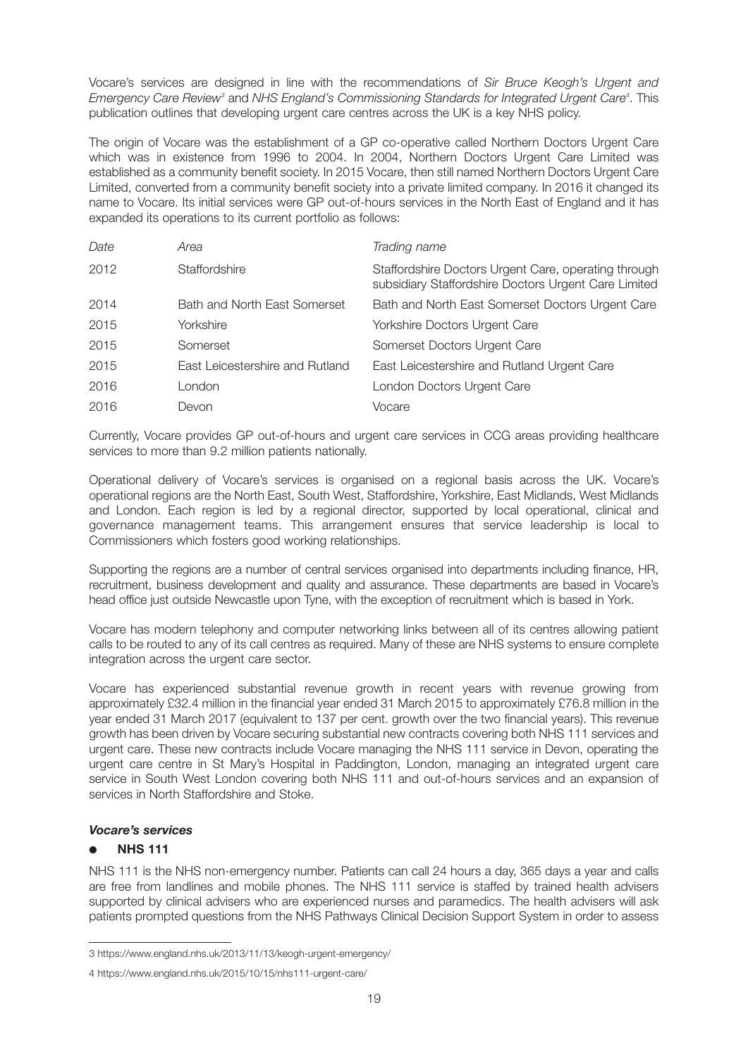Vocare's services are designed in line with the recommendations of *Sir Bruce Keogh's Urgent and Emergency Care Review3* and *NHS England's Commissioning Standards for Integrated Urgent Care4* . This publication outlines that developing urgent care centres across the UK is a key NHS policy.

The origin of Vocare was the establishment of a GP co-operative called Northern Doctors Urgent Care which was in existence from 1996 to 2004. In 2004, Northern Doctors Urgent Care Limited was established as a community benefit society. In 2015 Vocare, then still named Northern Doctors Urgent Care Limited, converted from a community benefit society into a private limited company. In 2016 it changed its name to Vocare. Its initial services were GP out-of-hours services in the North East of England and it has expanded its operations to its current portfolio as follows:

| Date | Area                            | Trading name                                                                                                 |
|------|---------------------------------|--------------------------------------------------------------------------------------------------------------|
| 2012 | Staffordshire                   | Staffordshire Doctors Urgent Care, operating through<br>subsidiary Staffordshire Doctors Urgent Care Limited |
| 2014 | Bath and North East Somerset    | Bath and North East Somerset Doctors Urgent Care                                                             |
| 2015 | Yorkshire                       | Yorkshire Doctors Urgent Care                                                                                |
| 2015 | Somerset                        | Somerset Doctors Urgent Care                                                                                 |
| 2015 | East Leicestershire and Rutland | East Leicestershire and Rutland Urgent Care                                                                  |
| 2016 | London                          | London Doctors Urgent Care                                                                                   |
| 2016 | Devon                           | Vocare                                                                                                       |

Currently, Vocare provides GP out-of-hours and urgent care services in CCG areas providing healthcare services to more than 9.2 million patients nationally.

Operational delivery of Vocare's services is organised on a regional basis across the UK. Vocare's operational regions are the North East, South West, Staffordshire, Yorkshire, East Midlands, West Midlands and London. Each region is led by a regional director, supported by local operational, clinical and governance management teams. This arrangement ensures that service leadership is local to Commissioners which fosters good working relationships.

Supporting the regions are a number of central services organised into departments including finance, HR, recruitment, business development and quality and assurance. These departments are based in Vocare's head office just outside Newcastle upon Tyne, with the exception of recruitment which is based in York.

Vocare has modern telephony and computer networking links between all of its centres allowing patient calls to be routed to any of its call centres as required. Many of these are NHS systems to ensure complete integration across the urgent care sector.

Vocare has experienced substantial revenue growth in recent years with revenue growing from approximately £32.4 million in the financial year ended 31 March 2015 to approximately £76.8 million in the year ended 31 March 2017 (equivalent to 137 per cent. growth over the two financial years). This revenue growth has been driven by Vocare securing substantial new contracts covering both NHS 111 services and urgent care. These new contracts include Vocare managing the NHS 111 service in Devon, operating the urgent care centre in St Mary's Hospital in Paddington, London, managing an integrated urgent care service in South West London covering both NHS 111 and out-of-hours services and an expansion of services in North Staffordshire and Stoke.

## *Vocare's services*

## ● **NHS 111**

NHS 111 is the NHS non-emergency number. Patients can call 24 hours a day, 365 days a year and calls are free from landlines and mobile phones. The NHS 111 service is staffed by trained health advisers supported by clinical advisers who are experienced nurses and paramedics. The health advisers will ask patients prompted questions from the NHS Pathways Clinical Decision Support System in order to assess

<sup>3</sup> https://www.england.nhs.uk/2013/11/13/keogh-urgent-emergency/

<sup>4</sup> https://www.england.nhs.uk/2015/10/15/nhs111-urgent-care/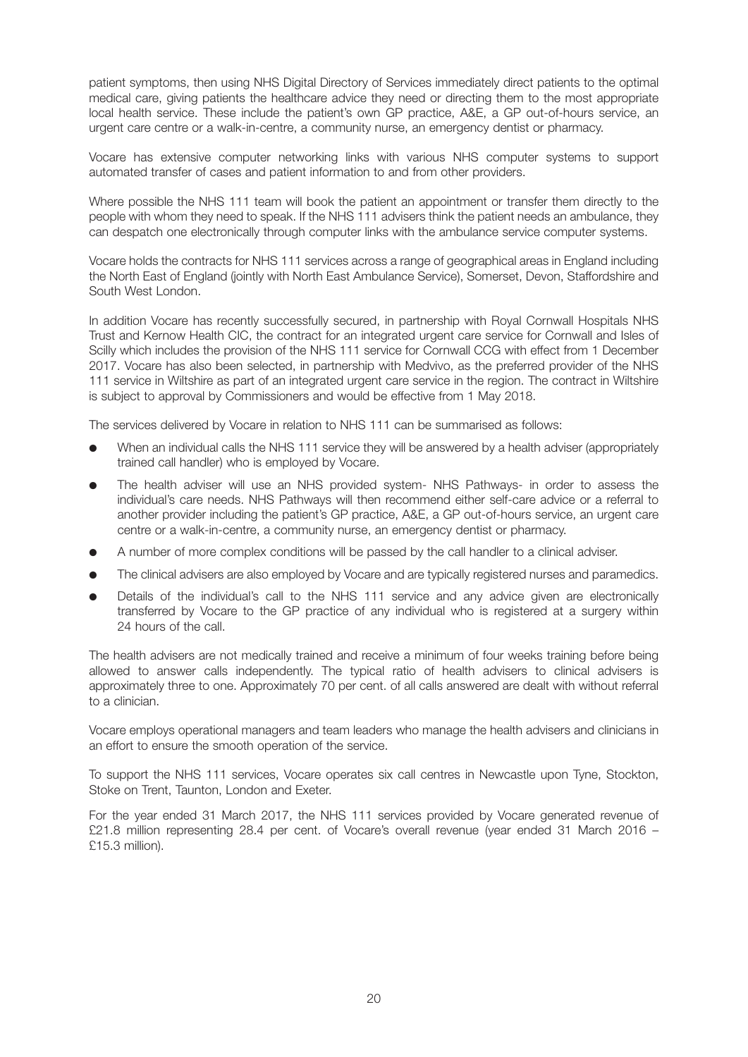patient symptoms, then using NHS Digital Directory of Services immediately direct patients to the optimal medical care, giving patients the healthcare advice they need or directing them to the most appropriate local health service. These include the patient's own GP practice, A&E, a GP out-of-hours service, an urgent care centre or a walk-in-centre, a community nurse, an emergency dentist or pharmacy.

Vocare has extensive computer networking links with various NHS computer systems to support automated transfer of cases and patient information to and from other providers.

Where possible the NHS 111 team will book the patient an appointment or transfer them directly to the people with whom they need to speak. If the NHS 111 advisers think the patient needs an ambulance, they can despatch one electronically through computer links with the ambulance service computer systems.

Vocare holds the contracts for NHS 111 services across a range of geographical areas in England including the North East of England (jointly with North East Ambulance Service), Somerset, Devon, Staffordshire and South West London.

In addition Vocare has recently successfully secured, in partnership with Royal Cornwall Hospitals NHS Trust and Kernow Health CIC, the contract for an integrated urgent care service for Cornwall and Isles of Scilly which includes the provision of the NHS 111 service for Cornwall CCG with effect from 1 December 2017. Vocare has also been selected, in partnership with Medvivo, as the preferred provider of the NHS 111 service in Wiltshire as part of an integrated urgent care service in the region. The contract in Wiltshire is subject to approval by Commissioners and would be effective from 1 May 2018.

The services delivered by Vocare in relation to NHS 111 can be summarised as follows:

- When an individual calls the NHS 111 service they will be answered by a health adviser (appropriately trained call handler) who is employed by Vocare.
- The health adviser will use an NHS provided system- NHS Pathways- in order to assess the individual's care needs. NHS Pathways will then recommend either self-care advice or a referral to another provider including the patient's GP practice, A&E, a GP out-of-hours service, an urgent care centre or a walk-in-centre, a community nurse, an emergency dentist or pharmacy.
- A number of more complex conditions will be passed by the call handler to a clinical adviser.
- The clinical advisers are also employed by Vocare and are typically registered nurses and paramedics.
- Details of the individual's call to the NHS 111 service and any advice given are electronically transferred by Vocare to the GP practice of any individual who is registered at a surgery within 24 hours of the call.

The health advisers are not medically trained and receive a minimum of four weeks training before being allowed to answer calls independently. The typical ratio of health advisers to clinical advisers is approximately three to one. Approximately 70 per cent. of all calls answered are dealt with without referral to a clinician.

Vocare employs operational managers and team leaders who manage the health advisers and clinicians in an effort to ensure the smooth operation of the service.

To support the NHS 111 services, Vocare operates six call centres in Newcastle upon Tyne, Stockton, Stoke on Trent, Taunton, London and Exeter.

For the year ended 31 March 2017, the NHS 111 services provided by Vocare generated revenue of £21.8 million representing 28.4 per cent. of Vocare's overall revenue (year ended 31 March 2016 – £15.3 million).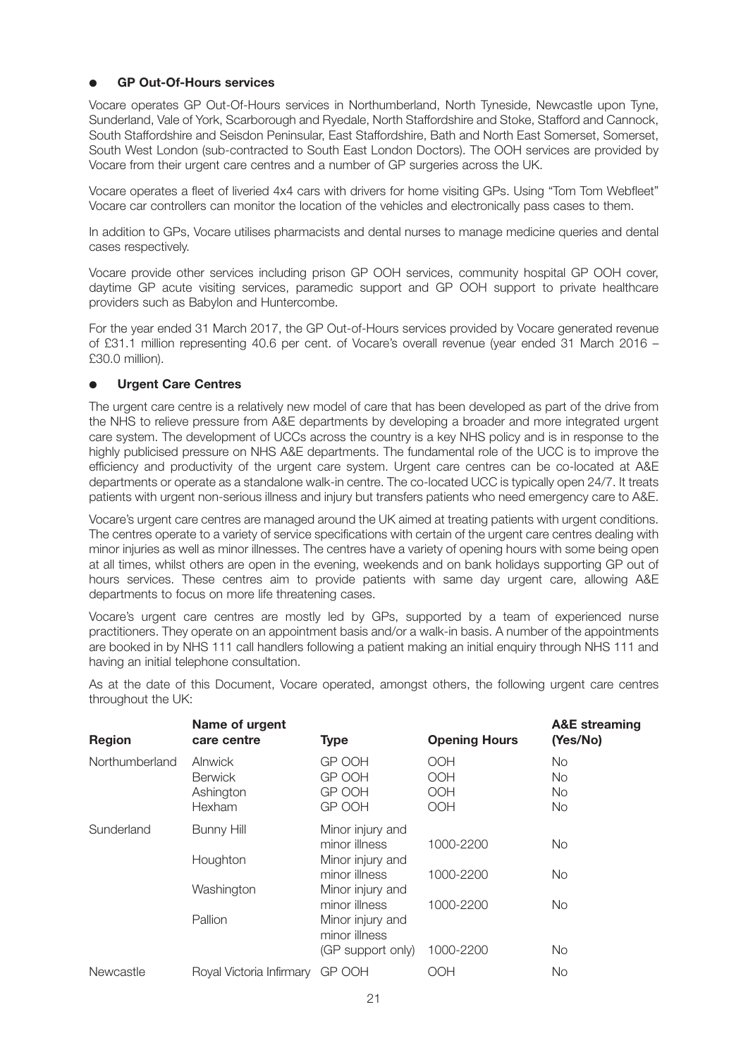## ● **GP Out-Of-Hours services**

Vocare operates GP Out-Of-Hours services in Northumberland, North Tyneside, Newcastle upon Tyne, Sunderland, Vale of York, Scarborough and Ryedale, North Staffordshire and Stoke, Stafford and Cannock, South Staffordshire and Seisdon Peninsular, East Staffordshire, Bath and North East Somerset, Somerset, South West London (sub-contracted to South East London Doctors). The OOH services are provided by Vocare from their urgent care centres and a number of GP surgeries across the UK.

Vocare operates a fleet of liveried 4x4 cars with drivers for home visiting GPs. Using "Tom Tom Webfleet" Vocare car controllers can monitor the location of the vehicles and electronically pass cases to them.

In addition to GPs, Vocare utilises pharmacists and dental nurses to manage medicine queries and dental cases respectively.

Vocare provide other services including prison GP OOH services, community hospital GP OOH cover, daytime GP acute visiting services, paramedic support and GP OOH support to private healthcare providers such as Babylon and Huntercombe.

For the year ended 31 March 2017, the GP Out-of-Hours services provided by Vocare generated revenue of £31.1 million representing 40.6 per cent. of Vocare's overall revenue (year ended 31 March 2016 – £30.0 million).

## **Urgent Care Centres**

The urgent care centre is a relatively new model of care that has been developed as part of the drive from the NHS to relieve pressure from A&E departments by developing a broader and more integrated urgent care system. The development of UCCs across the country is a key NHS policy and is in response to the highly publicised pressure on NHS A&E departments. The fundamental role of the UCC is to improve the efficiency and productivity of the urgent care system. Urgent care centres can be co-located at A&E departments or operate as a standalone walk-in centre. The co-located UCC is typically open 24/7. It treats patients with urgent non-serious illness and injury but transfers patients who need emergency care to A&E.

Vocare's urgent care centres are managed around the UK aimed at treating patients with urgent conditions. The centres operate to a variety of service specifications with certain of the urgent care centres dealing with minor injuries as well as minor illnesses. The centres have a variety of opening hours with some being open at all times, whilst others are open in the evening, weekends and on bank holidays supporting GP out of hours services. These centres aim to provide patients with same day urgent care, allowing A&E departments to focus on more life threatening cases.

Vocare's urgent care centres are mostly led by GPs, supported by a team of experienced nurse practitioners. They operate on an appointment basis and/or a walk-in basis. A number of the appointments are booked in by NHS 111 call handlers following a patient making an initial enquiry through NHS 111 and having an initial telephone consultation.

| <b>Region</b>  | Name of urgent<br>care centre                           | <b>Type</b>                                                                                 | <b>Opening Hours</b>                          | <b>A&amp;E</b> streaming<br>(Yes/No) |
|----------------|---------------------------------------------------------|---------------------------------------------------------------------------------------------|-----------------------------------------------|--------------------------------------|
| Northumberland | <b>Alnwick</b><br><b>Berwick</b><br>Ashington<br>Hexham | GP OOH<br>GP OOH<br>GP OOH<br>GP OOH                                                        | <b>OOH</b><br>OOH<br><b>OOH</b><br><b>OOH</b> | No<br>No.<br>No<br><b>No</b>         |
| Sunderland     | <b>Bunny Hill</b><br>Houghton                           | Minor injury and<br>minor illness<br>Minor injury and<br>minor illness                      | 1000-2200<br>1000-2200                        | No.<br><b>No</b>                     |
|                | Washington<br>Pallion                                   | Minor injury and<br>minor illness<br>Minor injury and<br>minor illness<br>(GP support only) | 1000-2200<br>1000-2200                        | No.<br>No                            |
| Newcastle      | Royal Victoria Infirmary                                | GP OOH                                                                                      | HOC                                           | No                                   |

As at the date of this Document, Vocare operated, amongst others, the following urgent care centres throughout the UK: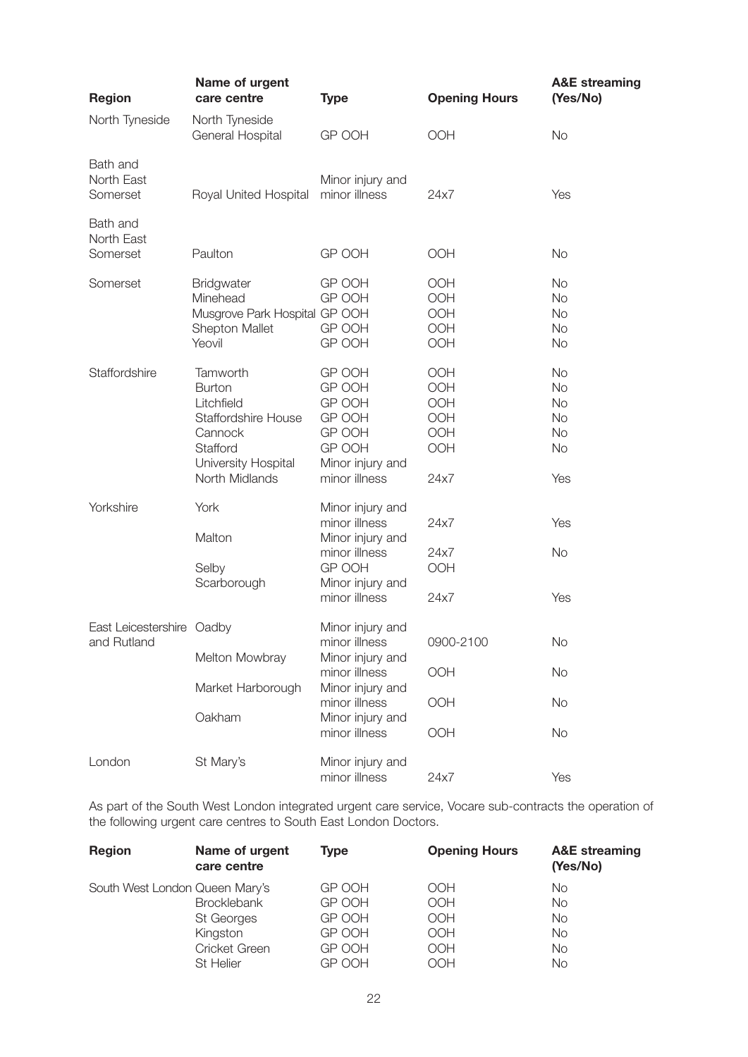| <b>Region</b>                            | Name of urgent<br>care centre                                                                                                  | <b>Type</b>                                                                                                           | <b>Opening Hours</b>                           | <b>A&amp;E</b> streaming<br>(Yes/No)                                              |
|------------------------------------------|--------------------------------------------------------------------------------------------------------------------------------|-----------------------------------------------------------------------------------------------------------------------|------------------------------------------------|-----------------------------------------------------------------------------------|
| North Tyneside                           | North Tyneside<br>General Hospital                                                                                             | GP OOH                                                                                                                | OOH                                            | <b>No</b>                                                                         |
| Bath and<br>North East<br>Somerset       | Royal United Hospital                                                                                                          | Minor injury and<br>minor illness                                                                                     | 24x7                                           | Yes                                                                               |
| Bath and<br>North East<br>Somerset       | Paulton                                                                                                                        | GP OOH                                                                                                                | OOH                                            | <b>No</b>                                                                         |
| Somerset                                 | <b>Bridgwater</b><br>Minehead<br>Musgrove Park Hospital GP OOH<br>Shepton Mallet<br>Yeovil                                     | GP OOH<br>GP OOH<br>GP OOH<br>GP OOH                                                                                  | OOH<br>OOH<br>OOH<br>OOH<br>OOH                | <b>No</b><br><b>No</b><br><b>No</b><br><b>No</b><br><b>No</b>                     |
| Staffordshire                            | Tamworth<br><b>Burton</b><br>Litchfield<br>Staffordshire House<br>Cannock<br>Stafford<br>University Hospital<br>North Midlands | GP OOH<br>GP OOH<br>GP OOH<br>GP OOH<br>GP OOH<br>GP OOH<br>Minor injury and<br>minor illness                         | OOH<br>OOH<br>OOH<br>OOH<br>OOH<br>OOH<br>24x7 | <b>No</b><br><b>No</b><br><b>No</b><br><b>No</b><br><b>No</b><br><b>No</b><br>Yes |
| Yorkshire                                | York<br>Malton<br>Selby<br>Scarborough                                                                                         | Minor injury and<br>minor illness<br>Minor injury and<br>minor illness<br>GP OOH<br>Minor injury and<br>minor illness | 24x7<br>24x7<br>OOH<br>24x7                    | Yes<br><b>No</b><br>Yes                                                           |
| East Leicestershire Oadby<br>and Rutland | Melton Mowbray<br>Market Harborough                                                                                            | Minor injury and<br>minor illness<br>Minor injury and<br>minor illness<br>Minor injury and<br>minor illness           | 0900-2100<br>OOH<br>OOH                        | No<br><b>No</b><br><b>No</b>                                                      |
|                                          | Oakham                                                                                                                         | Minor injury and<br>minor illness                                                                                     | OOH                                            | <b>No</b>                                                                         |
| London                                   | St Mary's                                                                                                                      | Minor injury and<br>minor illness                                                                                     | 24x7                                           | Yes                                                                               |

As part of the South West London integrated urgent care service, Vocare sub-contracts the operation of the following urgent care centres to South East London Doctors.

| <b>Region</b>                  | Name of urgent<br>care centre | Type   | <b>Opening Hours</b> | <b>A&amp;E</b> streaming<br>(Yes/No) |
|--------------------------------|-------------------------------|--------|----------------------|--------------------------------------|
| South West London Queen Mary's |                               | GP OOH | <b>OOH</b>           | No                                   |
|                                | <b>Brocklebank</b>            | GP OOH | <b>OOH</b>           | No                                   |
|                                | St Georges                    | GP OOH | <b>OOH</b>           | <b>No</b>                            |
|                                | Kingston                      | GP OOH | <b>OOH</b>           | No.                                  |
|                                | Cricket Green                 | GP OOH | <b>OOH</b>           | No                                   |
|                                | <b>St Helier</b>              | GP OOH | OOH                  | No                                   |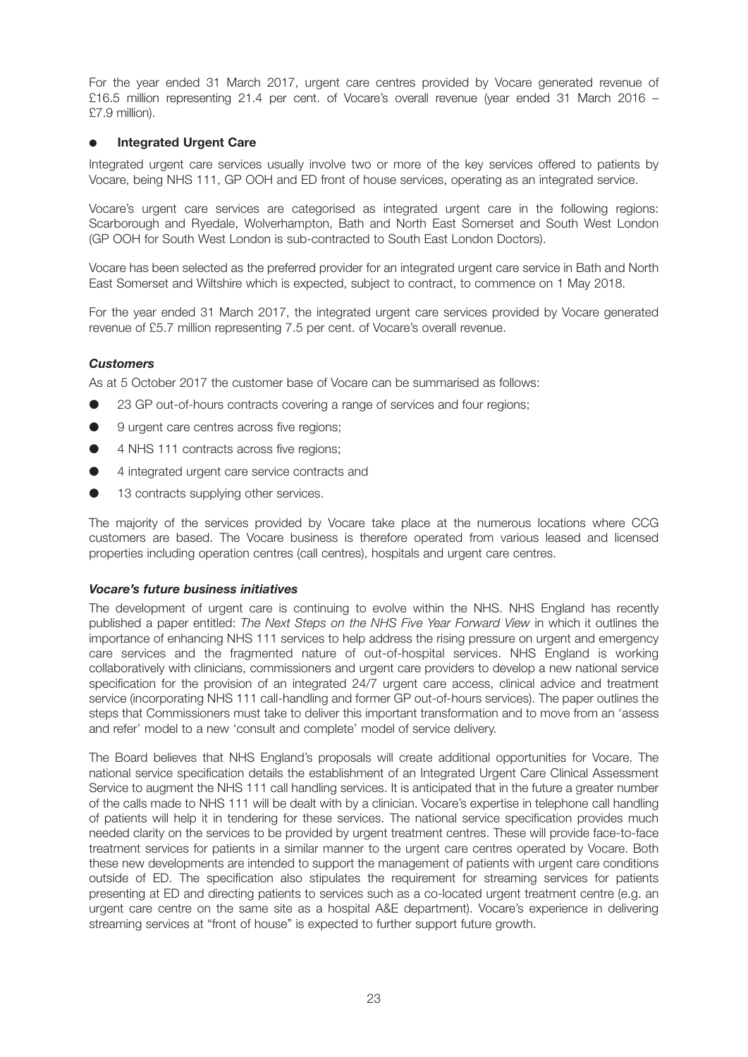For the year ended 31 March 2017, urgent care centres provided by Vocare generated revenue of £16.5 million representing 21.4 per cent. of Vocare's overall revenue (year ended 31 March 2016 – £7.9 million).

## **Integrated Urgent Care**

Integrated urgent care services usually involve two or more of the key services offered to patients by Vocare, being NHS 111, GP OOH and ED front of house services, operating as an integrated service.

Vocare's urgent care services are categorised as integrated urgent care in the following regions: Scarborough and Ryedale, Wolverhampton, Bath and North East Somerset and South West London (GP OOH for South West London is sub-contracted to South East London Doctors).

Vocare has been selected as the preferred provider for an integrated urgent care service in Bath and North East Somerset and Wiltshire which is expected, subject to contract, to commence on 1 May 2018.

For the year ended 31 March 2017, the integrated urgent care services provided by Vocare generated revenue of £5.7 million representing 7.5 per cent. of Vocare's overall revenue.

## *Customers*

As at 5 October 2017 the customer base of Vocare can be summarised as follows:

- 23 GP out-of-hours contracts covering a range of services and four regions;
- 9 urgent care centres across five regions:
- 4 NHS 111 contracts across five regions;
- 4 integrated urgent care service contracts and
- 13 contracts supplying other services.

The majority of the services provided by Vocare take place at the numerous locations where CCG customers are based. The Vocare business is therefore operated from various leased and licensed properties including operation centres (call centres), hospitals and urgent care centres.

## *Vocare's future business initiatives*

The development of urgent care is continuing to evolve within the NHS. NHS England has recently published a paper entitled: *The Next Steps on the NHS Five Year Forward View* in which it outlines the importance of enhancing NHS 111 services to help address the rising pressure on urgent and emergency care services and the fragmented nature of out-of-hospital services. NHS England is working collaboratively with clinicians, commissioners and urgent care providers to develop a new national service specification for the provision of an integrated 24/7 urgent care access, clinical advice and treatment service (incorporating NHS 111 call-handling and former GP out-of-hours services). The paper outlines the steps that Commissioners must take to deliver this important transformation and to move from an 'assess and refer' model to a new 'consult and complete' model of service delivery.

The Board believes that NHS England's proposals will create additional opportunities for Vocare. The national service specification details the establishment of an Integrated Urgent Care Clinical Assessment Service to augment the NHS 111 call handling services. It is anticipated that in the future a greater number of the calls made to NHS 111 will be dealt with by a clinician. Vocare's expertise in telephone call handling of patients will help it in tendering for these services. The national service specification provides much needed clarity on the services to be provided by urgent treatment centres. These will provide face-to-face treatment services for patients in a similar manner to the urgent care centres operated by Vocare. Both these new developments are intended to support the management of patients with urgent care conditions outside of ED. The specification also stipulates the requirement for streaming services for patients presenting at ED and directing patients to services such as a co-located urgent treatment centre (e.g. an urgent care centre on the same site as a hospital A&E department). Vocare's experience in delivering streaming services at "front of house" is expected to further support future growth.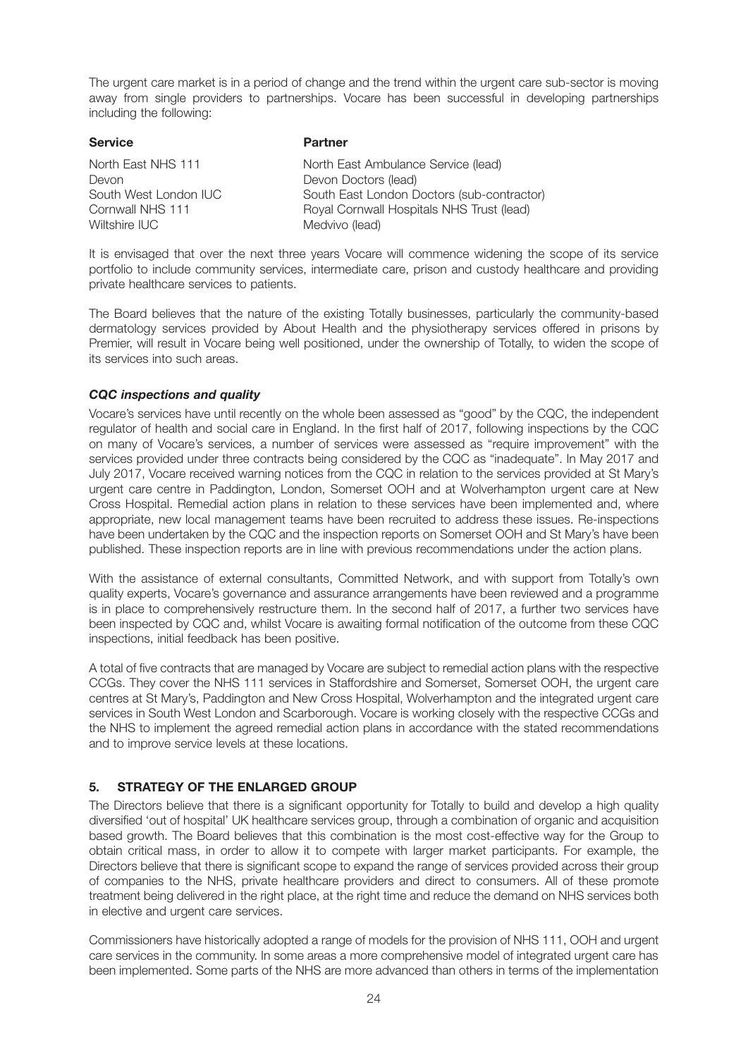The urgent care market is in a period of change and the trend within the urgent care sub-sector is moving away from single providers to partnerships. Vocare has been successful in developing partnerships including the following:

| <b>Partner</b>                             |
|--------------------------------------------|
| North East Ambulance Service (lead)        |
| Devon Doctors (lead)                       |
| South East London Doctors (sub-contractor) |
| Royal Cornwall Hospitals NHS Trust (lead)  |
| Medvivo (lead)                             |
|                                            |

It is envisaged that over the next three years Vocare will commence widening the scope of its service portfolio to include community services, intermediate care, prison and custody healthcare and providing private healthcare services to patients.

The Board believes that the nature of the existing Totally businesses, particularly the community-based dermatology services provided by About Health and the physiotherapy services offered in prisons by Premier, will result in Vocare being well positioned, under the ownership of Totally, to widen the scope of its services into such areas.

## *CQC inspections and quality*

Vocare's services have until recently on the whole been assessed as "good" by the CQC, the independent regulator of health and social care in England. In the first half of 2017, following inspections by the CQC on many of Vocare's services, a number of services were assessed as "require improvement" with the services provided under three contracts being considered by the CQC as "inadequate". In May 2017 and July 2017, Vocare received warning notices from the CQC in relation to the services provided at St Mary's urgent care centre in Paddington, London, Somerset OOH and at Wolverhampton urgent care at New Cross Hospital. Remedial action plans in relation to these services have been implemented and, where appropriate, new local management teams have been recruited to address these issues. Re-inspections have been undertaken by the CQC and the inspection reports on Somerset OOH and St Mary's have been published. These inspection reports are in line with previous recommendations under the action plans.

With the assistance of external consultants, Committed Network, and with support from Totally's own quality experts, Vocare's governance and assurance arrangements have been reviewed and a programme is in place to comprehensively restructure them. In the second half of 2017, a further two services have been inspected by CQC and, whilst Vocare is awaiting formal notification of the outcome from these CQC inspections, initial feedback has been positive.

A total of five contracts that are managed by Vocare are subject to remedial action plans with the respective CCGs. They cover the NHS 111 services in Staffordshire and Somerset, Somerset OOH, the urgent care centres at St Mary's, Paddington and New Cross Hospital, Wolverhampton and the integrated urgent care services in South West London and Scarborough. Vocare is working closely with the respective CCGs and the NHS to implement the agreed remedial action plans in accordance with the stated recommendations and to improve service levels at these locations.

## **5. STRATEGY OF THE ENLARGED GROUP**

The Directors believe that there is a significant opportunity for Totally to build and develop a high quality diversified 'out of hospital' UK healthcare services group, through a combination of organic and acquisition based growth. The Board believes that this combination is the most cost-effective way for the Group to obtain critical mass, in order to allow it to compete with larger market participants. For example, the Directors believe that there is significant scope to expand the range of services provided across their group of companies to the NHS, private healthcare providers and direct to consumers. All of these promote treatment being delivered in the right place, at the right time and reduce the demand on NHS services both in elective and urgent care services.

Commissioners have historically adopted a range of models for the provision of NHS 111, OOH and urgent care services in the community. In some areas a more comprehensive model of integrated urgent care has been implemented. Some parts of the NHS are more advanced than others in terms of the implementation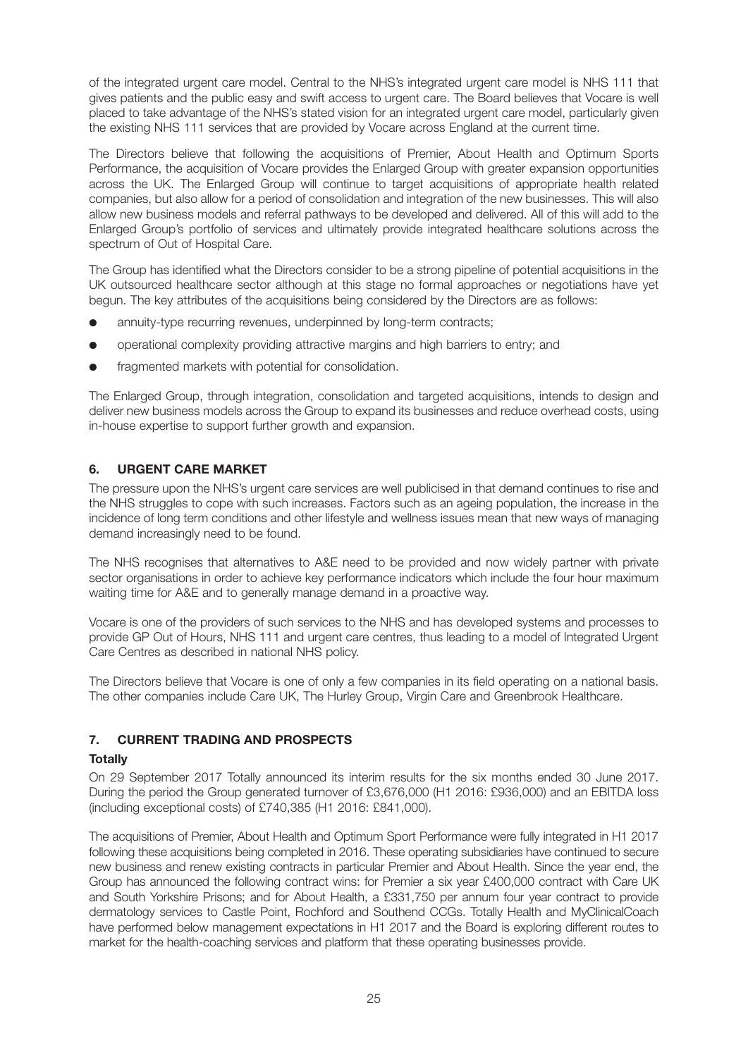of the integrated urgent care model. Central to the NHS's integrated urgent care model is NHS 111 that gives patients and the public easy and swift access to urgent care. The Board believes that Vocare is well placed to take advantage of the NHS's stated vision for an integrated urgent care model, particularly given the existing NHS 111 services that are provided by Vocare across England at the current time.

The Directors believe that following the acquisitions of Premier, About Health and Optimum Sports Performance, the acquisition of Vocare provides the Enlarged Group with greater expansion opportunities across the UK. The Enlarged Group will continue to target acquisitions of appropriate health related companies, but also allow for a period of consolidation and integration of the new businesses. This will also allow new business models and referral pathways to be developed and delivered. All of this will add to the Enlarged Group's portfolio of services and ultimately provide integrated healthcare solutions across the spectrum of Out of Hospital Care.

The Group has identified what the Directors consider to be a strong pipeline of potential acquisitions in the UK outsourced healthcare sector although at this stage no formal approaches or negotiations have yet begun. The key attributes of the acquisitions being considered by the Directors are as follows:

- annuity-type recurring revenues, underpinned by long-term contracts;
- operational complexity providing attractive margins and high barriers to entry; and
- fragmented markets with potential for consolidation.

The Enlarged Group, through integration, consolidation and targeted acquisitions, intends to design and deliver new business models across the Group to expand its businesses and reduce overhead costs, using in-house expertise to support further growth and expansion.

## **6. URGENT CARE MARKET**

The pressure upon the NHS's urgent care services are well publicised in that demand continues to rise and the NHS struggles to cope with such increases. Factors such as an ageing population, the increase in the incidence of long term conditions and other lifestyle and wellness issues mean that new ways of managing demand increasingly need to be found.

The NHS recognises that alternatives to A&E need to be provided and now widely partner with private sector organisations in order to achieve key performance indicators which include the four hour maximum waiting time for A&E and to generally manage demand in a proactive way.

Vocare is one of the providers of such services to the NHS and has developed systems and processes to provide GP Out of Hours, NHS 111 and urgent care centres, thus leading to a model of Integrated Urgent Care Centres as described in national NHS policy.

The Directors believe that Vocare is one of only a few companies in its field operating on a national basis. The other companies include Care UK, The Hurley Group, Virgin Care and Greenbrook Healthcare.

## **7. CURRENT TRADING AND PROSPECTS**

## **Totally**

On 29 September 2017 Totally announced its interim results for the six months ended 30 June 2017. During the period the Group generated turnover of £3,676,000 (H1 2016: £936,000) and an EBITDA loss (including exceptional costs) of £740,385 (H1 2016: £841,000).

The acquisitions of Premier, About Health and Optimum Sport Performance were fully integrated in H1 2017 following these acquisitions being completed in 2016. These operating subsidiaries have continued to secure new business and renew existing contracts in particular Premier and About Health. Since the year end, the Group has announced the following contract wins: for Premier a six year £400,000 contract with Care UK and South Yorkshire Prisons; and for About Health, a £331,750 per annum four year contract to provide dermatology services to Castle Point, Rochford and Southend CCGs. Totally Health and MyClinicalCoach have performed below management expectations in H1 2017 and the Board is exploring different routes to market for the health-coaching services and platform that these operating businesses provide.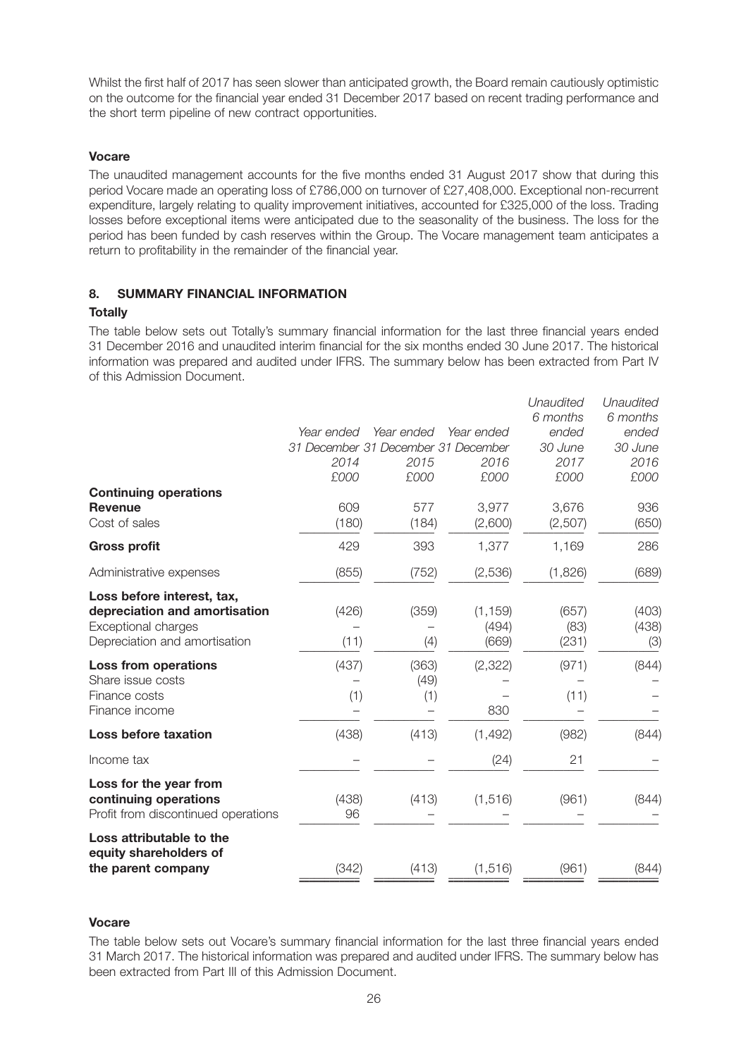Whilst the first half of 2017 has seen slower than anticipated growth, the Board remain cautiously optimistic on the outcome for the financial year ended 31 December 2017 based on recent trading performance and the short term pipeline of new contract opportunities.

#### **Vocare**

The unaudited management accounts for the five months ended 31 August 2017 show that during this period Vocare made an operating loss of £786,000 on turnover of £27,408,000. Exceptional non-recurrent expenditure, largely relating to quality improvement initiatives, accounted for £325,000 of the loss. Trading losses before exceptional items were anticipated due to the seasonality of the business. The loss for the period has been funded by cash reserves within the Group. The Vocare management team anticipates a return to profitability in the remainder of the financial year.

## **8. SUMMARY FINANCIAL INFORMATION**

#### **Totally**

The table below sets out Totally's summary financial information for the last three financial years ended 31 December 2016 and unaudited interim financial for the six months ended 30 June 2017. The historical information was prepared and audited under IFRS. The summary below has been extracted from Part IV of this Admission Document.

|                                                |                                     |            |            | Unaudited<br>6 months | Unaudited<br>6 months |
|------------------------------------------------|-------------------------------------|------------|------------|-----------------------|-----------------------|
|                                                | Year ended                          | Year ended | Year ended | ended                 | ended                 |
|                                                | 31 December 31 December 31 December |            |            | 30 June               | 30 June               |
|                                                | 2014                                | 2015       | 2016       | 2017                  | 2016                  |
|                                                | £000                                | £000       | £000       | £000                  | £000                  |
| <b>Continuing operations</b><br><b>Revenue</b> | 609                                 | 577        | 3,977      | 3,676                 | 936                   |
| Cost of sales                                  | (180)                               | (184)      | (2,600)    | (2,507)               | (650)                 |
| <b>Gross profit</b>                            | 429                                 | 393        | 1,377      | 1,169                 | 286                   |
| Administrative expenses                        | (855)                               | (752)      | (2,536)    | (1,826)               | (689)                 |
| Loss before interest, tax,                     |                                     |            |            |                       |                       |
| depreciation and amortisation                  | (426)                               | (359)      | (1, 159)   | (657)                 | (403)                 |
| Exceptional charges                            |                                     |            | (494)      | (83)                  | (438)                 |
| Depreciation and amortisation                  | (11)                                | (4)        | (669)      | (231)                 | (3)                   |
| <b>Loss from operations</b>                    | (437)                               | (363)      | (2, 322)   | (971)                 | (844)                 |
| Share issue costs                              |                                     | (49)       |            |                       |                       |
| Finance costs                                  | (1)                                 | (1)        |            | (11)                  |                       |
| Finance income                                 |                                     |            | 830        |                       |                       |
| Loss before taxation                           | (438)                               | (413)      | (1, 492)   | (982)                 | (844)                 |
| Income tax                                     |                                     |            | (24)       | 21                    |                       |
| Loss for the year from                         |                                     |            |            |                       |                       |
| continuing operations                          | (438)                               | (413)      | (1, 516)   | (961)                 | (844)                 |
| Profit from discontinued operations            | 96                                  |            |            |                       |                       |
| Loss attributable to the                       |                                     |            |            |                       |                       |
| equity shareholders of<br>the parent company   | (342)                               | (413)      | (1, 516)   | (961)                 | (844)                 |
|                                                |                                     |            |            |                       |                       |

#### **Vocare**

The table below sets out Vocare's summary financial information for the last three financial years ended 31 March 2017. The historical information was prepared and audited under IFRS. The summary below has been extracted from Part III of this Admission Document.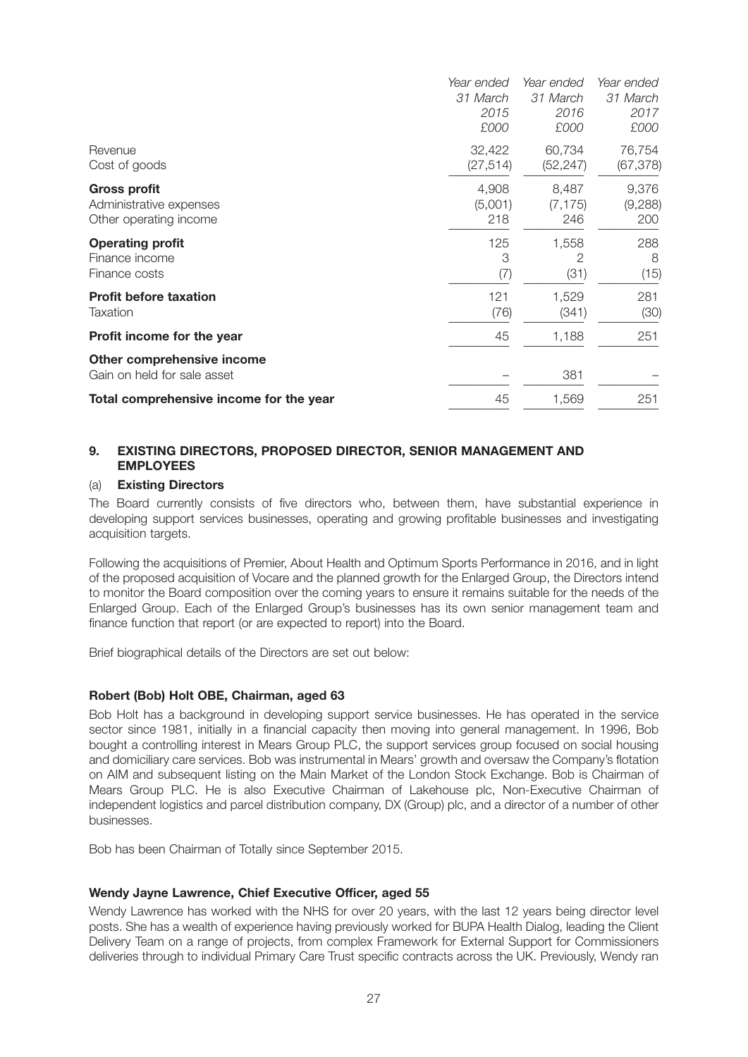|                                         | Year ended | Year ended | Year ended |
|-----------------------------------------|------------|------------|------------|
|                                         | 31 March   | 31 March   | 31 March   |
|                                         | 2015       | 2016       | 2017       |
|                                         | £000       | £000       | £000       |
| Revenue                                 | 32,422     | 60,734     | 76,754     |
| Cost of goods                           | (27, 514)  | (52, 247)  | (67, 378)  |
| <b>Gross profit</b>                     | 4,908      | 8,487      | 9,376      |
| Administrative expenses                 | (5,001)    | (7, 175)   | (9, 288)   |
| Other operating income                  | 218        | 246        | 200        |
| <b>Operating profit</b>                 | 125        | 1,558      | 288        |
| Finance income                          | 3          | 2          | 8          |
| Finance costs                           | (7)        | (31)       | (15)       |
| <b>Profit before taxation</b>           | 121        | 1,529      | 281        |
| Taxation                                | (76)       | (341)      | (30)       |
| Profit income for the year              | 45         | 1,188      | 251        |
| Other comprehensive income              |            |            |            |
| Gain on held for sale asset             |            | 381        |            |
| Total comprehensive income for the year | 45         | 1,569      | 251        |
|                                         |            |            |            |

## **9. EXISTING DIRECTORS, PROPOSED DIRECTOR, SENIOR MANAGEMENT AND EMPLOYEES**

#### (a) **Existing Directors**

The Board currently consists of five directors who, between them, have substantial experience in developing support services businesses, operating and growing profitable businesses and investigating acquisition targets.

Following the acquisitions of Premier, About Health and Optimum Sports Performance in 2016, and in light of the proposed acquisition of Vocare and the planned growth for the Enlarged Group, the Directors intend to monitor the Board composition over the coming years to ensure it remains suitable for the needs of the Enlarged Group. Each of the Enlarged Group's businesses has its own senior management team and finance function that report (or are expected to report) into the Board.

Brief biographical details of the Directors are set out below:

## **Robert (Bob) Holt OBE, Chairman, aged 63**

Bob Holt has a background in developing support service businesses. He has operated in the service sector since 1981, initially in a financial capacity then moving into general management. In 1996, Bob bought a controlling interest in Mears Group PLC, the support services group focused on social housing and domiciliary care services. Bob was instrumental in Mears' growth and oversaw the Company's flotation on AIM and subsequent listing on the Main Market of the London Stock Exchange. Bob is Chairman of Mears Group PLC. He is also Executive Chairman of Lakehouse plc, Non-Executive Chairman of independent logistics and parcel distribution company, DX (Group) plc, and a director of a number of other businesses.

Bob has been Chairman of Totally since September 2015.

## **Wendy Jayne Lawrence, Chief Executive Officer, aged 55**

Wendy Lawrence has worked with the NHS for over 20 years, with the last 12 years being director level posts. She has a wealth of experience having previously worked for BUPA Health Dialog, leading the Client Delivery Team on a range of projects, from complex Framework for External Support for Commissioners deliveries through to individual Primary Care Trust specific contracts across the UK. Previously, Wendy ran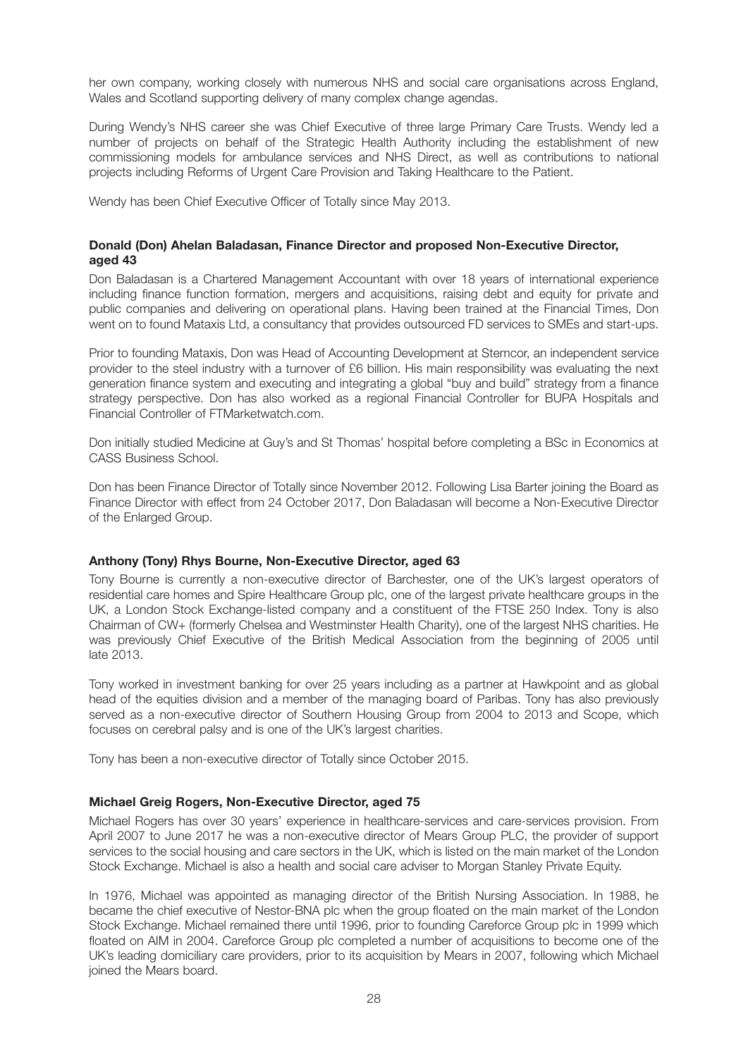her own company, working closely with numerous NHS and social care organisations across England, Wales and Scotland supporting delivery of many complex change agendas.

During Wendy's NHS career she was Chief Executive of three large Primary Care Trusts. Wendy led a number of projects on behalf of the Strategic Health Authority including the establishment of new commissioning models for ambulance services and NHS Direct, as well as contributions to national projects including Reforms of Urgent Care Provision and Taking Healthcare to the Patient.

Wendy has been Chief Executive Officer of Totally since May 2013.

#### **Donald (Don) Ahelan Baladasan, Finance Director and proposed Non-Executive Director, aged 43**

Don Baladasan is a Chartered Management Accountant with over 18 years of international experience including finance function formation, mergers and acquisitions, raising debt and equity for private and public companies and delivering on operational plans. Having been trained at the Financial Times, Don went on to found Mataxis Ltd, a consultancy that provides outsourced FD services to SMEs and start-ups.

Prior to founding Mataxis, Don was Head of Accounting Development at Stemcor, an independent service provider to the steel industry with a turnover of £6 billion. His main responsibility was evaluating the next generation finance system and executing and integrating a global "buy and build" strategy from a finance strategy perspective. Don has also worked as a regional Financial Controller for BUPA Hospitals and Financial Controller of FTMarketwatch.com.

Don initially studied Medicine at Guy's and St Thomas' hospital before completing a BSc in Economics at CASS Business School.

Don has been Finance Director of Totally since November 2012. Following Lisa Barter joining the Board as Finance Director with effect from 24 October 2017, Don Baladasan will become a Non-Executive Director of the Enlarged Group.

## **Anthony (Tony) Rhys Bourne, Non-Executive Director, aged 63**

Tony Bourne is currently a non-executive director of Barchester, one of the UK's largest operators of residential care homes and Spire Healthcare Group plc, one of the largest private healthcare groups in the UK, a London Stock Exchange-listed company and a constituent of the FTSE 250 Index. Tony is also Chairman of CW+ (formerly Chelsea and Westminster Health Charity), one of the largest NHS charities. He was previously Chief Executive of the British Medical Association from the beginning of 2005 until late 2013.

Tony worked in investment banking for over 25 years including as a partner at Hawkpoint and as global head of the equities division and a member of the managing board of Paribas. Tony has also previously served as a non-executive director of Southern Housing Group from 2004 to 2013 and Scope, which focuses on cerebral palsy and is one of the UK's largest charities.

Tony has been a non-executive director of Totally since October 2015.

#### **Michael Greig Rogers, Non-Executive Director, aged 75**

Michael Rogers has over 30 years' experience in healthcare-services and care-services provision. From April 2007 to June 2017 he was a non-executive director of Mears Group PLC, the provider of support services to the social housing and care sectors in the UK, which is listed on the main market of the London Stock Exchange. Michael is also a health and social care adviser to Morgan Stanley Private Equity.

In 1976, Michael was appointed as managing director of the British Nursing Association. In 1988, he became the chief executive of Nestor-BNA plc when the group floated on the main market of the London Stock Exchange. Michael remained there until 1996, prior to founding Careforce Group plc in 1999 which floated on AIM in 2004. Careforce Group plc completed a number of acquisitions to become one of the UK's leading domiciliary care providers, prior to its acquisition by Mears in 2007, following which Michael joined the Mears board.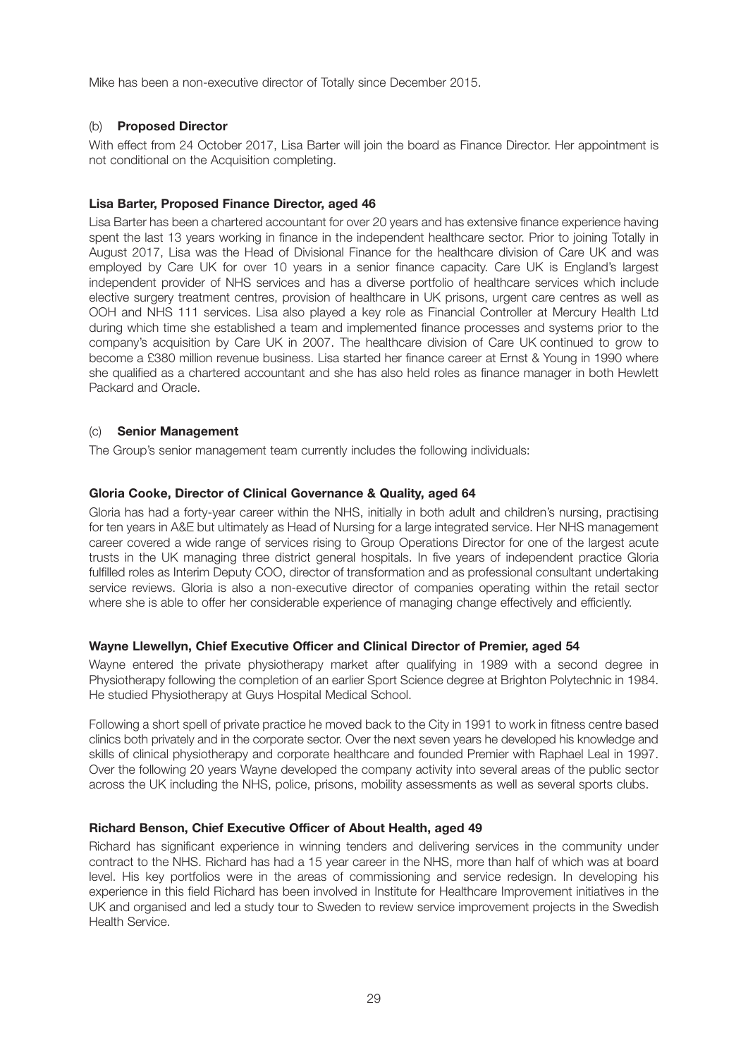Mike has been a non-executive director of Totally since December 2015.

## (b) **Proposed Director**

With effect from 24 October 2017, Lisa Barter will join the board as Finance Director. Her appointment is not conditional on the Acquisition completing.

## **Lisa Barter, Proposed Finance Director, aged 46**

Lisa Barter has been a chartered accountant for over 20 years and has extensive finance experience having spent the last 13 years working in finance in the independent healthcare sector. Prior to joining Totally in August 2017, Lisa was the Head of Divisional Finance for the healthcare division of Care UK and was employed by Care UK for over 10 years in a senior finance capacity. Care UK is England's largest independent provider of NHS services and has a diverse portfolio of healthcare services which include elective surgery treatment centres, provision of healthcare in UK prisons, urgent care centres as well as OOH and NHS 111 services. Lisa also played a key role as Financial Controller at Mercury Health Ltd during which time she established a team and implemented finance processes and systems prior to the company's acquisition by Care UK in 2007. The healthcare division of Care UK continued to grow to become a £380 million revenue business. Lisa started her finance career at Ernst & Young in 1990 where she qualified as a chartered accountant and she has also held roles as finance manager in both Hewlett Packard and Oracle.

## (c) **Senior Management**

The Group's senior management team currently includes the following individuals:

## **Gloria Cooke, Director of Clinical Governance & Quality, aged 64**

Gloria has had a forty-year career within the NHS, initially in both adult and children's nursing, practising for ten years in A&E but ultimately as Head of Nursing for a large integrated service. Her NHS management career covered a wide range of services rising to Group Operations Director for one of the largest acute trusts in the UK managing three district general hospitals. In five years of independent practice Gloria fulfilled roles as Interim Deputy COO, director of transformation and as professional consultant undertaking service reviews. Gloria is also a non-executive director of companies operating within the retail sector where she is able to offer her considerable experience of managing change effectively and efficiently.

## **Wayne Llewellyn, Chief Executive Officer and Clinical Director of Premier, aged 54**

Wayne entered the private physiotherapy market after qualifying in 1989 with a second degree in Physiotherapy following the completion of an earlier Sport Science degree at Brighton Polytechnic in 1984. He studied Physiotherapy at Guys Hospital Medical School.

Following a short spell of private practice he moved back to the City in 1991 to work in fitness centre based clinics both privately and in the corporate sector. Over the next seven years he developed his knowledge and skills of clinical physiotherapy and corporate healthcare and founded Premier with Raphael Leal in 1997. Over the following 20 years Wayne developed the company activity into several areas of the public sector across the UK including the NHS, police, prisons, mobility assessments as well as several sports clubs.

## **Richard Benson, Chief Executive Officer of About Health, aged 49**

Richard has significant experience in winning tenders and delivering services in the community under contract to the NHS. Richard has had a 15 year career in the NHS, more than half of which was at board level. His key portfolios were in the areas of commissioning and service redesign. In developing his experience in this field Richard has been involved in Institute for Healthcare Improvement initiatives in the UK and organised and led a study tour to Sweden to review service improvement projects in the Swedish Health Service.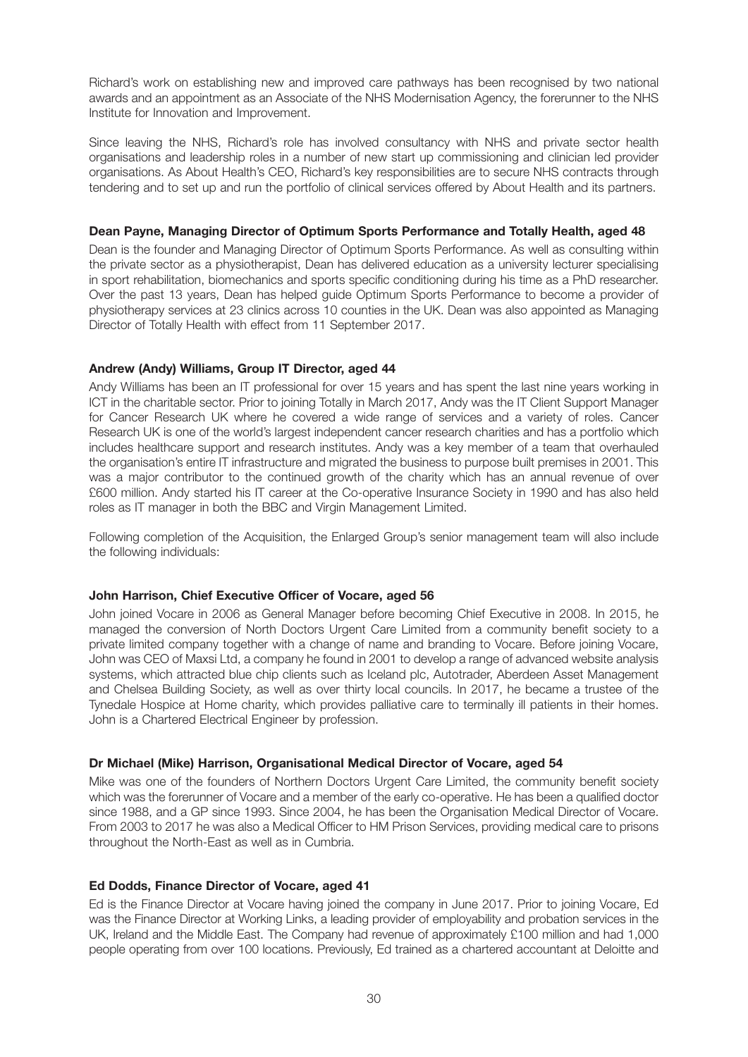Richard's work on establishing new and improved care pathways has been recognised by two national awards and an appointment as an Associate of the NHS Modernisation Agency, the forerunner to the NHS Institute for Innovation and Improvement.

Since leaving the NHS, Richard's role has involved consultancy with NHS and private sector health organisations and leadership roles in a number of new start up commissioning and clinician led provider organisations. As About Health's CEO, Richard's key responsibilities are to secure NHS contracts through tendering and to set up and run the portfolio of clinical services offered by About Health and its partners.

#### **Dean Payne, Managing Director of Optimum Sports Performance and Totally Health, aged 48**

Dean is the founder and Managing Director of Optimum Sports Performance. As well as consulting within the private sector as a physiotherapist, Dean has delivered education as a university lecturer specialising in sport rehabilitation, biomechanics and sports specific conditioning during his time as a PhD researcher. Over the past 13 years, Dean has helped guide Optimum Sports Performance to become a provider of physiotherapy services at 23 clinics across 10 counties in the UK. Dean was also appointed as Managing Director of Totally Health with effect from 11 September 2017.

#### **Andrew (Andy) Williams, Group IT Director, aged 44**

Andy Williams has been an IT professional for over 15 years and has spent the last nine years working in ICT in the charitable sector. Prior to joining Totally in March 2017, Andy was the IT Client Support Manager for Cancer Research UK where he covered a wide range of services and a variety of roles. Cancer Research UK is one of the world's largest independent cancer research charities and has a portfolio which includes healthcare support and research institutes. Andy was a key member of a team that overhauled the organisation's entire IT infrastructure and migrated the business to purpose built premises in 2001. This was a major contributor to the continued growth of the charity which has an annual revenue of over £600 million. Andy started his IT career at the Co-operative Insurance Society in 1990 and has also held roles as IT manager in both the BBC and Virgin Management Limited.

Following completion of the Acquisition, the Enlarged Group's senior management team will also include the following individuals:

#### **John Harrison, Chief Executive Officer of Vocare, aged 56**

John joined Vocare in 2006 as General Manager before becoming Chief Executive in 2008. In 2015, he managed the conversion of North Doctors Urgent Care Limited from a community benefit society to a private limited company together with a change of name and branding to Vocare. Before joining Vocare, John was CEO of Maxsi Ltd, a company he found in 2001 to develop a range of advanced website analysis systems, which attracted blue chip clients such as Iceland plc, Autotrader, Aberdeen Asset Management and Chelsea Building Society, as well as over thirty local councils. In 2017, he became a trustee of the Tynedale Hospice at Home charity, which provides palliative care to terminally ill patients in their homes. John is a Chartered Electrical Engineer by profession.

#### **Dr Michael (Mike) Harrison, Organisational Medical Director of Vocare, aged 54**

Mike was one of the founders of Northern Doctors Urgent Care Limited, the community benefit society which was the forerunner of Vocare and a member of the early co-operative. He has been a qualified doctor since 1988, and a GP since 1993. Since 2004, he has been the Organisation Medical Director of Vocare. From 2003 to 2017 he was also a Medical Officer to HM Prison Services, providing medical care to prisons throughout the North-East as well as in Cumbria.

#### **Ed Dodds, Finance Director of Vocare, aged 41**

Ed is the Finance Director at Vocare having joined the company in June 2017. Prior to joining Vocare, Ed was the Finance Director at Working Links, a leading provider of employability and probation services in the UK, Ireland and the Middle East. The Company had revenue of approximately £100 million and had 1,000 people operating from over 100 locations. Previously, Ed trained as a chartered accountant at Deloitte and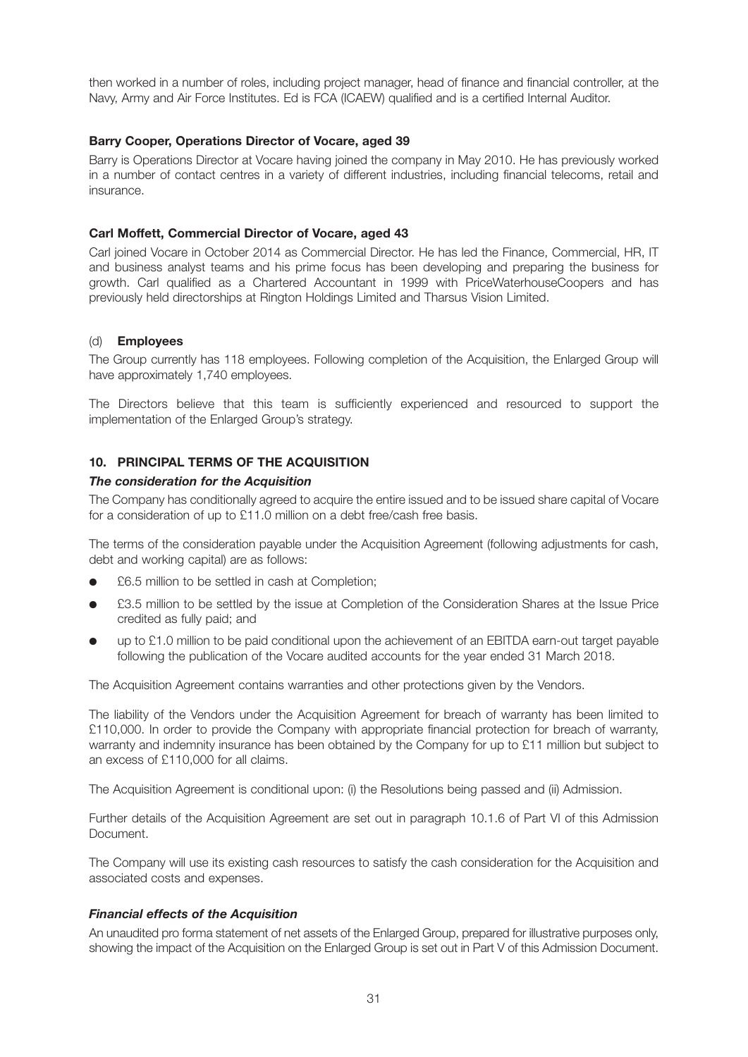then worked in a number of roles, including project manager, head of finance and financial controller, at the Navy, Army and Air Force Institutes. Ed is FCA (ICAEW) qualified and is a certified Internal Auditor.

#### **Barry Cooper, Operations Director of Vocare, aged 39**

Barry is Operations Director at Vocare having joined the company in May 2010. He has previously worked in a number of contact centres in a variety of different industries, including financial telecoms, retail and insurance.

#### **Carl Moffett, Commercial Director of Vocare, aged 43**

Carl joined Vocare in October 2014 as Commercial Director. He has led the Finance, Commercial, HR, IT and business analyst teams and his prime focus has been developing and preparing the business for growth. Carl qualified as a Chartered Accountant in 1999 with PriceWaterhouseCoopers and has previously held directorships at Rington Holdings Limited and Tharsus Vision Limited.

#### (d) **Employees**

The Group currently has 118 employees. Following completion of the Acquisition, the Enlarged Group will have approximately 1,740 employees.

The Directors believe that this team is sufficiently experienced and resourced to support the implementation of the Enlarged Group's strategy.

## **10. PRINCIPAL TERMS OF THE ACQUISITION**

#### *The consideration for the Acquisition*

The Company has conditionally agreed to acquire the entire issued and to be issued share capital of Vocare for a consideration of up to £11.0 million on a debt free/cash free basis.

The terms of the consideration payable under the Acquisition Agreement (following adjustments for cash, debt and working capital) are as follows:

- £6.5 million to be settled in cash at Completion;
- £3.5 million to be settled by the issue at Completion of the Consideration Shares at the Issue Price credited as fully paid; and
- up to £1.0 million to be paid conditional upon the achievement of an EBITDA earn-out target payable following the publication of the Vocare audited accounts for the year ended 31 March 2018.

The Acquisition Agreement contains warranties and other protections given by the Vendors.

The liability of the Vendors under the Acquisition Agreement for breach of warranty has been limited to £110,000. In order to provide the Company with appropriate financial protection for breach of warranty, warranty and indemnity insurance has been obtained by the Company for up to £11 million but subject to an excess of £110,000 for all claims.

The Acquisition Agreement is conditional upon: (i) the Resolutions being passed and (ii) Admission.

Further details of the Acquisition Agreement are set out in paragraph 10.1.6 of Part VI of this Admission Document.

The Company will use its existing cash resources to satisfy the cash consideration for the Acquisition and associated costs and expenses.

#### *Financial effects of the Acquisition*

An unaudited pro forma statement of net assets of the Enlarged Group, prepared for illustrative purposes only, showing the impact of the Acquisition on the Enlarged Group is set out in Part V of this Admission Document.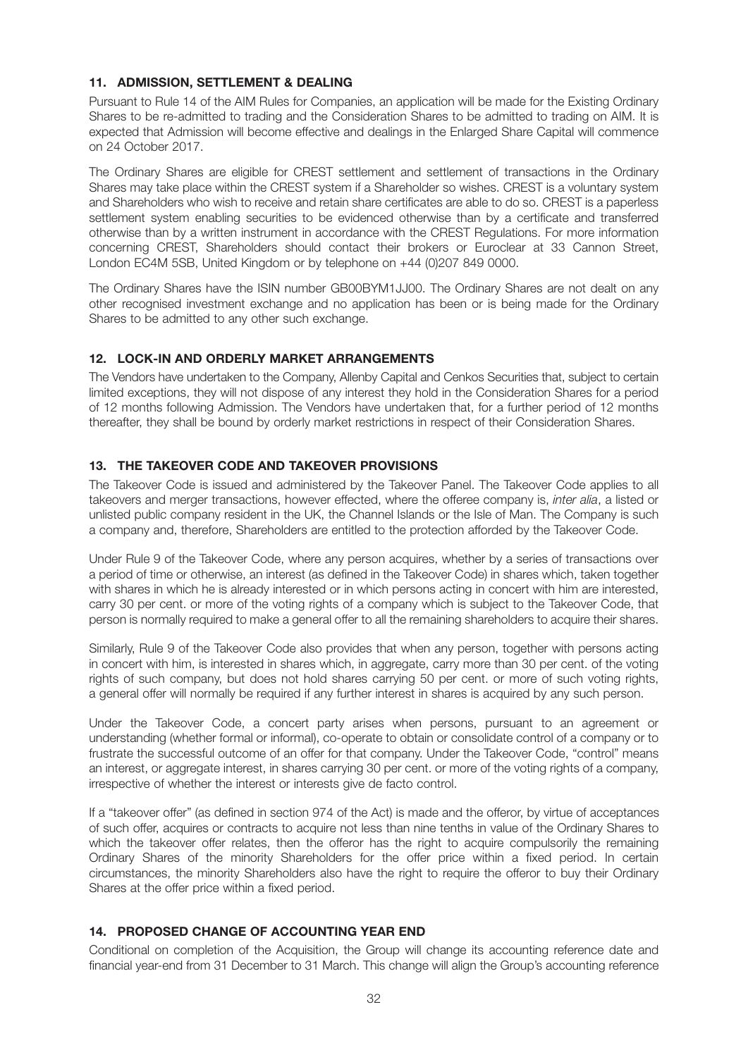## **11. ADMISSION, SETTLEMENT & DEALING**

Pursuant to Rule 14 of the AIM Rules for Companies, an application will be made for the Existing Ordinary Shares to be re-admitted to trading and the Consideration Shares to be admitted to trading on AIM. It is expected that Admission will become effective and dealings in the Enlarged Share Capital will commence on 24 October 2017.

The Ordinary Shares are eligible for CREST settlement and settlement of transactions in the Ordinary Shares may take place within the CREST system if a Shareholder so wishes. CREST is a voluntary system and Shareholders who wish to receive and retain share certificates are able to do so. CREST is a paperless settlement system enabling securities to be evidenced otherwise than by a certificate and transferred otherwise than by a written instrument in accordance with the CREST Regulations. For more information concerning CREST, Shareholders should contact their brokers or Euroclear at 33 Cannon Street, London EC4M 5SB, United Kingdom or by telephone on +44 (0)207 849 0000.

The Ordinary Shares have the ISIN number GB00BYM1JJ00. The Ordinary Shares are not dealt on any other recognised investment exchange and no application has been or is being made for the Ordinary Shares to be admitted to any other such exchange.

## **12. LOCK-IN AND ORDERLY MARKET ARRANGEMENTS**

The Vendors have undertaken to the Company, Allenby Capital and Cenkos Securities that, subject to certain limited exceptions, they will not dispose of any interest they hold in the Consideration Shares for a period of 12 months following Admission. The Vendors have undertaken that, for a further period of 12 months thereafter, they shall be bound by orderly market restrictions in respect of their Consideration Shares.

## **13. THE TAKEOVER CODE AND TAKEOVER PROVISIONS**

The Takeover Code is issued and administered by the Takeover Panel. The Takeover Code applies to all takeovers and merger transactions, however effected, where the offeree company is, *inter alia*, a listed or unlisted public company resident in the UK, the Channel Islands or the Isle of Man. The Company is such a company and, therefore, Shareholders are entitled to the protection afforded by the Takeover Code.

Under Rule 9 of the Takeover Code, where any person acquires, whether by a series of transactions over a period of time or otherwise, an interest (as defined in the Takeover Code) in shares which, taken together with shares in which he is already interested or in which persons acting in concert with him are interested, carry 30 per cent. or more of the voting rights of a company which is subject to the Takeover Code, that person is normally required to make a general offer to all the remaining shareholders to acquire their shares.

Similarly, Rule 9 of the Takeover Code also provides that when any person, together with persons acting in concert with him, is interested in shares which, in aggregate, carry more than 30 per cent. of the voting rights of such company, but does not hold shares carrying 50 per cent. or more of such voting rights, a general offer will normally be required if any further interest in shares is acquired by any such person.

Under the Takeover Code, a concert party arises when persons, pursuant to an agreement or understanding (whether formal or informal), co-operate to obtain or consolidate control of a company or to frustrate the successful outcome of an offer for that company. Under the Takeover Code, "control" means an interest, or aggregate interest, in shares carrying 30 per cent. or more of the voting rights of a company, irrespective of whether the interest or interests give de facto control.

If a "takeover offer" (as defined in section 974 of the Act) is made and the offeror, by virtue of acceptances of such offer, acquires or contracts to acquire not less than nine tenths in value of the Ordinary Shares to which the takeover offer relates, then the offeror has the right to acquire compulsorily the remaining Ordinary Shares of the minority Shareholders for the offer price within a fixed period. In certain circumstances, the minority Shareholders also have the right to require the offeror to buy their Ordinary Shares at the offer price within a fixed period.

## **14. PROPOSED CHANGE OF ACCOUNTING YEAR END**

Conditional on completion of the Acquisition, the Group will change its accounting reference date and financial year-end from 31 December to 31 March. This change will align the Group's accounting reference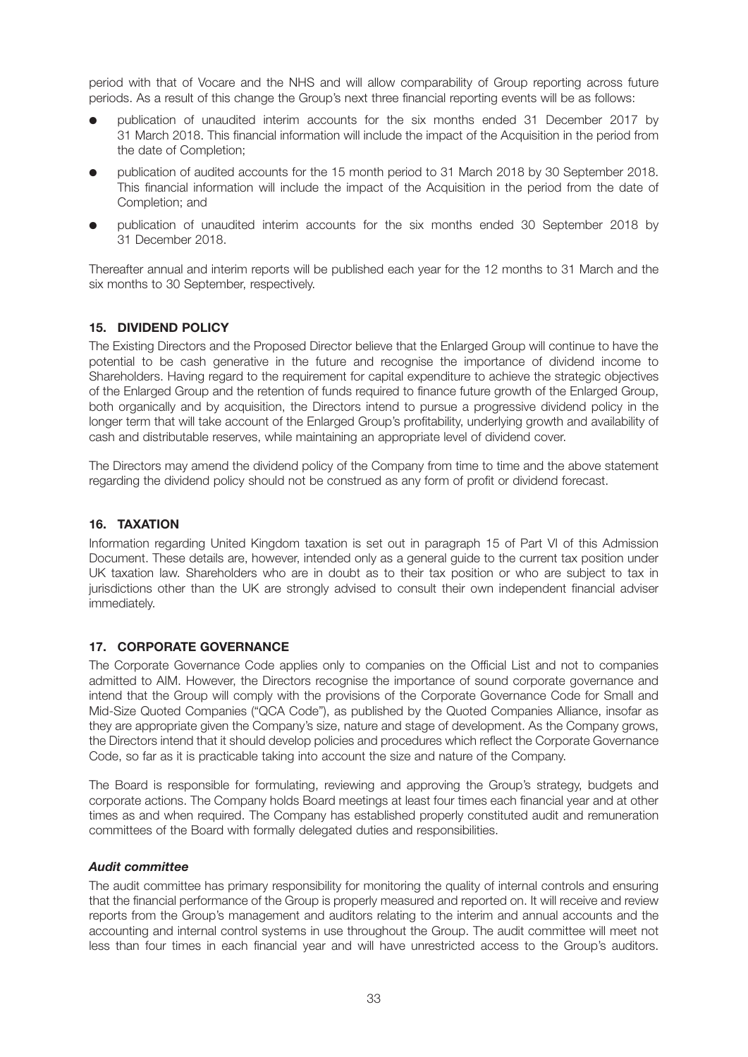period with that of Vocare and the NHS and will allow comparability of Group reporting across future periods. As a result of this change the Group's next three financial reporting events will be as follows:

- publication of unaudited interim accounts for the six months ended 31 December 2017 by 31 March 2018. This financial information will include the impact of the Acquisition in the period from the date of Completion;
- publication of audited accounts for the 15 month period to 31 March 2018 by 30 September 2018. This financial information will include the impact of the Acquisition in the period from the date of Completion; and
- publication of unaudited interim accounts for the six months ended 30 September 2018 by 31 December 2018.

Thereafter annual and interim reports will be published each year for the 12 months to 31 March and the six months to 30 September, respectively.

## **15. DIVIDEND POLICY**

The Existing Directors and the Proposed Director believe that the Enlarged Group will continue to have the potential to be cash generative in the future and recognise the importance of dividend income to Shareholders. Having regard to the requirement for capital expenditure to achieve the strategic objectives of the Enlarged Group and the retention of funds required to finance future growth of the Enlarged Group, both organically and by acquisition, the Directors intend to pursue a progressive dividend policy in the longer term that will take account of the Enlarged Group's profitability, underlying growth and availability of cash and distributable reserves, while maintaining an appropriate level of dividend cover.

The Directors may amend the dividend policy of the Company from time to time and the above statement regarding the dividend policy should not be construed as any form of profit or dividend forecast.

## **16. TAXATION**

Information regarding United Kingdom taxation is set out in paragraph 15 of Part VI of this Admission Document. These details are, however, intended only as a general guide to the current tax position under UK taxation law. Shareholders who are in doubt as to their tax position or who are subject to tax in jurisdictions other than the UK are strongly advised to consult their own independent financial adviser immediately.

## **17. CORPORATE GOVERNANCE**

The Corporate Governance Code applies only to companies on the Official List and not to companies admitted to AIM. However, the Directors recognise the importance of sound corporate governance and intend that the Group will comply with the provisions of the Corporate Governance Code for Small and Mid-Size Quoted Companies ("QCA Code"), as published by the Quoted Companies Alliance, insofar as they are appropriate given the Company's size, nature and stage of development. As the Company grows, the Directors intend that it should develop policies and procedures which reflect the Corporate Governance Code, so far as it is practicable taking into account the size and nature of the Company.

The Board is responsible for formulating, reviewing and approving the Group's strategy, budgets and corporate actions. The Company holds Board meetings at least four times each financial year and at other times as and when required. The Company has established properly constituted audit and remuneration committees of the Board with formally delegated duties and responsibilities.

## *Audit committee*

The audit committee has primary responsibility for monitoring the quality of internal controls and ensuring that the financial performance of the Group is properly measured and reported on. It will receive and review reports from the Group's management and auditors relating to the interim and annual accounts and the accounting and internal control systems in use throughout the Group. The audit committee will meet not less than four times in each financial year and will have unrestricted access to the Group's auditors.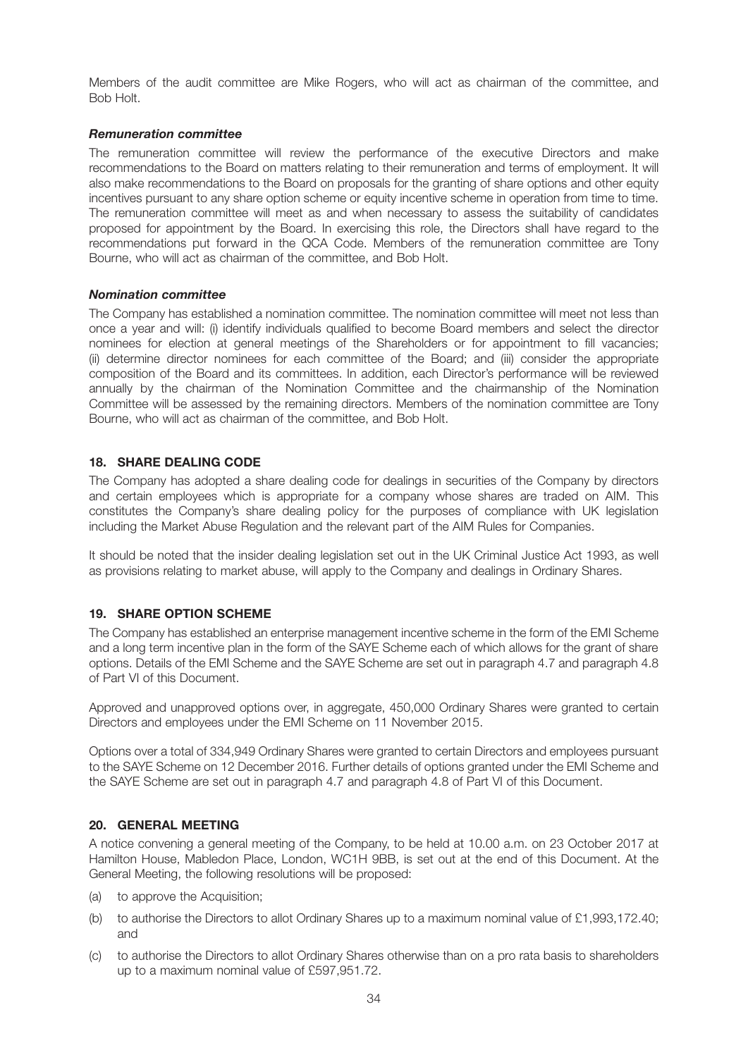Members of the audit committee are Mike Rogers, who will act as chairman of the committee, and Bob Holt.

#### *Remuneration committee*

The remuneration committee will review the performance of the executive Directors and make recommendations to the Board on matters relating to their remuneration and terms of employment. It will also make recommendations to the Board on proposals for the granting of share options and other equity incentives pursuant to any share option scheme or equity incentive scheme in operation from time to time. The remuneration committee will meet as and when necessary to assess the suitability of candidates proposed for appointment by the Board. In exercising this role, the Directors shall have regard to the recommendations put forward in the QCA Code. Members of the remuneration committee are Tony Bourne, who will act as chairman of the committee, and Bob Holt.

#### *Nomination committee*

The Company has established a nomination committee. The nomination committee will meet not less than once a year and will: (i) identify individuals qualified to become Board members and select the director nominees for election at general meetings of the Shareholders or for appointment to fill vacancies; (ii) determine director nominees for each committee of the Board; and (iii) consider the appropriate composition of the Board and its committees. In addition, each Director's performance will be reviewed annually by the chairman of the Nomination Committee and the chairmanship of the Nomination Committee will be assessed by the remaining directors. Members of the nomination committee are Tony Bourne, who will act as chairman of the committee, and Bob Holt.

## **18. SHARE DEALING CODE**

The Company has adopted a share dealing code for dealings in securities of the Company by directors and certain employees which is appropriate for a company whose shares are traded on AIM. This constitutes the Company's share dealing policy for the purposes of compliance with UK legislation including the Market Abuse Regulation and the relevant part of the AIM Rules for Companies.

It should be noted that the insider dealing legislation set out in the UK Criminal Justice Act 1993, as well as provisions relating to market abuse, will apply to the Company and dealings in Ordinary Shares.

## **19. SHARE OPTION SCHEME**

The Company has established an enterprise management incentive scheme in the form of the EMI Scheme and a long term incentive plan in the form of the SAYE Scheme each of which allows for the grant of share options. Details of the EMI Scheme and the SAYE Scheme are set out in paragraph 4.7 and paragraph 4.8 of Part VI of this Document.

Approved and unapproved options over, in aggregate, 450,000 Ordinary Shares were granted to certain Directors and employees under the EMI Scheme on 11 November 2015.

Options over a total of 334,949 Ordinary Shares were granted to certain Directors and employees pursuant to the SAYE Scheme on 12 December 2016. Further details of options granted under the EMI Scheme and the SAYE Scheme are set out in paragraph 4.7 and paragraph 4.8 of Part VI of this Document.

#### **20. GENERAL MEETING**

A notice convening a general meeting of the Company, to be held at 10.00 a.m. on 23 October 2017 at Hamilton House, Mabledon Place, London, WC1H 9BB, is set out at the end of this Document. At the General Meeting, the following resolutions will be proposed:

- (a) to approve the Acquisition;
- (b) to authorise the Directors to allot Ordinary Shares up to a maximum nominal value of £1,993,172.40; and
- (c) to authorise the Directors to allot Ordinary Shares otherwise than on a pro rata basis to shareholders up to a maximum nominal value of £597,951.72.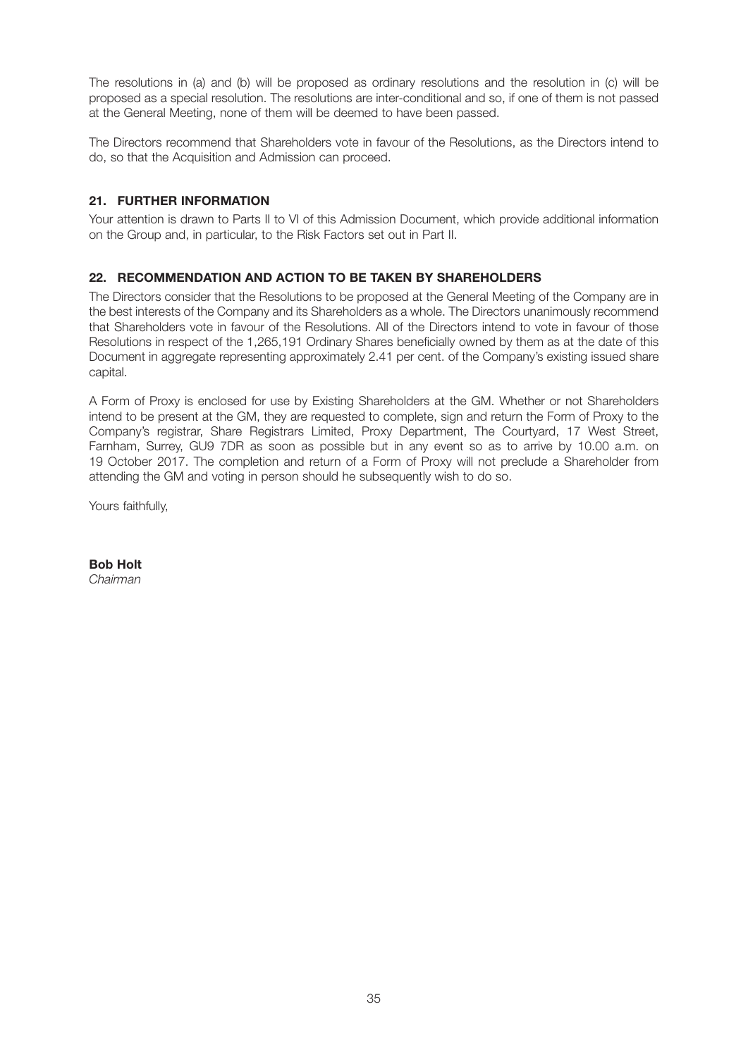The resolutions in (a) and (b) will be proposed as ordinary resolutions and the resolution in (c) will be proposed as a special resolution. The resolutions are inter-conditional and so, if one of them is not passed at the General Meeting, none of them will be deemed to have been passed.

The Directors recommend that Shareholders vote in favour of the Resolutions, as the Directors intend to do, so that the Acquisition and Admission can proceed.

## **21. FURTHER INFORMATION**

Your attention is drawn to Parts II to VI of this Admission Document, which provide additional information on the Group and, in particular, to the Risk Factors set out in Part II.

## **22. RECOMMENDATION AND ACTION TO BE TAKEN BY SHAREHOLDERS**

The Directors consider that the Resolutions to be proposed at the General Meeting of the Company are in the best interests of the Company and its Shareholders as a whole. The Directors unanimously recommend that Shareholders vote in favour of the Resolutions. All of the Directors intend to vote in favour of those Resolutions in respect of the 1,265,191 Ordinary Shares beneficially owned by them as at the date of this Document in aggregate representing approximately 2.41 per cent. of the Company's existing issued share capital.

A Form of Proxy is enclosed for use by Existing Shareholders at the GM. Whether or not Shareholders intend to be present at the GM, they are requested to complete, sign and return the Form of Proxy to the Company's registrar, Share Registrars Limited, Proxy Department, The Courtyard, 17 West Street, Farnham, Surrey, GU9 7DR as soon as possible but in any event so as to arrive by 10.00 a.m. on 19 October 2017. The completion and return of a Form of Proxy will not preclude a Shareholder from attending the GM and voting in person should he subsequently wish to do so.

Yours faithfully,

**Bob Holt** *Chairman*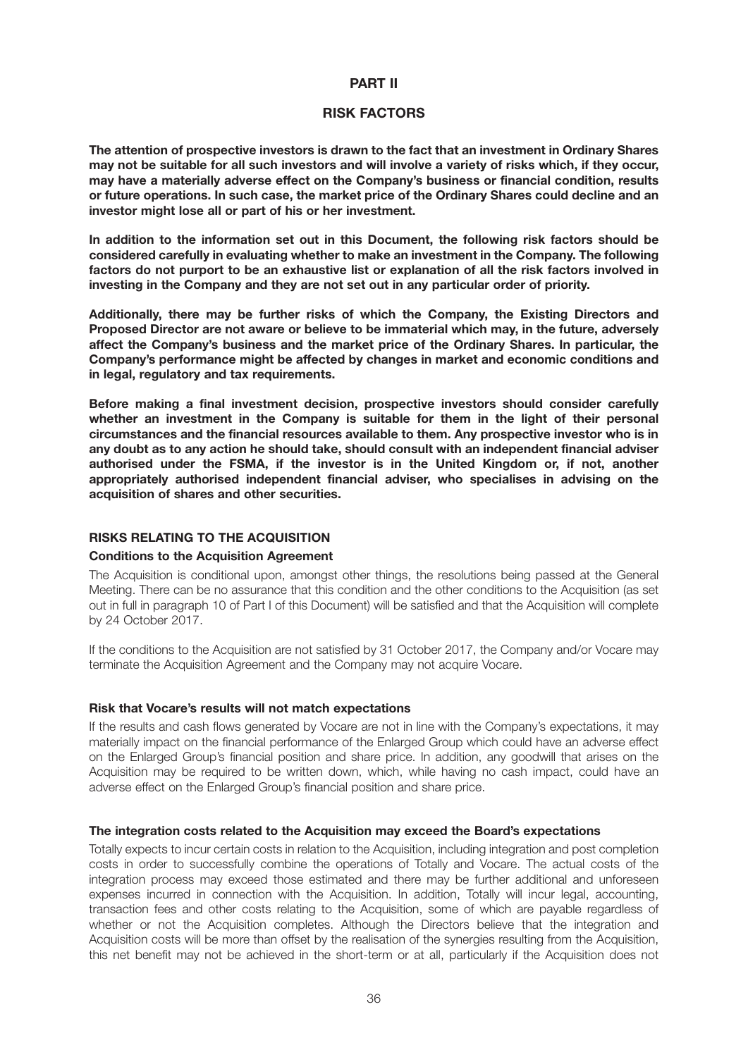#### **PART II**

#### **RISK FACTORS**

**The attention of prospective investors is drawn to the fact that an investment in Ordinary Shares may not be suitable for all such investors and will involve a variety of risks which, if they occur, may have a materially adverse effect on the Company's business or financial condition, results or future operations. In such case, the market price of the Ordinary Shares could decline and an investor might lose all or part of his or her investment.**

**In addition to the information set out in this Document, the following risk factors should be considered carefully in evaluating whether to make an investment in the Company. The following factors do not purport to be an exhaustive list or explanation of all the risk factors involved in investing in the Company and they are not set out in any particular order of priority.**

**Additionally, there may be further risks of which the Company, the Existing Directors and Proposed Director are not aware or believe to be immaterial which may, in the future, adversely affect the Company's business and the market price of the Ordinary Shares. In particular, the Company's performance might be affected by changes in market and economic conditions and in legal, regulatory and tax requirements.**

**Before making a final investment decision, prospective investors should consider carefully whether an investment in the Company is suitable for them in the light of their personal circumstances and the financial resources available to them. Any prospective investor who is in any doubt as to any action he should take, should consult with an independent financial adviser authorised under the FSMA, if the investor is in the United Kingdom or, if not, another appropriately authorised independent financial adviser, who specialises in advising on the acquisition of shares and other securities.**

## **RISKS RELATING TO THE ACQUISITION**

#### **Conditions to the Acquisition Agreement**

The Acquisition is conditional upon, amongst other things, the resolutions being passed at the General Meeting. There can be no assurance that this condition and the other conditions to the Acquisition (as set out in full in paragraph 10 of Part I of this Document) will be satisfied and that the Acquisition will complete by 24 October 2017.

If the conditions to the Acquisition are not satisfied by 31 October 2017, the Company and/or Vocare may terminate the Acquisition Agreement and the Company may not acquire Vocare.

#### **Risk that Vocare's results will not match expectations**

If the results and cash flows generated by Vocare are not in line with the Company's expectations, it may materially impact on the financial performance of the Enlarged Group which could have an adverse effect on the Enlarged Group's financial position and share price. In addition, any goodwill that arises on the Acquisition may be required to be written down, which, while having no cash impact, could have an adverse effect on the Enlarged Group's financial position and share price.

#### **The integration costs related to the Acquisition may exceed the Board's expectations**

Totally expects to incur certain costs in relation to the Acquisition, including integration and post completion costs in order to successfully combine the operations of Totally and Vocare. The actual costs of the integration process may exceed those estimated and there may be further additional and unforeseen expenses incurred in connection with the Acquisition. In addition, Totally will incur legal, accounting, transaction fees and other costs relating to the Acquisition, some of which are payable regardless of whether or not the Acquisition completes. Although the Directors believe that the integration and Acquisition costs will be more than offset by the realisation of the synergies resulting from the Acquisition, this net benefit may not be achieved in the short-term or at all, particularly if the Acquisition does not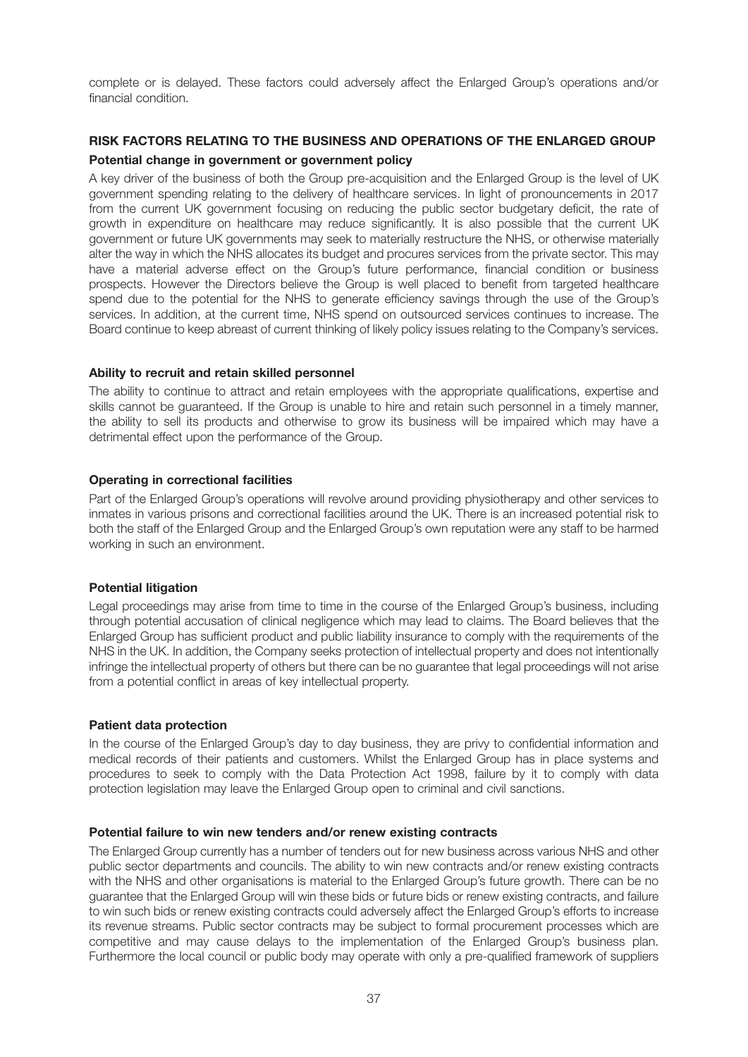complete or is delayed. These factors could adversely affect the Enlarged Group's operations and/or financial condition.

### **RISK FACTORS RELATING TO THE BUSINESS AND OPERATIONS OF THE ENLARGED GROUP Potential change in government or government policy**

A key driver of the business of both the Group pre-acquisition and the Enlarged Group is the level of UK government spending relating to the delivery of healthcare services. In light of pronouncements in 2017 from the current UK government focusing on reducing the public sector budgetary deficit, the rate of growth in expenditure on healthcare may reduce significantly. It is also possible that the current UK government or future UK governments may seek to materially restructure the NHS, or otherwise materially alter the way in which the NHS allocates its budget and procures services from the private sector. This may have a material adverse effect on the Group's future performance, financial condition or business prospects. However the Directors believe the Group is well placed to benefit from targeted healthcare spend due to the potential for the NHS to generate efficiency savings through the use of the Group's services. In addition, at the current time, NHS spend on outsourced services continues to increase. The Board continue to keep abreast of current thinking of likely policy issues relating to the Company's services.

#### **Ability to recruit and retain skilled personnel**

The ability to continue to attract and retain employees with the appropriate qualifications, expertise and skills cannot be guaranteed. If the Group is unable to hire and retain such personnel in a timely manner, the ability to sell its products and otherwise to grow its business will be impaired which may have a detrimental effect upon the performance of the Group.

#### **Operating in correctional facilities**

Part of the Enlarged Group's operations will revolve around providing physiotherapy and other services to inmates in various prisons and correctional facilities around the UK. There is an increased potential risk to both the staff of the Enlarged Group and the Enlarged Group's own reputation were any staff to be harmed working in such an environment.

#### **Potential litigation**

Legal proceedings may arise from time to time in the course of the Enlarged Group's business, including through potential accusation of clinical negligence which may lead to claims. The Board believes that the Enlarged Group has sufficient product and public liability insurance to comply with the requirements of the NHS in the UK. In addition, the Company seeks protection of intellectual property and does not intentionally infringe the intellectual property of others but there can be no guarantee that legal proceedings will not arise from a potential conflict in areas of key intellectual property.

#### **Patient data protection**

In the course of the Enlarged Group's day to day business, they are privy to confidential information and medical records of their patients and customers. Whilst the Enlarged Group has in place systems and procedures to seek to comply with the Data Protection Act 1998, failure by it to comply with data protection legislation may leave the Enlarged Group open to criminal and civil sanctions.

#### **Potential failure to win new tenders and/or renew existing contracts**

The Enlarged Group currently has a number of tenders out for new business across various NHS and other public sector departments and councils. The ability to win new contracts and/or renew existing contracts with the NHS and other organisations is material to the Enlarged Group's future growth. There can be no guarantee that the Enlarged Group will win these bids or future bids or renew existing contracts, and failure to win such bids or renew existing contracts could adversely affect the Enlarged Group's efforts to increase its revenue streams. Public sector contracts may be subject to formal procurement processes which are competitive and may cause delays to the implementation of the Enlarged Group's business plan. Furthermore the local council or public body may operate with only a pre-qualified framework of suppliers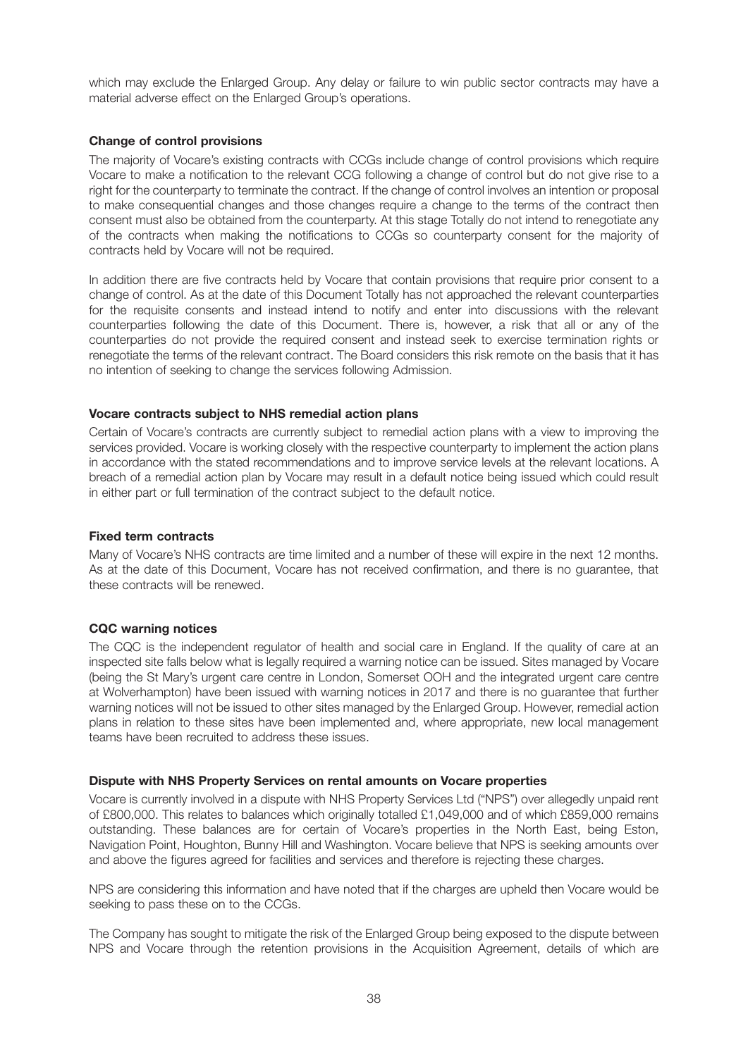which may exclude the Enlarged Group. Any delay or failure to win public sector contracts may have a material adverse effect on the Enlarged Group's operations.

#### **Change of control provisions**

The majority of Vocare's existing contracts with CCGs include change of control provisions which require Vocare to make a notification to the relevant CCG following a change of control but do not give rise to a right for the counterparty to terminate the contract. If the change of control involves an intention or proposal to make consequential changes and those changes require a change to the terms of the contract then consent must also be obtained from the counterparty. At this stage Totally do not intend to renegotiate any of the contracts when making the notifications to CCGs so counterparty consent for the majority of contracts held by Vocare will not be required.

In addition there are five contracts held by Vocare that contain provisions that require prior consent to a change of control. As at the date of this Document Totally has not approached the relevant counterparties for the requisite consents and instead intend to notify and enter into discussions with the relevant counterparties following the date of this Document. There is, however, a risk that all or any of the counterparties do not provide the required consent and instead seek to exercise termination rights or renegotiate the terms of the relevant contract. The Board considers this risk remote on the basis that it has no intention of seeking to change the services following Admission.

#### **Vocare contracts subject to NHS remedial action plans**

Certain of Vocare's contracts are currently subject to remedial action plans with a view to improving the services provided. Vocare is working closely with the respective counterparty to implement the action plans in accordance with the stated recommendations and to improve service levels at the relevant locations. A breach of a remedial action plan by Vocare may result in a default notice being issued which could result in either part or full termination of the contract subject to the default notice.

#### **Fixed term contracts**

Many of Vocare's NHS contracts are time limited and a number of these will expire in the next 12 months. As at the date of this Document, Vocare has not received confirmation, and there is no guarantee, that these contracts will be renewed.

#### **CQC warning notices**

The CQC is the independent regulator of health and social care in England. If the quality of care at an inspected site falls below what is legally required a warning notice can be issued. Sites managed by Vocare (being the St Mary's urgent care centre in London, Somerset OOH and the integrated urgent care centre at Wolverhampton) have been issued with warning notices in 2017 and there is no guarantee that further warning notices will not be issued to other sites managed by the Enlarged Group. However, remedial action plans in relation to these sites have been implemented and, where appropriate, new local management teams have been recruited to address these issues.

#### **Dispute with NHS Property Services on rental amounts on Vocare properties**

Vocare is currently involved in a dispute with NHS Property Services Ltd ("NPS") over allegedly unpaid rent of £800,000. This relates to balances which originally totalled £1,049,000 and of which £859,000 remains outstanding. These balances are for certain of Vocare's properties in the North East, being Eston, Navigation Point, Houghton, Bunny Hill and Washington. Vocare believe that NPS is seeking amounts over and above the figures agreed for facilities and services and therefore is rejecting these charges.

NPS are considering this information and have noted that if the charges are upheld then Vocare would be seeking to pass these on to the CCGs.

The Company has sought to mitigate the risk of the Enlarged Group being exposed to the dispute between NPS and Vocare through the retention provisions in the Acquisition Agreement, details of which are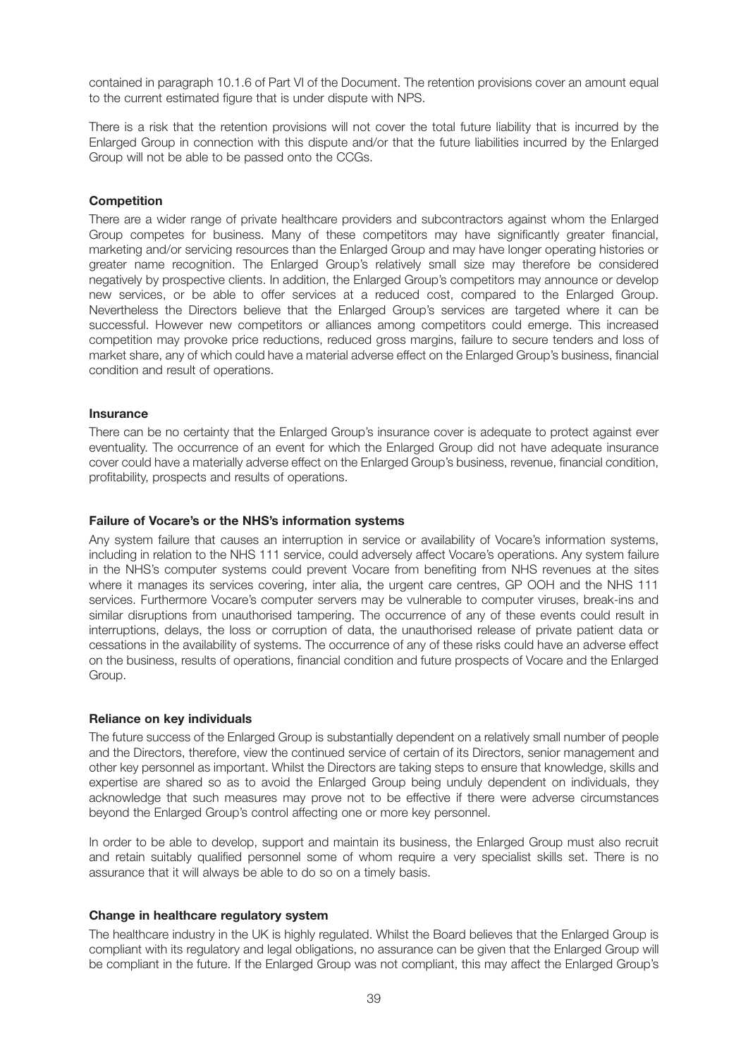contained in paragraph 10.1.6 of Part VI of the Document. The retention provisions cover an amount equal to the current estimated figure that is under dispute with NPS.

There is a risk that the retention provisions will not cover the total future liability that is incurred by the Enlarged Group in connection with this dispute and/or that the future liabilities incurred by the Enlarged Group will not be able to be passed onto the CCGs.

#### **Competition**

There are a wider range of private healthcare providers and subcontractors against whom the Enlarged Group competes for business. Many of these competitors may have significantly greater financial, marketing and/or servicing resources than the Enlarged Group and may have longer operating histories or greater name recognition. The Enlarged Group's relatively small size may therefore be considered negatively by prospective clients. In addition, the Enlarged Group's competitors may announce or develop new services, or be able to offer services at a reduced cost, compared to the Enlarged Group. Nevertheless the Directors believe that the Enlarged Group's services are targeted where it can be successful. However new competitors or alliances among competitors could emerge. This increased competition may provoke price reductions, reduced gross margins, failure to secure tenders and loss of market share, any of which could have a material adverse effect on the Enlarged Group's business, financial condition and result of operations.

#### **Insurance**

There can be no certainty that the Enlarged Group's insurance cover is adequate to protect against ever eventuality. The occurrence of an event for which the Enlarged Group did not have adequate insurance cover could have a materially adverse effect on the Enlarged Group's business, revenue, financial condition, profitability, prospects and results of operations.

#### **Failure of Vocare's or the NHS's information systems**

Any system failure that causes an interruption in service or availability of Vocare's information systems, including in relation to the NHS 111 service, could adversely affect Vocare's operations. Any system failure in the NHS's computer systems could prevent Vocare from benefiting from NHS revenues at the sites where it manages its services covering, inter alia, the urgent care centres, GP OOH and the NHS 111 services. Furthermore Vocare's computer servers may be vulnerable to computer viruses, break-ins and similar disruptions from unauthorised tampering. The occurrence of any of these events could result in interruptions, delays, the loss or corruption of data, the unauthorised release of private patient data or cessations in the availability of systems. The occurrence of any of these risks could have an adverse effect on the business, results of operations, financial condition and future prospects of Vocare and the Enlarged Group.

#### **Reliance on key individuals**

The future success of the Enlarged Group is substantially dependent on a relatively small number of people and the Directors, therefore, view the continued service of certain of its Directors, senior management and other key personnel as important. Whilst the Directors are taking steps to ensure that knowledge, skills and expertise are shared so as to avoid the Enlarged Group being unduly dependent on individuals, they acknowledge that such measures may prove not to be effective if there were adverse circumstances beyond the Enlarged Group's control affecting one or more key personnel.

In order to be able to develop, support and maintain its business, the Enlarged Group must also recruit and retain suitably qualified personnel some of whom require a very specialist skills set. There is no assurance that it will always be able to do so on a timely basis.

#### **Change in healthcare regulatory system**

The healthcare industry in the UK is highly regulated. Whilst the Board believes that the Enlarged Group is compliant with its regulatory and legal obligations, no assurance can be given that the Enlarged Group will be compliant in the future. If the Enlarged Group was not compliant, this may affect the Enlarged Group's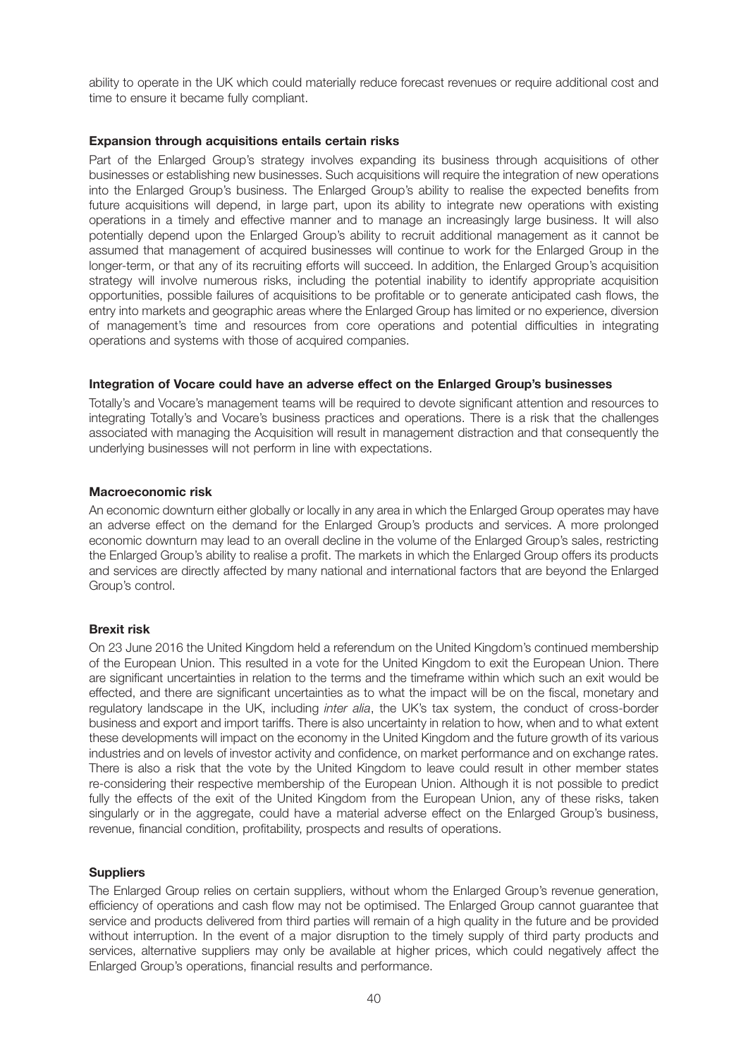ability to operate in the UK which could materially reduce forecast revenues or require additional cost and time to ensure it became fully compliant.

#### **Expansion through acquisitions entails certain risks**

Part of the Enlarged Group's strategy involves expanding its business through acquisitions of other businesses or establishing new businesses. Such acquisitions will require the integration of new operations into the Enlarged Group's business. The Enlarged Group's ability to realise the expected benefits from future acquisitions will depend, in large part, upon its ability to integrate new operations with existing operations in a timely and effective manner and to manage an increasingly large business. It will also potentially depend upon the Enlarged Group's ability to recruit additional management as it cannot be assumed that management of acquired businesses will continue to work for the Enlarged Group in the longer-term, or that any of its recruiting efforts will succeed. In addition, the Enlarged Group's acquisition strategy will involve numerous risks, including the potential inability to identify appropriate acquisition opportunities, possible failures of acquisitions to be profitable or to generate anticipated cash flows, the entry into markets and geographic areas where the Enlarged Group has limited or no experience, diversion of management's time and resources from core operations and potential difficulties in integrating operations and systems with those of acquired companies.

#### **Integration of Vocare could have an adverse effect on the Enlarged Group's businesses**

Totally's and Vocare's management teams will be required to devote significant attention and resources to integrating Totally's and Vocare's business practices and operations. There is a risk that the challenges associated with managing the Acquisition will result in management distraction and that consequently the underlying businesses will not perform in line with expectations.

#### **Macroeconomic risk**

An economic downturn either globally or locally in any area in which the Enlarged Group operates may have an adverse effect on the demand for the Enlarged Group's products and services. A more prolonged economic downturn may lead to an overall decline in the volume of the Enlarged Group's sales, restricting the Enlarged Group's ability to realise a profit. The markets in which the Enlarged Group offers its products and services are directly affected by many national and international factors that are beyond the Enlarged Group's control.

#### **Brexit risk**

On 23 June 2016 the United Kingdom held a referendum on the United Kingdom's continued membership of the European Union. This resulted in a vote for the United Kingdom to exit the European Union. There are significant uncertainties in relation to the terms and the timeframe within which such an exit would be effected, and there are significant uncertainties as to what the impact will be on the fiscal, monetary and regulatory landscape in the UK, including *inter alia*, the UK's tax system, the conduct of cross-border business and export and import tariffs. There is also uncertainty in relation to how, when and to what extent these developments will impact on the economy in the United Kingdom and the future growth of its various industries and on levels of investor activity and confidence, on market performance and on exchange rates. There is also a risk that the vote by the United Kingdom to leave could result in other member states re-considering their respective membership of the European Union. Although it is not possible to predict fully the effects of the exit of the United Kingdom from the European Union, any of these risks, taken singularly or in the aggregate, could have a material adverse effect on the Enlarged Group's business, revenue, financial condition, profitability, prospects and results of operations.

#### **Suppliers**

The Enlarged Group relies on certain suppliers, without whom the Enlarged Group's revenue generation, efficiency of operations and cash flow may not be optimised. The Enlarged Group cannot guarantee that service and products delivered from third parties will remain of a high quality in the future and be provided without interruption. In the event of a major disruption to the timely supply of third party products and services, alternative suppliers may only be available at higher prices, which could negatively affect the Enlarged Group's operations, financial results and performance.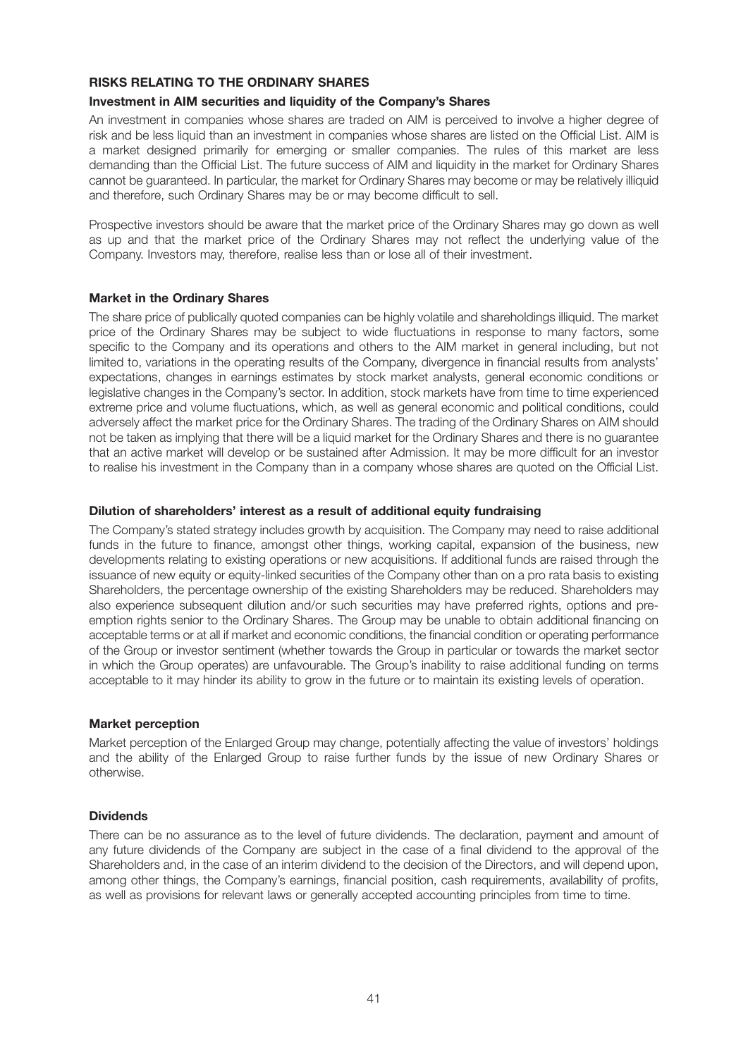### **RISKS RELATING TO THE ORDINARY SHARES**

### **Investment in AIM securities and liquidity of the Company's Shares**

An investment in companies whose shares are traded on AIM is perceived to involve a higher degree of risk and be less liquid than an investment in companies whose shares are listed on the Official List. AIM is a market designed primarily for emerging or smaller companies. The rules of this market are less demanding than the Official List. The future success of AIM and liquidity in the market for Ordinary Shares cannot be guaranteed. In particular, the market for Ordinary Shares may become or may be relatively illiquid and therefore, such Ordinary Shares may be or may become difficult to sell.

Prospective investors should be aware that the market price of the Ordinary Shares may go down as well as up and that the market price of the Ordinary Shares may not reflect the underlying value of the Company. Investors may, therefore, realise less than or lose all of their investment.

### **Market in the Ordinary Shares**

The share price of publically quoted companies can be highly volatile and shareholdings illiquid. The market price of the Ordinary Shares may be subject to wide fluctuations in response to many factors, some specific to the Company and its operations and others to the AIM market in general including, but not limited to, variations in the operating results of the Company, divergence in financial results from analysts' expectations, changes in earnings estimates by stock market analysts, general economic conditions or legislative changes in the Company's sector. In addition, stock markets have from time to time experienced extreme price and volume fluctuations, which, as well as general economic and political conditions, could adversely affect the market price for the Ordinary Shares. The trading of the Ordinary Shares on AIM should not be taken as implying that there will be a liquid market for the Ordinary Shares and there is no guarantee that an active market will develop or be sustained after Admission. It may be more difficult for an investor to realise his investment in the Company than in a company whose shares are quoted on the Official List.

### **Dilution of shareholders' interest as a result of additional equity fundraising**

The Company's stated strategy includes growth by acquisition. The Company may need to raise additional funds in the future to finance, amongst other things, working capital, expansion of the business, new developments relating to existing operations or new acquisitions. If additional funds are raised through the issuance of new equity or equity-linked securities of the Company other than on a pro rata basis to existing Shareholders, the percentage ownership of the existing Shareholders may be reduced. Shareholders may also experience subsequent dilution and/or such securities may have preferred rights, options and preemption rights senior to the Ordinary Shares. The Group may be unable to obtain additional financing on acceptable terms or at all if market and economic conditions, the financial condition or operating performance of the Group or investor sentiment (whether towards the Group in particular or towards the market sector in which the Group operates) are unfavourable. The Group's inability to raise additional funding on terms acceptable to it may hinder its ability to grow in the future or to maintain its existing levels of operation.

### **Market perception**

Market perception of the Enlarged Group may change, potentially affecting the value of investors' holdings and the ability of the Enlarged Group to raise further funds by the issue of new Ordinary Shares or otherwise.

### **Dividends**

There can be no assurance as to the level of future dividends. The declaration, payment and amount of any future dividends of the Company are subject in the case of a final dividend to the approval of the Shareholders and, in the case of an interim dividend to the decision of the Directors, and will depend upon, among other things, the Company's earnings, financial position, cash requirements, availability of profits, as well as provisions for relevant laws or generally accepted accounting principles from time to time.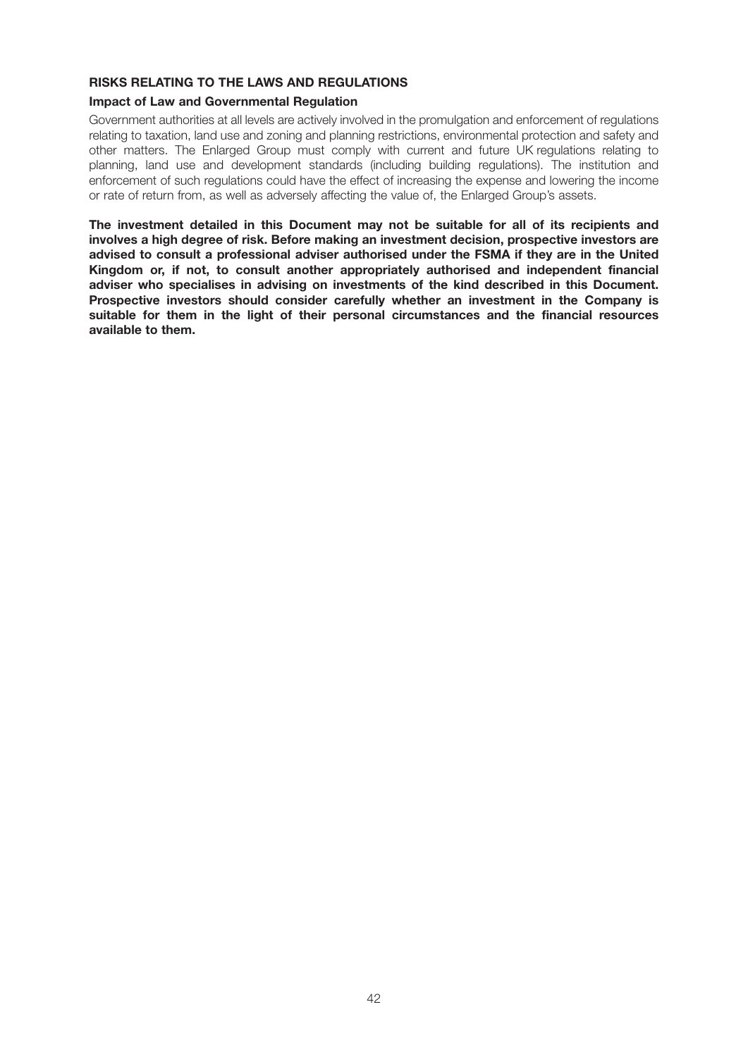# **RISKS RELATING TO THE LAWS AND REGULATIONS**

### **Impact of Law and Governmental Regulation**

Government authorities at all levels are actively involved in the promulgation and enforcement of regulations relating to taxation, land use and zoning and planning restrictions, environmental protection and safety and other matters. The Enlarged Group must comply with current and future UK regulations relating to planning, land use and development standards (including building regulations). The institution and enforcement of such regulations could have the effect of increasing the expense and lowering the income or rate of return from, as well as adversely affecting the value of, the Enlarged Group's assets.

**The investment detailed in this Document may not be suitable for all of its recipients and involves a high degree of risk. Before making an investment decision, prospective investors are advised to consult a professional adviser authorised under the FSMA if they are in the United Kingdom or, if not, to consult another appropriately authorised and independent financial adviser who specialises in advising on investments of the kind described in this Document. Prospective investors should consider carefully whether an investment in the Company is suitable for them in the light of their personal circumstances and the financial resources available to them.**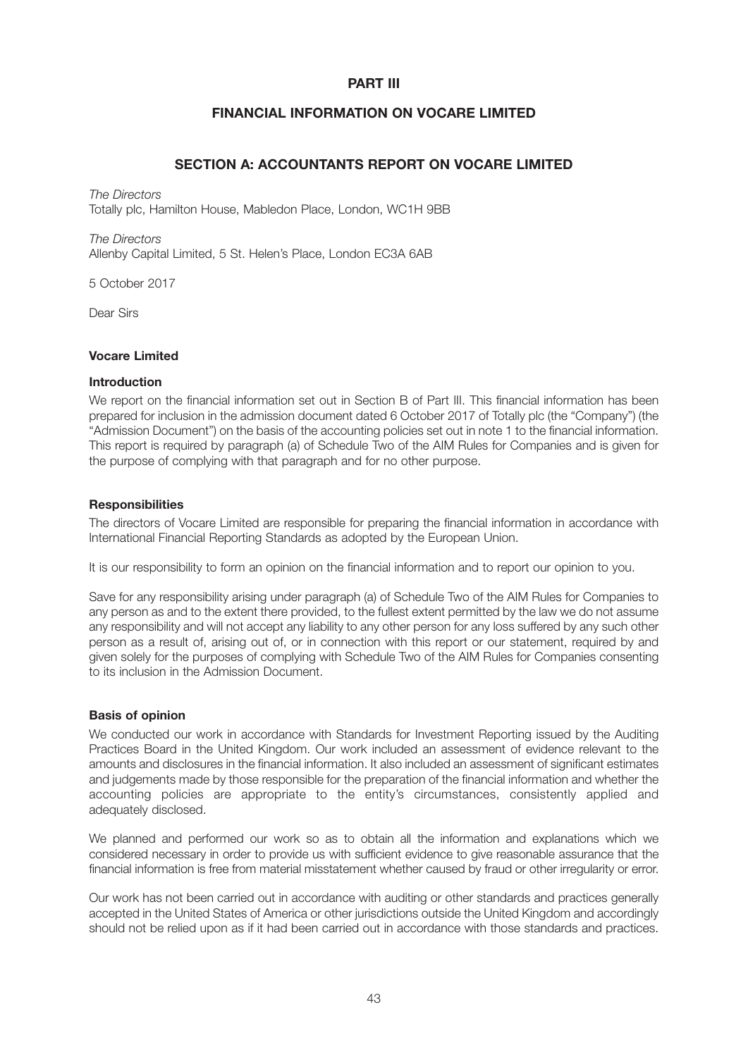### **PART III**

### **FINANCIAL INFORMATION ON VOCARE LIMITED**

### **SECTION A: ACCOUNTANTS REPORT ON VOCARE LIMITED**

*The Directors* Totally plc, Hamilton House, Mabledon Place, London, WC1H 9BB

*The Directors* Allenby Capital Limited, 5 St. Helen's Place, London EC3A 6AB

5 October 2017

Dear Sirs

#### **Vocare Limited**

#### **Introduction**

We report on the financial information set out in Section B of Part III. This financial information has been prepared for inclusion in the admission document dated 6 October 2017 of Totally plc (the "Company") (the "Admission Document") on the basis of the accounting policies set out in note 1 to the financial information. This report is required by paragraph (a) of Schedule Two of the AIM Rules for Companies and is given for the purpose of complying with that paragraph and for no other purpose.

#### **Responsibilities**

The directors of Vocare Limited are responsible for preparing the financial information in accordance with International Financial Reporting Standards as adopted by the European Union.

It is our responsibility to form an opinion on the financial information and to report our opinion to you.

Save for any responsibility arising under paragraph (a) of Schedule Two of the AIM Rules for Companies to any person as and to the extent there provided, to the fullest extent permitted by the law we do not assume any responsibility and will not accept any liability to any other person for any loss suffered by any such other person as a result of, arising out of, or in connection with this report or our statement, required by and given solely for the purposes of complying with Schedule Two of the AIM Rules for Companies consenting to its inclusion in the Admission Document.

#### **Basis of opinion**

We conducted our work in accordance with Standards for Investment Reporting issued by the Auditing Practices Board in the United Kingdom. Our work included an assessment of evidence relevant to the amounts and disclosures in the financial information. It also included an assessment of significant estimates and judgements made by those responsible for the preparation of the financial information and whether the accounting policies are appropriate to the entity's circumstances, consistently applied and adequately disclosed.

We planned and performed our work so as to obtain all the information and explanations which we considered necessary in order to provide us with sufficient evidence to give reasonable assurance that the financial information is free from material misstatement whether caused by fraud or other irregularity or error.

Our work has not been carried out in accordance with auditing or other standards and practices generally accepted in the United States of America or other jurisdictions outside the United Kingdom and accordingly should not be relied upon as if it had been carried out in accordance with those standards and practices.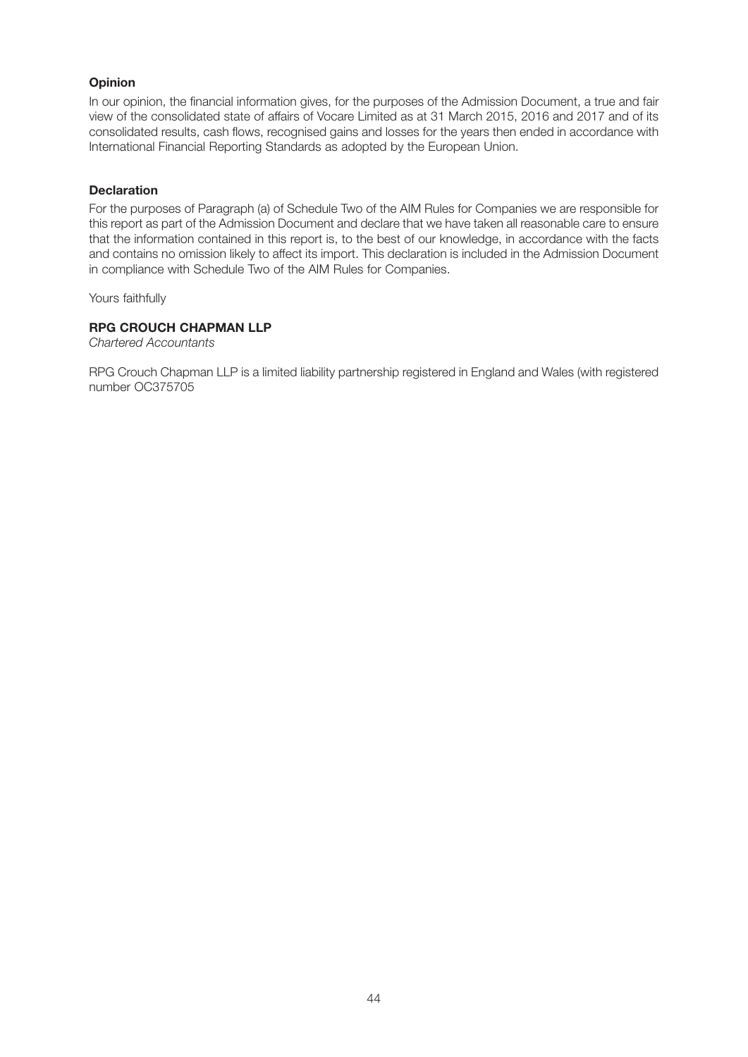### **Opinion**

In our opinion, the financial information gives, for the purposes of the Admission Document, a true and fair view of the consolidated state of affairs of Vocare Limited as at 31 March 2015, 2016 and 2017 and of its consolidated results, cash flows, recognised gains and losses for the years then ended in accordance with International Financial Reporting Standards as adopted by the European Union.

### **Declaration**

For the purposes of Paragraph (a) of Schedule Two of the AIM Rules for Companies we are responsible for this report as part of the Admission Document and declare that we have taken all reasonable care to ensure that the information contained in this report is, to the best of our knowledge, in accordance with the facts and contains no omission likely to affect its import. This declaration is included in the Admission Document in compliance with Schedule Two of the AIM Rules for Companies.

Yours faithfully

### **RPG CROUCH CHAPMAN LLP**

*Chartered Accountants*

RPG Crouch Chapman LLP is a limited liability partnership registered in England and Wales (with registered number OC375705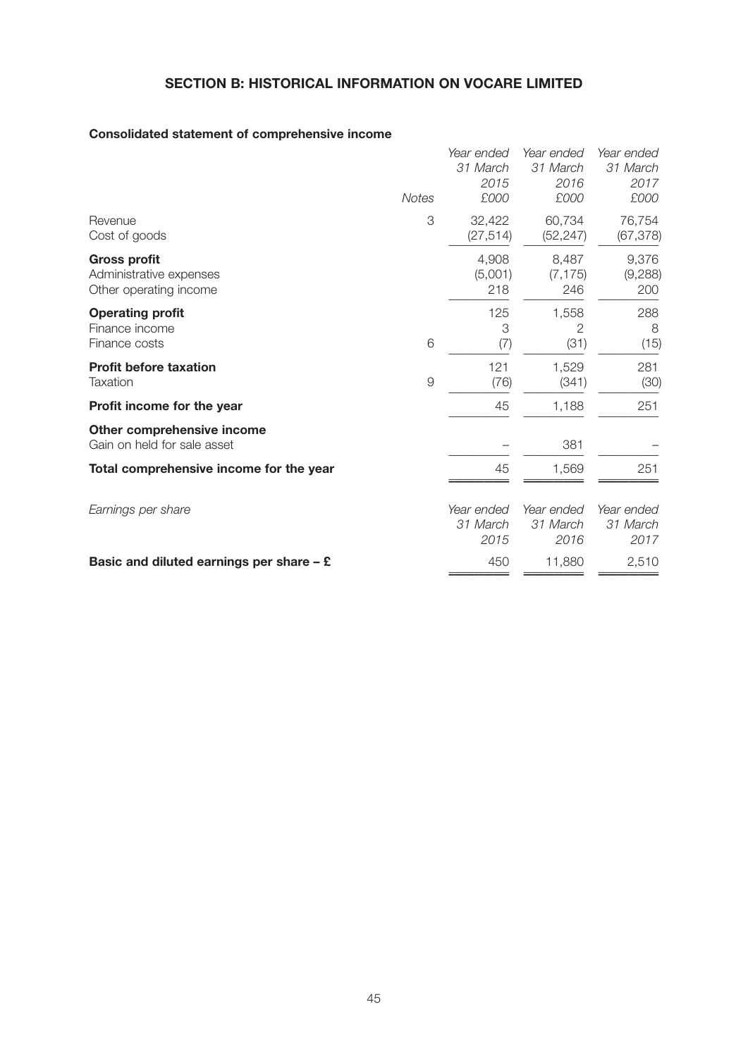# **SECTION B: HISTORICAL INFORMATION ON VOCARE LIMITED**

# **Consolidated statement of comprehensive income**

|                                                                          | <b>Notes</b>   | Year ended<br>31 March<br>2015<br>£000 | Year ended<br>31 March<br>2016<br>£000 | Year ended<br>31 March<br>2017<br>£000 |
|--------------------------------------------------------------------------|----------------|----------------------------------------|----------------------------------------|----------------------------------------|
| Revenue<br>Cost of goods                                                 | 3              | 32,422<br>(27, 514)                    | 60,734<br>(52, 247)                    | 76,754<br>(67, 378)                    |
| <b>Gross profit</b><br>Administrative expenses<br>Other operating income |                | 4,908<br>(5,001)<br>218                | 8,487<br>(7, 175)<br>246               | 9,376<br>(9,288)<br>200                |
| <b>Operating profit</b><br>Finance income<br>Finance costs               | 6              | 125<br>3<br>(7)                        | 1,558<br>2<br>(31)                     | 288<br>8<br>(15)                       |
| <b>Profit before taxation</b><br>Taxation                                | $\overline{9}$ | 121<br>(76)                            | 1,529<br>(341)                         | 281<br>(30)                            |
| Profit income for the year                                               |                | 45                                     | 1,188                                  | 251                                    |
| Other comprehensive income<br>Gain on held for sale asset                |                |                                        | 381                                    |                                        |
| Total comprehensive income for the year                                  |                | 45                                     | 1,569                                  | 251                                    |
| Earnings per share                                                       |                | Year ended<br>31 March<br>2015         | Year ended<br>31 March<br>2016         | Year ended<br>31 March<br>2017         |
| Basic and diluted earnings per share $-$ £                               |                | 450                                    | 11,880                                 | 2,510                                  |
|                                                                          |                |                                        |                                        |                                        |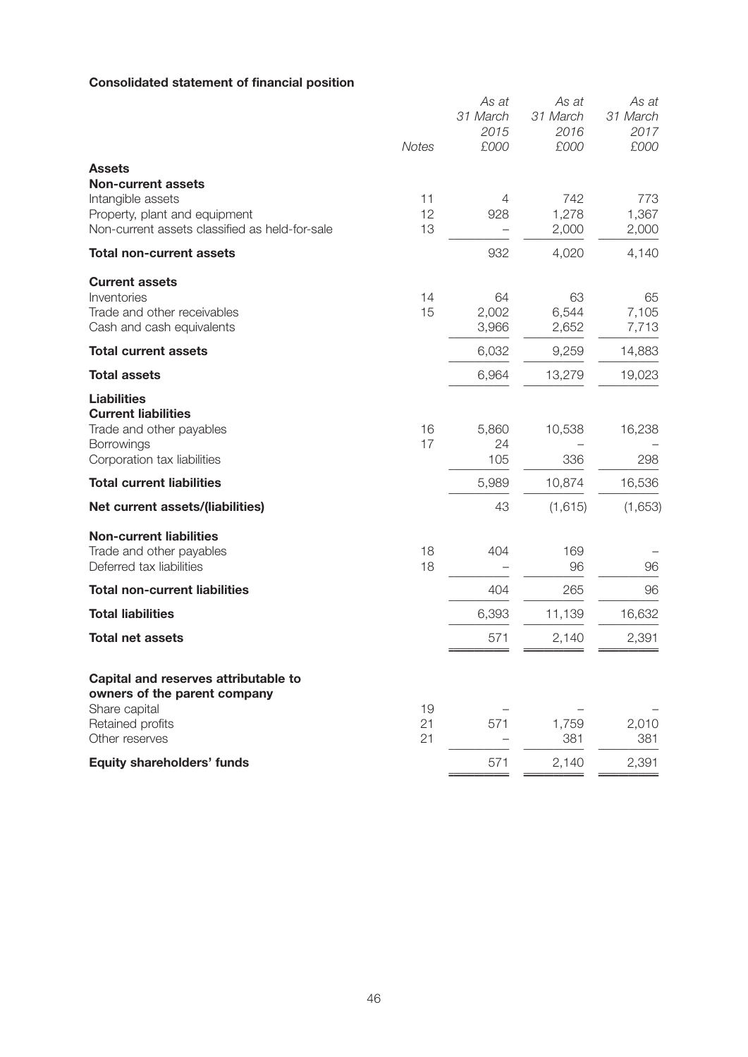# **Consolidated statement of financial position**

|                                                                                                                                                    | <b>Notes</b>   | As at<br>31 March<br>2015<br>£000 | As at<br>31 March<br>2016<br>£000 | As at<br>31 March<br>2017<br>£000 |
|----------------------------------------------------------------------------------------------------------------------------------------------------|----------------|-----------------------------------|-----------------------------------|-----------------------------------|
| <b>Assets</b><br><b>Non-current assets</b><br>Intangible assets<br>Property, plant and equipment<br>Non-current assets classified as held-for-sale | 11<br>12<br>13 | 4<br>928                          | 742<br>1,278<br>2,000             | 773<br>1,367<br>2,000             |
| <b>Total non-current assets</b>                                                                                                                    |                | 932                               | 4,020                             | 4,140                             |
| <b>Current assets</b><br>Inventories<br>Trade and other receivables<br>Cash and cash equivalents                                                   | 14<br>15       | 64<br>2,002<br>3,966              | 63<br>6,544<br>2,652              | 65<br>7,105<br>7,713              |
| <b>Total current assets</b>                                                                                                                        |                | 6,032                             | 9,259                             | 14,883                            |
| <b>Total assets</b>                                                                                                                                |                | 6,964                             | 13,279                            | 19,023                            |
| <b>Liabilities</b><br><b>Current liabilities</b><br>Trade and other payables<br>Borrowings<br>Corporation tax liabilities                          | 16<br>17       | 5,860<br>24<br>105                | 10,538<br>336                     | 16,238<br>298                     |
| <b>Total current liabilities</b>                                                                                                                   |                | 5,989                             | 10,874                            | 16,536                            |
| Net current assets/(liabilities)                                                                                                                   |                | 43                                | (1,615)                           | (1,653)                           |
| <b>Non-current liabilities</b><br>Trade and other payables<br>Deferred tax liabilities                                                             | 18<br>18       | 404                               | 169<br>96                         | 96                                |
| <b>Total non-current liabilities</b>                                                                                                               |                | 404                               | 265                               | 96                                |
| <b>Total liabilities</b>                                                                                                                           |                | 6,393                             | 11,139                            | 16,632                            |
| <b>Total net assets</b>                                                                                                                            |                | 571                               | 2,140                             | 2,391                             |
| Capital and reserves attributable to<br>owners of the parent company<br>Share capital<br>Retained profits<br>Other reserves                        | 19<br>21<br>21 | 571                               | 1,759<br>381                      | 2,010<br>381                      |
| Equity shareholders' funds                                                                                                                         |                | 571                               | 2,140                             | 2,391                             |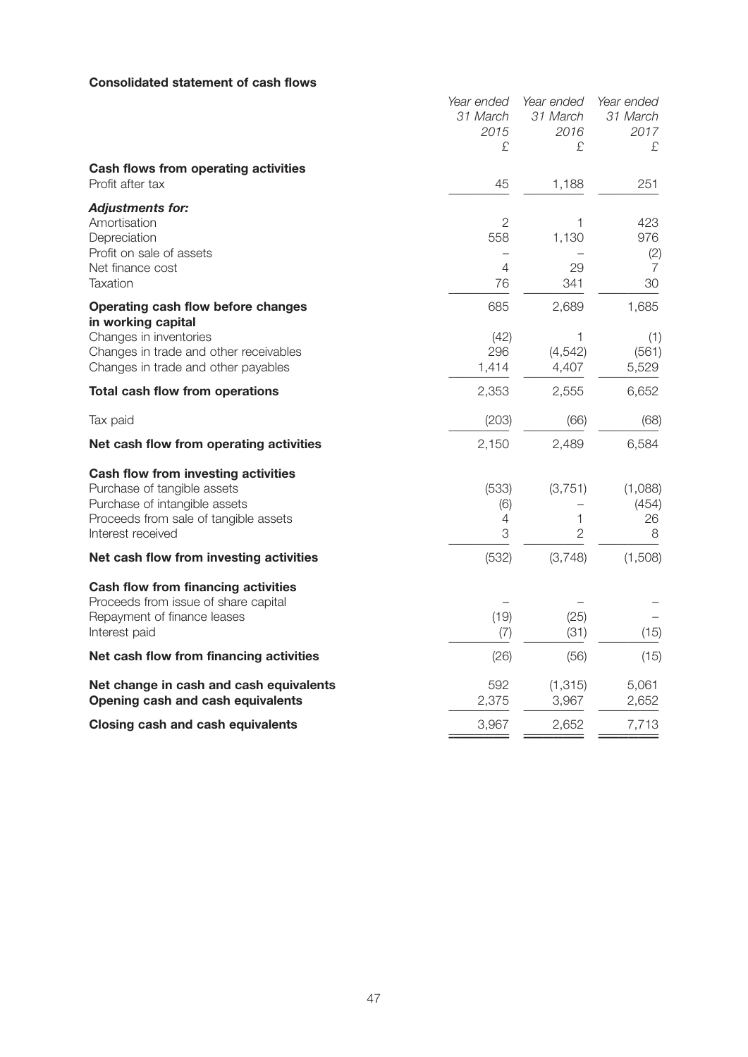### **Consolidated statement of cash flows**

|                                                                                                                                                                          | Year ended<br>31 March           | Year ended<br>31 March          | Year ended<br>31 March         |
|--------------------------------------------------------------------------------------------------------------------------------------------------------------------------|----------------------------------|---------------------------------|--------------------------------|
|                                                                                                                                                                          | 2015<br>£                        | 2016<br>£.                      | 2017<br>£                      |
| Cash flows from operating activities<br>Profit after tax                                                                                                                 | 45                               | 1,188                           | 251                            |
| <b>Adjustments for:</b><br>Amortisation<br>Depreciation<br>Profit on sale of assets<br>Net finance cost<br>Taxation                                                      | $\overline{2}$<br>558<br>4<br>76 | 1,130<br>29<br>341              | 423<br>976<br>(2)<br>7<br>30   |
| Operating cash flow before changes<br>in working capital<br>Changes in inventories<br>Changes in trade and other receivables<br>Changes in trade and other payables      | 685<br>(42)<br>296<br>1,414      | 2,689<br>1<br>(4, 542)<br>4,407 | 1,685<br>(1)<br>(561)<br>5,529 |
| <b>Total cash flow from operations</b>                                                                                                                                   | 2,353                            | 2,555                           | 6,652                          |
| Tax paid                                                                                                                                                                 | (203)                            | (66)                            | (68)                           |
| Net cash flow from operating activities                                                                                                                                  | 2,150                            | 2,489                           | 6,584                          |
| <b>Cash flow from investing activities</b><br>Purchase of tangible assets<br>Purchase of intangible assets<br>Proceeds from sale of tangible assets<br>Interest received | (533)<br>(6)<br>4<br>3           | (3,751)<br>1<br>$\overline{2}$  | (1,088)<br>(454)<br>26<br>8    |
| Net cash flow from investing activities                                                                                                                                  | (532)                            | (3,748)                         | (1,508)                        |
| <b>Cash flow from financing activities</b><br>Proceeds from issue of share capital<br>Repayment of finance leases<br>Interest paid                                       | (19)<br>(7)                      | (25)<br>(31)                    | (15)                           |
| Net cash flow from financing activities                                                                                                                                  | (26)                             | (56)                            | (15)                           |
| Net change in cash and cash equivalents<br>Opening cash and cash equivalents                                                                                             | 592<br>2,375                     | (1, 315)<br>3,967               | 5,061<br>2,652                 |
| <b>Closing cash and cash equivalents</b>                                                                                                                                 | 3,967                            | 2,652                           | 7,713                          |
|                                                                                                                                                                          |                                  |                                 |                                |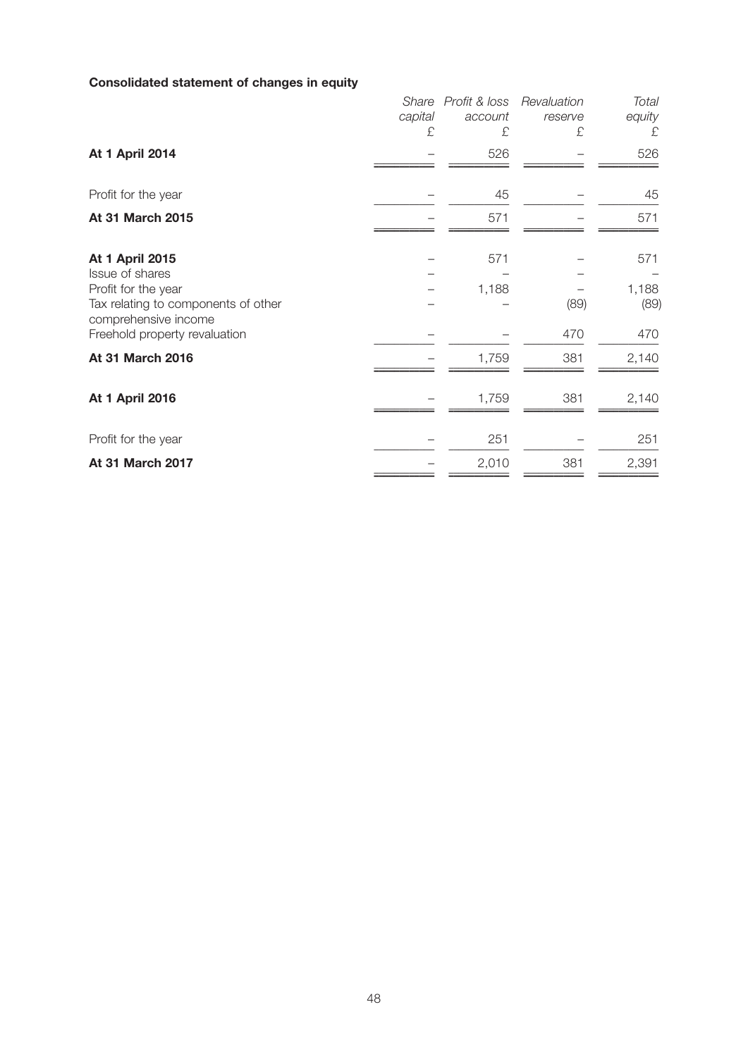# **Consolidated statement of changes in equity**

|                                                                                                                                                                  | Share<br>capital<br>£ | Profit & loss<br>account<br>£ | Revaluation<br>reserve<br>£ | Total<br>equity<br>£        |
|------------------------------------------------------------------------------------------------------------------------------------------------------------------|-----------------------|-------------------------------|-----------------------------|-----------------------------|
| At 1 April 2014                                                                                                                                                  |                       | 526                           |                             | 526                         |
| Profit for the year                                                                                                                                              |                       | 45                            |                             | 45                          |
| At 31 March 2015                                                                                                                                                 |                       | 571                           |                             | 571                         |
| <b>At 1 April 2015</b><br>Issue of shares<br>Profit for the year<br>Tax relating to components of other<br>comprehensive income<br>Freehold property revaluation |                       | 571<br>1,188                  | (89)<br>470                 | 571<br>1,188<br>(89)<br>470 |
| At 31 March 2016                                                                                                                                                 |                       | 1,759                         | 381                         | 2,140                       |
| <b>At 1 April 2016</b>                                                                                                                                           |                       | 1,759                         | 381                         | 2,140                       |
| Profit for the year                                                                                                                                              |                       | 251                           |                             | 251                         |
| At 31 March 2017                                                                                                                                                 |                       | 2,010                         | 381                         | 2,391                       |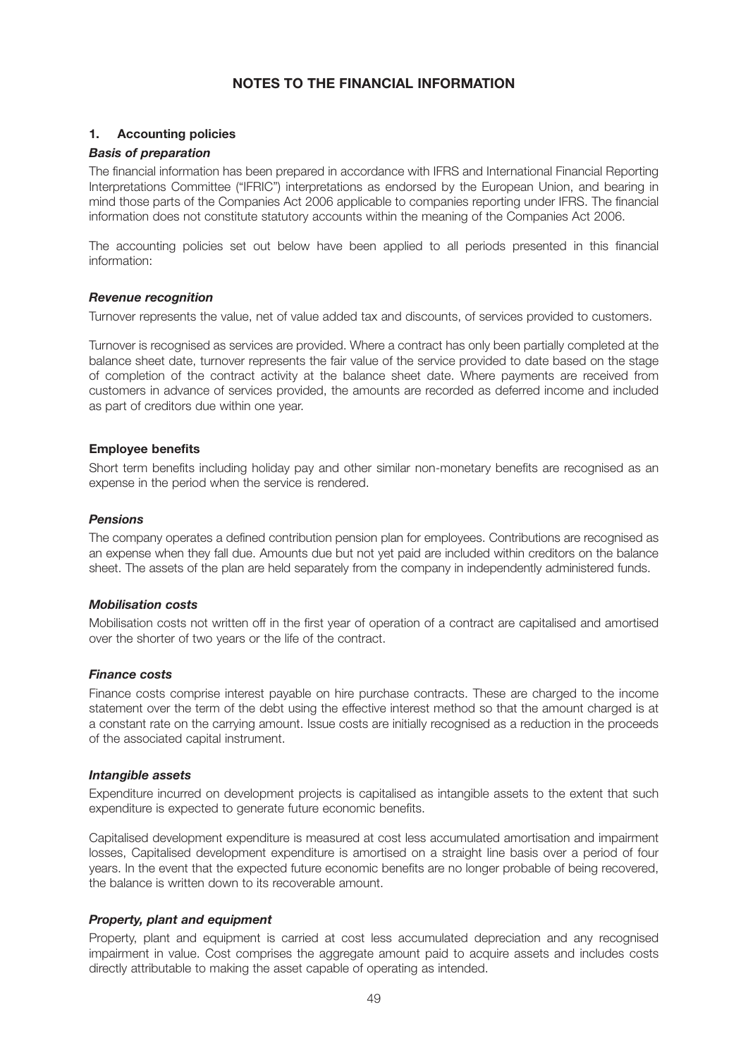### **NOTES TO THE FINANCIAL INFORMATION**

#### **1. Accounting policies**

#### *Basis of preparation*

The financial information has been prepared in accordance with IFRS and International Financial Reporting Interpretations Committee ("IFRIC") interpretations as endorsed by the European Union, and bearing in mind those parts of the Companies Act 2006 applicable to companies reporting under IFRS. The financial information does not constitute statutory accounts within the meaning of the Companies Act 2006.

The accounting policies set out below have been applied to all periods presented in this financial information:

#### *Revenue recognition*

Turnover represents the value, net of value added tax and discounts, of services provided to customers.

Turnover is recognised as services are provided. Where a contract has only been partially completed at the balance sheet date, turnover represents the fair value of the service provided to date based on the stage of completion of the contract activity at the balance sheet date. Where payments are received from customers in advance of services provided, the amounts are recorded as deferred income and included as part of creditors due within one year.

#### **Employee benefits**

Short term benefits including holiday pay and other similar non-monetary benefits are recognised as an expense in the period when the service is rendered.

#### *Pensions*

The company operates a defined contribution pension plan for employees. Contributions are recognised as an expense when they fall due. Amounts due but not yet paid are included within creditors on the balance sheet. The assets of the plan are held separately from the company in independently administered funds.

#### *Mobilisation costs*

Mobilisation costs not written off in the first year of operation of a contract are capitalised and amortised over the shorter of two years or the life of the contract.

#### *Finance costs*

Finance costs comprise interest payable on hire purchase contracts. These are charged to the income statement over the term of the debt using the effective interest method so that the amount charged is at a constant rate on the carrying amount. Issue costs are initially recognised as a reduction in the proceeds of the associated capital instrument.

#### *Intangible assets*

Expenditure incurred on development projects is capitalised as intangible assets to the extent that such expenditure is expected to generate future economic benefits.

Capitalised development expenditure is measured at cost less accumulated amortisation and impairment losses, Capitalised development expenditure is amortised on a straight line basis over a period of four years. In the event that the expected future economic benefits are no longer probable of being recovered, the balance is written down to its recoverable amount.

#### *Property, plant and equipment*

Property, plant and equipment is carried at cost less accumulated depreciation and any recognised impairment in value. Cost comprises the aggregate amount paid to acquire assets and includes costs directly attributable to making the asset capable of operating as intended.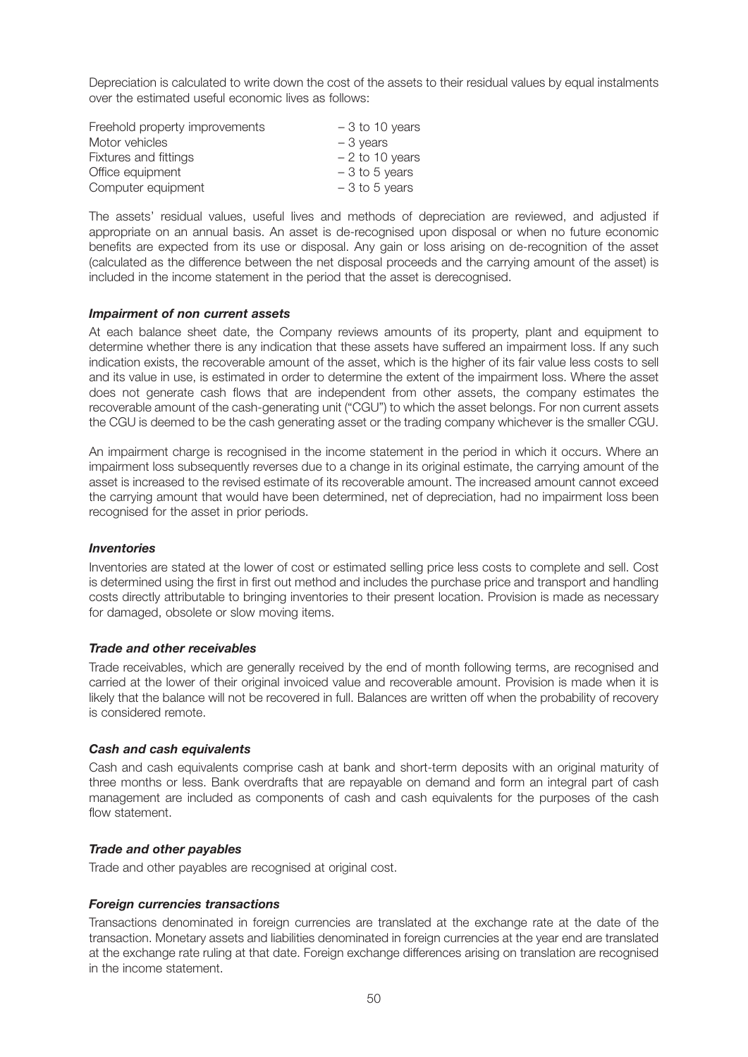Depreciation is calculated to write down the cost of the assets to their residual values by equal instalments over the estimated useful economic lives as follows:

| Freehold property improvements | $-3$ to 10 years |
|--------------------------------|------------------|
| Motor vehicles                 | $-3$ years       |
| Fixtures and fittings          | $-2$ to 10 years |
| Office equipment               | $-3$ to 5 years  |
| Computer equipment             | $-3$ to 5 years  |

The assets' residual values, useful lives and methods of depreciation are reviewed, and adjusted if appropriate on an annual basis. An asset is de-recognised upon disposal or when no future economic benefits are expected from its use or disposal. Any gain or loss arising on de-recognition of the asset (calculated as the difference between the net disposal proceeds and the carrying amount of the asset) is included in the income statement in the period that the asset is derecognised.

#### *Impairment of non current assets*

At each balance sheet date, the Company reviews amounts of its property, plant and equipment to determine whether there is any indication that these assets have suffered an impairment loss. If any such indication exists, the recoverable amount of the asset, which is the higher of its fair value less costs to sell and its value in use, is estimated in order to determine the extent of the impairment loss. Where the asset does not generate cash flows that are independent from other assets, the company estimates the recoverable amount of the cash-generating unit ("CGU") to which the asset belongs. For non current assets the CGU is deemed to be the cash generating asset or the trading company whichever is the smaller CGU.

An impairment charge is recognised in the income statement in the period in which it occurs. Where an impairment loss subsequently reverses due to a change in its original estimate, the carrying amount of the asset is increased to the revised estimate of its recoverable amount. The increased amount cannot exceed the carrying amount that would have been determined, net of depreciation, had no impairment loss been recognised for the asset in prior periods.

#### *Inventories*

Inventories are stated at the lower of cost or estimated selling price less costs to complete and sell. Cost is determined using the first in first out method and includes the purchase price and transport and handling costs directly attributable to bringing inventories to their present location. Provision is made as necessary for damaged, obsolete or slow moving items.

#### *Trade and other receivables*

Trade receivables, which are generally received by the end of month following terms, are recognised and carried at the lower of their original invoiced value and recoverable amount. Provision is made when it is likely that the balance will not be recovered in full. Balances are written off when the probability of recovery is considered remote.

#### *Cash and cash equivalents*

Cash and cash equivalents comprise cash at bank and short-term deposits with an original maturity of three months or less. Bank overdrafts that are repayable on demand and form an integral part of cash management are included as components of cash and cash equivalents for the purposes of the cash flow statement.

#### *Trade and other payables*

Trade and other payables are recognised at original cost.

#### *Foreign currencies transactions*

Transactions denominated in foreign currencies are translated at the exchange rate at the date of the transaction. Monetary assets and liabilities denominated in foreign currencies at the year end are translated at the exchange rate ruling at that date. Foreign exchange differences arising on translation are recognised in the income statement.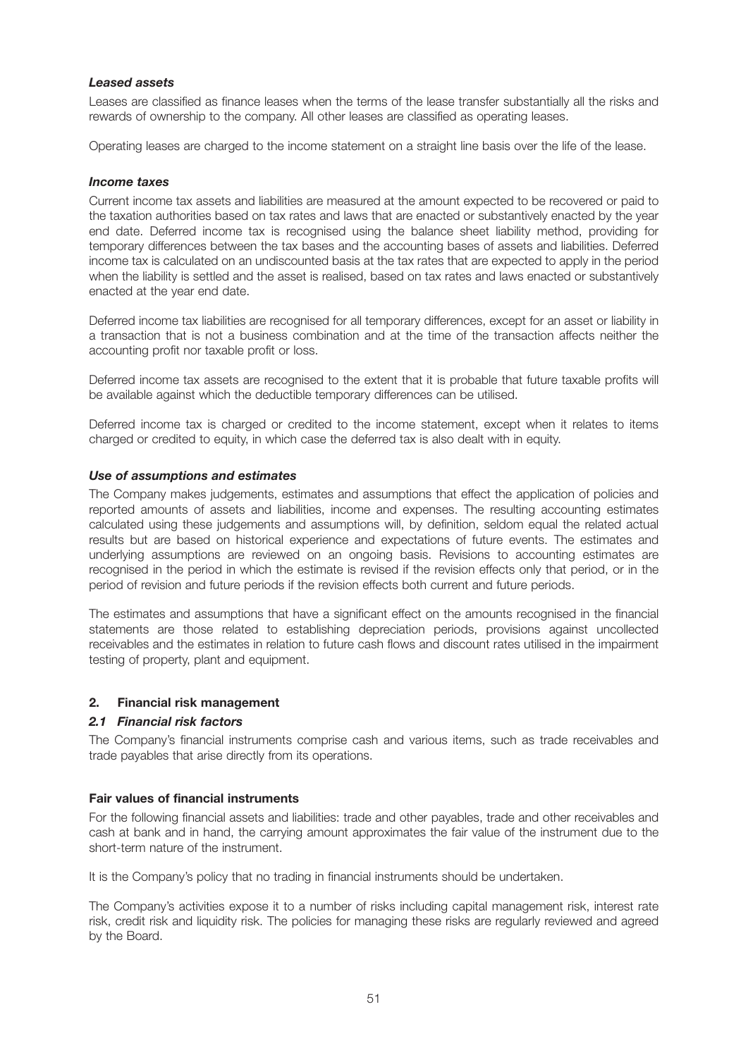#### *Leased assets*

Leases are classified as finance leases when the terms of the lease transfer substantially all the risks and rewards of ownership to the company. All other leases are classified as operating leases.

Operating leases are charged to the income statement on a straight line basis over the life of the lease.

#### *Income taxes*

Current income tax assets and liabilities are measured at the amount expected to be recovered or paid to the taxation authorities based on tax rates and laws that are enacted or substantively enacted by the year end date. Deferred income tax is recognised using the balance sheet liability method, providing for temporary differences between the tax bases and the accounting bases of assets and liabilities. Deferred income tax is calculated on an undiscounted basis at the tax rates that are expected to apply in the period when the liability is settled and the asset is realised, based on tax rates and laws enacted or substantively enacted at the year end date.

Deferred income tax liabilities are recognised for all temporary differences, except for an asset or liability in a transaction that is not a business combination and at the time of the transaction affects neither the accounting profit nor taxable profit or loss.

Deferred income tax assets are recognised to the extent that it is probable that future taxable profits will be available against which the deductible temporary differences can be utilised.

Deferred income tax is charged or credited to the income statement, except when it relates to items charged or credited to equity, in which case the deferred tax is also dealt with in equity.

#### *Use of assumptions and estimates*

The Company makes judgements, estimates and assumptions that effect the application of policies and reported amounts of assets and liabilities, income and expenses. The resulting accounting estimates calculated using these judgements and assumptions will, by definition, seldom equal the related actual results but are based on historical experience and expectations of future events. The estimates and underlying assumptions are reviewed on an ongoing basis. Revisions to accounting estimates are recognised in the period in which the estimate is revised if the revision effects only that period, or in the period of revision and future periods if the revision effects both current and future periods.

The estimates and assumptions that have a significant effect on the amounts recognised in the financial statements are those related to establishing depreciation periods, provisions against uncollected receivables and the estimates in relation to future cash flows and discount rates utilised in the impairment testing of property, plant and equipment.

#### **2. Financial risk management**

#### *2.1 Financial risk factors*

The Company's financial instruments comprise cash and various items, such as trade receivables and trade payables that arise directly from its operations.

#### **Fair values of financial instruments**

For the following financial assets and liabilities: trade and other payables, trade and other receivables and cash at bank and in hand, the carrying amount approximates the fair value of the instrument due to the short-term nature of the instrument.

It is the Company's policy that no trading in financial instruments should be undertaken.

The Company's activities expose it to a number of risks including capital management risk, interest rate risk, credit risk and liquidity risk. The policies for managing these risks are regularly reviewed and agreed by the Board.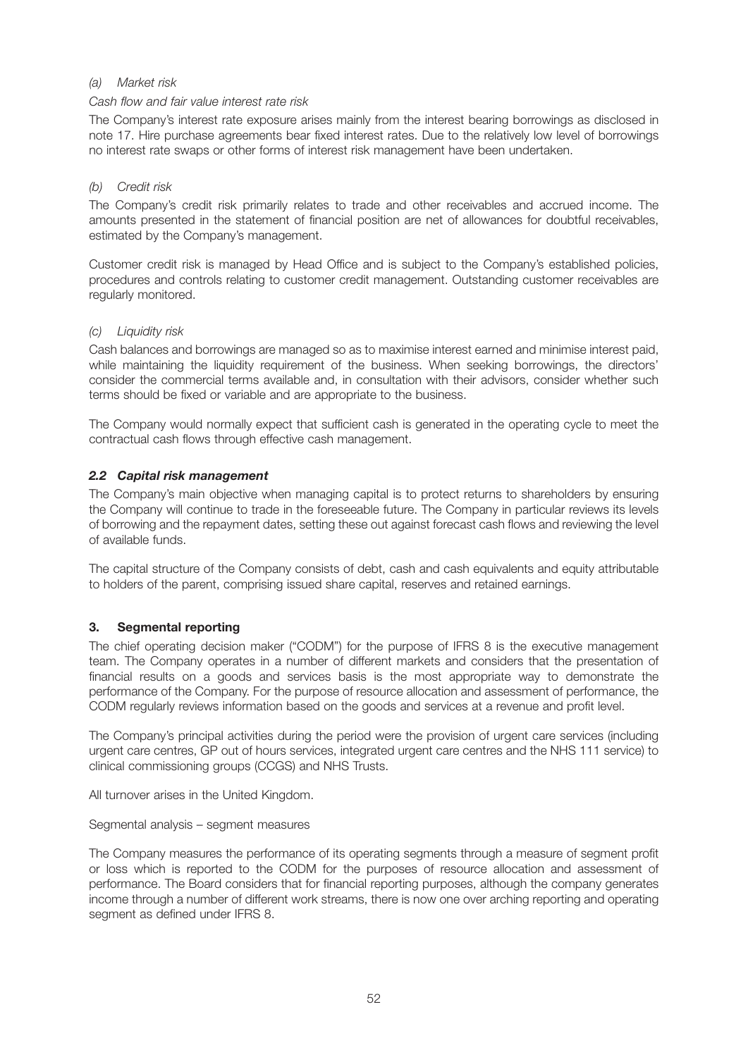### *(a) Market risk*

#### *Cash flow and fair value interest rate risk*

The Company's interest rate exposure arises mainly from the interest bearing borrowings as disclosed in note 17. Hire purchase agreements bear fixed interest rates. Due to the relatively low level of borrowings no interest rate swaps or other forms of interest risk management have been undertaken.

### *(b) Credit risk*

The Company's credit risk primarily relates to trade and other receivables and accrued income. The amounts presented in the statement of financial position are net of allowances for doubtful receivables, estimated by the Company's management.

Customer credit risk is managed by Head Office and is subject to the Company's established policies, procedures and controls relating to customer credit management. Outstanding customer receivables are regularly monitored.

### *(c) Liquidity risk*

Cash balances and borrowings are managed so as to maximise interest earned and minimise interest paid, while maintaining the liquidity requirement of the business. When seeking borrowings, the directors' consider the commercial terms available and, in consultation with their advisors, consider whether such terms should be fixed or variable and are appropriate to the business.

The Company would normally expect that sufficient cash is generated in the operating cycle to meet the contractual cash flows through effective cash management.

### *2.2 Capital risk management*

The Company's main objective when managing capital is to protect returns to shareholders by ensuring the Company will continue to trade in the foreseeable future. The Company in particular reviews its levels of borrowing and the repayment dates, setting these out against forecast cash flows and reviewing the level of available funds.

The capital structure of the Company consists of debt, cash and cash equivalents and equity attributable to holders of the parent, comprising issued share capital, reserves and retained earnings.

### **3. Segmental reporting**

The chief operating decision maker ("CODM") for the purpose of IFRS 8 is the executive management team. The Company operates in a number of different markets and considers that the presentation of financial results on a goods and services basis is the most appropriate way to demonstrate the performance of the Company. For the purpose of resource allocation and assessment of performance, the CODM regularly reviews information based on the goods and services at a revenue and profit level.

The Company's principal activities during the period were the provision of urgent care services (including urgent care centres, GP out of hours services, integrated urgent care centres and the NHS 111 service) to clinical commissioning groups (CCGS) and NHS Trusts.

All turnover arises in the United Kingdom.

Segmental analysis – segment measures

The Company measures the performance of its operating segments through a measure of segment profit or loss which is reported to the CODM for the purposes of resource allocation and assessment of performance. The Board considers that for financial reporting purposes, although the company generates income through a number of different work streams, there is now one over arching reporting and operating segment as defined under IFRS 8.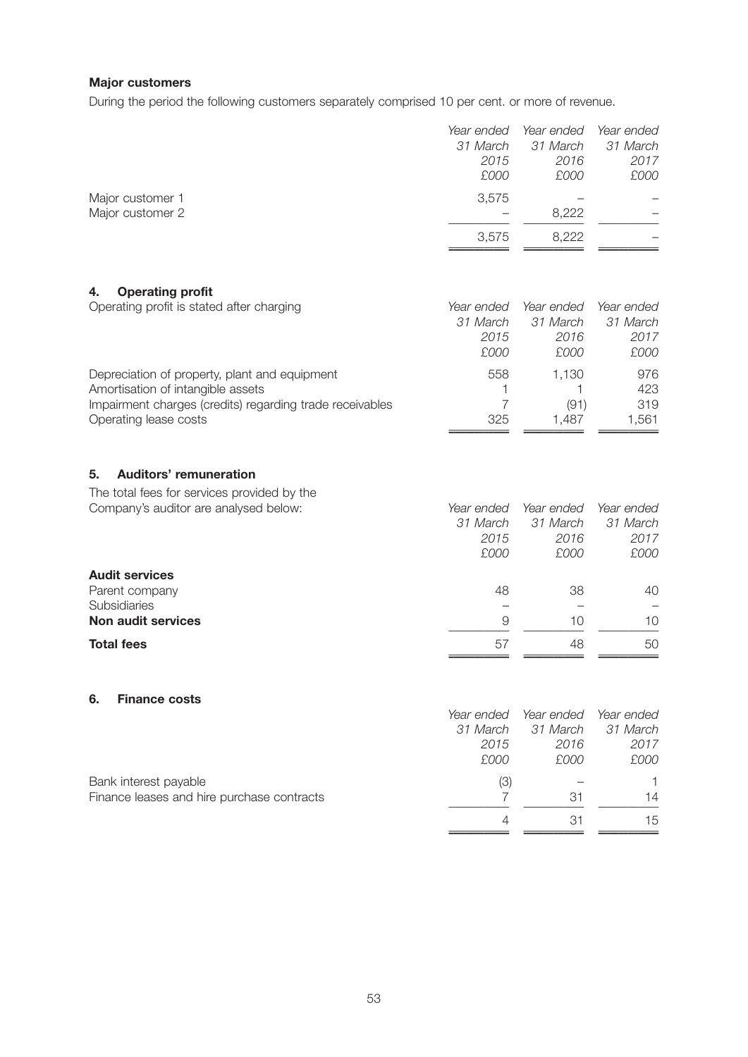#### **Major customers**

During the period the following customers separately comprised 10 per cent. or more of revenue.

|                  | Year ended<br>31 March<br>2015 | Year ended<br>31 March<br>2016 | Year ended<br>31 March<br>2017 |
|------------------|--------------------------------|--------------------------------|--------------------------------|
|                  | £000                           | £000                           | £000                           |
| Major customer 1 | 3,575                          |                                |                                |
| Major customer 2 |                                | 8,222                          |                                |
|                  | 3,575                          | 8,222                          |                                |

### **4. Operating profit**

| Operating profit is stated after charging                | Year ended | Year ended | Year ended |
|----------------------------------------------------------|------------|------------|------------|
|                                                          | 31 March   | 31 March   | 31 March   |
|                                                          | 2015       | 2016       | 2017       |
|                                                          | £000       | £000       | £000       |
| Depreciation of property, plant and equipment            | 558        | 1.130      | 976        |
| Amortisation of intangible assets                        |            |            | 423        |
| Impairment charges (credits) regarding trade receivables |            | (91)       | 319        |
| Operating lease costs                                    | 325        | 1.487      | 1,561      |
|                                                          |            |            |            |

### **5. Auditors' remuneration**

The total fees for services provided by the

|          | Year ended |
|----------|------------|
| 31 March | 31 March   |
| 2016     | 2017       |
| £000     | £000       |
|          |            |
| 38       | 40         |
|          |            |
| 10       | 10         |
| 48       | 50         |
|          |            |

#### **6. Finance costs**

| . .<br>THURD COOL                          |            |            |            |
|--------------------------------------------|------------|------------|------------|
|                                            | Year ended | Year ended | Year ended |
|                                            | 31 March   | 31 March   | 31 March   |
|                                            | 2015       | 2016       | 2017       |
|                                            | £000       | £000       | £000       |
| Bank interest payable                      | (3)        |            |            |
| Finance leases and hire purchase contracts |            | 31         | 14         |
|                                            | 4          | 31         | 15         |
|                                            |            |            |            |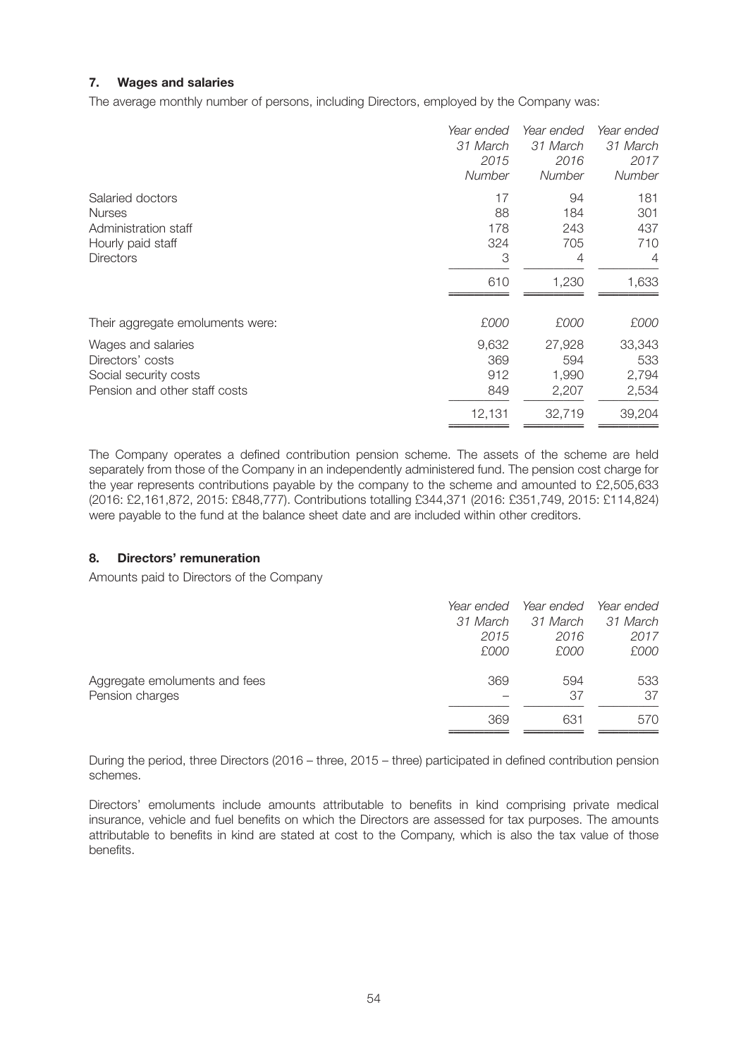### **7. Wages and salaries**

The average monthly number of persons, including Directors, employed by the Company was:

|                                  | Year ended    | Year ended    | Year ended     |
|----------------------------------|---------------|---------------|----------------|
|                                  | 31 March      | 31 March      | 31 March       |
|                                  | 2015          | 2016          | 2017           |
|                                  | <b>Number</b> | <b>Number</b> | <b>Number</b>  |
| Salaried doctors                 | 17            | 94            | 181            |
| <b>Nurses</b>                    | 88            | 184           | 301            |
| Administration staff             | 178           | 243           | 437            |
| Hourly paid staff                | 324           | 705           | 710            |
| <b>Directors</b>                 | 3             | 4             | $\overline{4}$ |
|                                  | 610           | 1,230         | 1,633          |
| Their aggregate emoluments were: | £000          | £000          | £000           |
| Wages and salaries               | 9,632         | 27,928        | 33,343         |
| Directors' costs                 | 369           | 594           | 533            |
| Social security costs            | 912           | 1,990         | 2,794          |
| Pension and other staff costs    | 849           | 2,207         | 2,534          |
|                                  | 12,131        | 32,719        | 39,204         |

The Company operates a defined contribution pension scheme. The assets of the scheme are held separately from those of the Company in an independently administered fund. The pension cost charge for the year represents contributions payable by the company to the scheme and amounted to £2,505,633 (2016: £2,161,872, 2015: £848,777). Contributions totalling £344,371 (2016: £351,749, 2015: £114,824) were payable to the fund at the balance sheet date and are included within other creditors.

#### **8. Directors' remuneration**

Amounts paid to Directors of the Company

|                               | Year ended | Year ended | Year ended |
|-------------------------------|------------|------------|------------|
|                               | 31 March   | 31 March   | 31 March   |
|                               | 2015       | 2016       | 2017       |
|                               | £000       | £000       | £000       |
| Aggregate emoluments and fees | 369        | 594        | 533        |
| Pension charges               |            | 37         | 37         |
|                               | 369        | 631        | 570        |

During the period, three Directors (2016 – three, 2015 – three) participated in defined contribution pension schemes.

Directors' emoluments include amounts attributable to benefits in kind comprising private medical insurance, vehicle and fuel benefits on which the Directors are assessed for tax purposes. The amounts attributable to benefits in kind are stated at cost to the Company, which is also the tax value of those benefits.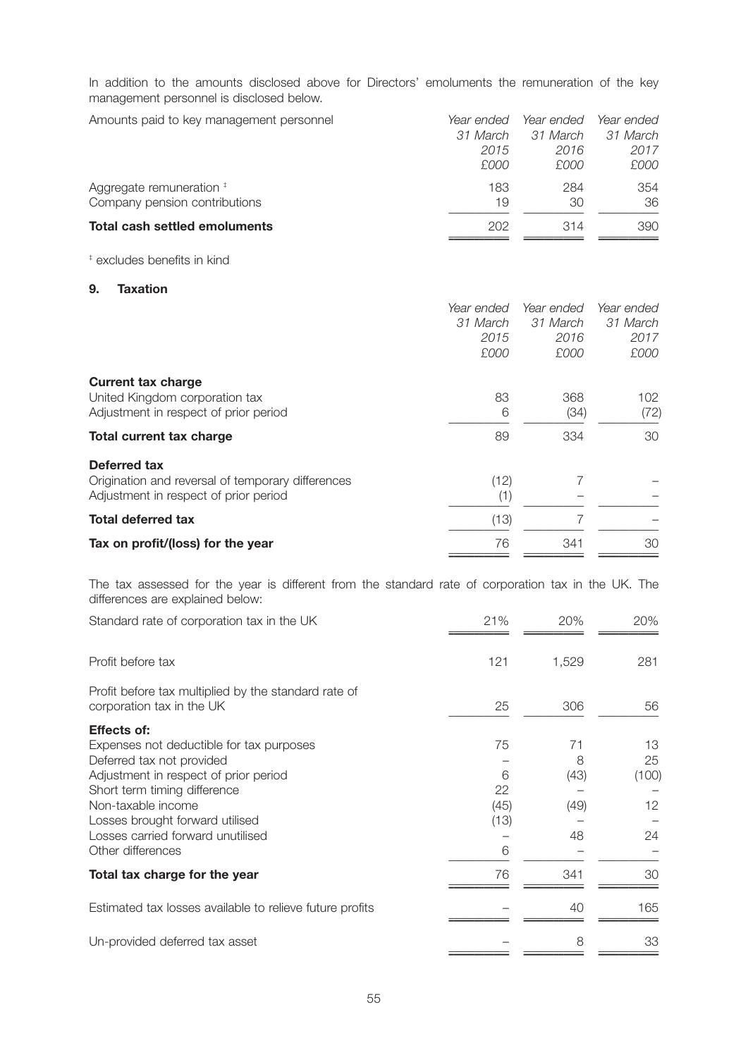In addition to the amounts disclosed above for Directors' emoluments the remuneration of the key management personnel is disclosed below.

| Amounts paid to key management personnel | Year ended | Year ended | Year ended |
|------------------------------------------|------------|------------|------------|
|                                          | 31 March   | 31 March   | 31 March   |
|                                          | 2015       | 2016       | 2017       |
|                                          | £000       | £000       | £000       |
| Aggregate remuneration #                 | 183        | 284        | 354        |
| Company pension contributions            | 19         | 30         | 36         |
| Total cash settled emoluments            | 202        | 314        | 390        |

‡ excludes benefits in kind

#### **9. Taxation**

| Year ended | Year ended | Year ended |
|------------|------------|------------|
| 31 March   | 31 March   | 31 March   |
| 2015       | 2016       | 2017       |
| £000       | £000       | £000       |
|            |            |            |
| 83         | 368        | 102        |
| 6          | (34)       | (72)       |
| 89         | 334        | 30         |
|            |            |            |
| (12)       |            |            |
| (1)        |            |            |
| (13)       |            |            |
| 76         | 341        | 30         |
|            |            |            |

The tax assessed for the year is different from the standard rate of corporation tax in the UK. The differences are explained below:

| Standard rate of corporation tax in the UK                                        | 21%  | 20%   | 20%   |
|-----------------------------------------------------------------------------------|------|-------|-------|
| Profit before tax                                                                 | 121  | 1,529 | 281   |
| Profit before tax multiplied by the standard rate of<br>corporation tax in the UK | 25   | 306   | 56    |
| <b>Effects of:</b>                                                                |      |       |       |
| Expenses not deductible for tax purposes                                          | 75   | 71    | 13    |
| Deferred tax not provided                                                         |      | 8     | 25    |
| Adjustment in respect of prior period                                             | 6    | (43)  | (100) |
| Short term timing difference                                                      | 22   |       |       |
| Non-taxable income                                                                | (45) | (49)  | 12    |
| Losses brought forward utilised                                                   | (13) |       |       |
| Losses carried forward unutilised                                                 |      | 48    | 24    |
| Other differences                                                                 | 6    |       |       |
| Total tax charge for the year                                                     | 76   | 341   | 30    |
| Estimated tax losses available to relieve future profits                          |      | 40    | 165   |
| Un-provided deferred tax asset                                                    |      | 8     | 33    |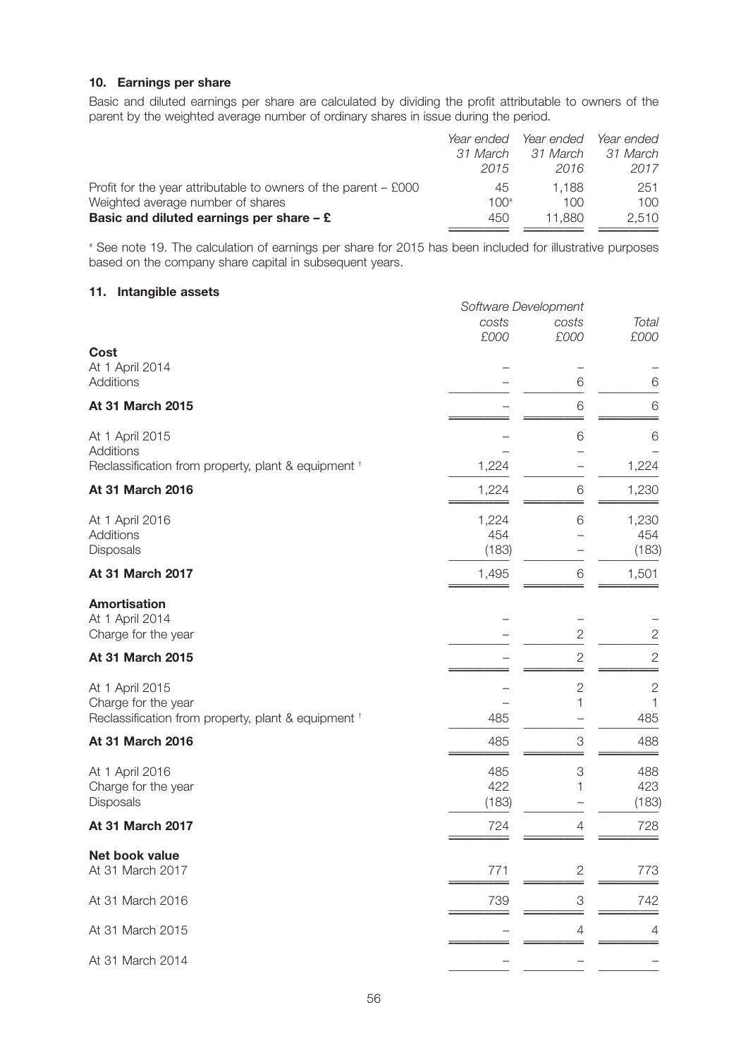#### **10. Earnings per share**

Basic and diluted earnings per share are calculated by dividing the profit attributable to owners of the parent by the weighted average number of ordinary shares in issue during the period.

|                                                                   | Year ended | Year ended | Year ended |
|-------------------------------------------------------------------|------------|------------|------------|
|                                                                   | 31 March   | 31 March   | 31 March   |
|                                                                   | 2015       | 2016       | 2017       |
| Profit for the year attributable to owners of the parent $-$ £000 | 45         | 1.188      | 251        |
| Weighted average number of shares                                 | $100*$     | 100        | $100 -$    |
| Basic and diluted earnings per share $-$ £                        | 450        | 11.880     | 2.510      |
|                                                                   |            |            |            |

# See note 19. The calculation of earnings per share for 2015 has been included for illustrative purposes based on the company share capital in subsequent years.

#### **11. Intangible assets**

|                                                                                               | Software Development  |                 |                       |
|-----------------------------------------------------------------------------------------------|-----------------------|-----------------|-----------------------|
|                                                                                               | costs<br>£000         | costs<br>£000   | Total<br>£000         |
| Cost<br>At 1 April 2014<br>Additions                                                          |                       | 6               | 6                     |
| At 31 March 2015                                                                              |                       | 6               | $6\,$                 |
| At 1 April 2015<br>Additions                                                                  |                       | 6               | 6                     |
| Reclassification from property, plant & equipment +                                           | 1,224                 |                 | 1,224                 |
| At 31 March 2016                                                                              | 1,224                 | 6               | 1,230                 |
| At 1 April 2016<br>Additions<br>Disposals                                                     | 1,224<br>454<br>(183) | 6               | 1,230<br>454<br>(183) |
| At 31 March 2017                                                                              | 1,495                 | $\,6$           | 1,501                 |
| <b>Amortisation</b><br>At 1 April 2014<br>Charge for the year                                 |                       | $\overline{2}$  | $\overline{c}$        |
| At 31 March 2015                                                                              |                       | $\sqrt{2}$      | $\sqrt{2}$            |
| At 1 April 2015<br>Charge for the year<br>Reclassification from property, plant & equipment + | 485                   | $\sqrt{2}$<br>1 | $\sqrt{2}$<br>485     |
| At 31 March 2016                                                                              | 485                   | 3               | 488                   |
| At 1 April 2016<br>Charge for the year<br>Disposals                                           | 485<br>422<br>(183)   | 3<br>1          | 488<br>423<br>(183)   |
| At 31 March 2017                                                                              | 724                   | 4               | 728                   |
| Net book value<br>At 31 March 2017                                                            | 771                   | $\overline{c}$  | 773                   |
| At 31 March 2016                                                                              | 739                   | 3               | 742                   |
| At 31 March 2015                                                                              |                       | 4               | 4                     |
| At 31 March 2014                                                                              |                       |                 |                       |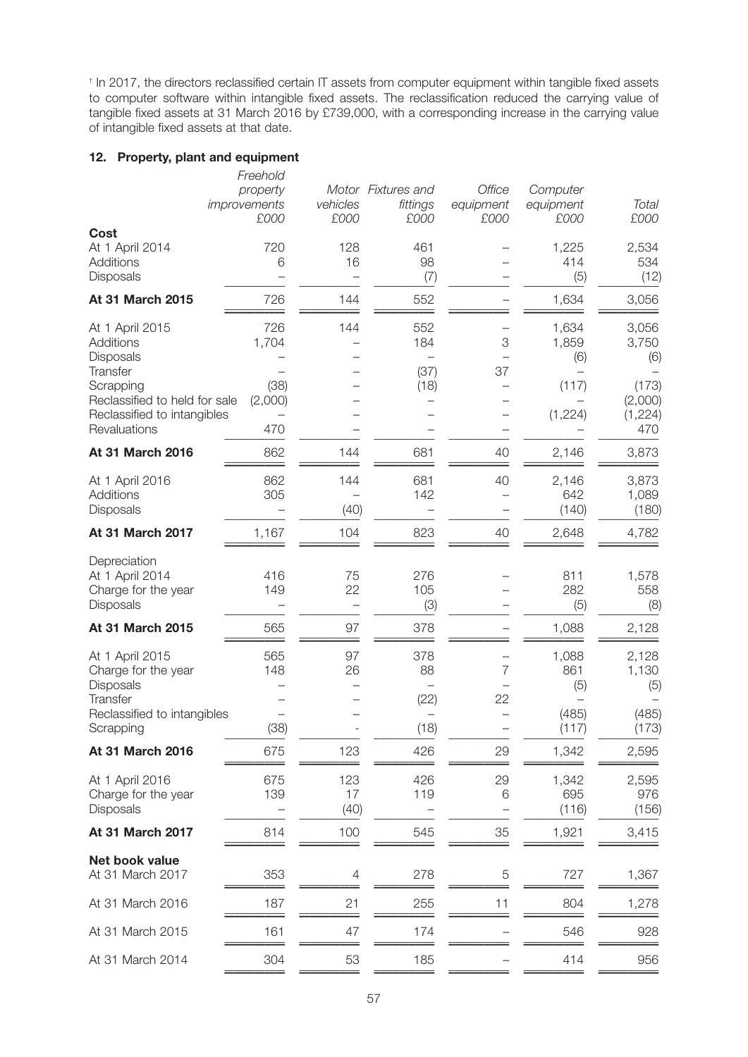† In 2017, the directors reclassified certain IT assets from computer equipment within tangible fixed assets to computer software within intangible fixed assets. The reclassification reduced the carrying value of tangible fixed assets at 31 March 2016 by £739,000, with a corresponding increase in the carrying value of intangible fixed assets at that date.

### **12. Property, plant and equipment**

|                                                                                                                                                    | Freehold<br>property<br>improvements<br>£000 | vehicles<br>£000  | Motor Fixtures and<br>fittings<br>£000        | Office<br>equipment<br>£000 | Computer<br>equipment<br>£000             | Total<br>£000                                               |
|----------------------------------------------------------------------------------------------------------------------------------------------------|----------------------------------------------|-------------------|-----------------------------------------------|-----------------------------|-------------------------------------------|-------------------------------------------------------------|
| Cost                                                                                                                                               |                                              |                   |                                               |                             |                                           |                                                             |
| At 1 April 2014<br><b>Additions</b><br>Disposals                                                                                                   | 720<br>6                                     | 128<br>16         | 461<br>98<br>(7)                              |                             | 1,225<br>414<br>(5)                       | 2,534<br>534<br>(12)                                        |
| At 31 March 2015                                                                                                                                   | 726                                          | 144               | 552                                           |                             | 1,634                                     | 3,056                                                       |
| At 1 April 2015<br>Additions<br>Disposals<br>Transfer<br>Scrapping<br>Reclassified to held for sale<br>Reclassified to intangibles<br>Revaluations | 726<br>1,704<br>(38)<br>(2,000)<br>470       | 144               | 552<br>184<br>(37)<br>(18)                    | 3<br>37                     | 1,634<br>1,859<br>(6)<br>(117)<br>(1,224) | 3,056<br>3,750<br>(6)<br>(173)<br>(2,000)<br>(1,224)<br>470 |
| At 31 March 2016                                                                                                                                   | 862                                          | 144               | 681                                           | 40                          |                                           |                                                             |
|                                                                                                                                                    |                                              |                   |                                               |                             | 2,146                                     | 3,873                                                       |
| At 1 April 2016<br>Additions<br>Disposals                                                                                                          | 862<br>305                                   | 144<br>(40)       | 681<br>142                                    | 40                          | 2,146<br>642<br>(140)                     | 3,873<br>1,089<br>(180)                                     |
| At 31 March 2017                                                                                                                                   | 1,167                                        | 104               | 823                                           | 40                          | 2,648                                     | 4,782                                                       |
| Depreciation<br>At 1 April 2014<br>Charge for the year<br>Disposals                                                                                | 416<br>149                                   | 75<br>22          | 276<br>105<br>(3)                             |                             | 811<br>282<br>(5)                         | 1,578<br>558<br>(8)                                         |
| At 31 March 2015                                                                                                                                   | 565                                          | 97                | 378                                           |                             | 1,088                                     | 2,128                                                       |
| At 1 April 2015<br>Charge for the year<br>Disposals<br>Transfer<br>Reclassified to intangibles                                                     | 565<br>148                                   | 97<br>26          | 378<br>88<br>(22)<br>$\overline{\phantom{0}}$ | 7<br>22                     | 1,088<br>861<br>(5)<br>(485)              | 2,128<br>1,130<br>(5)<br>(485)                              |
| Scrapping                                                                                                                                          | (38)                                         |                   | (18)                                          |                             | (117)                                     | (173)                                                       |
| At 31 March 2016                                                                                                                                   | 675                                          | 123               | 426                                           | 29                          | 1,342                                     | 2,595                                                       |
| At 1 April 2016<br>Charge for the year<br>Disposals                                                                                                | 675<br>139                                   | 123<br>17<br>(40) | 426<br>119                                    | 29<br>6                     | 1,342<br>695<br>(116)                     | 2,595<br>976<br>(156)                                       |
| At 31 March 2017                                                                                                                                   | 814                                          | 100               | 545                                           | 35                          | 1,921                                     | 3,415                                                       |
| Net book value<br>At 31 March 2017                                                                                                                 | 353                                          | 4                 | 278                                           | 5                           | 727                                       | 1,367                                                       |
| At 31 March 2016                                                                                                                                   | 187                                          | 21                | 255                                           | 11                          | 804                                       | 1,278                                                       |
| At 31 March 2015                                                                                                                                   | 161                                          | 47                | 174                                           |                             | 546                                       | 928                                                         |
| At 31 March 2014                                                                                                                                   | 304                                          | 53                | 185                                           |                             | 414                                       | 956                                                         |
|                                                                                                                                                    |                                              |                   |                                               |                             |                                           |                                                             |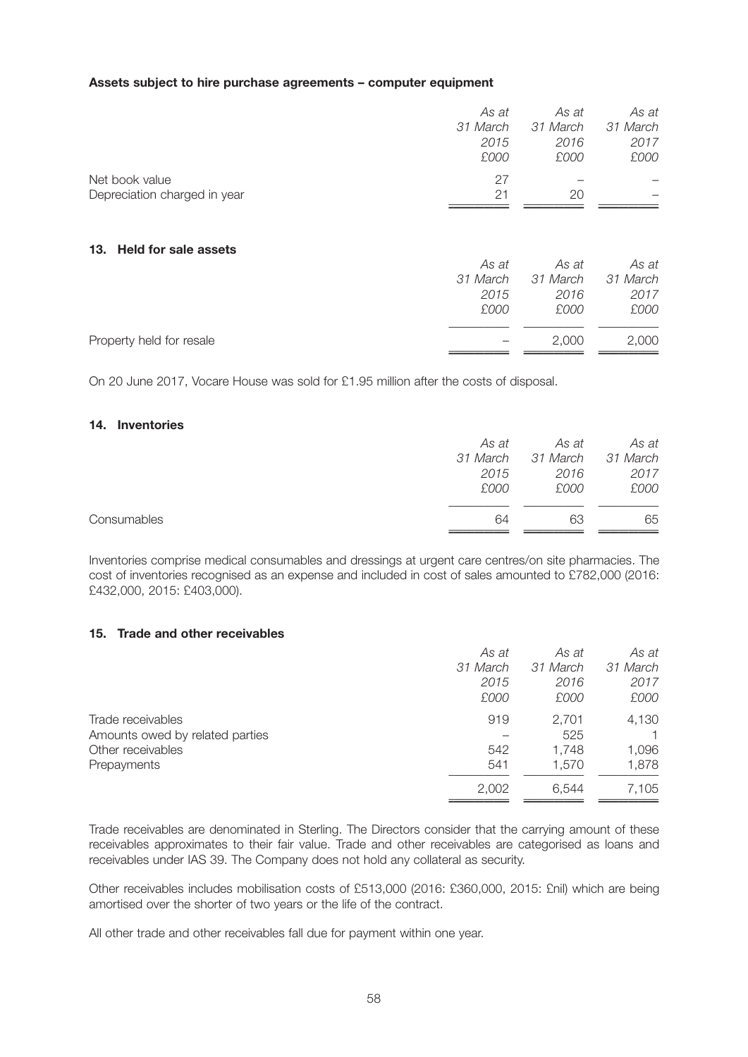#### **Assets subject to hire purchase agreements – computer equipment**

|                                    | As at<br>31 March<br>2015<br>£000 | As at<br>31 March<br>2016<br>£000 | As at<br>31 March<br>2017<br>£000 |
|------------------------------------|-----------------------------------|-----------------------------------|-----------------------------------|
| Net book value                     | 27                                |                                   |                                   |
| Depreciation charged in year       | 21                                | 20                                |                                   |
| <b>Held for sale assets</b><br>13. | As at<br>31 March<br>2015<br>£000 | As at<br>31 March<br>2016<br>£000 | As at<br>31 March<br>2017<br>£000 |
| Property held for resale           |                                   | 2,000                             | 2,000                             |

On 20 June 2017, Vocare House was sold for £1.95 million after the costs of disposal.

#### **14. Inventories**

|             | As at | As at                      | As at |
|-------------|-------|----------------------------|-------|
|             |       | 31 March 31 March 31 March |       |
|             | 2015  | 2016                       | 2017  |
|             | £000  | £000                       | £000  |
|             |       |                            |       |
| Consumables | 64    | 63                         | 65    |
|             |       |                            |       |

Inventories comprise medical consumables and dressings at urgent care centres/on site pharmacies. The cost of inventories recognised as an expense and included in cost of sales amounted to £782,000 (2016: £432,000, 2015: £403,000).

#### **15. Trade and other receivables**

| As at    | As at    | As at    |
|----------|----------|----------|
| 31 March | 31 March | 31 March |
| 2015     | 2016     | 2017     |
| £000     | £000     | £000     |
| 919      | 2.701    | 4,130    |
|          | 525      |          |
| 542      | 1,748    | 1,096    |
| 541      | 1.570    | 1,878    |
| 2,002    | 6.544    | 7,105    |
|          |          |          |

Trade receivables are denominated in Sterling. The Directors consider that the carrying amount of these receivables approximates to their fair value. Trade and other receivables are categorised as loans and receivables under IAS 39. The Company does not hold any collateral as security.

Other receivables includes mobilisation costs of £513,000 (2016: £360,000, 2015: £nil) which are being amortised over the shorter of two years or the life of the contract.

All other trade and other receivables fall due for payment within one year.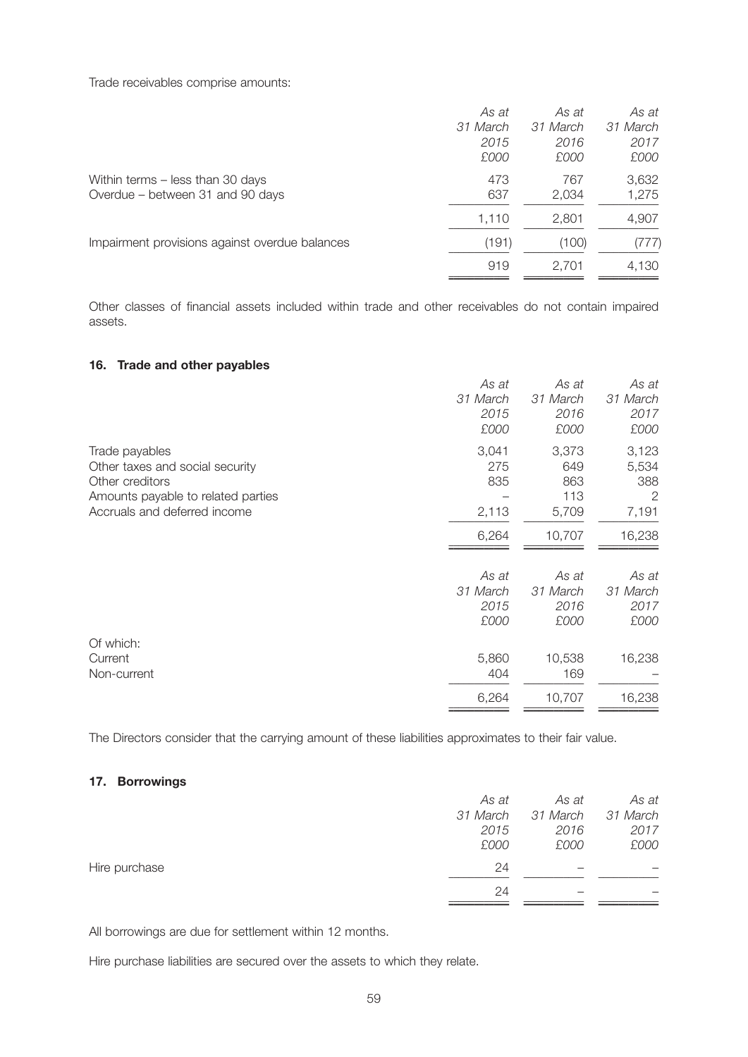Trade receivables comprise amounts:

|                                                | As at    | As at    | As at    |
|------------------------------------------------|----------|----------|----------|
|                                                | 31 March | 31 March | 31 March |
|                                                | 2015     | 2016     | 2017     |
|                                                | £000     | £000     | £000     |
| Within terms - less than 30 days               | 473      | 767      | 3,632    |
| Overdue – between 31 and 90 days               | 637      | 2,034    | 1,275    |
|                                                | 1,110    | 2,801    | 4,907    |
| Impairment provisions against overdue balances | (191)    | (100)    | (777)    |
|                                                | 919      | 2,701    | 4,130    |
|                                                |          |          |          |

Other classes of financial assets included within trade and other receivables do not contain impaired assets.

#### **16. Trade and other payables**

| As at<br>31 March<br>2015<br>£000 | As at<br>31 March<br>2016<br>£000   | As at<br>31 March<br>2017<br>£000                |
|-----------------------------------|-------------------------------------|--------------------------------------------------|
| 3,041<br>275<br>835<br>2,113      | 3,373<br>649<br>863<br>113<br>5,709 | 3,123<br>5,534<br>388<br>$\overline{2}$<br>7,191 |
| 6,264                             | 10,707                              | 16,238                                           |
| As at<br>31 March<br>2015<br>£000 | As at<br>31 March<br>2016<br>£000   | As at<br>31 March<br>2017<br>£000                |
| 5,860<br>404<br>6,264             | 10,538<br>169<br>10,707             | 16,238<br>16,238                                 |
|                                   |                                     |                                                  |

The Directors consider that the carrying amount of these liabilities approximates to their fair value.

### **17. Borrowings**

|               | As at    | As at    | As at    |
|---------------|----------|----------|----------|
|               | 31 March | 31 March | 31 March |
|               | 2015     | 2016     | 2017     |
|               | £000     | £000     | £000     |
| Hire purchase | 24       |          |          |
|               | 24       |          |          |
|               |          |          |          |

All borrowings are due for settlement within 12 months.

Hire purchase liabilities are secured over the assets to which they relate.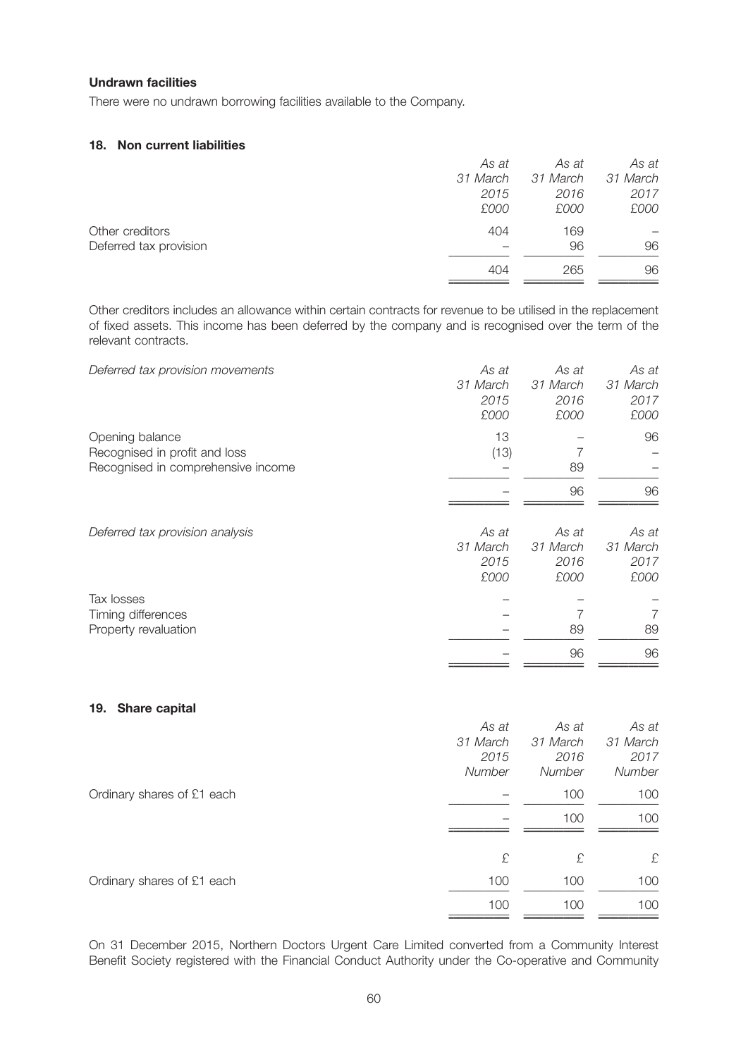#### **Undrawn facilities**

There were no undrawn borrowing facilities available to the Company.

### **18. Non current liabilities**

|                        | As at    | As at    | As at    |
|------------------------|----------|----------|----------|
|                        | 31 March | 31 March | 31 March |
|                        | 2015     | 2016     | 2017     |
|                        | £000     | £000     | £000     |
| Other creditors        | 404      | 169      |          |
| Deferred tax provision |          | 96       | 96       |
|                        | 404      | 265      | 96       |

Other creditors includes an allowance within certain contracts for revenue to be utilised in the replacement of fixed assets. This income has been deferred by the company and is recognised over the term of the relevant contracts.

| Deferred tax provision movements   | As at    | As at    | As at    |
|------------------------------------|----------|----------|----------|
|                                    | 31 March | 31 March | 31 March |
|                                    | 2015     | 2016     | 2017     |
|                                    | £000     | £000     | £000     |
| Opening balance                    | 13       |          | 96       |
| Recognised in profit and loss      | (13)     |          |          |
| Recognised in comprehensive income |          | 89       |          |
|                                    |          | 96       | 96       |
|                                    |          |          |          |
| Deferred tax provision analysis    | As at    | As at    | As at    |
|                                    | 31 March | 31 March | 31 March |
|                                    | 2015     | 2016     | 2017     |
|                                    | £000     | £000     | £000     |
| Tax losses                         |          |          |          |
| Timing differences                 |          |          | 7        |
| Property revaluation               |          | 89       | 89       |
|                                    |          | 96       | 96       |
|                                    |          |          |          |

#### **19. Share capital**

|                            | As at    | As at    | As at    |
|----------------------------|----------|----------|----------|
|                            | 31 March | 31 March | 31 March |
|                            | 2015     | 2016     | 2017     |
|                            | Number   | Number   | Number   |
| Ordinary shares of £1 each |          | 100      | 100      |
|                            |          | 100      | 100      |
|                            |          |          |          |
|                            | £        | £        | £        |
| Ordinary shares of £1 each | 100      | 100      | 100      |
|                            | 100      | 100      | 100      |
|                            |          |          |          |

On 31 December 2015, Northern Doctors Urgent Care Limited converted from a Community Interest Benefit Society registered with the Financial Conduct Authority under the Co-operative and Community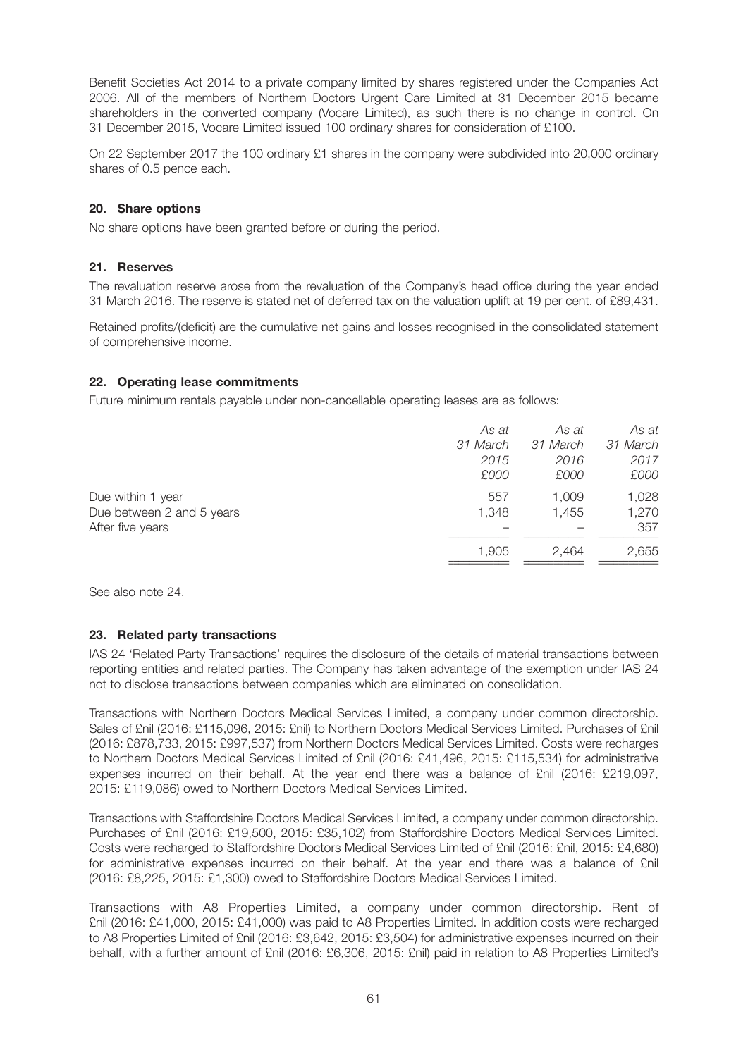Benefit Societies Act 2014 to a private company limited by shares registered under the Companies Act 2006. All of the members of Northern Doctors Urgent Care Limited at 31 December 2015 became shareholders in the converted company (Vocare Limited), as such there is no change in control. On 31 December 2015, Vocare Limited issued 100 ordinary shares for consideration of £100.

On 22 September 2017 the 100 ordinary £1 shares in the company were subdivided into 20,000 ordinary shares of 0.5 pence each.

#### **20. Share options**

No share options have been granted before or during the period.

#### **21. Reserves**

The revaluation reserve arose from the revaluation of the Company's head office during the year ended 31 March 2016. The reserve is stated net of deferred tax on the valuation uplift at 19 per cent. of £89,431.

Retained profits/(deficit) are the cumulative net gains and losses recognised in the consolidated statement of comprehensive income.

#### **22. Operating lease commitments**

Future minimum rentals payable under non-cancellable operating leases are as follows:

| As at    | As at    | As at    |
|----------|----------|----------|
| 31 March | 31 March | 31 March |
| 2015     | 2016     | 2017     |
| £000     | £000     | £000     |
| 557      | 1,009    | 1,028    |
| 1,348    | 1,455    | 1,270    |
|          |          | 357      |
| 1,905    | 2.464    | 2,655    |
|          |          |          |

See also note 24.

#### **23. Related party transactions**

IAS 24 'Related Party Transactions' requires the disclosure of the details of material transactions between reporting entities and related parties. The Company has taken advantage of the exemption under IAS 24 not to disclose transactions between companies which are eliminated on consolidation.

Transactions with Northern Doctors Medical Services Limited, a company under common directorship. Sales of £nil (2016: £115,096, 2015: £nil) to Northern Doctors Medical Services Limited. Purchases of £nil (2016: £878,733, 2015: £997,537) from Northern Doctors Medical Services Limited. Costs were recharges to Northern Doctors Medical Services Limited of £nil (2016: £41,496, 2015: £115,534) for administrative expenses incurred on their behalf. At the year end there was a balance of £nil (2016: £219,097, 2015: £119,086) owed to Northern Doctors Medical Services Limited.

Transactions with Staffordshire Doctors Medical Services Limited, a company under common directorship. Purchases of £nil (2016: £19,500, 2015: £35,102) from Staffordshire Doctors Medical Services Limited. Costs were recharged to Staffordshire Doctors Medical Services Limited of £nil (2016: £nil, 2015: £4,680) for administrative expenses incurred on their behalf. At the year end there was a balance of £nil (2016: £8,225, 2015: £1,300) owed to Staffordshire Doctors Medical Services Limited.

Transactions with A8 Properties Limited, a company under common directorship. Rent of £nil (2016: £41,000, 2015: £41,000) was paid to A8 Properties Limited. In addition costs were recharged to A8 Properties Limited of £nil (2016: £3,642, 2015: £3,504) for administrative expenses incurred on their behalf, with a further amount of £nil (2016: £6,306, 2015: £nil) paid in relation to A8 Properties Limited's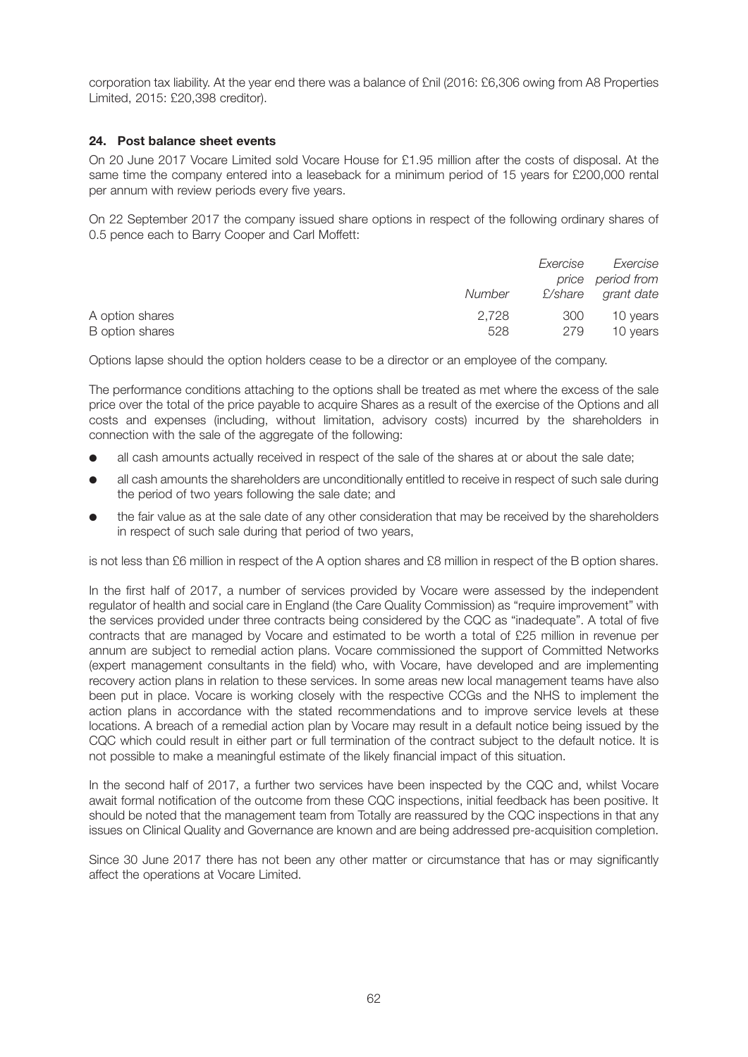corporation tax liability. At the year end there was a balance of £nil (2016: £6,306 owing from A8 Properties Limited, 2015: £20,398 creditor).

#### **24. Post balance sheet events**

On 20 June 2017 Vocare Limited sold Vocare House for £1.95 million after the costs of disposal. At the same time the company entered into a leaseback for a minimum period of 15 years for £200,000 rental per annum with review periods every five years.

On 22 September 2017 the company issued share options in respect of the following ordinary shares of 0.5 pence each to Barry Cooper and Carl Moffett:

|                 |        | Exercise | Exercise           |
|-----------------|--------|----------|--------------------|
|                 |        |          | price period from  |
|                 | Number |          | £/share grant date |
| A option shares | 2.728  | 300      | 10 years           |
| B option shares | 528    | 279      | 10 years           |

Options lapse should the option holders cease to be a director or an employee of the company.

The performance conditions attaching to the options shall be treated as met where the excess of the sale price over the total of the price payable to acquire Shares as a result of the exercise of the Options and all costs and expenses (including, without limitation, advisory costs) incurred by the shareholders in connection with the sale of the aggregate of the following:

- all cash amounts actually received in respect of the sale of the shares at or about the sale date;
- all cash amounts the shareholders are unconditionally entitled to receive in respect of such sale during the period of two years following the sale date; and
- the fair value as at the sale date of any other consideration that may be received by the shareholders in respect of such sale during that period of two years,

is not less than £6 million in respect of the A option shares and £8 million in respect of the B option shares.

In the first half of 2017, a number of services provided by Vocare were assessed by the independent regulator of health and social care in England (the Care Quality Commission) as "require improvement" with the services provided under three contracts being considered by the CQC as "inadequate". A total of five contracts that are managed by Vocare and estimated to be worth a total of £25 million in revenue per annum are subject to remedial action plans. Vocare commissioned the support of Committed Networks (expert management consultants in the field) who, with Vocare, have developed and are implementing recovery action plans in relation to these services. In some areas new local management teams have also been put in place. Vocare is working closely with the respective CCGs and the NHS to implement the action plans in accordance with the stated recommendations and to improve service levels at these locations. A breach of a remedial action plan by Vocare may result in a default notice being issued by the CQC which could result in either part or full termination of the contract subject to the default notice. It is not possible to make a meaningful estimate of the likely financial impact of this situation.

In the second half of 2017, a further two services have been inspected by the CQC and, whilst Vocare await formal notification of the outcome from these CQC inspections, initial feedback has been positive. It should be noted that the management team from Totally are reassured by the CQC inspections in that any issues on Clinical Quality and Governance are known and are being addressed pre-acquisition completion.

Since 30 June 2017 there has not been any other matter or circumstance that has or may significantly affect the operations at Vocare Limited.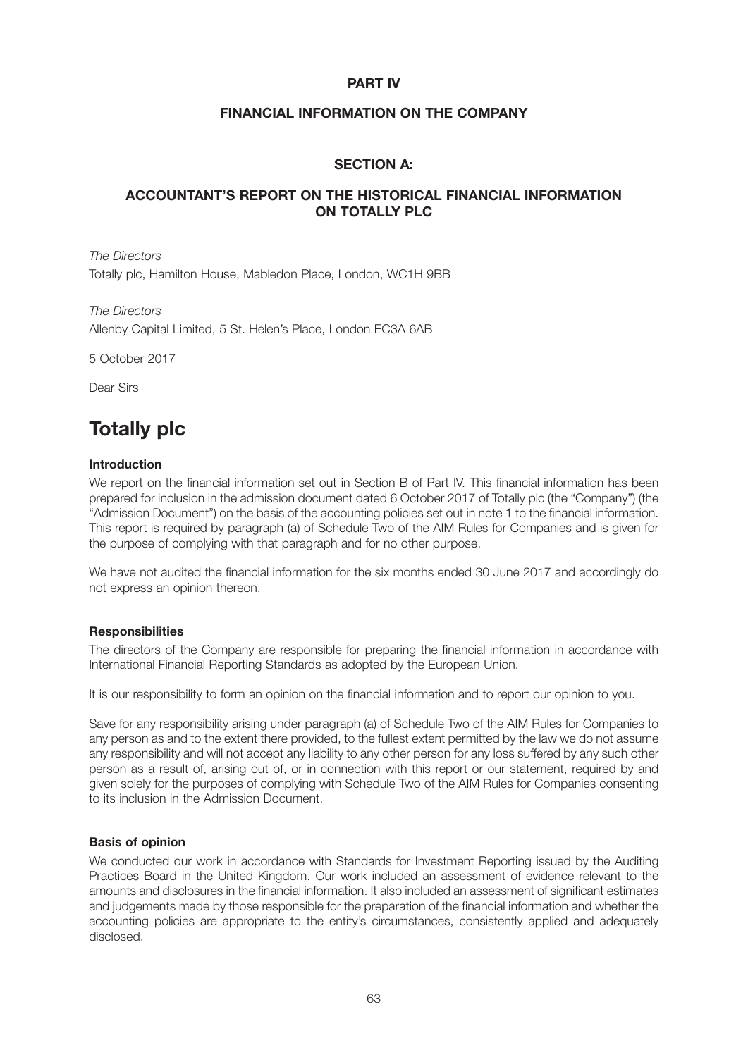### **PART IV**

### **FINANCIAL INFORMATION ON THE COMPANY**

### **SECTION A:**

### **ACCOUNTANT'S REPORT ON THE HISTORICAL FINANCIAL INFORMATION ON TOTALLY PLC**

*The Directors* Totally plc, Hamilton House, Mabledon Place, London, WC1H 9BB

*The Directors* Allenby Capital Limited, 5 St. Helen's Place, London EC3A 6AB

5 October 2017

Dear Sirs

# **Totally plc**

#### **Introduction**

We report on the financial information set out in Section B of Part IV. This financial information has been prepared for inclusion in the admission document dated 6 October 2017 of Totally plc (the "Company") (the "Admission Document") on the basis of the accounting policies set out in note 1 to the financial information. This report is required by paragraph (a) of Schedule Two of the AIM Rules for Companies and is given for the purpose of complying with that paragraph and for no other purpose.

We have not audited the financial information for the six months ended 30 June 2017 and accordingly do not express an opinion thereon.

#### **Responsibilities**

The directors of the Company are responsible for preparing the financial information in accordance with International Financial Reporting Standards as adopted by the European Union.

It is our responsibility to form an opinion on the financial information and to report our opinion to you.

Save for any responsibility arising under paragraph (a) of Schedule Two of the AIM Rules for Companies to any person as and to the extent there provided, to the fullest extent permitted by the law we do not assume any responsibility and will not accept any liability to any other person for any loss suffered by any such other person as a result of, arising out of, or in connection with this report or our statement, required by and given solely for the purposes of complying with Schedule Two of the AIM Rules for Companies consenting to its inclusion in the Admission Document.

#### **Basis of opinion**

We conducted our work in accordance with Standards for Investment Reporting issued by the Auditing Practices Board in the United Kingdom. Our work included an assessment of evidence relevant to the amounts and disclosures in the financial information. It also included an assessment of significant estimates and judgements made by those responsible for the preparation of the financial information and whether the accounting policies are appropriate to the entity's circumstances, consistently applied and adequately disclosed.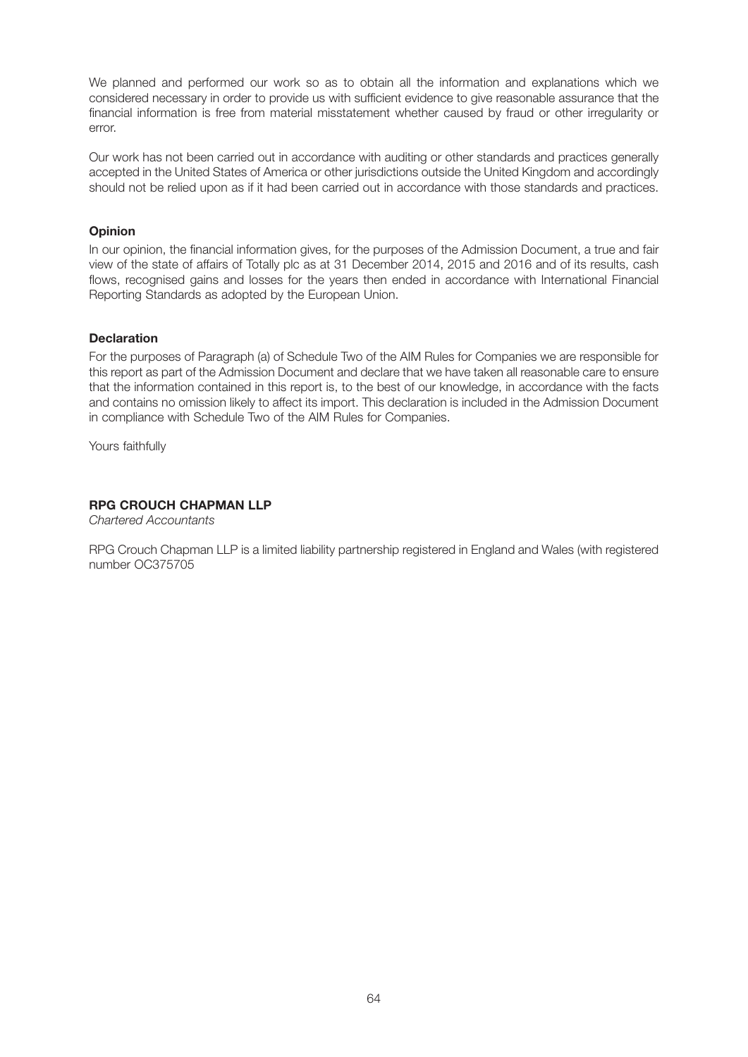We planned and performed our work so as to obtain all the information and explanations which we considered necessary in order to provide us with sufficient evidence to give reasonable assurance that the financial information is free from material misstatement whether caused by fraud or other irregularity or error.

Our work has not been carried out in accordance with auditing or other standards and practices generally accepted in the United States of America or other jurisdictions outside the United Kingdom and accordingly should not be relied upon as if it had been carried out in accordance with those standards and practices.

#### **Opinion**

In our opinion, the financial information gives, for the purposes of the Admission Document, a true and fair view of the state of affairs of Totally plc as at 31 December 2014, 2015 and 2016 and of its results, cash flows, recognised gains and losses for the years then ended in accordance with International Financial Reporting Standards as adopted by the European Union.

#### **Declaration**

For the purposes of Paragraph (a) of Schedule Two of the AIM Rules for Companies we are responsible for this report as part of the Admission Document and declare that we have taken all reasonable care to ensure that the information contained in this report is, to the best of our knowledge, in accordance with the facts and contains no omission likely to affect its import. This declaration is included in the Admission Document in compliance with Schedule Two of the AIM Rules for Companies.

Yours faithfully

#### **RPG CROUCH CHAPMAN LLP**

*Chartered Accountants*

RPG Crouch Chapman LLP is a limited liability partnership registered in England and Wales (with registered number OC375705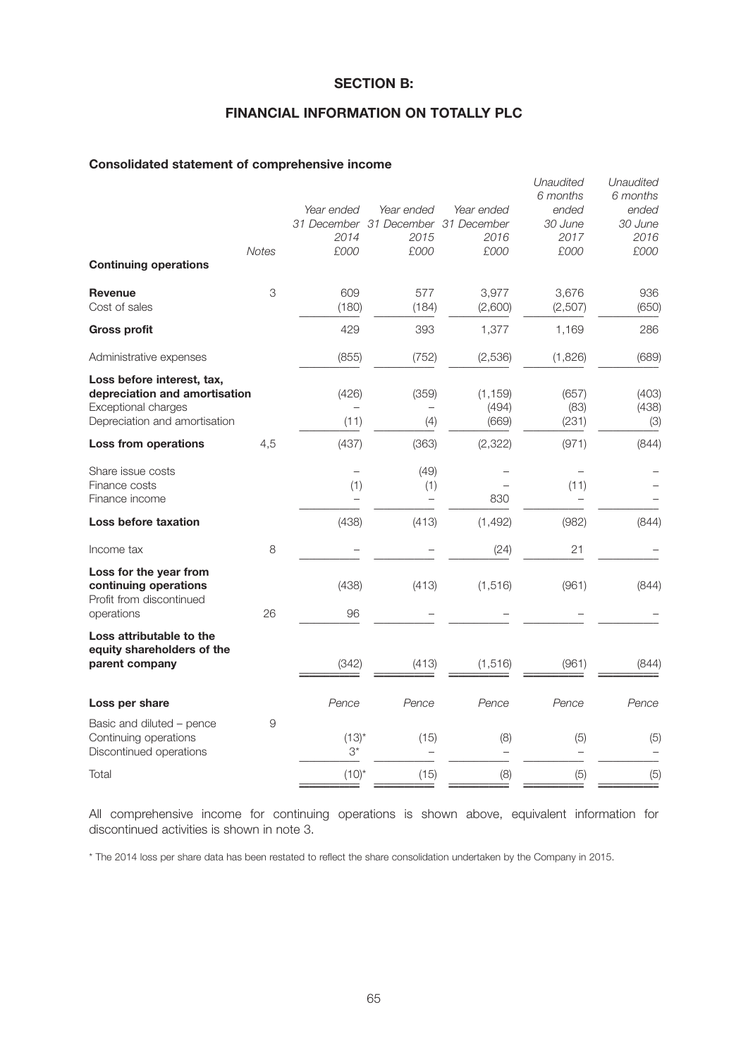### **SECTION B:**

### **FINANCIAL INFORMATION ON TOTALLY PLC**

#### **Consolidated statement of comprehensive income**

|                                                                                                                     | <b>Notes</b> | Year ended<br>2014<br>£000 | Year ended<br>31 December 31 December 31 December<br>2015<br>£000 | Year ended<br>2016<br>£000 | Unaudited<br>6 months<br>ended<br>30 June<br>2017<br>£000 | Unaudited<br>6 months<br>ended<br>30 June<br>2016<br>£000 |
|---------------------------------------------------------------------------------------------------------------------|--------------|----------------------------|-------------------------------------------------------------------|----------------------------|-----------------------------------------------------------|-----------------------------------------------------------|
| <b>Continuing operations</b>                                                                                        |              |                            |                                                                   |                            |                                                           |                                                           |
| <b>Revenue</b><br>Cost of sales                                                                                     | 3            | 609<br>(180)               | 577<br>(184)                                                      | 3,977<br>(2,600)           | 3,676<br>(2,507)                                          | 936<br>(650)                                              |
| <b>Gross profit</b>                                                                                                 |              | 429                        | 393                                                               | 1,377                      | 1,169                                                     | 286                                                       |
| Administrative expenses                                                                                             |              | (855)                      | (752)                                                             | (2,536)                    | (1,826)                                                   | (689)                                                     |
| Loss before interest, tax,<br>depreciation and amortisation<br>Exceptional charges<br>Depreciation and amortisation |              | (426)<br>(11)              | (359)<br>(4)                                                      | (1, 159)<br>(494)<br>(669) | (657)<br>(83)<br>(231)                                    | (403)<br>(438)<br>(3)                                     |
| Loss from operations                                                                                                | 4,5          | (437)                      | (363)                                                             | (2,322)                    | (971)                                                     | (844)                                                     |
| Share issue costs<br>Finance costs<br>Finance income                                                                |              | (1)                        | (49)<br>(1)                                                       | 830                        | (11)                                                      |                                                           |
| Loss before taxation                                                                                                |              | (438)                      | (413)                                                             | (1, 492)                   | (982)                                                     | (844)                                                     |
| Income tax                                                                                                          | 8            |                            |                                                                   | (24)                       | 21                                                        |                                                           |
| Loss for the year from<br>continuing operations<br>Profit from discontinued<br>operations                           | 26           | (438)<br>96                | (413)                                                             | (1, 516)                   | (961)                                                     | (844)                                                     |
| Loss attributable to the<br>equity shareholders of the<br>parent company                                            |              | (342)                      | (413)                                                             | (1, 516)                   | (961)                                                     | (844)                                                     |
| Loss per share                                                                                                      |              | Pence                      | Pence                                                             | Pence                      | Pence                                                     | Pence                                                     |
| Basic and diluted - pence<br>Continuing operations<br>Discontinued operations                                       | 9            | $(13)^{*}$<br>$3^*$        | (15)                                                              | (8)                        | (5)                                                       | (5)                                                       |
| Total                                                                                                               |              | $(10)^{*}$                 | (15)                                                              | (8)                        | (5)                                                       | (5)                                                       |
|                                                                                                                     |              |                            |                                                                   |                            |                                                           |                                                           |

All comprehensive income for continuing operations is shown above, equivalent information for discontinued activities is shown in note 3.

\* The 2014 loss per share data has been restated to reflect the share consolidation undertaken by the Company in 2015.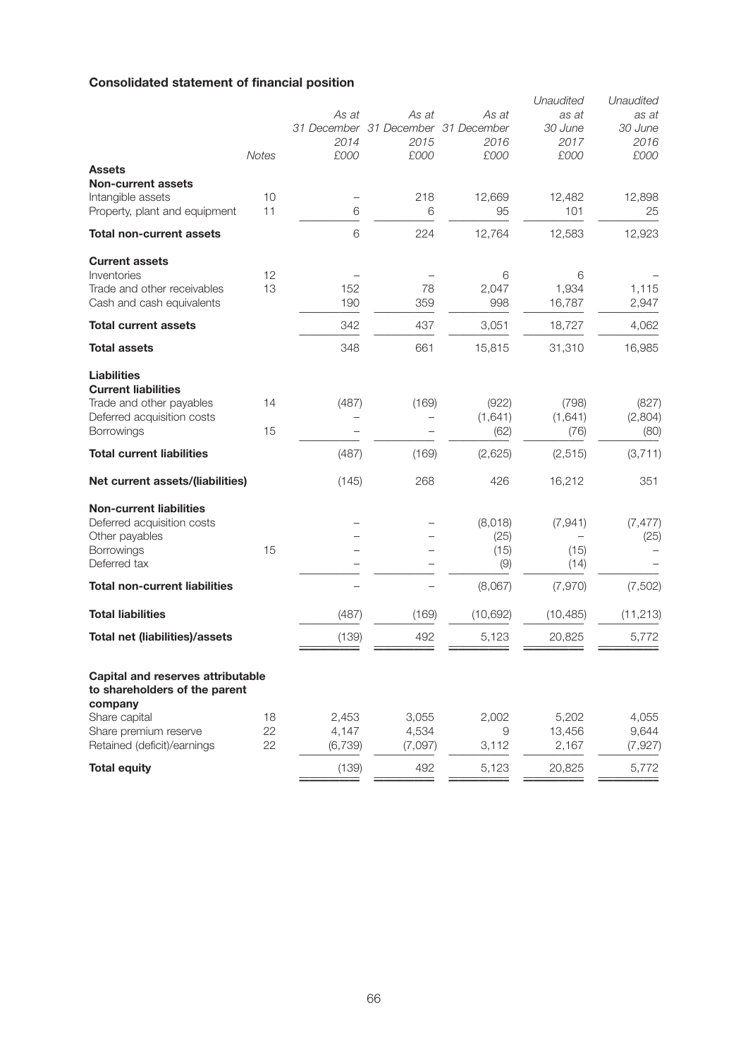# **Consolidated statement of financial position**

| <b>Assets</b>                                                                                                                   | <b>Notes</b>   | As at<br>2014<br>£000     | As at<br>31 December 31 December 31 December<br>2015<br>£000 | As at<br>2016<br>£000          | Unaudited<br>as at<br>30 June<br>2017<br>£000 | Unaudited<br>as at<br>30 June<br>2016<br>£000 |
|---------------------------------------------------------------------------------------------------------------------------------|----------------|---------------------------|--------------------------------------------------------------|--------------------------------|-----------------------------------------------|-----------------------------------------------|
| <b>Non-current assets</b><br>Intangible assets<br>Property, plant and equipment                                                 | 10<br>11       | 6                         | 218<br>6                                                     | 12,669<br>95                   | 12,482<br>101                                 | 12,898<br>25                                  |
| <b>Total non-current assets</b>                                                                                                 |                | 6                         | 224                                                          | 12,764                         | 12,583                                        | 12,923                                        |
| <b>Current assets</b><br>Inventories<br>Trade and other receivables<br>Cash and cash equivalents                                | 12<br>13       | 152<br>190                | 78<br>359                                                    | 6<br>2,047<br>998              | 6<br>1,934<br>16,787                          | 1,115<br>2,947                                |
| <b>Total current assets</b>                                                                                                     |                | 342                       | 437                                                          | 3,051                          | 18,727                                        | 4,062                                         |
| <b>Total assets</b>                                                                                                             |                | 348                       | 661                                                          | 15,815                         | 31,310                                        | 16,985                                        |
| <b>Liabilities</b><br><b>Current liabilities</b><br>Trade and other payables<br>Deferred acquisition costs<br><b>Borrowings</b> | 14<br>15       | (487)                     | (169)                                                        | (922)<br>(1,641)<br>(62)       | (798)<br>(1,641)<br>(76)                      | (827)<br>(2,804)<br>(80)                      |
| <b>Total current liabilities</b>                                                                                                |                | (487)                     | (169)                                                        | (2,625)                        | (2, 515)                                      | (3, 711)                                      |
| Net current assets/(liabilities)                                                                                                |                | (145)                     | 268                                                          | 426                            | 16,212                                        | 351                                           |
| <b>Non-current liabilities</b><br>Deferred acquisition costs<br>Other payables<br>Borrowings<br>Deferred tax                    | 15             |                           |                                                              | (8,018)<br>(25)<br>(15)<br>(9) | (7, 941)<br>(15)<br>(14)                      | (7, 477)<br>(25)                              |
| <b>Total non-current liabilities</b>                                                                                            |                |                           |                                                              | (8,067)                        | (7, 970)                                      | (7,502)                                       |
| <b>Total liabilities</b>                                                                                                        |                | (487)                     | (169)                                                        | (10, 692)                      | (10, 485)                                     | (11, 213)                                     |
| <b>Total net (liabilities)/assets</b>                                                                                           |                | (139)                     | 492                                                          | 5,123                          | 20,825                                        | 5,772                                         |
| Capital and reserves attributable<br>to shareholders of the parent<br>company                                                   |                |                           |                                                              |                                |                                               |                                               |
| Share capital<br>Share premium reserve<br>Retained (deficit)/earnings                                                           | 18<br>22<br>22 | 2,453<br>4,147<br>(6,739) | 3,055<br>4,534<br>(7,097)                                    | 2,002<br>9<br>3,112            | 5,202<br>13,456<br>2,167                      | 4,055<br>9,644<br>(7, 927)                    |
| <b>Total equity</b>                                                                                                             |                | (139)                     | 492                                                          | 5,123                          | 20,825                                        | 5,772                                         |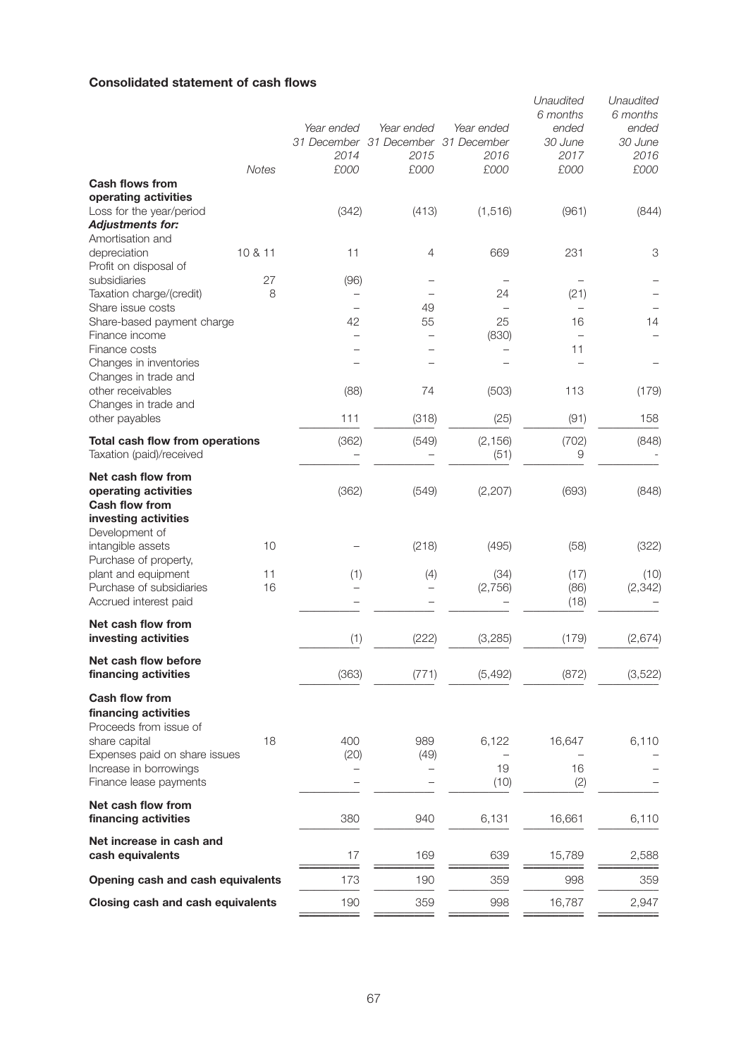### **Consolidated statement of cash flows**

|                                                                                             |              | Year ended<br>2014             | Year ended<br>31 December 31 December 31 December<br>2015 | Year ended<br>2016 | Unaudited<br>6 months<br>ended<br>30 June<br>2017 | Unaudited<br>6 months<br>ended<br>30 June<br>2016 |
|---------------------------------------------------------------------------------------------|--------------|--------------------------------|-----------------------------------------------------------|--------------------|---------------------------------------------------|---------------------------------------------------|
|                                                                                             | <b>Notes</b> | £000                           | £000                                                      | £000               | £000                                              | £000                                              |
| <b>Cash flows from</b><br>operating activities                                              |              |                                |                                                           |                    |                                                   |                                                   |
| Loss for the year/period                                                                    |              | (342)                          | (413)                                                     | (1, 516)           | (961)                                             | (844)                                             |
| <b>Adjustments for:</b>                                                                     |              |                                |                                                           |                    |                                                   |                                                   |
| Amortisation and                                                                            |              |                                |                                                           |                    |                                                   |                                                   |
| depreciation                                                                                | 10 & 11      | 11                             | 4                                                         | 669                | 231                                               | 3                                                 |
| Profit on disposal of                                                                       |              |                                |                                                           |                    |                                                   |                                                   |
| subsidiaries                                                                                | 27           | (96)                           |                                                           |                    |                                                   |                                                   |
| Taxation charge/(credit)                                                                    | 8            |                                |                                                           | 24                 | (21)                                              |                                                   |
| Share issue costs                                                                           |              |                                | 49                                                        |                    |                                                   |                                                   |
| Share-based payment charge<br>Finance income                                                |              | 42<br>$\overline{\phantom{0}}$ | 55                                                        | 25<br>(830)        | 16                                                | 14                                                |
| Finance costs                                                                               |              | $\overline{\phantom{0}}$       |                                                           |                    | 11                                                |                                                   |
| Changes in inventories                                                                      |              |                                |                                                           |                    |                                                   |                                                   |
| Changes in trade and                                                                        |              |                                |                                                           |                    |                                                   |                                                   |
| other receivables                                                                           |              | (88)                           | 74                                                        | (503)              | 113                                               | (179)                                             |
| Changes in trade and                                                                        |              |                                |                                                           |                    |                                                   |                                                   |
| other payables                                                                              |              | 111                            | (318)                                                     | (25)               | (91)                                              | 158                                               |
| <b>Total cash flow from operations</b>                                                      |              | (362)                          | (549)                                                     | (2, 156)           | (702)                                             | (848)                                             |
| Taxation (paid)/received                                                                    |              |                                |                                                           | (51)               | 9                                                 |                                                   |
| Net cash flow from<br>operating activities<br><b>Cash flow from</b><br>investing activities |              | (362)                          | (549)                                                     | (2, 207)           | (693)                                             | (848)                                             |
| Development of<br>intangible assets                                                         | 10           |                                | (218)                                                     | (495)              | (58)                                              | (322)                                             |
| Purchase of property,<br>plant and equipment                                                | 11           | (1)                            | (4)                                                       | (34)               | (17)                                              | (10)                                              |
| Purchase of subsidiaries                                                                    | 16           |                                |                                                           | (2,756)            | (86)                                              | (2, 342)                                          |
| Accrued interest paid                                                                       |              |                                |                                                           |                    | (18)                                              |                                                   |
| Net cash flow from<br>investing activities                                                  |              |                                |                                                           |                    |                                                   |                                                   |
|                                                                                             |              | (1)                            | (222)                                                     | (3,285)            | (179)                                             | (2,674)                                           |
| Net cash flow before<br>financing activities                                                |              | (363)                          | (771)                                                     | (5, 492)           | (872)                                             | (3, 522)                                          |
| <b>Cash flow from</b>                                                                       |              |                                |                                                           |                    |                                                   |                                                   |
| financing activities<br>Proceeds from issue of                                              |              |                                |                                                           |                    |                                                   |                                                   |
| share capital                                                                               | 18           | 400                            | 989                                                       | 6,122              | 16,647                                            | 6,110                                             |
| Expenses paid on share issues                                                               |              | (20)                           | (49)                                                      |                    |                                                   |                                                   |
| Increase in borrowings                                                                      |              |                                |                                                           | 19                 | 16                                                |                                                   |
| Finance lease payments                                                                      |              |                                |                                                           | (10)               | (2)                                               |                                                   |
| Net cash flow from<br>financing activities                                                  |              | 380                            | 940                                                       | 6,131              | 16,661                                            | 6,110                                             |
| Net increase in cash and<br>cash equivalents                                                |              | 17                             | 169                                                       | 639                | 15,789                                            | 2,588                                             |
| Opening cash and cash equivalents                                                           |              | 173                            | 190                                                       | 359                | 998                                               | 359                                               |
| Closing cash and cash equivalents                                                           |              | 190                            | 359                                                       | 998                | 16,787                                            | 2,947                                             |
|                                                                                             |              |                                |                                                           |                    |                                                   |                                                   |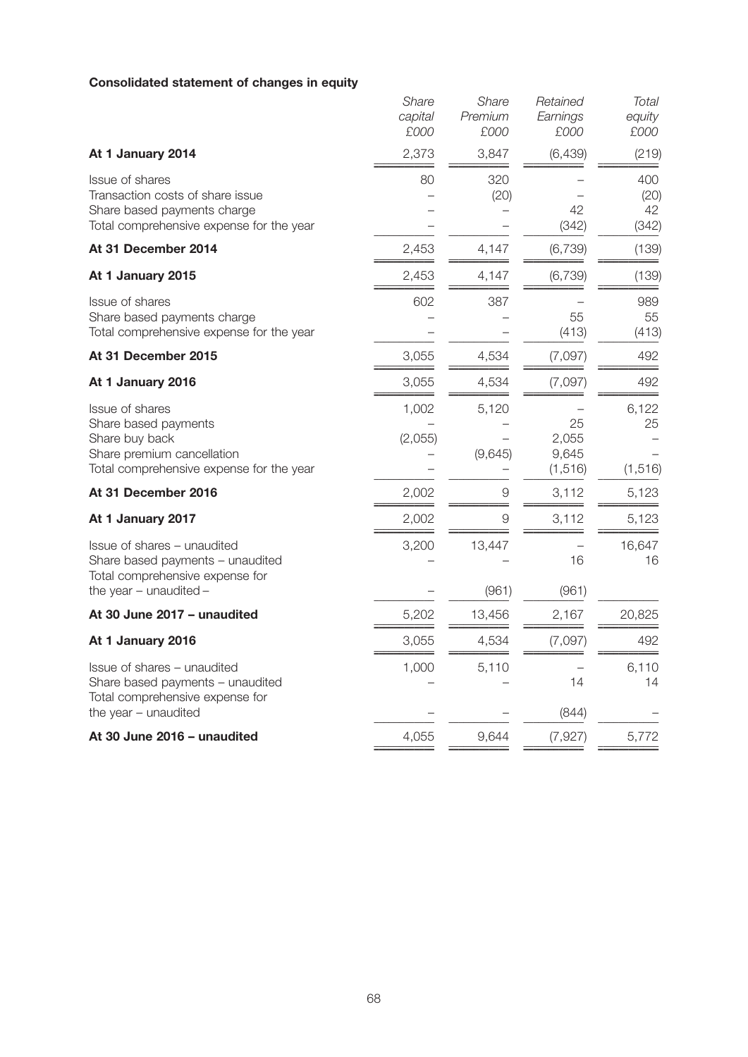# **Consolidated statement of changes in equity**

|                                                                                                                                            | Share<br>capital<br>£000 | Share<br>Premium<br>£000 | Retained<br>Earnings<br>£000     | <b>Total</b><br>equity<br>£000 |
|--------------------------------------------------------------------------------------------------------------------------------------------|--------------------------|--------------------------|----------------------------------|--------------------------------|
| At 1 January 2014                                                                                                                          | 2,373                    | 3,847                    | (6, 439)                         | (219)                          |
| <b>Issue of shares</b><br>Transaction costs of share issue<br>Share based payments charge<br>Total comprehensive expense for the year      | 80                       | 320<br>(20)              | 42<br>(342)                      | 400<br>(20)<br>42<br>(342)     |
| At 31 December 2014                                                                                                                        | 2,453                    | 4,147                    | (6, 739)                         | (139)                          |
| At 1 January 2015                                                                                                                          | 2,453                    | 4,147                    | (6, 739)                         | (139)                          |
| <b>Issue of shares</b><br>Share based payments charge<br>Total comprehensive expense for the year                                          | 602                      | 387                      | 55<br>(413)                      | 989<br>55<br>(413)             |
| At 31 December 2015                                                                                                                        | 3,055                    | 4,534                    | (7,097)                          | 492                            |
| At 1 January 2016                                                                                                                          | 3,055                    | 4,534                    | (7,097)                          | 492                            |
| <b>Issue of shares</b><br>Share based payments<br>Share buy back<br>Share premium cancellation<br>Total comprehensive expense for the year | 1,002<br>(2,055)         | 5,120<br>(9,645)         | 25<br>2,055<br>9,645<br>(1, 516) | 6,122<br>25<br>(1, 516)        |
| At 31 December 2016                                                                                                                        | 2,002                    | $\Theta$                 | 3,112                            | 5,123                          |
| At 1 January 2017                                                                                                                          | 2,002                    | $\overline{9}$           | 3,112                            | 5,123                          |
| Issue of shares - unaudited<br>Share based payments - unaudited<br>Total comprehensive expense for                                         | 3,200                    | 13,447                   | 16                               | 16,647<br>16                   |
| the year $-$ unaudited $-$                                                                                                                 |                          | (961)                    | (961)                            |                                |
| At 30 June 2017 - unaudited                                                                                                                | 5,202                    | 13,456                   | 2,167                            | 20,825                         |
| At 1 January 2016                                                                                                                          | 3,055                    | 4,534                    | (7,097)                          | 492                            |
| Issue of shares - unaudited<br>Share based payments - unaudited<br>Total comprehensive expense for                                         | 1,000                    | 5,110                    | 14                               | 6,110<br>14                    |
| the year - unaudited                                                                                                                       |                          |                          | (844)                            |                                |
| At 30 June 2016 - unaudited                                                                                                                | 4,055                    | 9,644                    | (7, 927)                         | 5,772                          |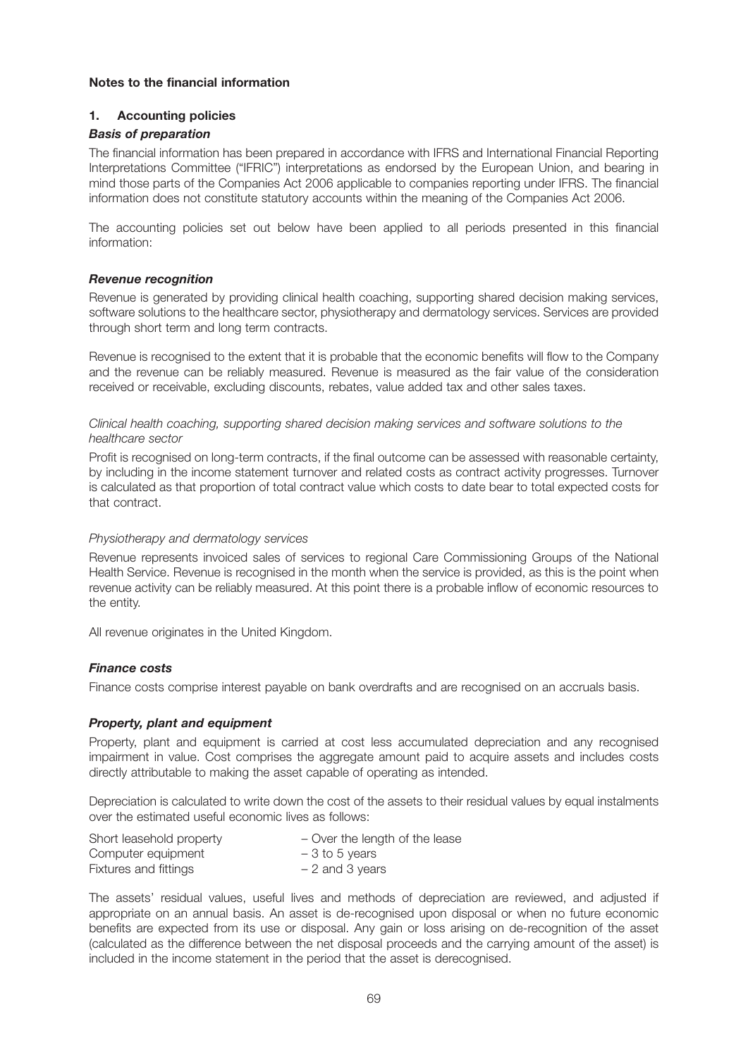#### **Notes to the financial information**

#### **1. Accounting policies**

#### *Basis of preparation*

The financial information has been prepared in accordance with IFRS and International Financial Reporting Interpretations Committee ("IFRIC") interpretations as endorsed by the European Union, and bearing in mind those parts of the Companies Act 2006 applicable to companies reporting under IFRS. The financial information does not constitute statutory accounts within the meaning of the Companies Act 2006.

The accounting policies set out below have been applied to all periods presented in this financial information:

#### *Revenue recognition*

Revenue is generated by providing clinical health coaching, supporting shared decision making services, software solutions to the healthcare sector, physiotherapy and dermatology services. Services are provided through short term and long term contracts.

Revenue is recognised to the extent that it is probable that the economic benefits will flow to the Company and the revenue can be reliably measured. Revenue is measured as the fair value of the consideration received or receivable, excluding discounts, rebates, value added tax and other sales taxes.

*Clinical health coaching, supporting shared decision making services and software solutions to the healthcare sector*

Profit is recognised on long-term contracts, if the final outcome can be assessed with reasonable certainty, by including in the income statement turnover and related costs as contract activity progresses. Turnover is calculated as that proportion of total contract value which costs to date bear to total expected costs for that contract.

#### *Physiotherapy and dermatology services*

Revenue represents invoiced sales of services to regional Care Commissioning Groups of the National Health Service. Revenue is recognised in the month when the service is provided, as this is the point when revenue activity can be reliably measured. At this point there is a probable inflow of economic resources to the entity.

All revenue originates in the United Kingdom.

#### *Finance costs*

Finance costs comprise interest payable on bank overdrafts and are recognised on an accruals basis.

#### *Property, plant and equipment*

Property, plant and equipment is carried at cost less accumulated depreciation and any recognised impairment in value. Cost comprises the aggregate amount paid to acquire assets and includes costs directly attributable to making the asset capable of operating as intended.

Depreciation is calculated to write down the cost of the assets to their residual values by equal instalments over the estimated useful economic lives as follows:

| Short leasehold property | - Over the length of the lease |
|--------------------------|--------------------------------|
| Computer equipment       | $-3$ to 5 years                |
| Fixtures and fittings    | $-2$ and 3 years               |

The assets' residual values, useful lives and methods of depreciation are reviewed, and adjusted if appropriate on an annual basis. An asset is de-recognised upon disposal or when no future economic benefits are expected from its use or disposal. Any gain or loss arising on de-recognition of the asset (calculated as the difference between the net disposal proceeds and the carrying amount of the asset) is included in the income statement in the period that the asset is derecognised.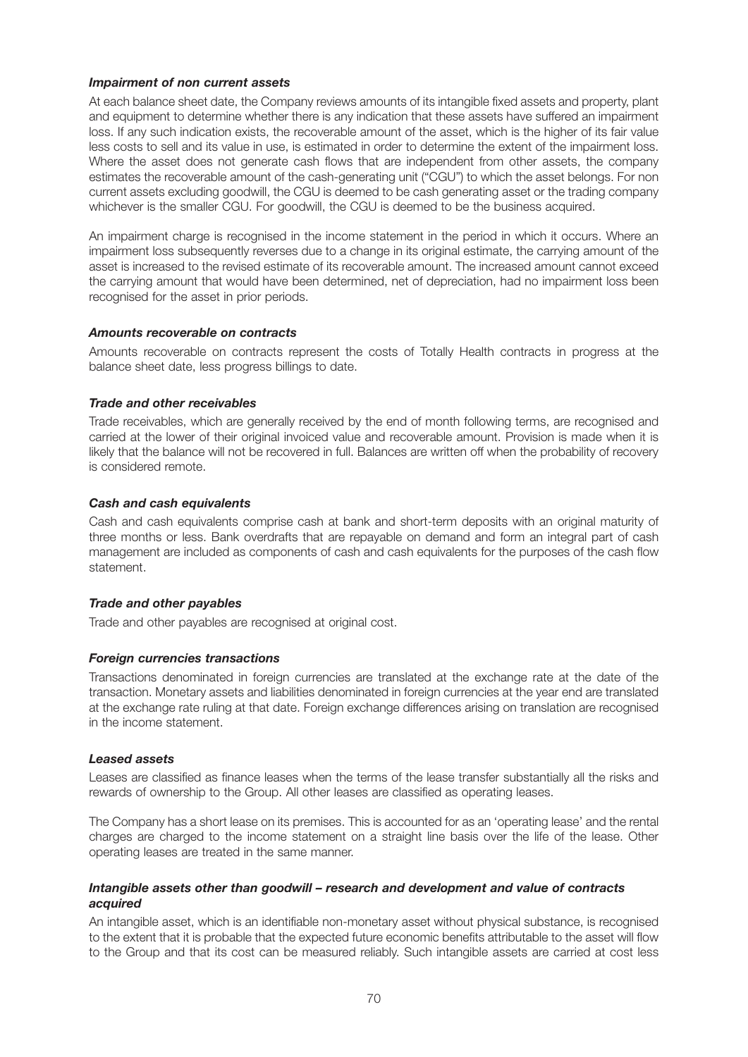#### *Impairment of non current assets*

At each balance sheet date, the Company reviews amounts of its intangible fixed assets and property, plant and equipment to determine whether there is any indication that these assets have suffered an impairment loss. If any such indication exists, the recoverable amount of the asset, which is the higher of its fair value less costs to sell and its value in use, is estimated in order to determine the extent of the impairment loss. Where the asset does not generate cash flows that are independent from other assets, the company estimates the recoverable amount of the cash-generating unit ("CGU") to which the asset belongs. For non current assets excluding goodwill, the CGU is deemed to be cash generating asset or the trading company whichever is the smaller CGU. For goodwill, the CGU is deemed to be the business acquired.

An impairment charge is recognised in the income statement in the period in which it occurs. Where an impairment loss subsequently reverses due to a change in its original estimate, the carrying amount of the asset is increased to the revised estimate of its recoverable amount. The increased amount cannot exceed the carrying amount that would have been determined, net of depreciation, had no impairment loss been recognised for the asset in prior periods.

#### *Amounts recoverable on contracts*

Amounts recoverable on contracts represent the costs of Totally Health contracts in progress at the balance sheet date, less progress billings to date.

#### *Trade and other receivables*

Trade receivables, which are generally received by the end of month following terms, are recognised and carried at the lower of their original invoiced value and recoverable amount. Provision is made when it is likely that the balance will not be recovered in full. Balances are written off when the probability of recovery is considered remote.

#### *Cash and cash equivalents*

Cash and cash equivalents comprise cash at bank and short-term deposits with an original maturity of three months or less. Bank overdrafts that are repayable on demand and form an integral part of cash management are included as components of cash and cash equivalents for the purposes of the cash flow statement.

#### *Trade and other payables*

Trade and other payables are recognised at original cost.

#### *Foreign currencies transactions*

Transactions denominated in foreign currencies are translated at the exchange rate at the date of the transaction. Monetary assets and liabilities denominated in foreign currencies at the year end are translated at the exchange rate ruling at that date. Foreign exchange differences arising on translation are recognised in the income statement.

#### *Leased assets*

Leases are classified as finance leases when the terms of the lease transfer substantially all the risks and rewards of ownership to the Group. All other leases are classified as operating leases.

The Company has a short lease on its premises. This is accounted for as an 'operating lease' and the rental charges are charged to the income statement on a straight line basis over the life of the lease. Other operating leases are treated in the same manner.

#### *Intangible assets other than goodwill – research and development and value of contracts acquired*

An intangible asset, which is an identifiable non-monetary asset without physical substance, is recognised to the extent that it is probable that the expected future economic benefits attributable to the asset will flow to the Group and that its cost can be measured reliably. Such intangible assets are carried at cost less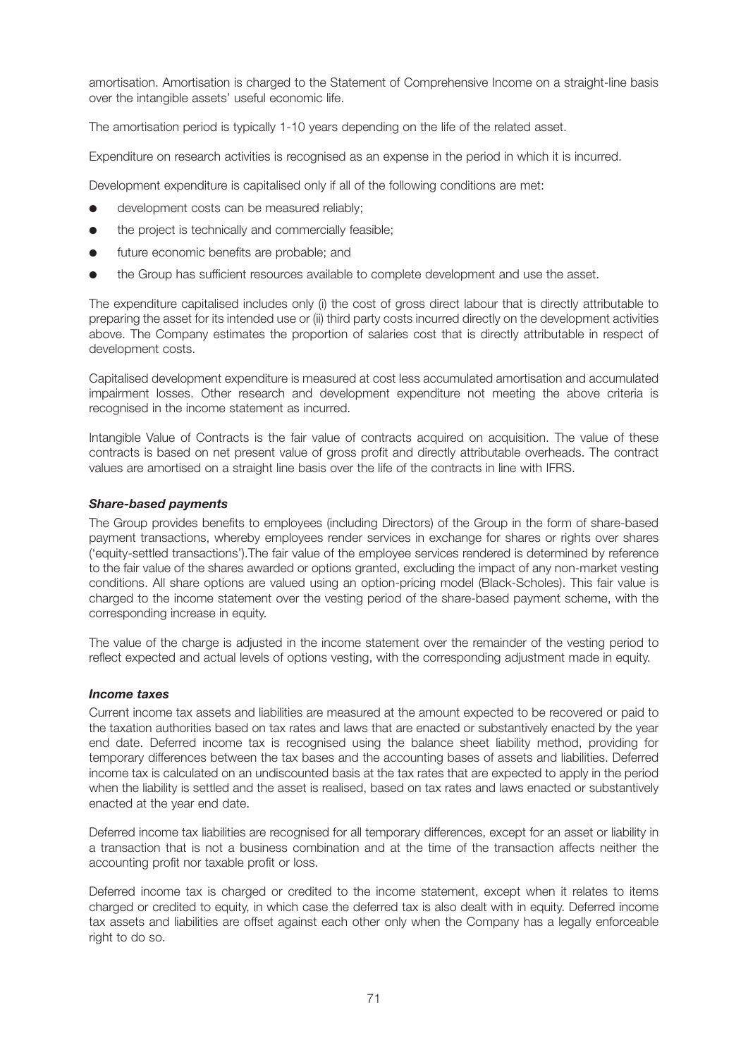amortisation. Amortisation is charged to the Statement of Comprehensive Income on a straight-line basis over the intangible assets' useful economic life.

The amortisation period is typically 1-10 years depending on the life of the related asset.

Expenditure on research activities is recognised as an expense in the period in which it is incurred.

Development expenditure is capitalised only if all of the following conditions are met:

- development costs can be measured reliably;
- the project is technically and commercially feasible;
- **•** future economic benefits are probable; and
- the Group has sufficient resources available to complete development and use the asset.

The expenditure capitalised includes only (i) the cost of gross direct labour that is directly attributable to preparing the asset for its intended use or (ii) third party costs incurred directly on the development activities above. The Company estimates the proportion of salaries cost that is directly attributable in respect of development costs.

Capitalised development expenditure is measured at cost less accumulated amortisation and accumulated impairment losses. Other research and development expenditure not meeting the above criteria is recognised in the income statement as incurred.

Intangible Value of Contracts is the fair value of contracts acquired on acquisition. The value of these contracts is based on net present value of gross profit and directly attributable overheads. The contract values are amortised on a straight line basis over the life of the contracts in line with IFRS.

#### *Share-based payments*

The Group provides benefits to employees (including Directors) of the Group in the form of share-based payment transactions, whereby employees render services in exchange for shares or rights over shares ('equity-settled transactions').The fair value of the employee services rendered is determined by reference to the fair value of the shares awarded or options granted, excluding the impact of any non-market vesting conditions. All share options are valued using an option-pricing model (Black-Scholes). This fair value is charged to the income statement over the vesting period of the share-based payment scheme, with the corresponding increase in equity.

The value of the charge is adjusted in the income statement over the remainder of the vesting period to reflect expected and actual levels of options vesting, with the corresponding adjustment made in equity.

#### *Income taxes*

Current income tax assets and liabilities are measured at the amount expected to be recovered or paid to the taxation authorities based on tax rates and laws that are enacted or substantively enacted by the year end date. Deferred income tax is recognised using the balance sheet liability method, providing for temporary differences between the tax bases and the accounting bases of assets and liabilities. Deferred income tax is calculated on an undiscounted basis at the tax rates that are expected to apply in the period when the liability is settled and the asset is realised, based on tax rates and laws enacted or substantively enacted at the year end date.

Deferred income tax liabilities are recognised for all temporary differences, except for an asset or liability in a transaction that is not a business combination and at the time of the transaction affects neither the accounting profit nor taxable profit or loss.

Deferred income tax is charged or credited to the income statement, except when it relates to items charged or credited to equity, in which case the deferred tax is also dealt with in equity. Deferred income tax assets and liabilities are offset against each other only when the Company has a legally enforceable right to do so.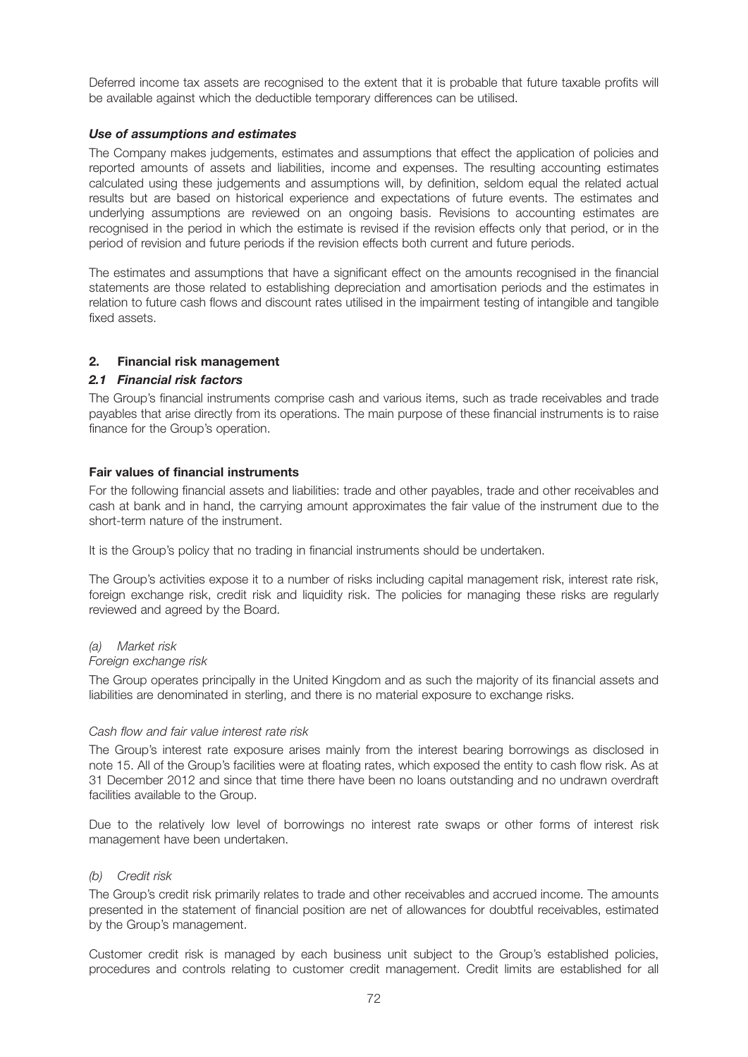Deferred income tax assets are recognised to the extent that it is probable that future taxable profits will be available against which the deductible temporary differences can be utilised.

#### *Use of assumptions and estimates*

The Company makes judgements, estimates and assumptions that effect the application of policies and reported amounts of assets and liabilities, income and expenses. The resulting accounting estimates calculated using these judgements and assumptions will, by definition, seldom equal the related actual results but are based on historical experience and expectations of future events. The estimates and underlying assumptions are reviewed on an ongoing basis. Revisions to accounting estimates are recognised in the period in which the estimate is revised if the revision effects only that period, or in the period of revision and future periods if the revision effects both current and future periods.

The estimates and assumptions that have a significant effect on the amounts recognised in the financial statements are those related to establishing depreciation and amortisation periods and the estimates in relation to future cash flows and discount rates utilised in the impairment testing of intangible and tangible fixed assets.

#### **2. Financial risk management**

#### *2.1 Financial risk factors*

The Group's financial instruments comprise cash and various items, such as trade receivables and trade payables that arise directly from its operations. The main purpose of these financial instruments is to raise finance for the Group's operation.

#### **Fair values of financial instruments**

For the following financial assets and liabilities: trade and other payables, trade and other receivables and cash at bank and in hand, the carrying amount approximates the fair value of the instrument due to the short-term nature of the instrument.

It is the Group's policy that no trading in financial instruments should be undertaken.

The Group's activities expose it to a number of risks including capital management risk, interest rate risk, foreign exchange risk, credit risk and liquidity risk. The policies for managing these risks are regularly reviewed and agreed by the Board.

#### *(a) Market risk*

#### *Foreign exchange risk*

The Group operates principally in the United Kingdom and as such the majority of its financial assets and liabilities are denominated in sterling, and there is no material exposure to exchange risks.

#### *Cash flow and fair value interest rate risk*

The Group's interest rate exposure arises mainly from the interest bearing borrowings as disclosed in note 15. All of the Group's facilities were at floating rates, which exposed the entity to cash flow risk. As at 31 December 2012 and since that time there have been no loans outstanding and no undrawn overdraft facilities available to the Group.

Due to the relatively low level of borrowings no interest rate swaps or other forms of interest risk management have been undertaken.

#### *(b) Credit risk*

The Group's credit risk primarily relates to trade and other receivables and accrued income. The amounts presented in the statement of financial position are net of allowances for doubtful receivables, estimated by the Group's management.

Customer credit risk is managed by each business unit subject to the Group's established policies, procedures and controls relating to customer credit management. Credit limits are established for all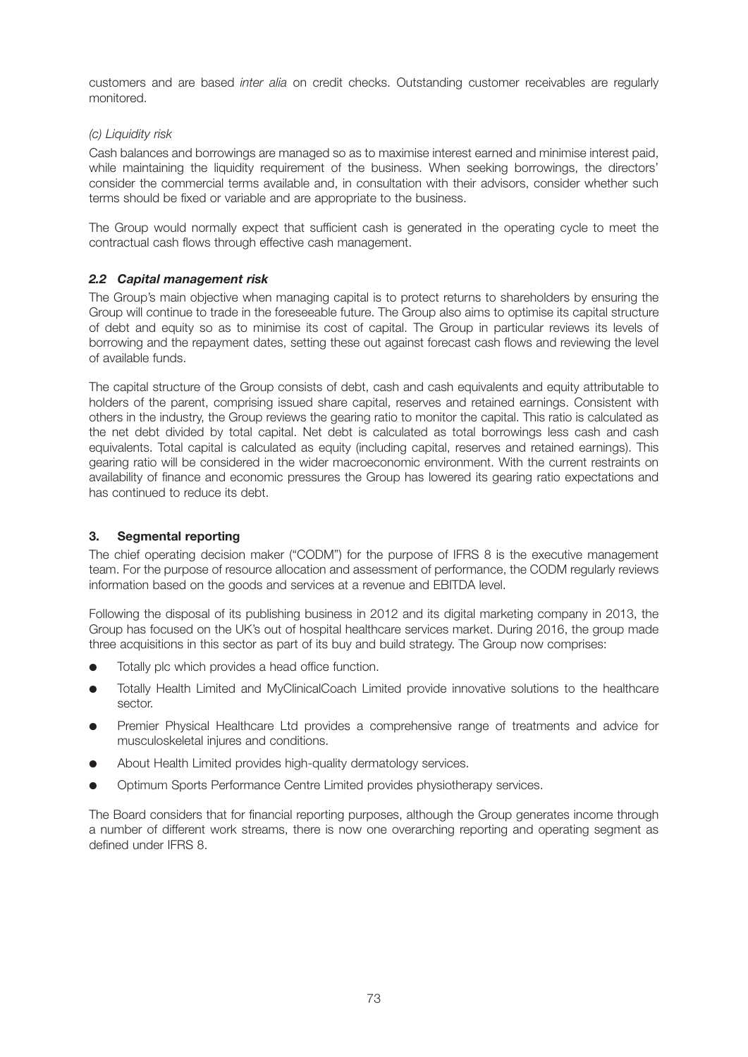customers and are based *inter alia* on credit checks. Outstanding customer receivables are regularly monitored.

## *(c) Liquidity risk*

Cash balances and borrowings are managed so as to maximise interest earned and minimise interest paid, while maintaining the liquidity requirement of the business. When seeking borrowings, the directors' consider the commercial terms available and, in consultation with their advisors, consider whether such terms should be fixed or variable and are appropriate to the business.

The Group would normally expect that sufficient cash is generated in the operating cycle to meet the contractual cash flows through effective cash management.

# *2.2 Capital management risk*

The Group's main objective when managing capital is to protect returns to shareholders by ensuring the Group will continue to trade in the foreseeable future. The Group also aims to optimise its capital structure of debt and equity so as to minimise its cost of capital. The Group in particular reviews its levels of borrowing and the repayment dates, setting these out against forecast cash flows and reviewing the level of available funds.

The capital structure of the Group consists of debt, cash and cash equivalents and equity attributable to holders of the parent, comprising issued share capital, reserves and retained earnings. Consistent with others in the industry, the Group reviews the gearing ratio to monitor the capital. This ratio is calculated as the net debt divided by total capital. Net debt is calculated as total borrowings less cash and cash equivalents. Total capital is calculated as equity (including capital, reserves and retained earnings). This gearing ratio will be considered in the wider macroeconomic environment. With the current restraints on availability of finance and economic pressures the Group has lowered its gearing ratio expectations and has continued to reduce its debt.

# **3. Segmental reporting**

The chief operating decision maker ("CODM") for the purpose of IFRS 8 is the executive management team. For the purpose of resource allocation and assessment of performance, the CODM regularly reviews information based on the goods and services at a revenue and EBITDA level.

Following the disposal of its publishing business in 2012 and its digital marketing company in 2013, the Group has focused on the UK's out of hospital healthcare services market. During 2016, the group made three acquisitions in this sector as part of its buy and build strategy. The Group now comprises:

- Totally plc which provides a head office function.
- Totally Health Limited and MyClinicalCoach Limited provide innovative solutions to the healthcare sector.
- Premier Physical Healthcare Ltd provides a comprehensive range of treatments and advice for musculoskeletal injures and conditions.
- About Health Limited provides high-quality dermatology services.
- Optimum Sports Performance Centre Limited provides physiotherapy services.

The Board considers that for financial reporting purposes, although the Group generates income through a number of different work streams, there is now one overarching reporting and operating segment as defined under IFRS 8.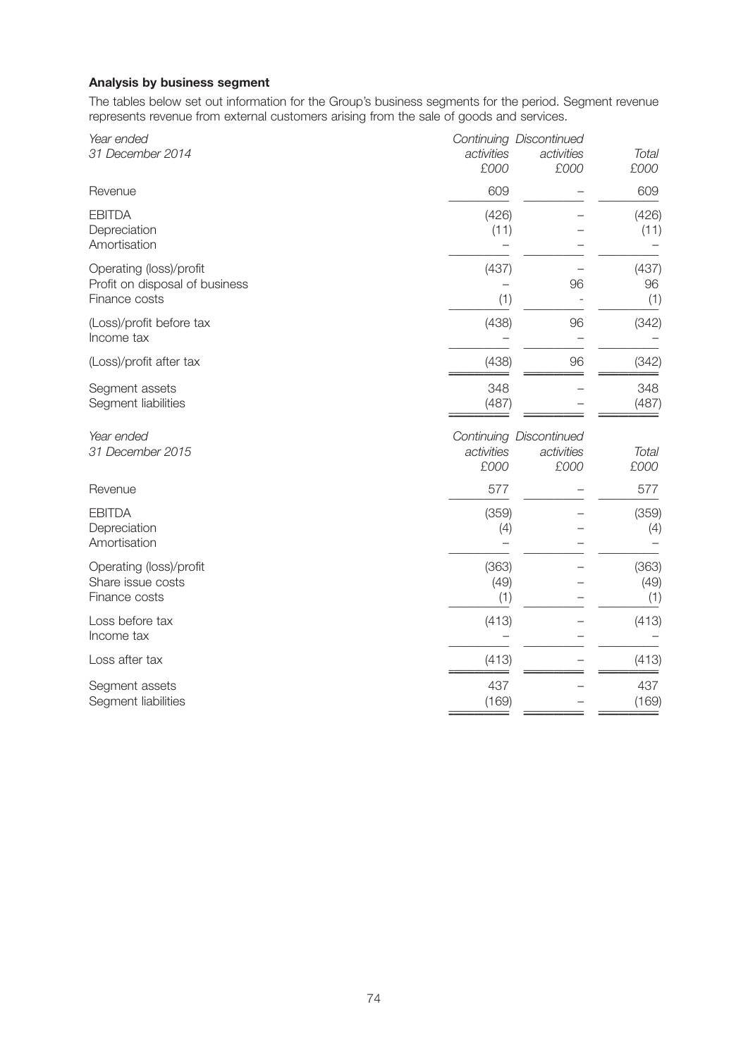# **Analysis by business segment**

The tables below set out information for the Group's business segments for the period. Segment revenue represents revenue from external customers arising from the sale of goods and services.

| Year ended<br>31 December 2014                                             | activities<br>£000   | Continuing Discontinued<br>activities<br>£000 | <b>Total</b><br>£000 |
|----------------------------------------------------------------------------|----------------------|-----------------------------------------------|----------------------|
| Revenue                                                                    | 609                  |                                               | 609                  |
| <b>EBITDA</b><br>Depreciation<br>Amortisation                              | (426)<br>(11)        |                                               | (426)<br>(11)        |
| Operating (loss)/profit<br>Profit on disposal of business<br>Finance costs | (437)<br>(1)         | 96                                            | (437)<br>96<br>(1)   |
| (Loss)/profit before tax<br>Income tax                                     | (438)                | 96                                            | (342)                |
| (Loss)/profit after tax                                                    | (438)                | 96                                            | (342)                |
| Segment assets<br>Segment liabilities                                      | 348<br>(487)         |                                               | 348<br>(487)         |
| Year ended<br>31 December 2015                                             | activities<br>£000   | Continuing Discontinued<br>activities<br>£000 | <b>Total</b><br>£000 |
| Revenue                                                                    | 577                  |                                               | 577                  |
| <b>EBITDA</b><br>Depreciation<br>Amortisation                              | (359)<br>(4)         |                                               | (359)<br>(4)         |
| Operating (loss)/profit<br>Share issue costs<br>Finance costs              | (363)<br>(49)<br>(1) |                                               | (363)<br>(49)<br>(1) |
| Loss before tax<br>Income tax                                              | (413)                |                                               | (413)                |
| Loss after tax                                                             | (413)                |                                               | (413)                |
| Segment assets<br>Segment liabilities                                      | 437<br>(169)         |                                               | 437<br>(169)         |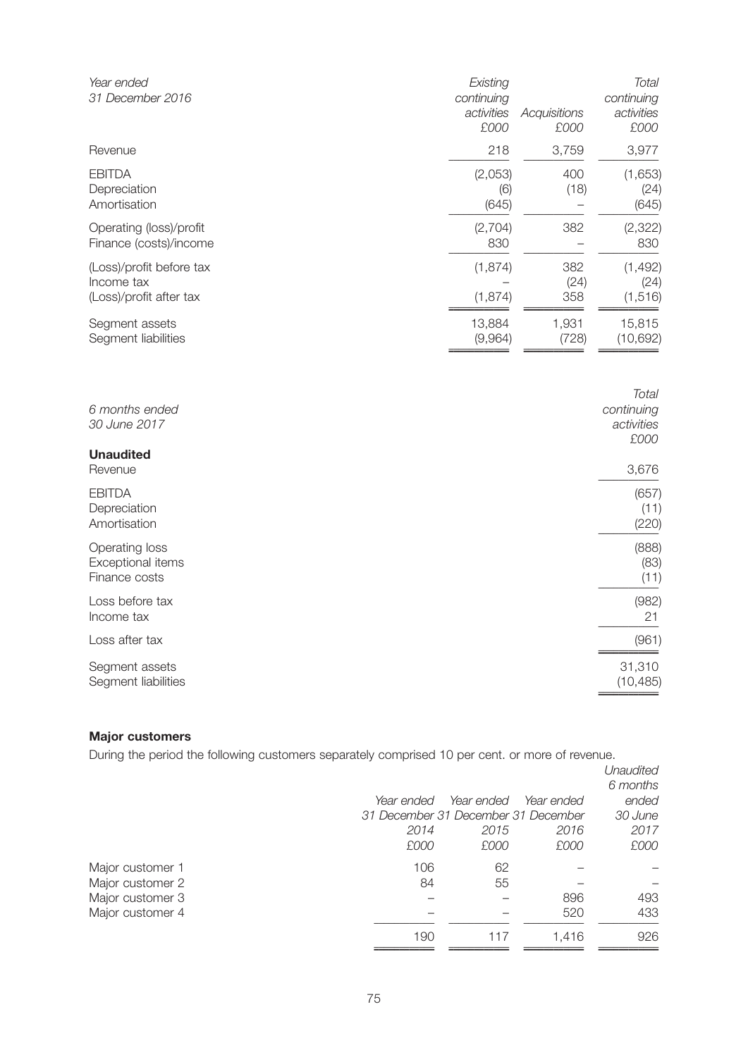| Year ended<br>31 December 2016                                    | Existing<br>continuing<br>activities<br>£000 | Acquisitions<br>£000 | <b>Total</b><br>continuing<br>activities<br>£000 |
|-------------------------------------------------------------------|----------------------------------------------|----------------------|--------------------------------------------------|
| Revenue                                                           | 218                                          | 3,759                | 3,977                                            |
| <b>EBITDA</b><br>Depreciation<br>Amortisation                     | (2,053)<br>(6)<br>(645)                      | 400<br>(18)          | (1,653)<br>(24)<br>(645)                         |
| Operating (loss)/profit<br>Finance (costs)/income                 | (2,704)<br>830                               | 382                  | (2, 322)<br>830                                  |
| (Loss)/profit before tax<br>Income tax<br>(Loss)/profit after tax | (1, 874)<br>(1, 874)                         | 382<br>(24)<br>358   | (1, 492)<br>(24)<br>(1, 516)                     |
| Segment assets<br>Segment liabilities                             | 13,884<br>(9,964)                            | 1,931<br>(728)       | 15,815<br>(10, 692)                              |
| 6 months ended<br>30 June 2017<br><b>Unaudited</b>                |                                              |                      | <b>Total</b><br>continuing<br>activities<br>£000 |
| Revenue                                                           |                                              |                      | 3,676                                            |
| <b>EBITDA</b><br>Depreciation<br>Amortisation                     |                                              |                      | (657)<br>(11)<br>(220)                           |
| Operating loss<br>Exceptional items<br>Finance costs              |                                              |                      | (888)<br>(83)<br>(11)                            |
| Loss before tax<br>Income tax                                     |                                              |                      | (982)<br>21                                      |
| Loss after tax                                                    |                                              |                      | (961)                                            |
| Segment assets<br>Segment liabilities                             |                                              |                      | 31,310<br>(10, 485)                              |

# **Major customers**

During the period the following customers separately comprised 10 per cent. or more of revenue.

|                  |                                     |            |            | Unaudited<br>6 months |
|------------------|-------------------------------------|------------|------------|-----------------------|
|                  |                                     |            |            |                       |
|                  | Year ended                          | Year ended | Year ended | ended                 |
|                  | 31 December 31 December 31 December |            |            | 30 June               |
|                  | 2014                                | 2015       | 2016       | 2017                  |
|                  | £000                                | £000       | £000       | £000                  |
| Major customer 1 | 106                                 | 62         |            |                       |
| Major customer 2 | 84                                  | 55         |            |                       |
| Major customer 3 |                                     |            | 896        | 493                   |
| Major customer 4 |                                     |            | 520        | 433                   |
|                  | 190                                 | 117        | 1.416      | 926                   |
|                  |                                     |            |            |                       |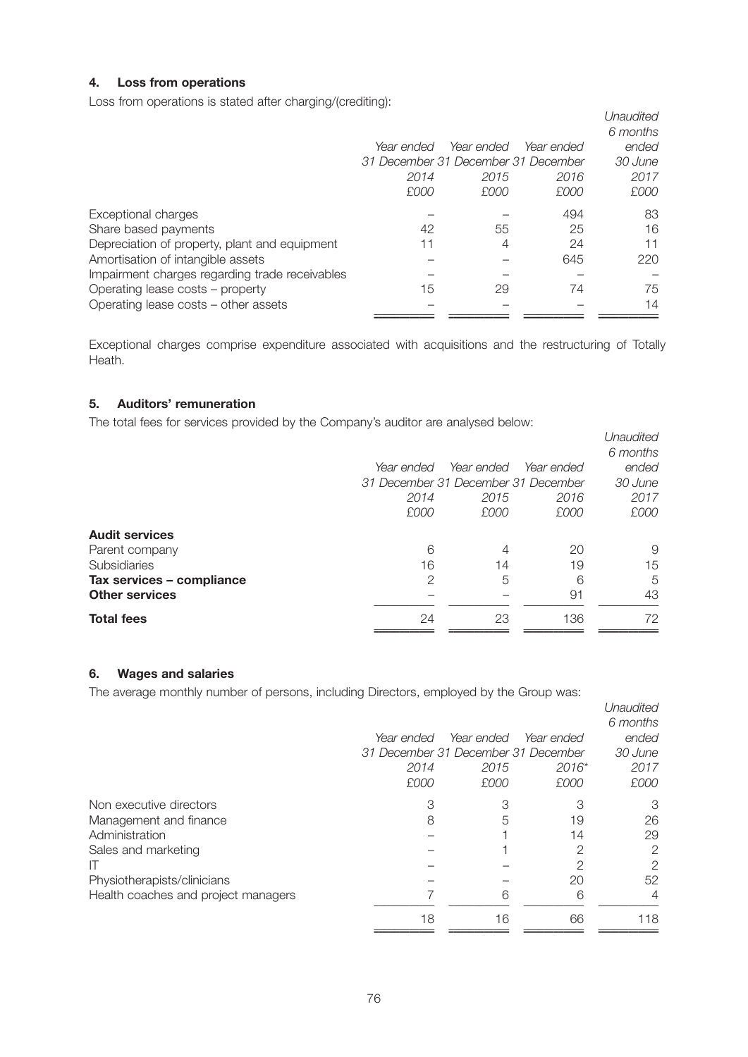# **4. Loss from operations**

Loss from operations is stated after charging/(crediting):

|                                                |                                     |            |            | Unaudited |
|------------------------------------------------|-------------------------------------|------------|------------|-----------|
|                                                |                                     |            |            | 6 months  |
|                                                | Year ended                          | Year ended | Year ended | ended     |
|                                                | 31 December 31 December 31 December |            |            | 30 June   |
|                                                | 2014                                | 2015       | 2016       | 2017      |
|                                                | £000                                | £000       | £000       | £000      |
| Exceptional charges                            |                                     |            | 494        | 83        |
| Share based payments                           | 42                                  | 55         | 25         | 16        |
| Depreciation of property, plant and equipment  | 11                                  | 4          | 24         | 11        |
| Amortisation of intangible assets              |                                     |            | 645        | 220       |
| Impairment charges regarding trade receivables |                                     |            |            |           |
| Operating lease costs - property               | 15                                  | 29         | 74         | 75        |
| Operating lease costs - other assets           |                                     |            |            | 14        |
|                                                |                                     |            |            |           |

Exceptional charges comprise expenditure associated with acquisitions and the restructuring of Totally Heath.

# **5. Auditors' remuneration**

The total fees for services provided by the Company's auditor are analysed below:

|                           |                                     |            |            | Unaudited |
|---------------------------|-------------------------------------|------------|------------|-----------|
|                           |                                     |            |            | 6 months  |
|                           | Year ended                          | Year ended | Year ended | ended     |
|                           | 31 December 31 December 31 December |            |            | 30 June   |
|                           | 2014                                | 2015       | 2016       | 2017      |
|                           | £000                                | £000       | £000       | £000      |
| <b>Audit services</b>     |                                     |            |            |           |
| Parent company            | 6                                   | 4          | 20         | 9         |
| <b>Subsidiaries</b>       | 16                                  | 14         | 19         | 15        |
| Tax services - compliance | 2                                   | 5          | 6          | 5         |
| <b>Other services</b>     |                                     |            | 91         | 43        |
| <b>Total fees</b>         | 24                                  | 23         | 136        | 72        |
|                           |                                     |            |            |           |

## **6. Wages and salaries**

The average monthly number of persons, including Directors, employed by the Group was:

|                                     |                                     |            |            | Unaudited      |
|-------------------------------------|-------------------------------------|------------|------------|----------------|
|                                     |                                     |            |            | 6 months       |
|                                     | Year ended                          | Year ended | Year ended | ended          |
|                                     | 31 December 31 December 31 December |            |            | 30 June        |
|                                     | 2014                                | 2015       | $2016*$    | 2017           |
|                                     | £000                                | £000       | £000       | £000           |
| Non executive directors             | 3                                   | 3          | З          | 3              |
| Management and finance              | 8                                   | 5          | 19         | 26             |
| Administration                      |                                     |            | 14         | 29             |
| Sales and marketing                 |                                     |            | 2          | 2              |
| П                                   |                                     |            | 2          | 2              |
| Physiotherapists/clinicians         |                                     |            | 20         | 52             |
| Health coaches and project managers |                                     | 6          | 6          | $\overline{4}$ |
|                                     | 18                                  | 16         | 66         | 118            |
|                                     |                                     |            |            |                |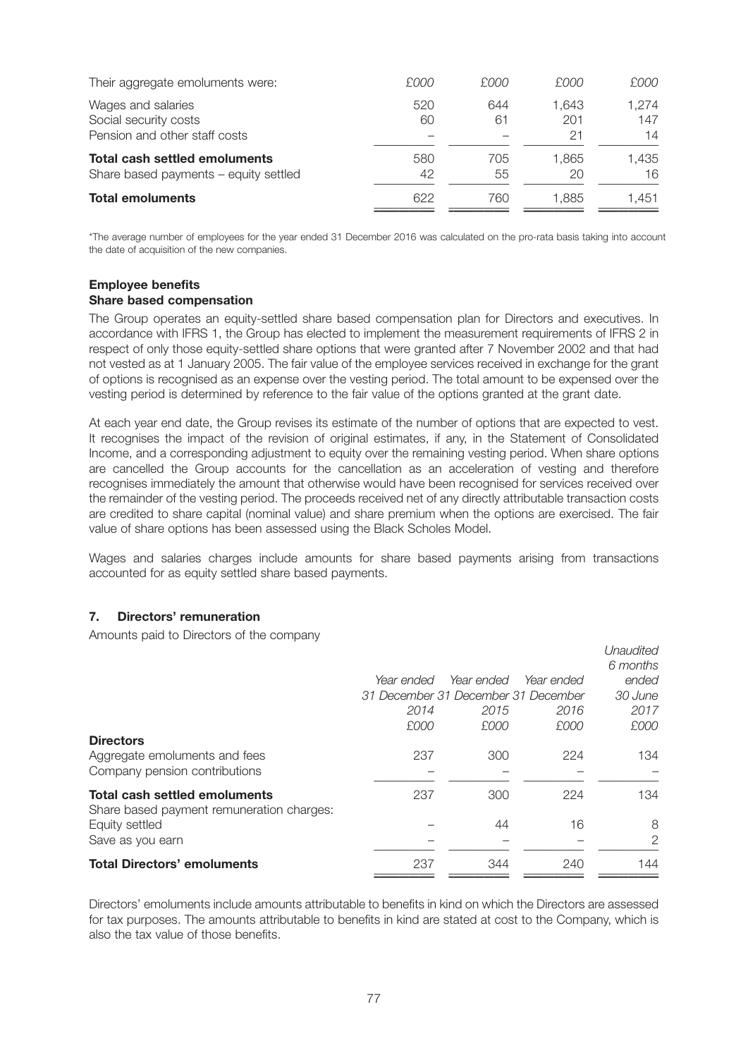| Their aggregate emoluments were:                                              | £000      | £000      | £000               | £000               |
|-------------------------------------------------------------------------------|-----------|-----------|--------------------|--------------------|
| Wages and salaries<br>Social security costs<br>Pension and other staff costs  | 520<br>60 | 644<br>61 | 1.643<br>201<br>21 | 1,274<br>147<br>14 |
| <b>Total cash settled emoluments</b><br>Share based payments - equity settled | 580<br>42 | 705<br>55 | 1.865<br>20        | 1.435<br>16        |
| <b>Total emoluments</b>                                                       | 622       | 760       | 1.885              | 1.451              |

\*The average number of employees for the year ended 31 December 2016 was calculated on the pro-rata basis taking into account the date of acquisition of the new companies.

### **Employee benefits Share based compensation**

The Group operates an equity-settled share based compensation plan for Directors and executives. In accordance with IFRS 1, the Group has elected to implement the measurement requirements of IFRS 2 in respect of only those equity-settled share options that were granted after 7 November 2002 and that had not vested as at 1 January 2005. The fair value of the employee services received in exchange for the grant of options is recognised as an expense over the vesting period. The total amount to be expensed over the vesting period is determined by reference to the fair value of the options granted at the grant date.

At each year end date, the Group revises its estimate of the number of options that are expected to vest. It recognises the impact of the revision of original estimates, if any, in the Statement of Consolidated Income, and a corresponding adjustment to equity over the remaining vesting period. When share options are cancelled the Group accounts for the cancellation as an acceleration of vesting and therefore recognises immediately the amount that otherwise would have been recognised for services received over the remainder of the vesting period. The proceeds received net of any directly attributable transaction costs are credited to share capital (nominal value) and share premium when the options are exercised. The fair value of share options has been assessed using the Black Scholes Model.

Wages and salaries charges include amounts for share based payments arising from transactions accounted for as equity settled share based payments.

## **7. Directors' remuneration**

Amounts paid to Directors of the company

| <b>Total Directors' emoluments</b>                          | 237                                 | 344        | 240        | 144       |
|-------------------------------------------------------------|-------------------------------------|------------|------------|-----------|
| Save as you earn                                            |                                     |            |            | 2         |
| Share based payment remuneration charges:<br>Equity settled |                                     | 44         | 16         | 8         |
| <b>Total cash settled emoluments</b>                        | 237                                 | 300        | 224        | 134       |
| Company pension contributions                               |                                     |            |            |           |
| <b>Directors</b><br>Aggregate emoluments and fees           | 237                                 | 300        | 224        | 134       |
|                                                             | £000                                | £000       | £000       | £000      |
|                                                             | 2014                                | 2015       | 2016       | 2017      |
|                                                             | 31 December 31 December 31 December |            |            | 30 June   |
|                                                             | Year ended                          | Year ended | Year ended | ended     |
|                                                             |                                     |            |            | 6 months  |
|                                                             |                                     |            |            | Unaudited |

Directors' emoluments include amounts attributable to benefits in kind on which the Directors are assessed for tax purposes. The amounts attributable to benefits in kind are stated at cost to the Company, which is also the tax value of those benefits.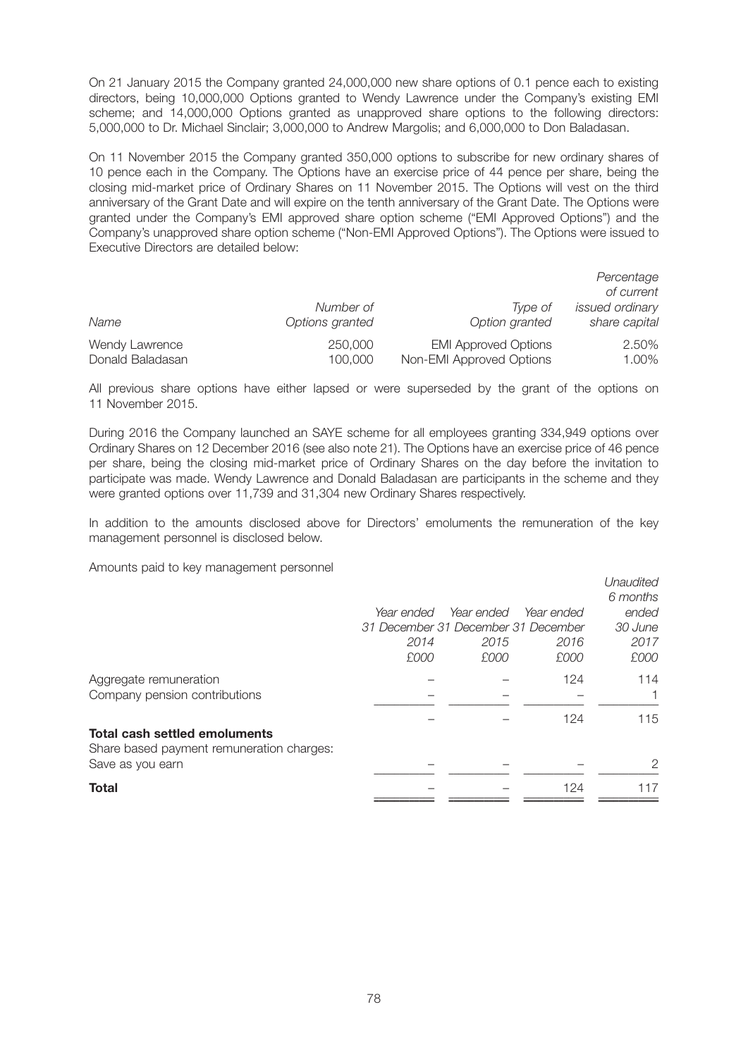On 21 January 2015 the Company granted 24,000,000 new share options of 0.1 pence each to existing directors, being 10,000,000 Options granted to Wendy Lawrence under the Company's existing EMI scheme; and 14,000,000 Options granted as unapproved share options to the following directors: 5,000,000 to Dr. Michael Sinclair; 3,000,000 to Andrew Margolis; and 6,000,000 to Don Baladasan.

On 11 November 2015 the Company granted 350,000 options to subscribe for new ordinary shares of 10 pence each in the Company. The Options have an exercise price of 44 pence per share, being the closing mid-market price of Ordinary Shares on 11 November 2015. The Options will vest on the third anniversary of the Grant Date and will expire on the tenth anniversary of the Grant Date. The Options were granted under the Company's EMI approved share option scheme ("EMI Approved Options") and the Company's unapproved share option scheme ("Non-EMI Approved Options"). The Options were issued to Executive Directors are detailed below:

|                  |                 |                             | Percentage<br>of current |
|------------------|-----------------|-----------------------------|--------------------------|
| Name             | Number of       | Type of                     | issued ordinary          |
|                  | Options granted | Option granted              | share capital            |
| Wendy Lawrence   | 250,000         | <b>EMI Approved Options</b> | 2.50%                    |
| Donald Baladasan | 100,000         | Non-EMI Approved Options    | 1.00%                    |

All previous share options have either lapsed or were superseded by the grant of the options on 11 November 2015.

During 2016 the Company launched an SAYE scheme for all employees granting 334,949 options over Ordinary Shares on 12 December 2016 (see also note 21). The Options have an exercise price of 46 pence per share, being the closing mid-market price of Ordinary Shares on the day before the invitation to participate was made. Wendy Lawrence and Donald Baladasan are participants in the scheme and they were granted options over 11,739 and 31,304 new Ordinary Shares respectively.

In addition to the amounts disclosed above for Directors' emoluments the remuneration of the key management personnel is disclosed below.

Amounts paid to key management personnel

|                                           |                                     |            |            | Unaudited |
|-------------------------------------------|-------------------------------------|------------|------------|-----------|
|                                           |                                     |            |            | 6 months  |
|                                           | Year ended                          | Year ended | Year ended | ended     |
|                                           | 31 December 31 December 31 December |            |            | 30 June   |
|                                           | 2014                                | 2015       | 2016       | 2017      |
|                                           | £000                                | £000       | £000       | £000      |
| Aggregate remuneration                    |                                     |            | 124        | 114       |
| Company pension contributions             |                                     |            |            |           |
|                                           |                                     |            | 124        | 115       |
| <b>Total cash settled emoluments</b>      |                                     |            |            |           |
| Share based payment remuneration charges: |                                     |            |            |           |
| Save as you earn                          |                                     |            |            | 2         |
| <b>Total</b>                              |                                     |            | 124        | 117       |
|                                           |                                     |            |            |           |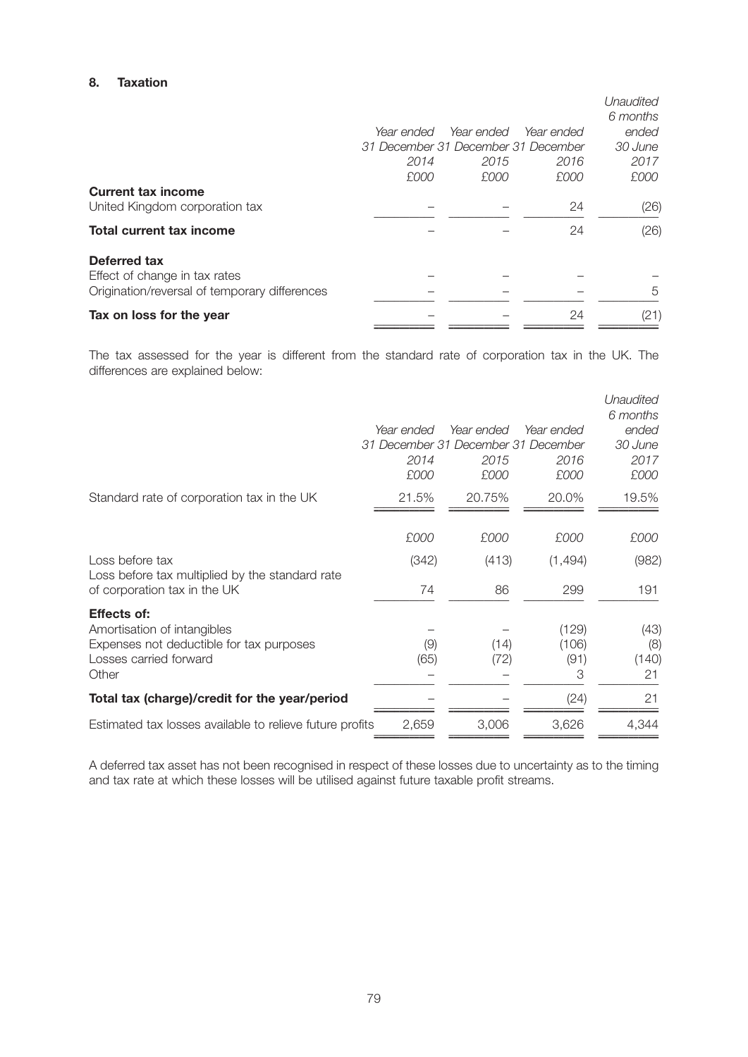# **8. Taxation**

|            |            |            | Unaudited                           |
|------------|------------|------------|-------------------------------------|
| Year ended | Year ended | Year ended | 6 months<br>ended                   |
|            |            |            | 30 June                             |
| 2014       | 2015       | 2016       | 2017                                |
| £000       | £000       | £000       | £000                                |
|            |            |            |                                     |
|            |            | 24         | (26)                                |
|            |            | 24         | (26)                                |
|            |            |            |                                     |
|            |            |            |                                     |
|            |            |            | 5                                   |
|            |            | 24         | (21)                                |
|            |            |            | 31 December 31 December 31 December |

The tax assessed for the year is different from the standard rate of corporation tax in the UK. The differences are explained below:

|                                                                                                                                  | Year ended<br>31 December 31 December 31 December<br>2014<br>£000 | Year ended<br>2015<br>£000 | Year ended<br>2016<br>£000  | Unaudited<br>6 months<br>ended<br>30 June<br>2017<br>£000 |
|----------------------------------------------------------------------------------------------------------------------------------|-------------------------------------------------------------------|----------------------------|-----------------------------|-----------------------------------------------------------|
| Standard rate of corporation tax in the UK                                                                                       | 21.5%                                                             | 20.75%                     | 20.0%                       | 19.5%                                                     |
|                                                                                                                                  | £000                                                              | £000                       | £000                        | £000                                                      |
| Loss before tax<br>Loss before tax multiplied by the standard rate                                                               | (342)<br>74                                                       | (413)<br>86                | (1,494)<br>299              | (982)                                                     |
| of corporation tax in the UK                                                                                                     |                                                                   |                            |                             | 191                                                       |
| <b>Effects of:</b><br>Amortisation of intangibles<br>Expenses not deductible for tax purposes<br>Losses carried forward<br>Other | (9)<br>(65)                                                       | (14)<br>(72)               | (129)<br>(106)<br>(91)<br>3 | (43)<br>(8)<br>(140)<br>21                                |
| Total tax (charge)/credit for the year/period                                                                                    |                                                                   |                            | (24)                        | 21                                                        |
| Estimated tax losses available to relieve future profits                                                                         | 2,659                                                             | 3,006                      | 3,626                       | 4,344                                                     |

A deferred tax asset has not been recognised in respect of these losses due to uncertainty as to the timing and tax rate at which these losses will be utilised against future taxable profit streams.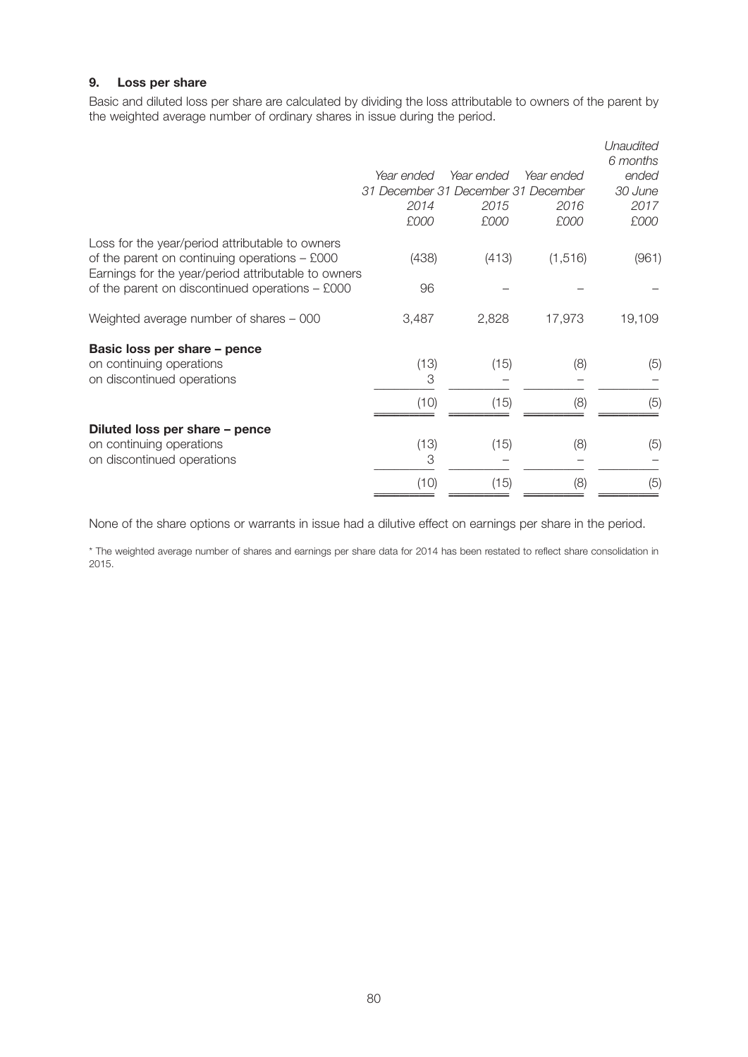# **9. Loss per share**

Basic and diluted loss per share are calculated by dividing the loss attributable to owners of the parent by the weighted average number of ordinary shares in issue during the period.

|                                                                                                                                                           |                                     |            |            | Unaudited<br>6 months |
|-----------------------------------------------------------------------------------------------------------------------------------------------------------|-------------------------------------|------------|------------|-----------------------|
|                                                                                                                                                           | Year ended                          | Year ended | Year ended | ended                 |
|                                                                                                                                                           | 31 December 31 December 31 December |            |            | 30 June               |
|                                                                                                                                                           | 2014                                | 2015       | 2016       | 2017                  |
|                                                                                                                                                           | £000                                | £000       | £000       | £000                  |
| Loss for the year/period attributable to owners<br>of the parent on continuing operations $-$ £000<br>Earnings for the year/period attributable to owners | (438)                               | (413)      | (1, 516)   | (961)                 |
| of the parent on discontinued operations $-$ £000                                                                                                         | 96                                  |            |            |                       |
| Weighted average number of shares - 000                                                                                                                   | 3,487                               | 2,828      | 17,973     | 19,109                |
| Basic loss per share - pence                                                                                                                              |                                     |            |            |                       |
| on continuing operations                                                                                                                                  | (13)                                | (15)       | (8)        | (5)                   |
| on discontinued operations                                                                                                                                | 3                                   |            |            |                       |
|                                                                                                                                                           | (10)                                | (15)       | (8)        | (5)                   |
| Diluted loss per share - pence<br>on continuing operations                                                                                                | (13)                                | (15)       | (8)        | (5)                   |
| on discontinued operations                                                                                                                                | 3                                   |            |            |                       |
|                                                                                                                                                           | (10)                                | (15)       | (8)        | (5)                   |

None of the share options or warrants in issue had a dilutive effect on earnings per share in the period.

\* The weighted average number of shares and earnings per share data for 2014 has been restated to reflect share consolidation in 2015.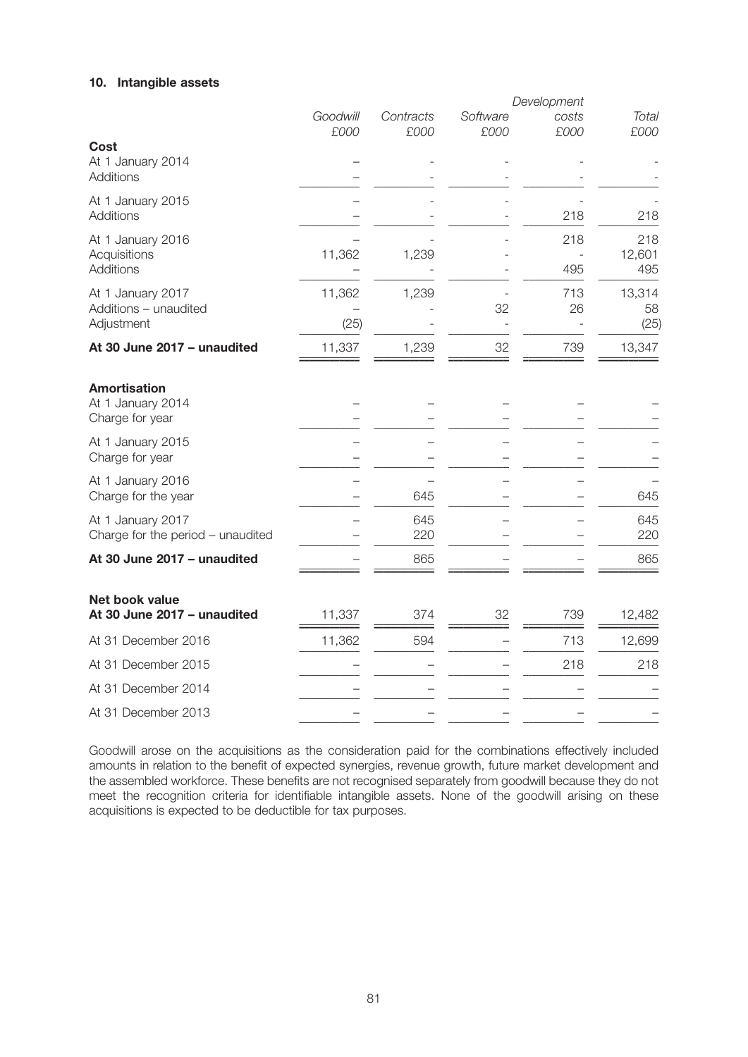# **10. Intangible assets**

|                                                             |                  |                   |                  | Development   |                      |
|-------------------------------------------------------------|------------------|-------------------|------------------|---------------|----------------------|
|                                                             | Goodwill<br>£000 | Contracts<br>£000 | Software<br>£000 | costs<br>£000 | <b>Total</b><br>£000 |
| Cost<br>At 1 January 2014<br><b>Additions</b>               |                  |                   |                  |               |                      |
| At 1 January 2015<br><b>Additions</b>                       |                  |                   |                  | 218           | 218                  |
| At 1 January 2016<br>Acquisitions<br><b>Additions</b>       | 11,362           | 1,239             |                  | 218<br>495    | 218<br>12,601<br>495 |
| At 1 January 2017<br>Additions - unaudited<br>Adjustment    | 11,362<br>(25)   | 1,239             | 32               | 713<br>26     | 13,314<br>58<br>(25) |
| At 30 June 2017 - unaudited                                 | 11,337           | 1,239             | 32               | 739           | 13,347               |
| <b>Amortisation</b><br>At 1 January 2014<br>Charge for year |                  |                   |                  |               |                      |
| At 1 January 2015<br>Charge for year                        |                  |                   |                  |               |                      |
| At 1 January 2016<br>Charge for the year                    |                  | 645               |                  |               | 645                  |
| At 1 January 2017<br>Charge for the period - unaudited      |                  | 645<br>220        |                  |               | 645<br>220           |
| At 30 June 2017 - unaudited                                 |                  | 865               |                  |               | 865                  |
| <b>Net book value</b><br>At 30 June 2017 - unaudited        | 11,337           | 374               | 32               | 739           | 12,482               |
| At 31 December 2016                                         | 11,362           | 594               |                  | 713           | 12,699               |
| At 31 December 2015                                         |                  |                   |                  | 218           | 218                  |
| At 31 December 2014                                         |                  |                   |                  |               |                      |
| At 31 December 2013                                         |                  |                   |                  |               |                      |
|                                                             |                  |                   |                  |               |                      |

Goodwill arose on the acquisitions as the consideration paid for the combinations effectively included amounts in relation to the benefit of expected synergies, revenue growth, future market development and the assembled workforce. These benefits are not recognised separately from goodwill because they do not meet the recognition criteria for identifiable intangible assets. None of the goodwill arising on these acquisitions is expected to be deductible for tax purposes.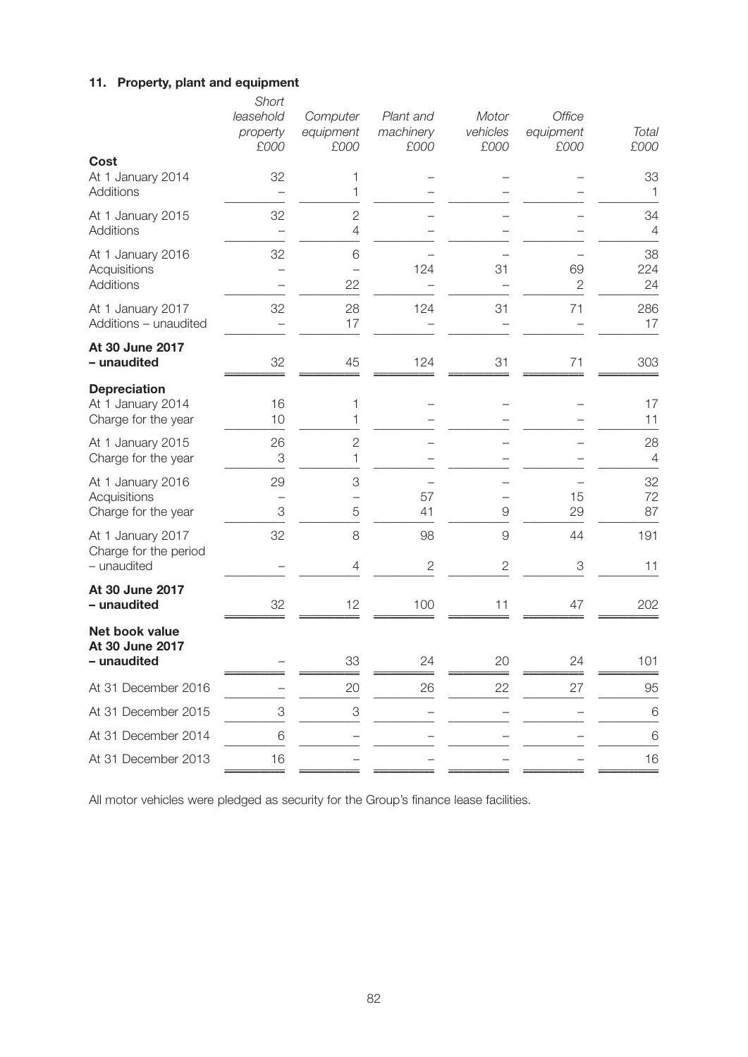### **11. Property, plant and equipment**

|                                                                 | Short<br>leasehold<br>property<br>£000 | Computer<br>equipment<br>£000 | Plant and<br>machinery<br>£000 | Motor<br>vehicles<br>£000 | Office<br>equipment<br>£000 | Total<br>£000        |
|-----------------------------------------------------------------|----------------------------------------|-------------------------------|--------------------------------|---------------------------|-----------------------------|----------------------|
| Cost<br>At 1 January 2014<br>Additions                          | 32                                     | 1<br>1                        |                                |                           |                             | 33<br>$\mathbf 1$    |
| At 1 January 2015<br><b>Additions</b>                           | 32                                     | $\overline{2}$<br>4           |                                |                           |                             | 34<br>$\overline{4}$ |
| At 1 January 2016<br>Acquisitions<br>Additions                  | 32                                     | 6<br>22                       | 124                            | 31                        | 69<br>$\mathbf{2}$          | 38<br>224<br>24      |
| At 1 January 2017<br>Additions - unaudited                      | 32                                     | 28<br>17                      | 124                            | 31                        | 71                          | 286<br>17            |
| At 30 June 2017<br>- unaudited                                  | 32                                     | 45                            | 124                            | 31                        | 71                          | 303                  |
| <b>Depreciation</b><br>At 1 January 2014<br>Charge for the year | 16<br>10                               | 1<br>1                        |                                |                           |                             | 17<br>11             |
| At 1 January 2015<br>Charge for the year                        | 26<br>3                                | $\overline{2}$<br>1           |                                |                           |                             | 28<br>$\overline{4}$ |
| At 1 January 2016<br>Acquisitions<br>Charge for the year        | 29<br>3                                | 3<br>5                        | 57<br>41                       | 9                         | 15<br>29                    | 32<br>72<br>87       |
| At 1 January 2017<br>Charge for the period<br>- unaudited       | 32                                     | 8<br>4                        | 98<br>$\mathbf{2}$             | 9<br>$\mathbf{2}$         | 44<br>3                     | 191<br>11            |
| At 30 June 2017<br>- unaudited                                  | 32                                     | 12                            | 100                            | 11                        | 47                          | 202                  |
| Net book value<br>At 30 June 2017<br>- unaudited                |                                        | 33                            | 24                             | 20                        | 24                          | 101                  |
| At 31 December 2016                                             |                                        | 20                            | 26                             | 22                        | 27                          | 95                   |
| At 31 December 2015                                             | $\ensuremath{\mathsf{3}}$              | $\ensuremath{\mathsf{3}}$     |                                |                           |                             | 6                    |
| At 31 December 2014                                             | 6                                      |                               |                                |                           |                             | 6                    |
| At 31 December 2013                                             | 16                                     |                               |                                |                           |                             | 16                   |

All motor vehicles were pledged as security for the Group's finance lease facilities.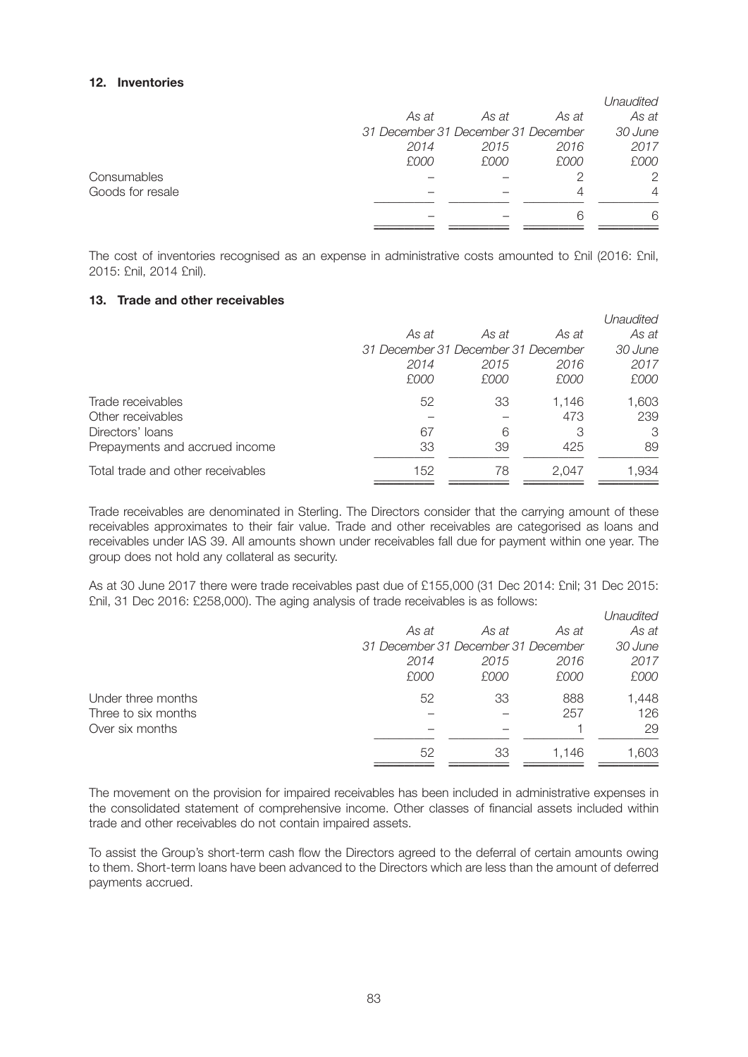### **12. Inventories**

|                  |                                     |       |       | Unaudited |
|------------------|-------------------------------------|-------|-------|-----------|
|                  | As at                               | As at | As at | As at     |
|                  | 31 December 31 December 31 December |       |       | 30 June   |
|                  | 2014                                | 2015  | 2016  | 2017      |
|                  | £000                                | £000  | £000  | £000      |
| Consumables      |                                     |       |       | 2         |
| Goods for resale |                                     |       |       | 4         |
|                  |                                     |       |       | 6         |
|                  |                                     |       |       |           |

The cost of inventories recognised as an expense in administrative costs amounted to £nil (2016: £nil, 2015: £nil, 2014 £nil).

## **13. Trade and other receivables**

|                                   |       |                                     |       | Unaudited |
|-----------------------------------|-------|-------------------------------------|-------|-----------|
|                                   | As at | As at                               | As at | As at     |
|                                   |       | 31 December 31 December 31 December |       | 30 June   |
|                                   | 2014  | 2015                                | 2016  | 2017      |
|                                   | £000  | £000                                | £000  | £000      |
| Trade receivables                 | 52    | 33                                  | 1.146 | 1,603     |
| Other receivables                 |       |                                     | 473   | 239       |
| Directors' loans                  | 67    | 6                                   | 3     | 3         |
| Prepayments and accrued income    | 33    | 39                                  | 425   | 89        |
| Total trade and other receivables | 152   | 78                                  | 2.047 | 1,934     |

Trade receivables are denominated in Sterling. The Directors consider that the carrying amount of these receivables approximates to their fair value. Trade and other receivables are categorised as loans and receivables under IAS 39. All amounts shown under receivables fall due for payment within one year. The group does not hold any collateral as security.

As at 30 June 2017 there were trade receivables past due of £155,000 (31 Dec 2014: £nil; 31 Dec 2015: £nil, 31 Dec 2016: £258,000). The aging analysis of trade receivables is as follows:

|                     |                                     |       |       | Unaudited |
|---------------------|-------------------------------------|-------|-------|-----------|
|                     | As at                               | As at | As at | As at     |
|                     | 31 December 31 December 31 December |       |       | 30 June   |
|                     | 2014                                | 2015  | 2016  | 2017      |
|                     | £000                                | £000  | £000  | £000      |
| Under three months  | 52                                  | 33    | 888   | 1,448     |
| Three to six months |                                     |       | 257   | 126       |
| Over six months     |                                     |       |       | 29        |
|                     | 52                                  | 33    | 1.146 | 1,603     |
|                     |                                     |       |       |           |

The movement on the provision for impaired receivables has been included in administrative expenses in the consolidated statement of comprehensive income. Other classes of financial assets included within trade and other receivables do not contain impaired assets.

To assist the Group's short-term cash flow the Directors agreed to the deferral of certain amounts owing to them. Short-term loans have been advanced to the Directors which are less than the amount of deferred payments accrued.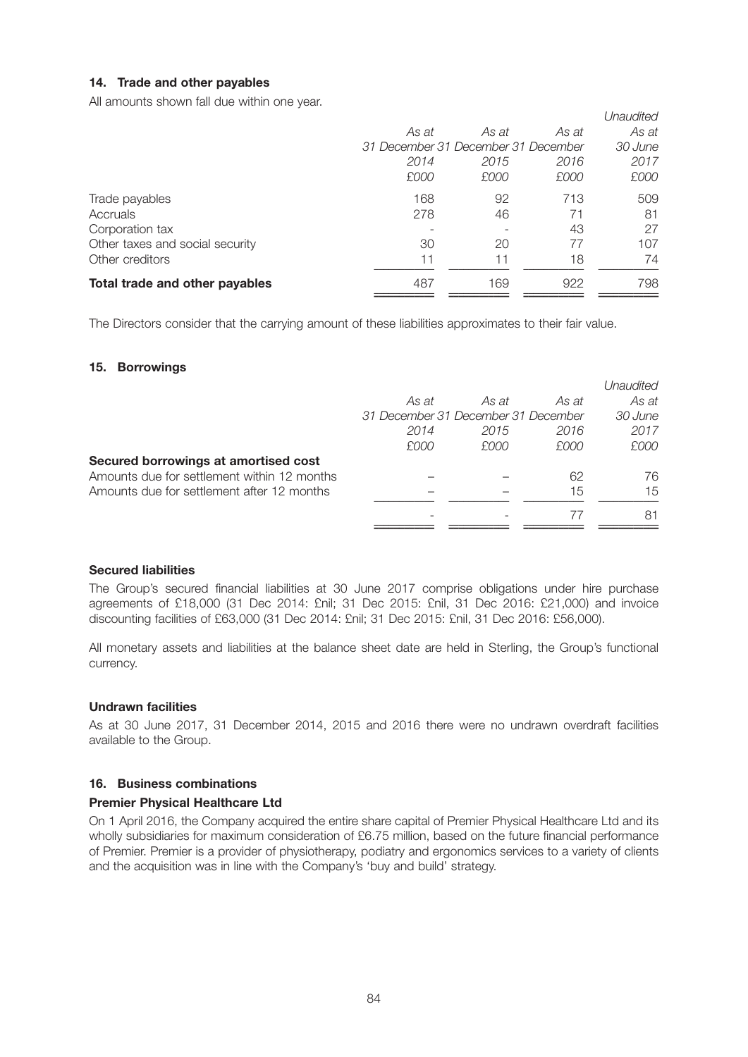## **14. Trade and other payables**

All amounts shown fall due within one year.

|       |       |       | Unaudited                           |
|-------|-------|-------|-------------------------------------|
| As at | As at | As at | As at                               |
|       |       |       | 30 June                             |
| 2014  | 2015  | 2016  | 2017                                |
| £000  | £000  | £000  | £000                                |
| 168   | 92    | 713   | 509                                 |
| 278   | 46    | 71    | 81                                  |
|       |       | 43    | 27                                  |
| 30    | 20    | 77    | 107                                 |
| 11    | 11    | 18    | 74                                  |
| 487   | 169   | 922   | 798                                 |
|       |       |       | 31 December 31 December 31 December |

The Directors consider that the carrying amount of these liabilities approximates to their fair value.

#### **15. Borrowings**

|                                             |                                     |       |       | Unaudited |
|---------------------------------------------|-------------------------------------|-------|-------|-----------|
|                                             | As at                               | As at | As at | As at     |
|                                             | 31 December 31 December 31 December |       |       | 30 June   |
|                                             | 2014                                | 2015  | 2016  | 2017      |
|                                             | £000                                | £000  | £000  | £000      |
| Secured borrowings at amortised cost        |                                     |       |       |           |
| Amounts due for settlement within 12 months |                                     |       | 62    | 76        |
| Amounts due for settlement after 12 months  |                                     |       | 15    | 15        |
|                                             |                                     |       |       | 81        |
|                                             |                                     |       |       |           |

#### **Secured liabilities**

The Group's secured financial liabilities at 30 June 2017 comprise obligations under hire purchase agreements of £18,000 (31 Dec 2014: £nil; 31 Dec 2015: £nil, 31 Dec 2016: £21,000) and invoice discounting facilities of £63,000 (31 Dec 2014: £nil; 31 Dec 2015: £nil, 31 Dec 2016: £56,000).

All monetary assets and liabilities at the balance sheet date are held in Sterling, the Group's functional currency.

#### **Undrawn facilities**

As at 30 June 2017, 31 December 2014, 2015 and 2016 there were no undrawn overdraft facilities available to the Group.

### **16. Business combinations**

## **Premier Physical Healthcare Ltd**

On 1 April 2016, the Company acquired the entire share capital of Premier Physical Healthcare Ltd and its wholly subsidiaries for maximum consideration of £6.75 million, based on the future financial performance of Premier. Premier is a provider of physiotherapy, podiatry and ergonomics services to a variety of clients and the acquisition was in line with the Company's 'buy and build' strategy.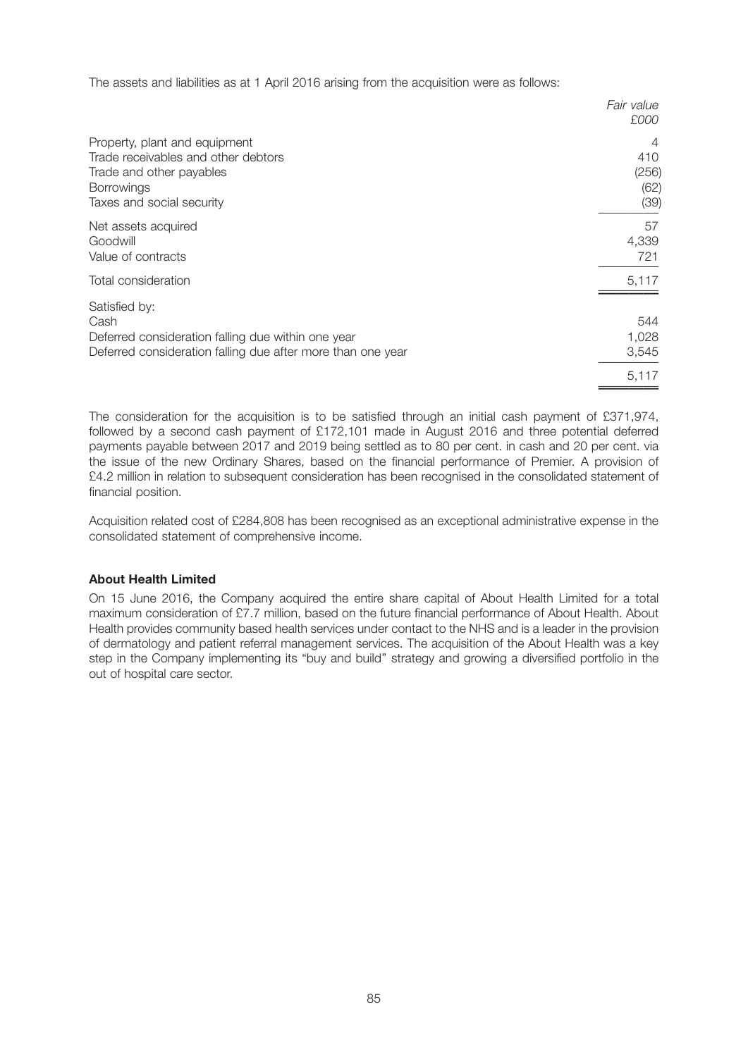The assets and liabilities as at 1 April 2016 arising from the acquisition were as follows:

|                                                             | Fair value<br>£000 |
|-------------------------------------------------------------|--------------------|
| Property, plant and equipment                               | 4                  |
| Trade receivables and other debtors                         | 410                |
| Trade and other payables                                    | (256)              |
| <b>Borrowings</b>                                           | (62)               |
| Taxes and social security                                   | (39)               |
| Net assets acquired                                         | 57                 |
| Goodwill                                                    | 4,339              |
| Value of contracts                                          | 721                |
| Total consideration                                         | 5,117              |
| Satisfied by:                                               | 544                |
| Cash                                                        | 1,028              |
| Deferred consideration falling due within one year          | 3,545              |
| Deferred consideration falling due after more than one year | 5,117              |

The consideration for the acquisition is to be satisfied through an initial cash payment of £371,974, followed by a second cash payment of £172,101 made in August 2016 and three potential deferred payments payable between 2017 and 2019 being settled as to 80 per cent. in cash and 20 per cent. via the issue of the new Ordinary Shares, based on the financial performance of Premier. A provision of £4.2 million in relation to subsequent consideration has been recognised in the consolidated statement of financial position.

Acquisition related cost of £284,808 has been recognised as an exceptional administrative expense in the consolidated statement of comprehensive income.

## **About Health Limited**

On 15 June 2016, the Company acquired the entire share capital of About Health Limited for a total maximum consideration of £7.7 million, based on the future financial performance of About Health. About Health provides community based health services under contact to the NHS and is a leader in the provision of dermatology and patient referral management services. The acquisition of the About Health was a key step in the Company implementing its "buy and build'' strategy and growing a diversified portfolio in the out of hospital care sector.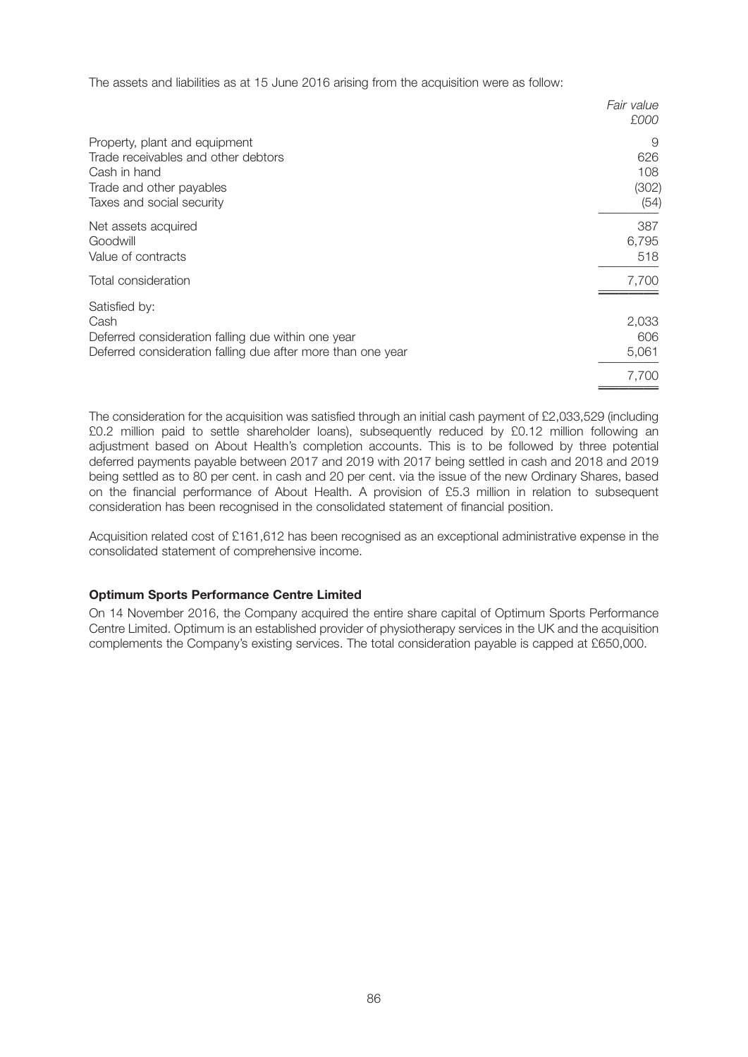The assets and liabilities as at 15 June 2016 arising from the acquisition were as follow:

|                                                             | Fair value<br>£000 |
|-------------------------------------------------------------|--------------------|
| Property, plant and equipment                               | 9                  |
| Trade receivables and other debtors                         | 626                |
| Cash in hand                                                | 108                |
| Trade and other payables                                    | (302)              |
| Taxes and social security                                   | (54)               |
| Net assets acquired                                         | 387                |
| Goodwill                                                    | 6,795              |
| Value of contracts                                          | 518                |
| Total consideration                                         | 7,700              |
| Satisfied by:                                               | 2,033              |
| Cash                                                        | 606                |
| Deferred consideration falling due within one year          | 5,061              |
| Deferred consideration falling due after more than one year | 7,700              |

The consideration for the acquisition was satisfied through an initial cash payment of £2,033,529 (including £0.2 million paid to settle shareholder loans), subsequently reduced by £0.12 million following an adjustment based on About Health's completion accounts. This is to be followed by three potential deferred payments payable between 2017 and 2019 with 2017 being settled in cash and 2018 and 2019 being settled as to 80 per cent. in cash and 20 per cent. via the issue of the new Ordinary Shares, based on the financial performance of About Health. A provision of £5.3 million in relation to subsequent consideration has been recognised in the consolidated statement of financial position.

Acquisition related cost of £161,612 has been recognised as an exceptional administrative expense in the consolidated statement of comprehensive income.

#### **Optimum Sports Performance Centre Limited**

On 14 November 2016, the Company acquired the entire share capital of Optimum Sports Performance Centre Limited. Optimum is an established provider of physiotherapy services in the UK and the acquisition complements the Company's existing services. The total consideration payable is capped at £650,000.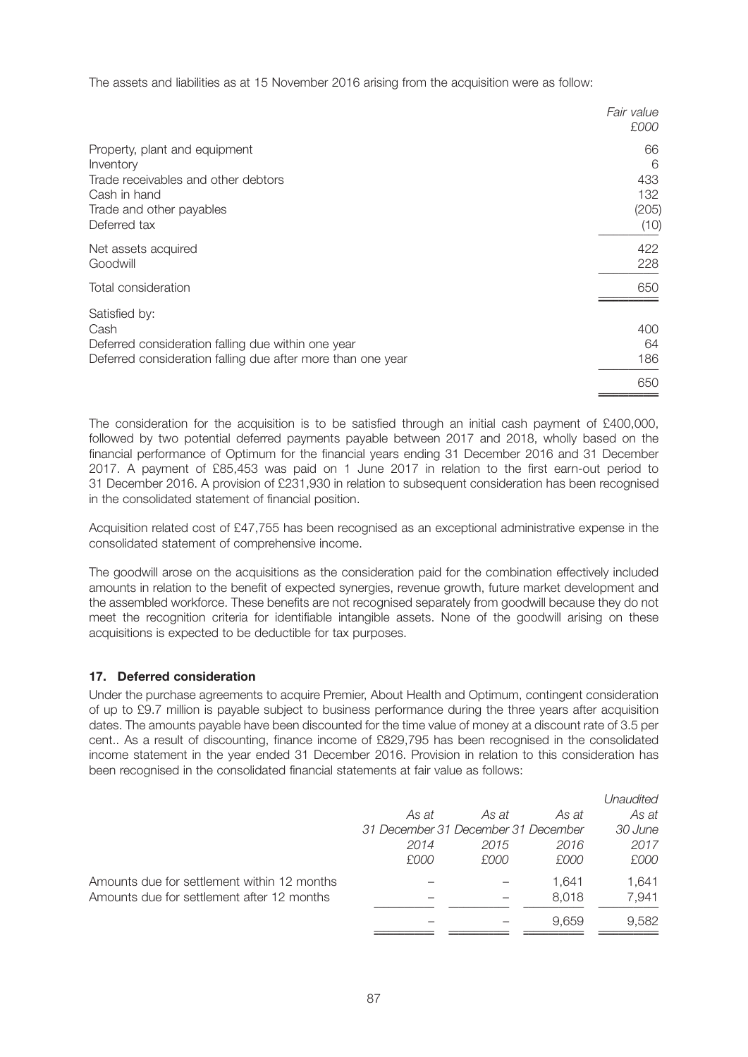The assets and liabilities as at 15 November 2016 arising from the acquisition were as follow:

|                                                             | Fair value<br>£000 |
|-------------------------------------------------------------|--------------------|
| Property, plant and equipment                               | 66                 |
| Inventory                                                   | 6                  |
| Trade receivables and other debtors                         | 433                |
| Cash in hand                                                | 132                |
| Trade and other payables                                    | (205)              |
| Deferred tax                                                | (10)               |
| Net assets acquired                                         | 422                |
| Goodwill                                                    | 228                |
| Total consideration                                         | 650                |
| Satisfied by:                                               | 400                |
| Cash                                                        | 64                 |
| Deferred consideration falling due within one year          | 186                |
| Deferred consideration falling due after more than one year | 650                |

The consideration for the acquisition is to be satisfied through an initial cash payment of £400,000, followed by two potential deferred payments payable between 2017 and 2018, wholly based on the financial performance of Optimum for the financial years ending 31 December 2016 and 31 December 2017. A payment of £85,453 was paid on 1 June 2017 in relation to the first earn-out period to 31 December 2016. A provision of £231,930 in relation to subsequent consideration has been recognised in the consolidated statement of financial position.

Acquisition related cost of £47,755 has been recognised as an exceptional administrative expense in the consolidated statement of comprehensive income.

The goodwill arose on the acquisitions as the consideration paid for the combination effectively included amounts in relation to the benefit of expected synergies, revenue growth, future market development and the assembled workforce. These benefits are not recognised separately from goodwill because they do not meet the recognition criteria for identifiable intangible assets. None of the goodwill arising on these acquisitions is expected to be deductible for tax purposes.

## **17. Deferred consideration**

Under the purchase agreements to acquire Premier, About Health and Optimum, contingent consideration of up to £9.7 million is payable subject to business performance during the three years after acquisition dates. The amounts payable have been discounted for the time value of money at a discount rate of 3.5 per cent.. As a result of discounting, finance income of £829,795 has been recognised in the consolidated income statement in the year ended 31 December 2016. Provision in relation to this consideration has been recognised in the consolidated financial statements at fair value as follows:

|       |       |       | Unaudited                           |
|-------|-------|-------|-------------------------------------|
| As at | As at | As at | As at                               |
|       |       |       | 30 June                             |
| 2014  | 2015  | 2016  | 2017                                |
| £000  | £000  | £000  | £000                                |
|       |       | 1.641 | 1.641                               |
|       |       | 8.018 | 7,941                               |
|       |       | 9.659 | 9,582                               |
|       |       |       | 31 December 31 December 31 December |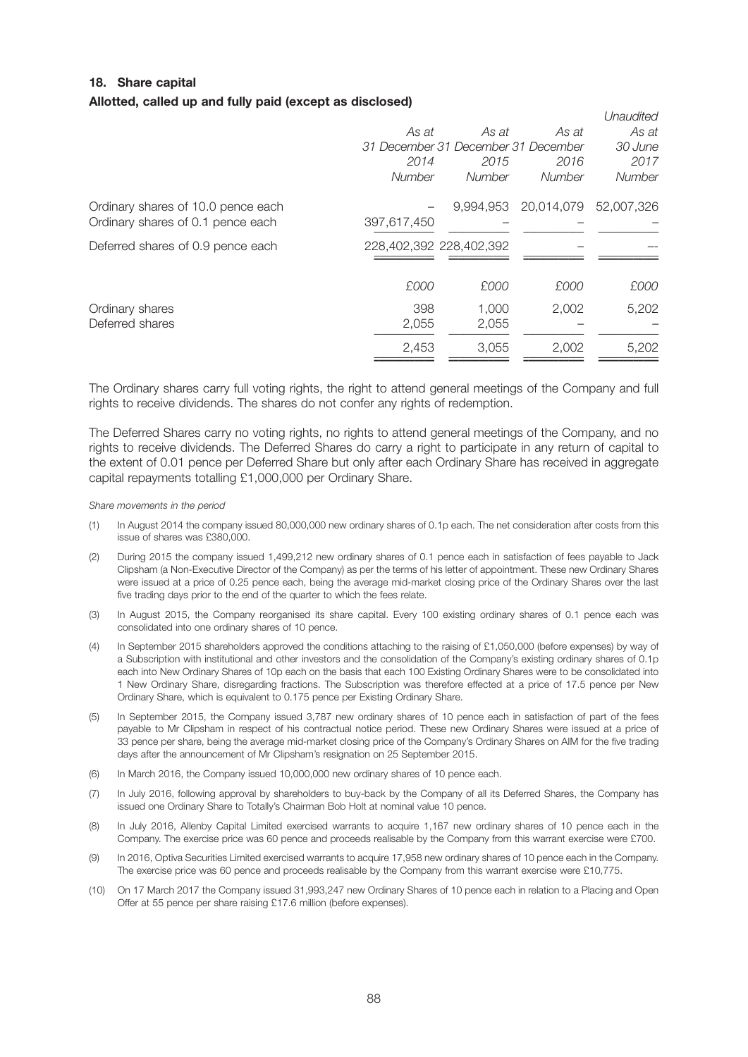# **18. Share capital Allotted, called up and fully paid (except as disclosed)**

|                                    |                                     |        |                      | Unaudited  |
|------------------------------------|-------------------------------------|--------|----------------------|------------|
|                                    | As at                               | As at  | As at                | As at      |
|                                    | 31 December 31 December 31 December |        |                      | 30 June    |
|                                    | 2014                                | 2015   | 2016                 | 2017       |
|                                    | <b>Number</b>                       | Number | Number               | Number     |
| Ordinary shares of 10.0 pence each |                                     |        | 9,994,953 20,014,079 | 52,007,326 |
| Ordinary shares of 0.1 pence each  | 397,617,450                         |        |                      |            |
| Deferred shares of 0.9 pence each  | 228,402,392 228,402,392             |        |                      |            |
|                                    |                                     |        |                      |            |
|                                    | £000                                | £000   | £000                 | £000       |
| Ordinary shares                    | 398                                 | 1,000  | 2,002                | 5,202      |
| Deferred shares                    | 2,055                               | 2,055  |                      |            |
|                                    | 2,453                               | 3,055  | 2,002                | 5,202      |
|                                    |                                     |        |                      |            |

The Ordinary shares carry full voting rights, the right to attend general meetings of the Company and full rights to receive dividends. The shares do not confer any rights of redemption.

The Deferred Shares carry no voting rights, no rights to attend general meetings of the Company, and no rights to receive dividends. The Deferred Shares do carry a right to participate in any return of capital to the extent of 0.01 pence per Deferred Share but only after each Ordinary Share has received in aggregate capital repayments totalling £1,000,000 per Ordinary Share.

*Share movements in the period*

- (1) In August 2014 the company issued 80,000,000 new ordinary shares of 0.1p each. The net consideration after costs from this issue of shares was £380,000.
- (2) During 2015 the company issued 1,499,212 new ordinary shares of 0.1 pence each in satisfaction of fees payable to Jack Clipsham (a Non-Executive Director of the Company) as per the terms of his letter of appointment. These new Ordinary Shares were issued at a price of 0.25 pence each, being the average mid-market closing price of the Ordinary Shares over the last five trading days prior to the end of the quarter to which the fees relate.
- (3) In August 2015, the Company reorganised its share capital. Every 100 existing ordinary shares of 0.1 pence each was consolidated into one ordinary shares of 10 pence.
- (4) In September 2015 shareholders approved the conditions attaching to the raising of £1,050,000 (before expenses) by way of a Subscription with institutional and other investors and the consolidation of the Company's existing ordinary shares of 0.1p each into New Ordinary Shares of 10p each on the basis that each 100 Existing Ordinary Shares were to be consolidated into 1 New Ordinary Share, disregarding fractions. The Subscription was therefore effected at a price of 17.5 pence per New Ordinary Share, which is equivalent to 0.175 pence per Existing Ordinary Share.
- (5) In September 2015, the Company issued 3,787 new ordinary shares of 10 pence each in satisfaction of part of the fees payable to Mr Clipsham in respect of his contractual notice period. These new Ordinary Shares were issued at a price of 33 pence per share, being the average mid-market closing price of the Company's Ordinary Shares on AIM for the five trading days after the announcement of Mr Clipsham's resignation on 25 September 2015.
- (6) In March 2016, the Company issued 10,000,000 new ordinary shares of 10 pence each.
- (7) In July 2016, following approval by shareholders to buy-back by the Company of all its Deferred Shares, the Company has issued one Ordinary Share to Totally's Chairman Bob Holt at nominal value 10 pence.
- (8) In July 2016, Allenby Capital Limited exercised warrants to acquire 1,167 new ordinary shares of 10 pence each in the Company. The exercise price was 60 pence and proceeds realisable by the Company from this warrant exercise were £700.
- (9) In 2016, Optiva Securities Limited exercised warrants to acquire 17,958 new ordinary shares of 10 pence each in the Company. The exercise price was 60 pence and proceeds realisable by the Company from this warrant exercise were £10,775.
- (10) On 17 March 2017 the Company issued 31,993,247 new Ordinary Shares of 10 pence each in relation to a Placing and Open Offer at 55 pence per share raising £17.6 million (before expenses).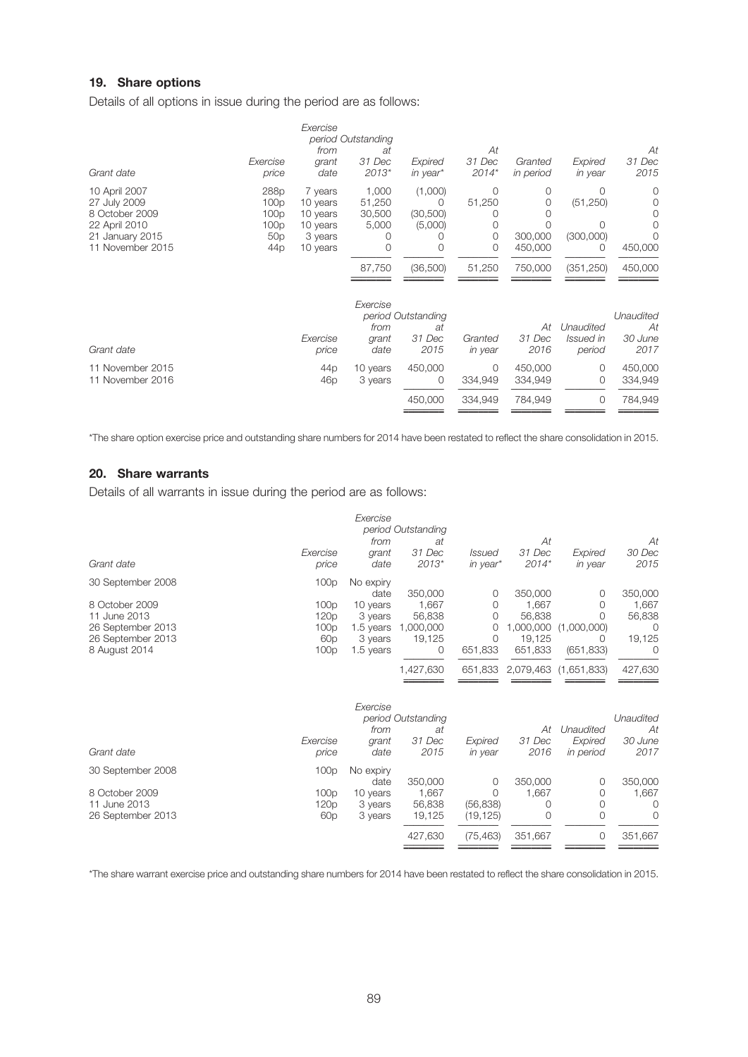# **19. Share options**

Details of all options in issue during the period are as follows:

| Grant date                                                                                              | Exercise<br>price                                                              | Exercise<br>from<br>grant<br>date                                  | period Outstanding<br>аt<br>31 Dec<br>$2013*$ | Expired<br>in year*                        | At<br>31 Dec<br>$2014*$           | Granted<br>in period         | Expired<br>in year               | At<br>31 Dec<br>2015               |
|---------------------------------------------------------------------------------------------------------|--------------------------------------------------------------------------------|--------------------------------------------------------------------|-----------------------------------------------|--------------------------------------------|-----------------------------------|------------------------------|----------------------------------|------------------------------------|
| 10 April 2007<br>27 July 2009<br>8 October 2009<br>22 April 2010<br>21 January 2015<br>11 November 2015 | 288p<br>100p<br>100p<br>100 <sub>p</sub><br>50 <sub>p</sub><br>44 <sub>p</sub> | 7 years<br>10 years<br>10 years<br>10 years<br>3 years<br>10 years | 1,000<br>51,250<br>30,500<br>5,000            | (1,000)<br>0<br>(30, 500)<br>(5,000)<br>0  | $\Omega$<br>51,250<br>0<br>0<br>0 | 0<br>0<br>300,000<br>450,000 | Ω<br>(51, 250)<br>(300,000)<br>0 | 0<br>0<br>450,000                  |
|                                                                                                         |                                                                                |                                                                    | 87,750                                        | (36,500)                                   | 51,250                            | 750,000                      | (351, 250)                       | 450,000                            |
| Grant date                                                                                              |                                                                                | Exercise<br>price                                                  | Exercise<br>from<br>grant<br>date             | period Outstanding<br>at<br>31 Dec<br>2015 | Granted<br>in year                | At<br>31 Dec<br>2016         | Unaudited<br>Issued in<br>period | Unaudited<br>At<br>30 June<br>2017 |
| 11 November 2015<br>11 November 2016                                                                    |                                                                                | 44 <sub>p</sub><br>46 <sub>p</sub>                                 | 10 years<br>3 years                           | 450,000<br>0                               | $\Omega$<br>334,949               | 450,000<br>334,949           | $\Omega$<br>0                    | 450,000<br>334,949                 |
|                                                                                                         |                                                                                |                                                                    |                                               | 450,000                                    | 334,949                           | 784,949                      | 0                                | 784,949                            |

\*The share option exercise price and outstanding share numbers for 2014 have been restated to reflect the share consolidation in 2015.

# **20. Share warrants**

Details of all warrants in issue during the period are as follows:

|                                                                                                                |                                                         | Exercise                                                                      | period Outstanding                                     |                                         |                                                              |                                                               |                                                       |
|----------------------------------------------------------------------------------------------------------------|---------------------------------------------------------|-------------------------------------------------------------------------------|--------------------------------------------------------|-----------------------------------------|--------------------------------------------------------------|---------------------------------------------------------------|-------------------------------------------------------|
| Grant date                                                                                                     | Exercise<br>price                                       | from<br>grant<br>date                                                         | at<br>31 Dec<br>$2013*$                                | <i>Issued</i><br>in year*               | Аt<br>31 Dec<br>$2014*$                                      | Expired<br>in year                                            | At<br>30 Dec<br>2015                                  |
| 30 September 2008<br>8 October 2009<br>11 June 2013<br>26 September 2013<br>26 September 2013<br>8 August 2014 | 100p<br>100p<br>120p<br>100p<br>60 <sub>p</sub><br>100p | No expiry<br>date<br>10 years<br>3 years<br>1.5 years<br>3 years<br>1.5 years | 350,000<br>1,667<br>56,838<br>1,000,000<br>19,125<br>0 | 0<br>0<br>0<br>0<br>$\Omega$<br>651,833 | 350,000<br>1,667<br>56,838<br>1,000,000<br>19,125<br>651,833 | 0<br>$\Omega$<br>O<br>(1,000,000)<br>$\bigcirc$<br>(651, 833) | 350,000<br>1,667<br>56,838<br>O<br>19,125<br>$\Omega$ |
|                                                                                                                |                                                         |                                                                               | 1,427,630                                              | 651,833                                 | 2,079,463                                                    | (1,651,833)                                                   | 427,630                                               |
| Grant date                                                                                                     | Exercise<br>price                                       | Exercise<br>from<br>grant<br>date                                             | period Outstanding<br>at<br>31 Dec<br>2015             | Expired<br>in year                      | At<br>31 Dec<br>2016                                         | Unaudited<br>Expired<br>in period                             | Unaudited<br>At<br>30 June<br>2017                    |
| 30 September 2008                                                                                              | 100p                                                    | No expiry<br>date                                                             | 350,000                                                | 0                                       | 350,000                                                      | 0                                                             | 350,000                                               |
| 8 October 2009<br>11 June 2013<br>26 September 2013                                                            | 100p<br>120p<br>60 <sub>p</sub>                         | 10 years<br>3 years<br>3 years                                                | 1,667<br>56,838<br>19,125                              | $\Omega$<br>(56, 838)<br>(19, 125)      | 1,667<br>0<br>$\Omega$                                       | 0<br>$\Omega$<br>$\Omega$                                     | 1,667<br>0<br>$\Omega$                                |
|                                                                                                                |                                                         |                                                                               | 427,630                                                | (75, 463)                               | 351,667                                                      | 0                                                             | 351,667                                               |

\*The share warrant exercise price and outstanding share numbers for 2014 have been restated to reflect the share consolidation in 2015.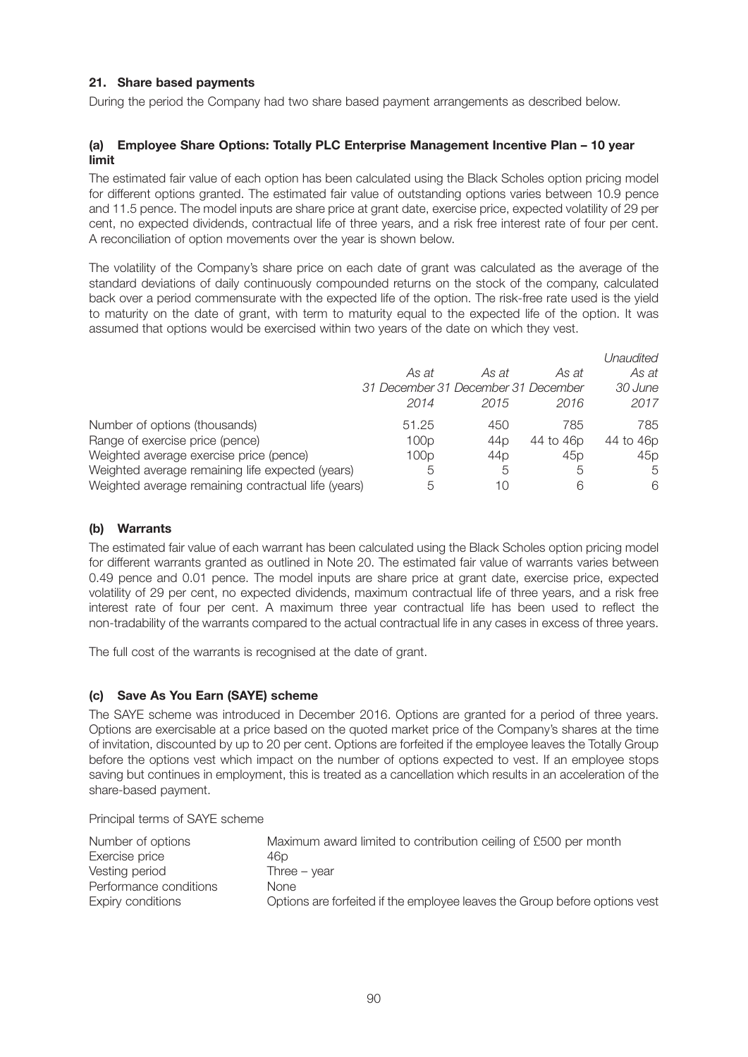# **21. Share based payments**

During the period the Company had two share based payment arrangements as described below.

## **(a) Employee Share Options: Totally PLC Enterprise Management Incentive Plan – 10 year limit**

The estimated fair value of each option has been calculated using the Black Scholes option pricing model for different options granted. The estimated fair value of outstanding options varies between 10.9 pence and 11.5 pence. The model inputs are share price at grant date, exercise price, expected volatility of 29 per cent, no expected dividends, contractual life of three years, and a risk free interest rate of four per cent. A reconciliation of option movements over the year is shown below.

The volatility of the Company's share price on each date of grant was calculated as the average of the standard deviations of daily continuously compounded returns on the stock of the company, calculated back over a period commensurate with the expected life of the option. The risk-free rate used is the yield to maturity on the date of grant, with term to maturity equal to the expected life of the option. It was assumed that options would be exercised within two years of the date on which they vest.

|                                                     |                                     |                 |                 | Unaudited |
|-----------------------------------------------------|-------------------------------------|-----------------|-----------------|-----------|
|                                                     | As at                               | As at           | As at           | As at     |
|                                                     | 31 December 31 December 31 December |                 |                 | 30 June   |
|                                                     | 2014                                | 2015            | 2016            | 2017      |
| Number of options (thousands)                       | 51.25                               | 450             | 785             | 785       |
| Range of exercise price (pence)                     | 100p                                | 44 <sub>D</sub> | 44 to 46p       | 44 to 46p |
| Weighted average exercise price (pence)             | 100p                                | 44 <sub>D</sub> | 45 <sub>p</sub> | 45p       |
| Weighted average remaining life expected (years)    | 5                                   | 5               | 5               | 5         |
| Weighted average remaining contractual life (years) | 5                                   | 10              | 6               | 6         |

## **(b) Warrants**

The estimated fair value of each warrant has been calculated using the Black Scholes option pricing model for different warrants granted as outlined in Note 20. The estimated fair value of warrants varies between 0.49 pence and 0.01 pence. The model inputs are share price at grant date, exercise price, expected volatility of 29 per cent, no expected dividends, maximum contractual life of three years, and a risk free interest rate of four per cent. A maximum three year contractual life has been used to reflect the non-tradability of the warrants compared to the actual contractual life in any cases in excess of three years.

The full cost of the warrants is recognised at the date of grant.

## **(c) Save As You Earn (SAYE) scheme**

The SAYE scheme was introduced in December 2016. Options are granted for a period of three years. Options are exercisable at a price based on the quoted market price of the Company's shares at the time of invitation, discounted by up to 20 per cent. Options are forfeited if the employee leaves the Totally Group before the options vest which impact on the number of options expected to vest. If an employee stops saving but continues in employment, this is treated as a cancellation which results in an acceleration of the share-based payment.

Principal terms of SAYE scheme

| Number of options      | Maximum award limited to contribution ceiling of £500 per month            |
|------------------------|----------------------------------------------------------------------------|
| Exercise price         | 46p                                                                        |
| Vesting period         | Three $-$ year                                                             |
| Performance conditions | None                                                                       |
| Expiry conditions      | Options are forfeited if the employee leaves the Group before options vest |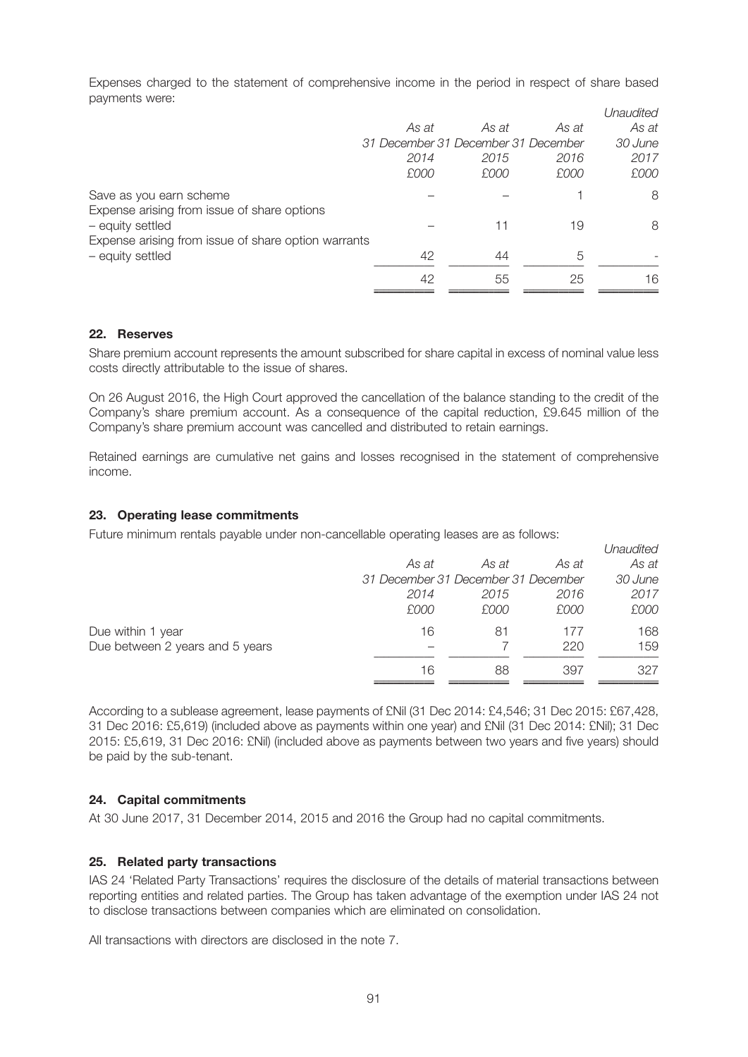Expenses charged to the statement of comprehensive income in the period in respect of share based payments were:

|                                                     |                                     |       |       | Unaudited |
|-----------------------------------------------------|-------------------------------------|-------|-------|-----------|
|                                                     | As at                               | As at | As at | As at     |
|                                                     | 31 December 31 December 31 December |       |       | 30 June   |
|                                                     | 2014                                | 2015  | 2016  | 2017      |
|                                                     | £000                                | £000  | £000  | £000      |
| Save as you earn scheme                             |                                     |       |       | 8         |
| Expense arising from issue of share options         |                                     |       |       |           |
| - equity settled                                    |                                     | 11    | 19    | 8         |
| Expense arising from issue of share option warrants |                                     |       |       |           |
| - equity settled                                    | 42                                  | 44    | 5     |           |
|                                                     | 42                                  | 55    | 25    | 16        |
|                                                     |                                     |       |       |           |

#### **22. Reserves**

Share premium account represents the amount subscribed for share capital in excess of nominal value less costs directly attributable to the issue of shares.

On 26 August 2016, the High Court approved the cancellation of the balance standing to the credit of the Company's share premium account. As a consequence of the capital reduction, £9.645 million of the Company's share premium account was cancelled and distributed to retain earnings.

Retained earnings are cumulative net gains and losses recognised in the statement of comprehensive income.

### **23. Operating lease commitments**

Future minimum rentals payable under non-cancellable operating leases are as follows:

|                                 |                                     |       |       | Unaudited |
|---------------------------------|-------------------------------------|-------|-------|-----------|
|                                 | As at                               | As at | As at | As at     |
|                                 | 31 December 31 December 31 December |       |       | 30 June   |
|                                 | 2014                                | 2015  | 2016  | 2017      |
|                                 | £000                                | £000  | £000  | £000      |
| Due within 1 year               | 16                                  | 81    | 177   | 168       |
| Due between 2 years and 5 years |                                     |       | 220   | 159       |
|                                 | 16                                  | 88    | 397   | 327       |
|                                 |                                     |       |       |           |

According to a sublease agreement, lease payments of £Nil (31 Dec 2014: £4,546; 31 Dec 2015: £67,428, 31 Dec 2016: £5,619) (included above as payments within one year) and £Nil (31 Dec 2014: £Nil); 31 Dec 2015: £5,619, 31 Dec 2016: £Nil) (included above as payments between two years and five years) should be paid by the sub-tenant.

#### **24. Capital commitments**

At 30 June 2017, 31 December 2014, 2015 and 2016 the Group had no capital commitments.

#### **25. Related party transactions**

IAS 24 'Related Party Transactions' requires the disclosure of the details of material transactions between reporting entities and related parties. The Group has taken advantage of the exemption under IAS 24 not to disclose transactions between companies which are eliminated on consolidation.

All transactions with directors are disclosed in the note 7.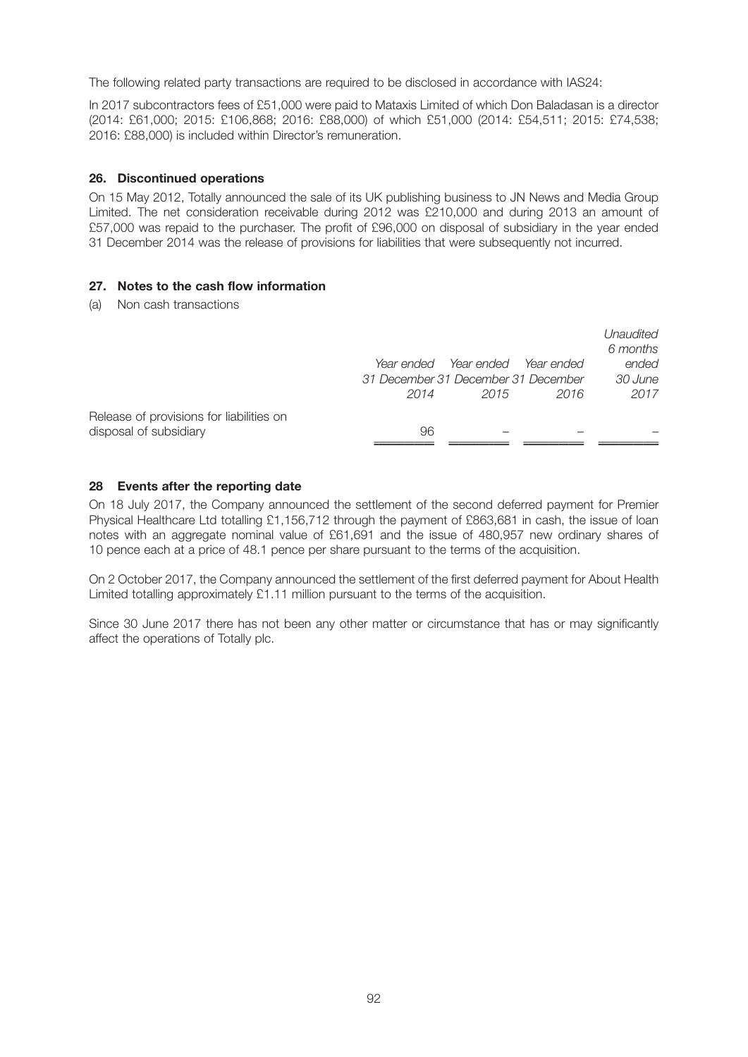The following related party transactions are required to be disclosed in accordance with IAS24:

In 2017 subcontractors fees of £51,000 were paid to Mataxis Limited of which Don Baladasan is a director (2014: £61,000; 2015: £106,868; 2016: £88,000) of which £51,000 (2014: £54,511; 2015: £74,538; 2016: £88,000) is included within Director's remuneration.

### **26. Discontinued operations**

On 15 May 2012, Totally announced the sale of its UK publishing business to JN News and Media Group Limited. The net consideration receivable during 2012 was £210,000 and during 2013 an amount of £57,000 was repaid to the purchaser. The profit of £96,000 on disposal of subsidiary in the year ended 31 December 2014 was the release of provisions for liabilities that were subsequently not incurred.

### **27. Notes to the cash flow information**

(a) Non cash transactions

|                                                                    | 31 December 31 December 31 December<br>2014 | Year ended Year ended<br>2015 | Year ended<br>2016 | Unaudited<br>6 months<br>ended<br>30 June<br>2017 |
|--------------------------------------------------------------------|---------------------------------------------|-------------------------------|--------------------|---------------------------------------------------|
| Release of provisions for liabilities on<br>disposal of subsidiary | 96                                          |                               |                    |                                                   |

### **28 Events after the reporting date**

On 18 July 2017, the Company announced the settlement of the second deferred payment for Premier Physical Healthcare Ltd totalling £1,156,712 through the payment of £863,681 in cash, the issue of loan notes with an aggregate nominal value of £61,691 and the issue of 480,957 new ordinary shares of 10 pence each at a price of 48.1 pence per share pursuant to the terms of the acquisition.

On 2 October 2017, the Company announced the settlement of the first deferred payment for About Health Limited totalling approximately £1.11 million pursuant to the terms of the acquisition.

Since 30 June 2017 there has not been any other matter or circumstance that has or may significantly affect the operations of Totally plc.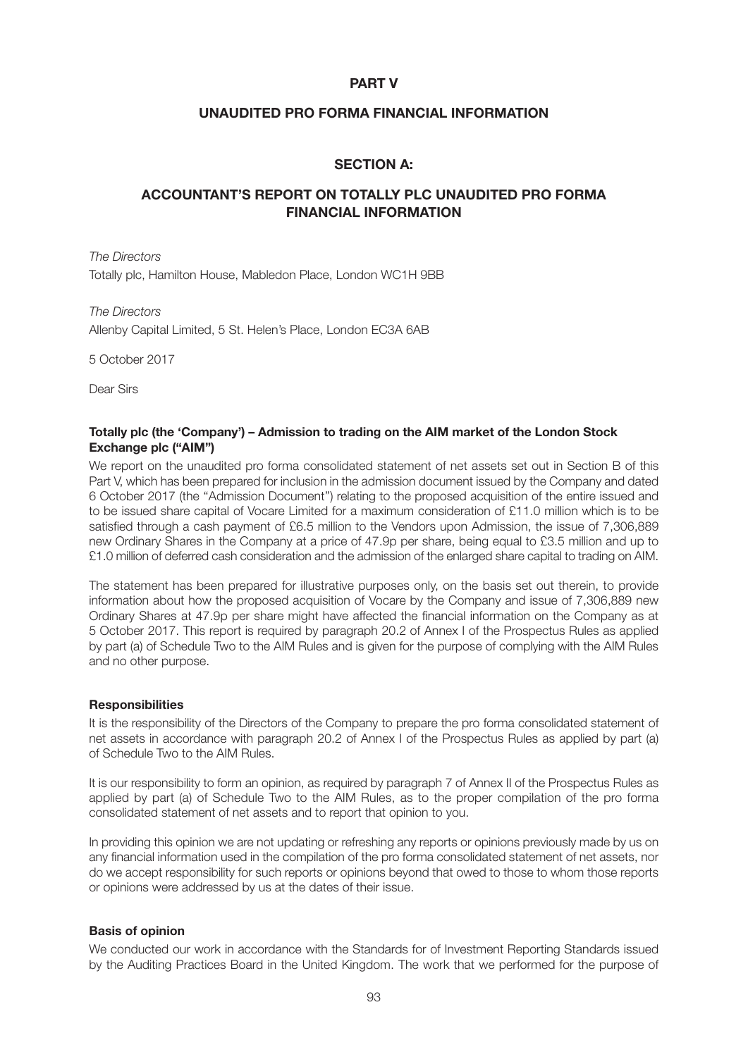## **PART V**

## **UNAUDITED PRO FORMA FINANCIAL INFORMATION**

# **SECTION A:**

# **ACCOUNTANT'S REPORT ON TOTALLY PLC UNAUDITED PRO FORMA FINANCIAL INFORMATION**

*The Directors* Totally plc, Hamilton House, Mabledon Place, London WC1H 9BB

*The Directors* Allenby Capital Limited, 5 St. Helen's Place, London EC3A 6AB

5 October 2017

Dear Sirs

### **Totally plc (the 'Company') – Admission to trading on the AIM market of the London Stock Exchange plc ("AIM")**

We report on the unaudited pro forma consolidated statement of net assets set out in Section B of this Part V, which has been prepared for inclusion in the admission document issued by the Company and dated 6 October 2017 (the ''Admission Document'') relating to the proposed acquisition of the entire issued and to be issued share capital of Vocare Limited for a maximum consideration of £11.0 million which is to be satisfied through a cash payment of £6.5 million to the Vendors upon Admission, the issue of 7,306,889 new Ordinary Shares in the Company at a price of 47.9p per share, being equal to £3.5 million and up to £1.0 million of deferred cash consideration and the admission of the enlarged share capital to trading on AIM.

The statement has been prepared for illustrative purposes only, on the basis set out therein, to provide information about how the proposed acquisition of Vocare by the Company and issue of 7,306,889 new Ordinary Shares at 47.9p per share might have affected the financial information on the Company as at 5 October 2017. This report is required by paragraph 20.2 of Annex I of the Prospectus Rules as applied by part (a) of Schedule Two to the AIM Rules and is given for the purpose of complying with the AIM Rules and no other purpose.

## **Responsibilities**

It is the responsibility of the Directors of the Company to prepare the pro forma consolidated statement of net assets in accordance with paragraph 20.2 of Annex I of the Prospectus Rules as applied by part (a) of Schedule Two to the AIM Rules.

It is our responsibility to form an opinion, as required by paragraph 7 of Annex II of the Prospectus Rules as applied by part (a) of Schedule Two to the AIM Rules, as to the proper compilation of the pro forma consolidated statement of net assets and to report that opinion to you.

In providing this opinion we are not updating or refreshing any reports or opinions previously made by us on any financial information used in the compilation of the pro forma consolidated statement of net assets, nor do we accept responsibility for such reports or opinions beyond that owed to those to whom those reports or opinions were addressed by us at the dates of their issue.

## **Basis of opinion**

We conducted our work in accordance with the Standards for of Investment Reporting Standards issued by the Auditing Practices Board in the United Kingdom. The work that we performed for the purpose of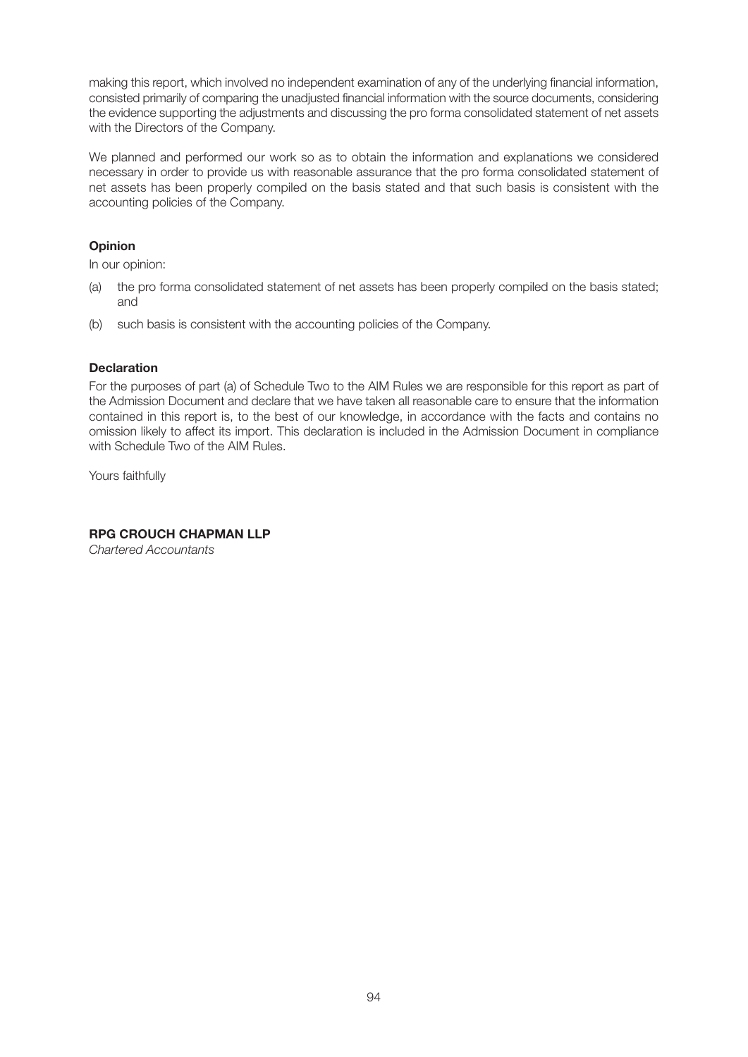making this report, which involved no independent examination of any of the underlying financial information, consisted primarily of comparing the unadjusted financial information with the source documents, considering the evidence supporting the adjustments and discussing the pro forma consolidated statement of net assets with the Directors of the Company.

We planned and performed our work so as to obtain the information and explanations we considered necessary in order to provide us with reasonable assurance that the pro forma consolidated statement of net assets has been properly compiled on the basis stated and that such basis is consistent with the accounting policies of the Company.

# **Opinion**

In our opinion:

- (a) the pro forma consolidated statement of net assets has been properly compiled on the basis stated; and
- (b) such basis is consistent with the accounting policies of the Company.

# **Declaration**

For the purposes of part (a) of Schedule Two to the AIM Rules we are responsible for this report as part of the Admission Document and declare that we have taken all reasonable care to ensure that the information contained in this report is, to the best of our knowledge, in accordance with the facts and contains no omission likely to affect its import. This declaration is included in the Admission Document in compliance with Schedule Two of the AIM Rules.

Yours faithfully

## **RPG CROUCH CHAPMAN LLP**

*Chartered Accountants*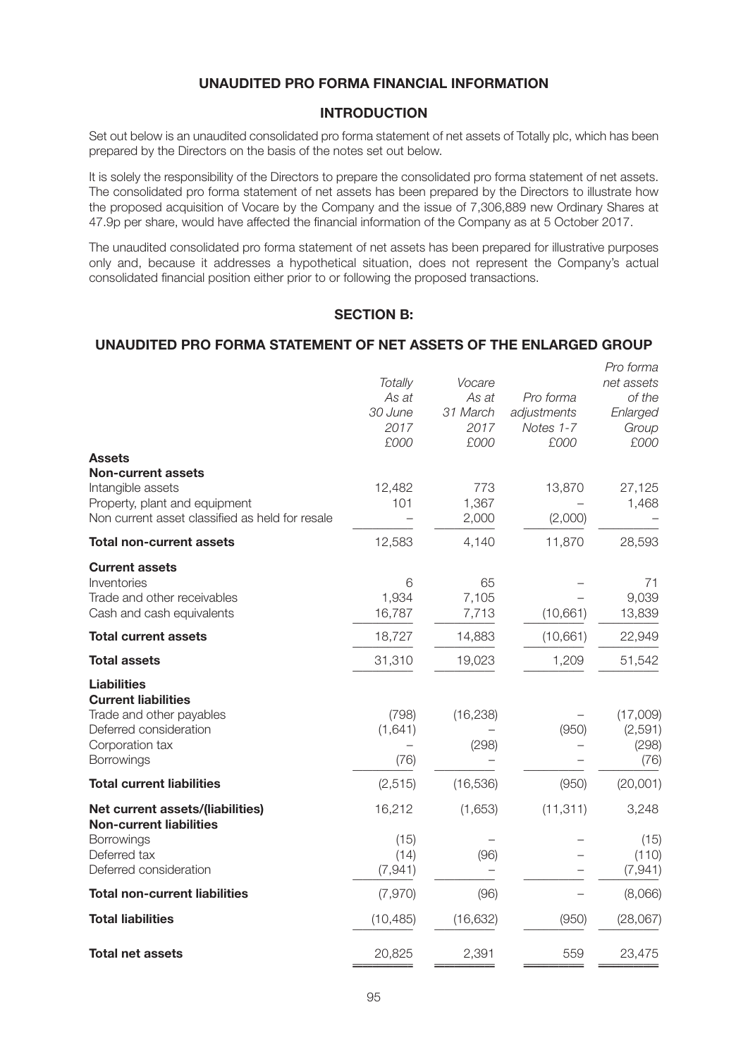# **UNAUDITED PRO FORMA FINANCIAL INFORMATION**

## **INTRODUCTION**

Set out below is an unaudited consolidated pro forma statement of net assets of Totally plc, which has been prepared by the Directors on the basis of the notes set out below.

It is solely the responsibility of the Directors to prepare the consolidated pro forma statement of net assets. The consolidated pro forma statement of net assets has been prepared by the Directors to illustrate how the proposed acquisition of Vocare by the Company and the issue of 7,306,889 new Ordinary Shares at 47.9p per share, would have affected the financial information of the Company as at 5 October 2017.

The unaudited consolidated pro forma statement of net assets has been prepared for illustrative purposes only and, because it addresses a hypothetical situation, does not represent the Company's actual consolidated financial position either prior to or following the proposed transactions.

# **SECTION B:**

## **UNAUDITED PRO FORMA STATEMENT OF NET ASSETS OF THE ENLARGED GROUP**

|                                                 |                |           |             | Pro forma  |
|-------------------------------------------------|----------------|-----------|-------------|------------|
|                                                 | <b>Totally</b> | Vocare    |             | net assets |
|                                                 | As at          | As at     | Pro forma   | of the     |
|                                                 | 30 June        | 31 March  | adjustments | Enlarged   |
|                                                 | 2017           | 2017      | Notes 1-7   | Group      |
|                                                 | £000           | £000      | £000        | £000       |
| <b>Assets</b>                                   |                |           |             |            |
| <b>Non-current assets</b>                       |                |           |             |            |
| Intangible assets                               | 12,482         | 773       | 13,870      | 27,125     |
| Property, plant and equipment                   | 101            | 1,367     |             | 1,468      |
| Non current asset classified as held for resale |                | 2,000     | (2,000)     |            |
| <b>Total non-current assets</b>                 | 12,583         | 4,140     | 11,870      | 28,593     |
| <b>Current assets</b>                           |                |           |             |            |
| Inventories                                     | 6              | 65        |             | 71         |
| Trade and other receivables                     | 1,934          | 7,105     |             | 9,039      |
| Cash and cash equivalents                       | 16,787         | 7,713     | (10,661)    | 13,839     |
| <b>Total current assets</b>                     | 18,727         | 14,883    | (10, 661)   | 22,949     |
| <b>Total assets</b>                             | 31,310         | 19,023    | 1,209       | 51,542     |
| <b>Liabilities</b>                              |                |           |             |            |
| <b>Current liabilities</b>                      |                |           |             |            |
| Trade and other payables                        | (798)          | (16, 238) |             | (17,009)   |
| Deferred consideration                          | (1,641)        |           | (950)       | (2,591)    |
| Corporation tax                                 |                | (298)     |             | (298)      |
| Borrowings                                      | (76)           |           |             | (76)       |
| <b>Total current liabilities</b>                | (2, 515)       | (16, 536) | (950)       | (20,001)   |
| Net current assets/(liabilities)                | 16,212         | (1,653)   | (11, 311)   | 3,248      |
| <b>Non-current liabilities</b>                  |                |           |             |            |
| Borrowings                                      | (15)           |           |             | (15)       |
| Deferred tax                                    | (14)           | (96)      |             | (110)      |
| Deferred consideration                          | (7, 941)       |           |             | (7, 941)   |
| <b>Total non-current liabilities</b>            | (7,970)        | (96)      |             | (8,066)    |
| <b>Total liabilities</b>                        | (10, 485)      | (16, 632) | (950)       | (28,067)   |
| <b>Total net assets</b>                         | 20,825         | 2,391     | 559         | 23,475     |
|                                                 |                |           |             |            |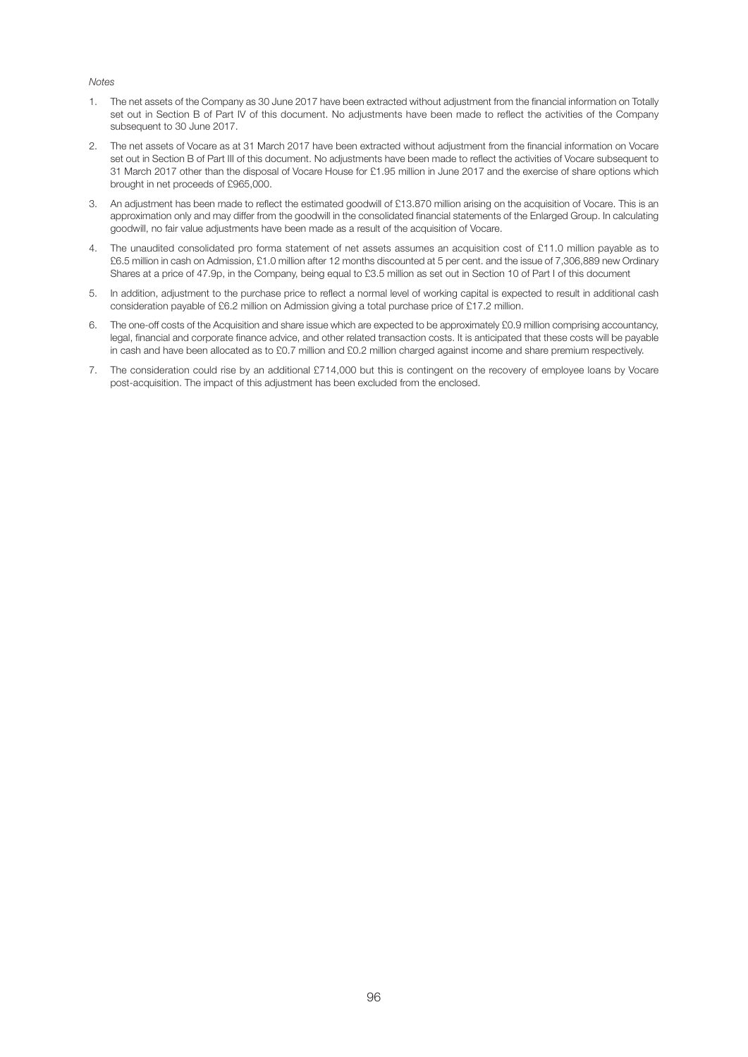#### *Notes*

- 1. The net assets of the Company as 30 June 2017 have been extracted without adjustment from the financial information on Totally set out in Section B of Part IV of this document. No adjustments have been made to reflect the activities of the Company subsequent to 30 June 2017.
- 2. The net assets of Vocare as at 31 March 2017 have been extracted without adjustment from the financial information on Vocare set out in Section B of Part III of this document. No adjustments have been made to reflect the activities of Vocare subsequent to 31 March 2017 other than the disposal of Vocare House for £1.95 million in June 2017 and the exercise of share options which brought in net proceeds of £965,000.
- 3. An adjustment has been made to reflect the estimated goodwill of £13.870 million arising on the acquisition of Vocare. This is an approximation only and may differ from the goodwill in the consolidated financial statements of the Enlarged Group. In calculating goodwill, no fair value adjustments have been made as a result of the acquisition of Vocare.
- 4. The unaudited consolidated pro forma statement of net assets assumes an acquisition cost of £11.0 million payable as to £6.5 million in cash on Admission, £1.0 million after 12 months discounted at 5 per cent. and the issue of 7,306,889 new Ordinary Shares at a price of 47.9p, in the Company, being equal to £3.5 million as set out in Section 10 of Part I of this document
- 5. In addition, adjustment to the purchase price to reflect a normal level of working capital is expected to result in additional cash consideration payable of £6.2 million on Admission giving a total purchase price of £17.2 million.
- 6. The one-off costs of the Acquisition and share issue which are expected to be approximately £0.9 million comprising accountancy, legal, financial and corporate finance advice, and other related transaction costs. It is anticipated that these costs will be payable in cash and have been allocated as to £0.7 million and £0.2 million charged against income and share premium respectively.
- 7. The consideration could rise by an additional £714,000 but this is contingent on the recovery of employee loans by Vocare post-acquisition. The impact of this adjustment has been excluded from the enclosed.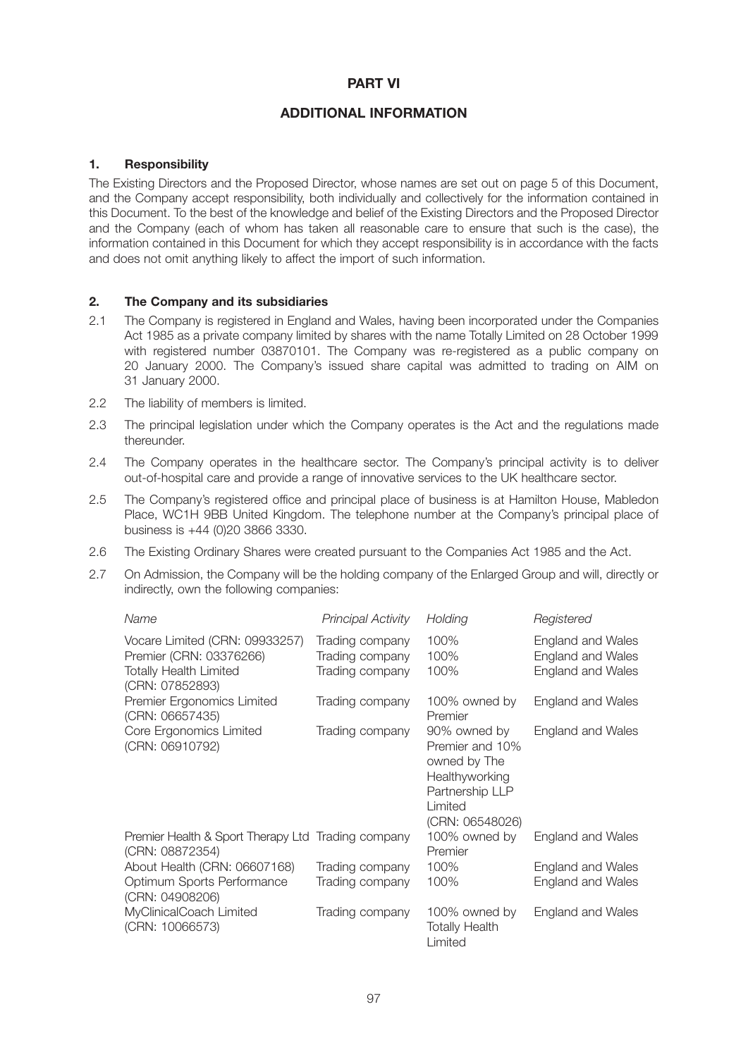# **PART VI**

# **ADDITIONAL INFORMATION**

## **1. Responsibility**

The Existing Directors and the Proposed Director, whose names are set out on page 5 of this Document, and the Company accept responsibility, both individually and collectively for the information contained in this Document. To the best of the knowledge and belief of the Existing Directors and the Proposed Director and the Company (each of whom has taken all reasonable care to ensure that such is the case), the information contained in this Document for which they accept responsibility is in accordance with the facts and does not omit anything likely to affect the import of such information.

### **2. The Company and its subsidiaries**

- 2.1 The Company is registered in England and Wales, having been incorporated under the Companies Act 1985 as a private company limited by shares with the name Totally Limited on 28 October 1999 with registered number 03870101. The Company was re-registered as a public company on 20 January 2000. The Company's issued share capital was admitted to trading on AIM on 31 January 2000.
- 2.2 The liability of members is limited.
- 2.3 The principal legislation under which the Company operates is the Act and the regulations made thereunder.
- 2.4 The Company operates in the healthcare sector. The Company's principal activity is to deliver out-of-hospital care and provide a range of innovative services to the UK healthcare sector.
- 2.5 The Company's registered office and principal place of business is at Hamilton House, Mabledon Place, WC1H 9BB United Kingdom. The telephone number at the Company's principal place of business is +44 (0)20 3866 3330.
- 2.6 The Existing Ordinary Shares were created pursuant to the Companies Act 1985 and the Act.
- 2.7 On Admission, the Company will be the holding company of the Enlarged Group and will, directly or indirectly, own the following companies:

| Name                                                                                                          | Principal Activity                                    | Holding                                                                                                            | Registered                                                         |
|---------------------------------------------------------------------------------------------------------------|-------------------------------------------------------|--------------------------------------------------------------------------------------------------------------------|--------------------------------------------------------------------|
| Vocare Limited (CRN: 09933257)<br>Premier (CRN: 03376266)<br><b>Totally Health Limited</b><br>(CRN: 07852893) | Trading company<br>Trading company<br>Trading company | 100%<br>100%<br>100%                                                                                               | England and Wales<br><b>England and Wales</b><br>England and Wales |
| Premier Ergonomics Limited<br>(CRN: 06657435)                                                                 | Trading company                                       | 100% owned by<br>Premier                                                                                           | England and Wales                                                  |
| Core Ergonomics Limited<br>(CRN: 06910792)                                                                    | Trading company                                       | 90% owned by<br>Premier and 10%<br>owned by The<br>Healthyworking<br>Partnership LLP<br>Limited<br>(CRN: 06548026) | England and Wales                                                  |
| Premier Health & Sport Therapy Ltd Trading company<br>(CRN: 08872354)                                         |                                                       | 100% owned by<br>Premier                                                                                           | England and Wales                                                  |
| About Health (CRN: 06607168)                                                                                  | Trading company                                       | 100%                                                                                                               | England and Wales                                                  |
| Optimum Sports Performance<br>(CRN: 04908206)                                                                 | Trading company                                       | 100%                                                                                                               | <b>England and Wales</b>                                           |
| MyClinicalCoach Limited<br>(CRN: 10066573)                                                                    | Trading company                                       | 100% owned by<br><b>Totally Health</b><br>Limited                                                                  | England and Wales                                                  |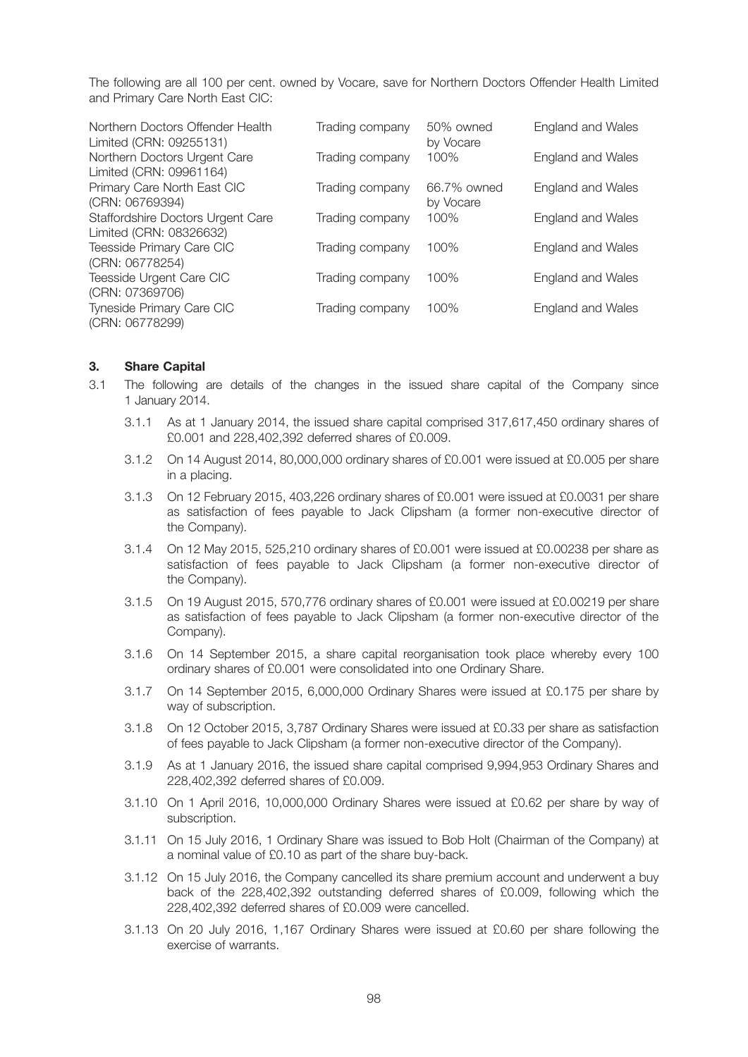The following are all 100 per cent. owned by Vocare, save for Northern Doctors Offender Health Limited and Primary Care North East CIC:

| Northern Doctors Offender Health<br>Limited (CRN: 09255131)  | Trading company | 50% owned<br>by Vocare   | England and Wales |
|--------------------------------------------------------------|-----------------|--------------------------|-------------------|
| Northern Doctors Urgent Care<br>Limited (CRN: 09961164)      | Trading company | 100%                     | England and Wales |
| Primary Care North East CIC<br>(CRN: 06769394)               | Trading company | 66.7% owned<br>by Vocare | England and Wales |
| Staffordshire Doctors Urgent Care<br>Limited (CRN: 08326632) | Trading company | 100%                     | England and Wales |
| Teesside Primary Care CIC<br>(CRN: 06778254)                 | Trading company | 100%                     | England and Wales |
| Teesside Urgent Care CIC<br>(CRN: 07369706)                  | Trading company | 100%                     | England and Wales |
| Tyneside Primary Care CIC<br>(CRN: 06778299)                 | Trading company | 100%                     | England and Wales |

#### **3. Share Capital**

- 3.1 The following are details of the changes in the issued share capital of the Company since 1 January 2014.
	- 3.1.1 As at 1 January 2014, the issued share capital comprised 317,617,450 ordinary shares of £0.001 and 228,402,392 deferred shares of £0.009.
	- 3.1.2 On 14 August 2014, 80,000,000 ordinary shares of £0.001 were issued at £0.005 per share in a placing.
	- 3.1.3 On 12 February 2015, 403,226 ordinary shares of £0.001 were issued at £0.0031 per share as satisfaction of fees payable to Jack Clipsham (a former non-executive director of the Company).
	- 3.1.4 On 12 May 2015, 525,210 ordinary shares of £0.001 were issued at £0.00238 per share as satisfaction of fees payable to Jack Clipsham (a former non-executive director of the Company).
	- 3.1.5 On 19 August 2015, 570,776 ordinary shares of £0.001 were issued at £0.00219 per share as satisfaction of fees payable to Jack Clipsham (a former non-executive director of the Company).
	- 3.1.6 On 14 September 2015, a share capital reorganisation took place whereby every 100 ordinary shares of £0.001 were consolidated into one Ordinary Share.
	- 3.1.7 On 14 September 2015, 6,000,000 Ordinary Shares were issued at £0.175 per share by way of subscription.
	- 3.1.8 On 12 October 2015, 3,787 Ordinary Shares were issued at £0.33 per share as satisfaction of fees payable to Jack Clipsham (a former non-executive director of the Company).
	- 3.1.9 As at 1 January 2016, the issued share capital comprised 9,994,953 Ordinary Shares and 228,402,392 deferred shares of £0.009.
	- 3.1.10 On 1 April 2016, 10,000,000 Ordinary Shares were issued at £0.62 per share by way of subscription.
	- 3.1.11 On 15 July 2016, 1 Ordinary Share was issued to Bob Holt (Chairman of the Company) at a nominal value of £0.10 as part of the share buy-back.
	- 3.1.12 On 15 July 2016, the Company cancelled its share premium account and underwent a buy back of the 228,402,392 outstanding deferred shares of £0.009, following which the 228,402,392 deferred shares of £0.009 were cancelled.
	- 3.1.13 On 20 July 2016, 1,167 Ordinary Shares were issued at £0.60 per share following the exercise of warrants.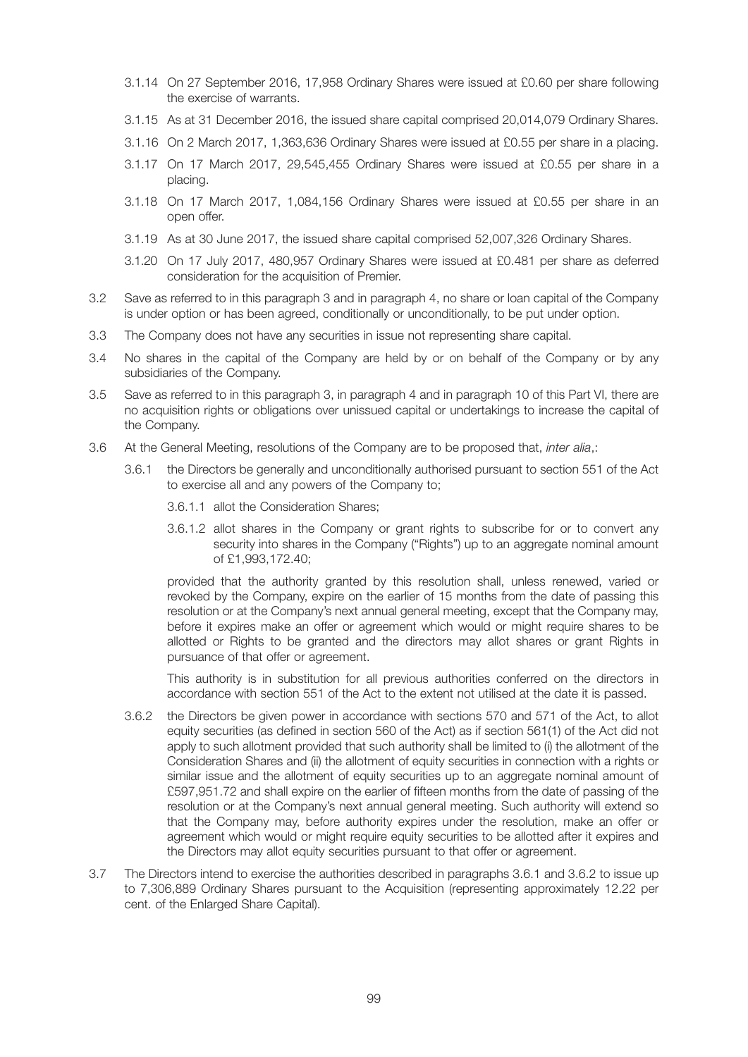- 3.1.14 On 27 September 2016, 17,958 Ordinary Shares were issued at £0.60 per share following the exercise of warrants.
- 3.1.15 As at 31 December 2016, the issued share capital comprised 20,014,079 Ordinary Shares.
- 3.1.16 On 2 March 2017, 1,363,636 Ordinary Shares were issued at £0.55 per share in a placing.
- 3.1.17 On 17 March 2017, 29,545,455 Ordinary Shares were issued at £0.55 per share in a placing.
- 3.1.18 On 17 March 2017, 1,084,156 Ordinary Shares were issued at £0.55 per share in an open offer.
- 3.1.19 As at 30 June 2017, the issued share capital comprised 52,007,326 Ordinary Shares.
- 3.1.20 On 17 July 2017, 480,957 Ordinary Shares were issued at £0.481 per share as deferred consideration for the acquisition of Premier.
- 3.2 Save as referred to in this paragraph 3 and in paragraph 4, no share or loan capital of the Company is under option or has been agreed, conditionally or unconditionally, to be put under option.
- 3.3 The Company does not have any securities in issue not representing share capital.
- 3.4 No shares in the capital of the Company are held by or on behalf of the Company or by any subsidiaries of the Company.
- 3.5 Save as referred to in this paragraph 3, in paragraph 4 and in paragraph 10 of this Part VI, there are no acquisition rights or obligations over unissued capital or undertakings to increase the capital of the Company.
- 3.6 At the General Meeting, resolutions of the Company are to be proposed that, *inter alia*,:
	- 3.6.1 the Directors be generally and unconditionally authorised pursuant to section 551 of the Act to exercise all and any powers of the Company to;
		- 3.6.1.1 allot the Consideration Shares;
		- 3.6.1.2 allot shares in the Company or grant rights to subscribe for or to convert any security into shares in the Company ("Rights") up to an aggregate nominal amount of £1,993,172.40;

 provided that the authority granted by this resolution shall, unless renewed, varied or revoked by the Company, expire on the earlier of 15 months from the date of passing this resolution or at the Company's next annual general meeting, except that the Company may, before it expires make an offer or agreement which would or might require shares to be allotted or Rights to be granted and the directors may allot shares or grant Rights in pursuance of that offer or agreement.

 This authority is in substitution for all previous authorities conferred on the directors in accordance with section 551 of the Act to the extent not utilised at the date it is passed.

- 3.6.2 the Directors be given power in accordance with sections 570 and 571 of the Act, to allot equity securities (as defined in section 560 of the Act) as if section 561(1) of the Act did not apply to such allotment provided that such authority shall be limited to (i) the allotment of the Consideration Shares and (ii) the allotment of equity securities in connection with a rights or similar issue and the allotment of equity securities up to an aggregate nominal amount of £597,951.72 and shall expire on the earlier of fifteen months from the date of passing of the resolution or at the Company's next annual general meeting. Such authority will extend so that the Company may, before authority expires under the resolution, make an offer or agreement which would or might require equity securities to be allotted after it expires and the Directors may allot equity securities pursuant to that offer or agreement.
- 3.7 The Directors intend to exercise the authorities described in paragraphs 3.6.1 and 3.6.2 to issue up to 7,306,889 Ordinary Shares pursuant to the Acquisition (representing approximately 12.22 per cent. of the Enlarged Share Capital).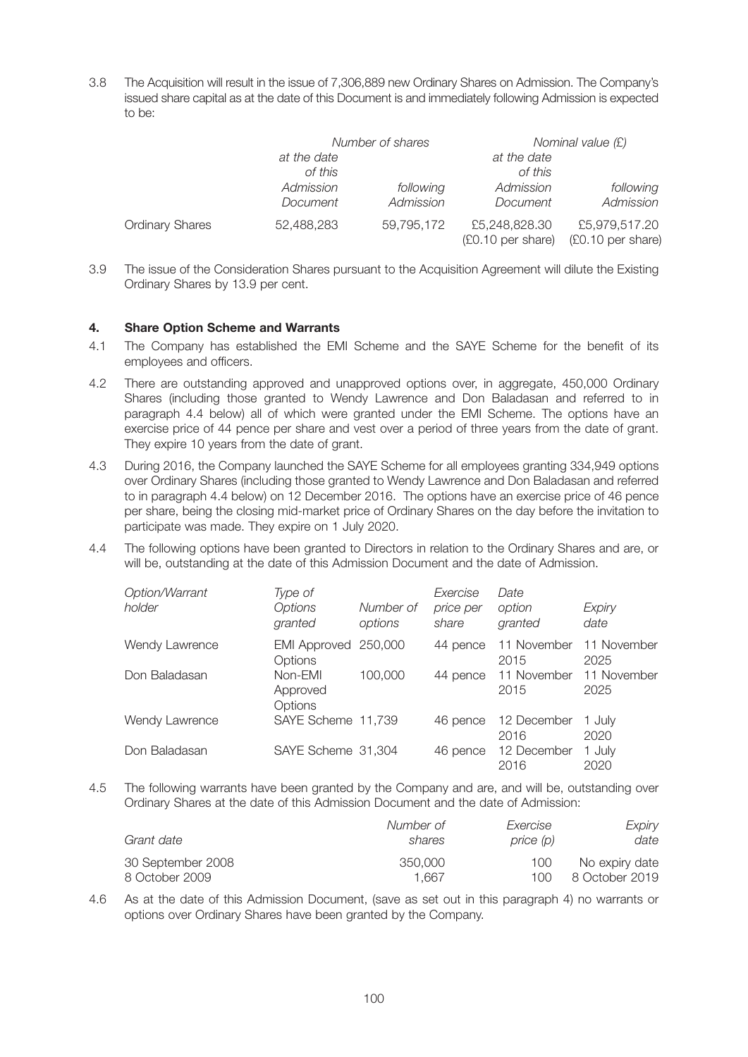3.8 The Acquisition will result in the issue of 7,306,889 new Ordinary Shares on Admission. The Company's issued share capital as at the date of this Document is and immediately following Admission is expected to be:

|                        |                        | Number of shares       | Nominal value (£)                  |                                    |  |
|------------------------|------------------------|------------------------|------------------------------------|------------------------------------|--|
|                        | at the date<br>of this |                        | at the date<br>of this             |                                    |  |
|                        | Admission<br>Document  | following<br>Admission | Admission<br>Document              | following<br>Admission             |  |
| <b>Ordinary Shares</b> | 52,488,283             | 59,795,172             | £5,248,828.30<br>(£0.10 per share) | £5,979,517.20<br>(£0.10 per share) |  |

3.9 The issue of the Consideration Shares pursuant to the Acquisition Agreement will dilute the Existing Ordinary Shares by 13.9 per cent.

## **4. Share Option Scheme and Warrants**

- 4.1 The Company has established the EMI Scheme and the SAYE Scheme for the benefit of its employees and officers.
- 4.2 There are outstanding approved and unapproved options over, in aggregate, 450,000 Ordinary Shares (including those granted to Wendy Lawrence and Don Baladasan and referred to in paragraph 4.4 below) all of which were granted under the EMI Scheme. The options have an exercise price of 44 pence per share and vest over a period of three years from the date of grant. They expire 10 years from the date of grant.
- 4.3 During 2016, the Company launched the SAYE Scheme for all employees granting 334,949 options over Ordinary Shares (including those granted to Wendy Lawrence and Don Baladasan and referred to in paragraph 4.4 below) on 12 December 2016. The options have an exercise price of 46 pence per share, being the closing mid-market price of Ordinary Shares on the day before the invitation to participate was made. They expire on 1 July 2020.
- 4.4 The following options have been granted to Directors in relation to the Ordinary Shares and are, or will be, outstanding at the date of this Admission Document and the date of Admission.

| Option/Warrant<br>holder | Type of<br><b>Options</b><br>granted | Number of<br>options | Exercise<br>price per<br>share | Date<br>option<br>granted | Expiry<br>date      |
|--------------------------|--------------------------------------|----------------------|--------------------------------|---------------------------|---------------------|
| Wendy Lawrence           | <b>EMI Approved</b><br>Options       | 250,000              | 44 pence                       | 11 November<br>2015       | 11 November<br>2025 |
| Don Baladasan            | Non-EMI<br>Approved<br>Options       | 100,000              | 44 pence                       | 11 November<br>2015       | 11 November<br>2025 |
| Wendy Lawrence           | SAYE Scheme 11,739                   |                      | 46 pence                       | 12 December<br>2016       | 1 July<br>2020      |
| Don Baladasan            | SAYE Scheme 31,304                   |                      | 46 pence                       | 12 December<br>2016       | 1 July<br>2020      |

4.5 The following warrants have been granted by the Company and are, and will be, outstanding over Ordinary Shares at the date of this Admission Document and the date of Admission:

| Grant date        | Number of | Exercise  | Expiry         |
|-------------------|-----------|-----------|----------------|
|                   | shares    | price (p) | date           |
| 30 September 2008 | 350,000   | 100       | No expiry date |
| 8 October 2009    | 1.667     | 100       | 8 October 2019 |

4.6 As at the date of this Admission Document, (save as set out in this paragraph 4) no warrants or options over Ordinary Shares have been granted by the Company.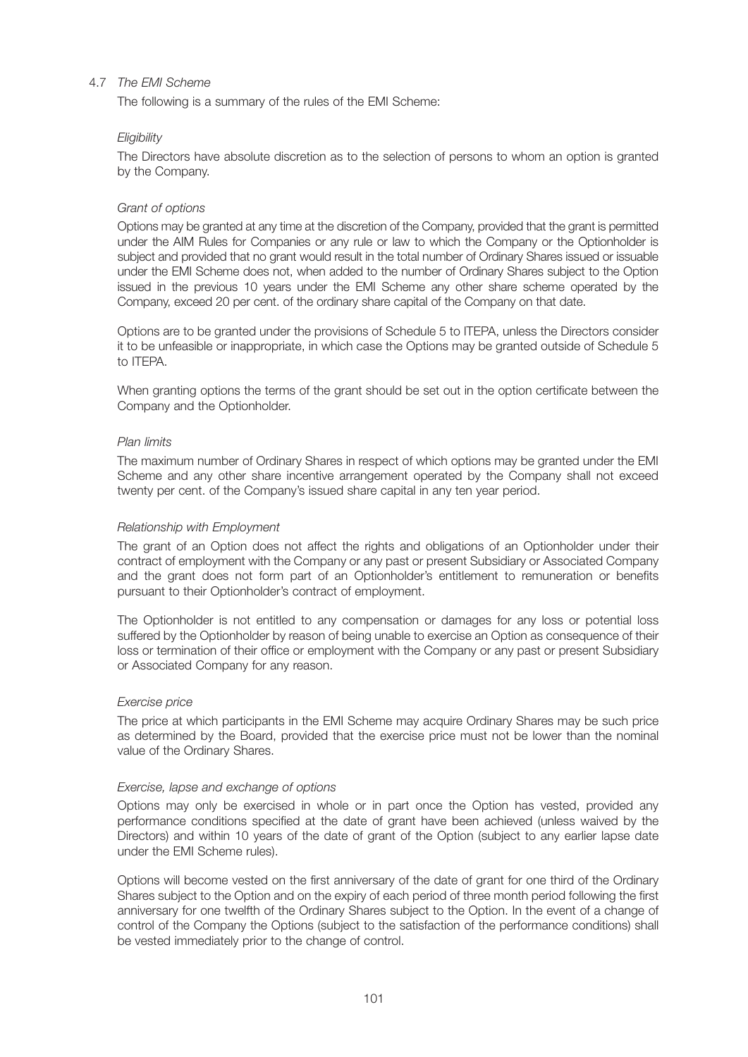# 4.7 *The EMI Scheme*

The following is a summary of the rules of the EMI Scheme:

#### *Eligibility*

 The Directors have absolute discretion as to the selection of persons to whom an option is granted by the Company.

### *Grant of options*

 Options may be granted at any time at the discretion of the Company, provided that the grant is permitted under the AIM Rules for Companies or any rule or law to which the Company or the Optionholder is subject and provided that no grant would result in the total number of Ordinary Shares issued or issuable under the EMI Scheme does not, when added to the number of Ordinary Shares subject to the Option issued in the previous 10 years under the EMI Scheme any other share scheme operated by the Company, exceed 20 per cent. of the ordinary share capital of the Company on that date.

 Options are to be granted under the provisions of Schedule 5 to ITEPA, unless the Directors consider it to be unfeasible or inappropriate, in which case the Options may be granted outside of Schedule 5 to ITEPA.

 When granting options the terms of the grant should be set out in the option certificate between the Company and the Optionholder.

#### *Plan limits*

 The maximum number of Ordinary Shares in respect of which options may be granted under the EMI Scheme and any other share incentive arrangement operated by the Company shall not exceed twenty per cent. of the Company's issued share capital in any ten year period.

#### *Relationship with Employment*

 The grant of an Option does not affect the rights and obligations of an Optionholder under their contract of employment with the Company or any past or present Subsidiary or Associated Company and the grant does not form part of an Optionholder's entitlement to remuneration or benefits pursuant to their Optionholder's contract of employment.

 The Optionholder is not entitled to any compensation or damages for any loss or potential loss suffered by the Optionholder by reason of being unable to exercise an Option as consequence of their loss or termination of their office or employment with the Company or any past or present Subsidiary or Associated Company for any reason.

#### *Exercise price*

 The price at which participants in the EMI Scheme may acquire Ordinary Shares may be such price as determined by the Board, provided that the exercise price must not be lower than the nominal value of the Ordinary Shares.

#### *Exercise, lapse and exchange of options*

 Options may only be exercised in whole or in part once the Option has vested, provided any performance conditions specified at the date of grant have been achieved (unless waived by the Directors) and within 10 years of the date of grant of the Option (subject to any earlier lapse date under the EMI Scheme rules).

 Options will become vested on the first anniversary of the date of grant for one third of the Ordinary Shares subject to the Option and on the expiry of each period of three month period following the first anniversary for one twelfth of the Ordinary Shares subject to the Option. In the event of a change of control of the Company the Options (subject to the satisfaction of the performance conditions) shall be vested immediately prior to the change of control.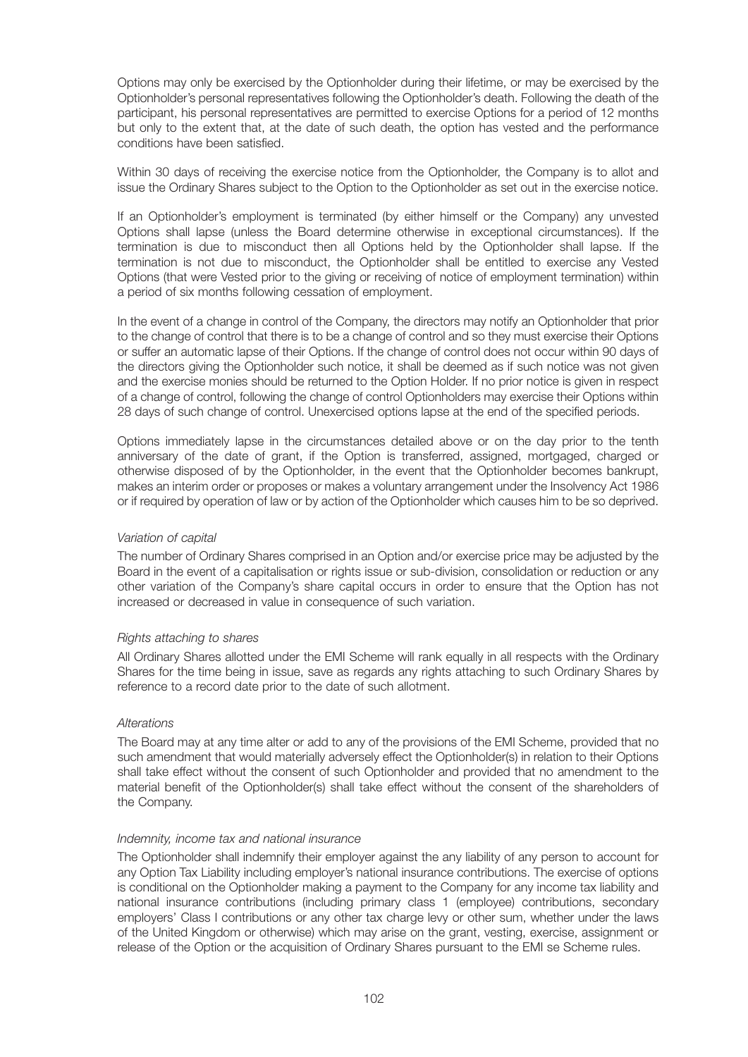Options may only be exercised by the Optionholder during their lifetime, or may be exercised by the Optionholder's personal representatives following the Optionholder's death. Following the death of the participant, his personal representatives are permitted to exercise Options for a period of 12 months but only to the extent that, at the date of such death, the option has vested and the performance conditions have been satisfied.

 Within 30 days of receiving the exercise notice from the Optionholder, the Company is to allot and issue the Ordinary Shares subject to the Option to the Optionholder as set out in the exercise notice.

 If an Optionholder's employment is terminated (by either himself or the Company) any unvested Options shall lapse (unless the Board determine otherwise in exceptional circumstances). If the termination is due to misconduct then all Options held by the Optionholder shall lapse. If the termination is not due to misconduct, the Optionholder shall be entitled to exercise any Vested Options (that were Vested prior to the giving or receiving of notice of employment termination) within a period of six months following cessation of employment.

 In the event of a change in control of the Company, the directors may notify an Optionholder that prior to the change of control that there is to be a change of control and so they must exercise their Options or suffer an automatic lapse of their Options. If the change of control does not occur within 90 days of the directors giving the Optionholder such notice, it shall be deemed as if such notice was not given and the exercise monies should be returned to the Option Holder. If no prior notice is given in respect of a change of control, following the change of control Optionholders may exercise their Options within 28 days of such change of control. Unexercised options lapse at the end of the specified periods.

 Options immediately lapse in the circumstances detailed above or on the day prior to the tenth anniversary of the date of grant, if the Option is transferred, assigned, mortgaged, charged or otherwise disposed of by the Optionholder, in the event that the Optionholder becomes bankrupt, makes an interim order or proposes or makes a voluntary arrangement under the Insolvency Act 1986 or if required by operation of law or by action of the Optionholder which causes him to be so deprived.

## *Variation of capital*

 The number of Ordinary Shares comprised in an Option and/or exercise price may be adjusted by the Board in the event of a capitalisation or rights issue or sub-division, consolidation or reduction or any other variation of the Company's share capital occurs in order to ensure that the Option has not increased or decreased in value in consequence of such variation.

## *Rights attaching to shares*

 All Ordinary Shares allotted under the EMI Scheme will rank equally in all respects with the Ordinary Shares for the time being in issue, save as regards any rights attaching to such Ordinary Shares by reference to a record date prior to the date of such allotment.

## *Alterations*

 The Board may at any time alter or add to any of the provisions of the EMI Scheme, provided that no such amendment that would materially adversely effect the Optionholder(s) in relation to their Options shall take effect without the consent of such Optionholder and provided that no amendment to the material benefit of the Optionholder(s) shall take effect without the consent of the shareholders of the Company.

#### *Indemnity, income tax and national insurance*

 The Optionholder shall indemnify their employer against the any liability of any person to account for any Option Tax Liability including employer's national insurance contributions. The exercise of options is conditional on the Optionholder making a payment to the Company for any income tax liability and national insurance contributions (including primary class 1 (employee) contributions, secondary employers' Class I contributions or any other tax charge levy or other sum, whether under the laws of the United Kingdom or otherwise) which may arise on the grant, vesting, exercise, assignment or release of the Option or the acquisition of Ordinary Shares pursuant to the EMI se Scheme rules.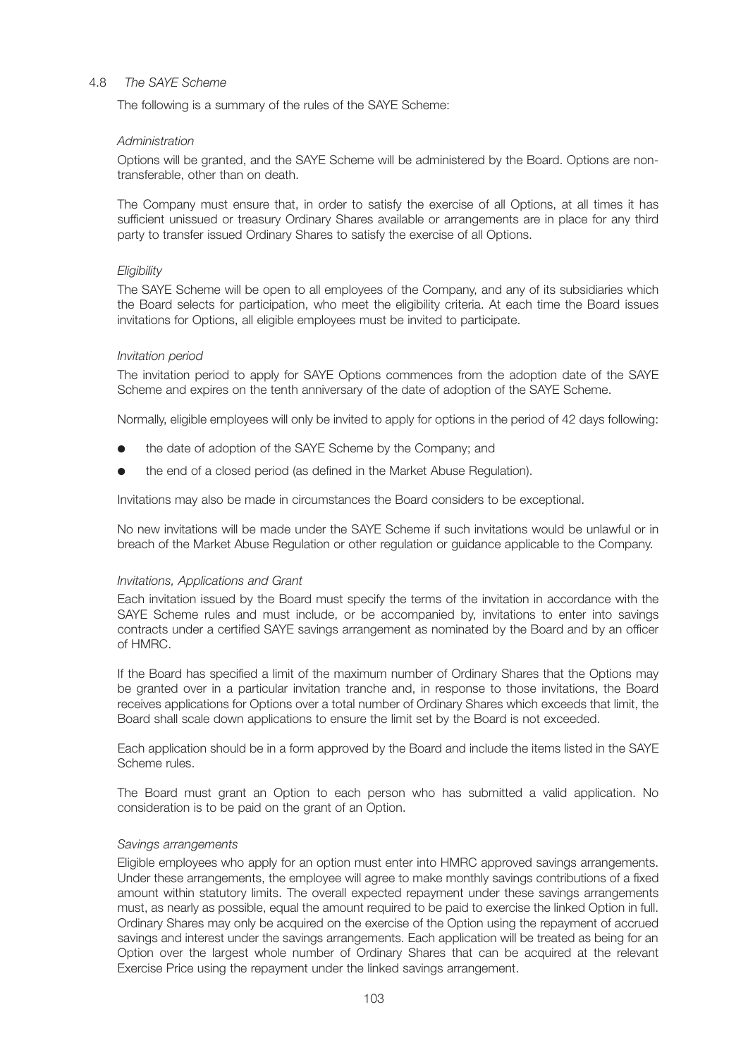#### 4.8 *The SAYE Scheme*

The following is a summary of the rules of the SAYE Scheme:

## *Administration*

 Options will be granted, and the SAYE Scheme will be administered by the Board. Options are nontransferable, other than on death.

 The Company must ensure that, in order to satisfy the exercise of all Options, at all times it has sufficient unissued or treasury Ordinary Shares available or arrangements are in place for any third party to transfer issued Ordinary Shares to satisfy the exercise of all Options.

### *Eligibility*

 The SAYE Scheme will be open to all employees of the Company, and any of its subsidiaries which the Board selects for participation, who meet the eligibility criteria. At each time the Board issues invitations for Options, all eligible employees must be invited to participate.

## *Invitation period*

 The invitation period to apply for SAYE Options commences from the adoption date of the SAYE Scheme and expires on the tenth anniversary of the date of adoption of the SAYE Scheme.

Normally, eligible employees will only be invited to apply for options in the period of 42 days following:

- the date of adoption of the SAYE Scheme by the Company; and
- the end of a closed period (as defined in the Market Abuse Regulation).

Invitations may also be made in circumstances the Board considers to be exceptional.

 No new invitations will be made under the SAYE Scheme if such invitations would be unlawful or in breach of the Market Abuse Regulation or other regulation or guidance applicable to the Company.

#### *Invitations, Applications and Grant*

 Each invitation issued by the Board must specify the terms of the invitation in accordance with the SAYE Scheme rules and must include, or be accompanied by, invitations to enter into savings contracts under a certified SAYE savings arrangement as nominated by the Board and by an officer of HMRC.

 If the Board has specified a limit of the maximum number of Ordinary Shares that the Options may be granted over in a particular invitation tranche and, in response to those invitations, the Board receives applications for Options over a total number of Ordinary Shares which exceeds that limit, the Board shall scale down applications to ensure the limit set by the Board is not exceeded.

 Each application should be in a form approved by the Board and include the items listed in the SAYE Scheme rules.

 The Board must grant an Option to each person who has submitted a valid application. No consideration is to be paid on the grant of an Option.

#### *Savings arrangements*

 Eligible employees who apply for an option must enter into HMRC approved savings arrangements. Under these arrangements, the employee will agree to make monthly savings contributions of a fixed amount within statutory limits. The overall expected repayment under these savings arrangements must, as nearly as possible, equal the amount required to be paid to exercise the linked Option in full. Ordinary Shares may only be acquired on the exercise of the Option using the repayment of accrued savings and interest under the savings arrangements. Each application will be treated as being for an Option over the largest whole number of Ordinary Shares that can be acquired at the relevant Exercise Price using the repayment under the linked savings arrangement.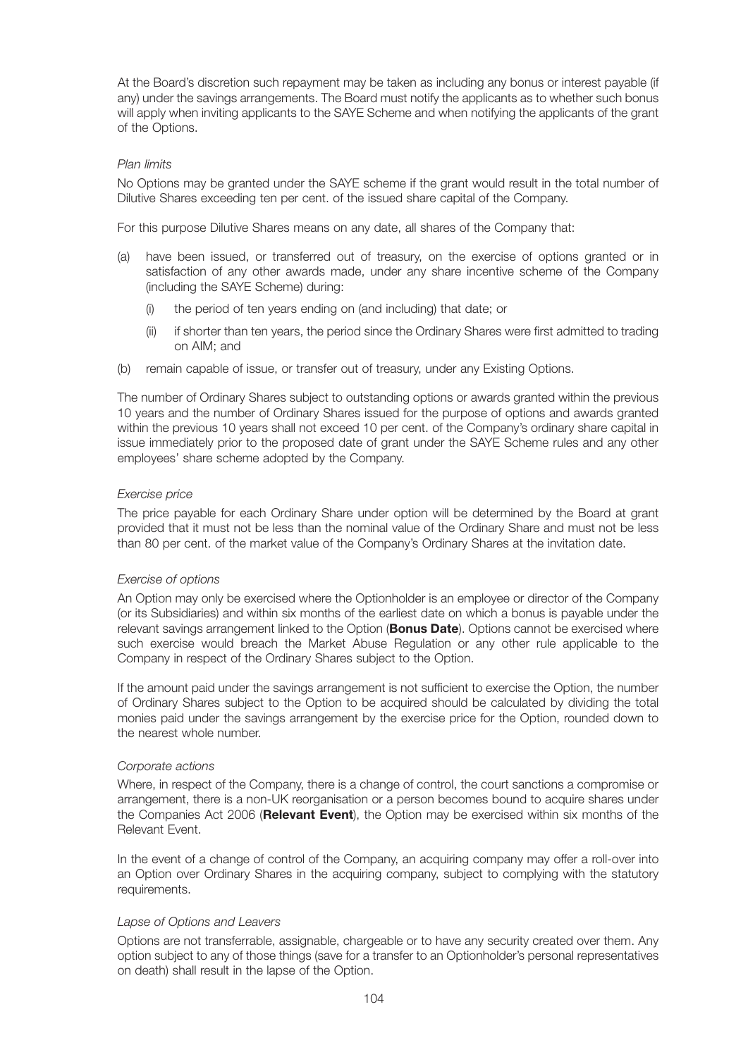At the Board's discretion such repayment may be taken as including any bonus or interest payable (if any) under the savings arrangements. The Board must notify the applicants as to whether such bonus will apply when inviting applicants to the SAYE Scheme and when notifying the applicants of the grant of the Options.

### *Plan limits*

 No Options may be granted under the SAYE scheme if the grant would result in the total number of Dilutive Shares exceeding ten per cent. of the issued share capital of the Company.

For this purpose Dilutive Shares means on any date, all shares of the Company that:

- (a) have been issued, or transferred out of treasury, on the exercise of options granted or in satisfaction of any other awards made, under any share incentive scheme of the Company (including the SAYE Scheme) during:
	- (i) the period of ten years ending on (and including) that date; or
	- (ii) if shorter than ten years, the period since the Ordinary Shares were first admitted to trading on AIM; and
- (b) remain capable of issue, or transfer out of treasury, under any Existing Options.

 The number of Ordinary Shares subject to outstanding options or awards granted within the previous 10 years and the number of Ordinary Shares issued for the purpose of options and awards granted within the previous 10 years shall not exceed 10 per cent. of the Company's ordinary share capital in issue immediately prior to the proposed date of grant under the SAYE Scheme rules and any other employees' share scheme adopted by the Company.

### *Exercise price*

 The price payable for each Ordinary Share under option will be determined by the Board at grant provided that it must not be less than the nominal value of the Ordinary Share and must not be less than 80 per cent. of the market value of the Company's Ordinary Shares at the invitation date.

## *Exercise of options*

 An Option may only be exercised where the Optionholder is an employee or director of the Company (or its Subsidiaries) and within six months of the earliest date on which a bonus is payable under the relevant savings arrangement linked to the Option (**Bonus Date**). Options cannot be exercised where such exercise would breach the Market Abuse Regulation or any other rule applicable to the Company in respect of the Ordinary Shares subject to the Option.

 If the amount paid under the savings arrangement is not sufficient to exercise the Option, the number of Ordinary Shares subject to the Option to be acquired should be calculated by dividing the total monies paid under the savings arrangement by the exercise price for the Option, rounded down to the nearest whole number.

## *Corporate actions*

 Where, in respect of the Company, there is a change of control, the court sanctions a compromise or arrangement, there is a non-UK reorganisation or a person becomes bound to acquire shares under the Companies Act 2006 (**Relevant Event**), the Option may be exercised within six months of the Relevant Event.

 In the event of a change of control of the Company, an acquiring company may offer a roll-over into an Option over Ordinary Shares in the acquiring company, subject to complying with the statutory requirements.

## *Lapse of Options and Leavers*

 Options are not transferrable, assignable, chargeable or to have any security created over them. Any option subject to any of those things (save for a transfer to an Optionholder's personal representatives on death) shall result in the lapse of the Option.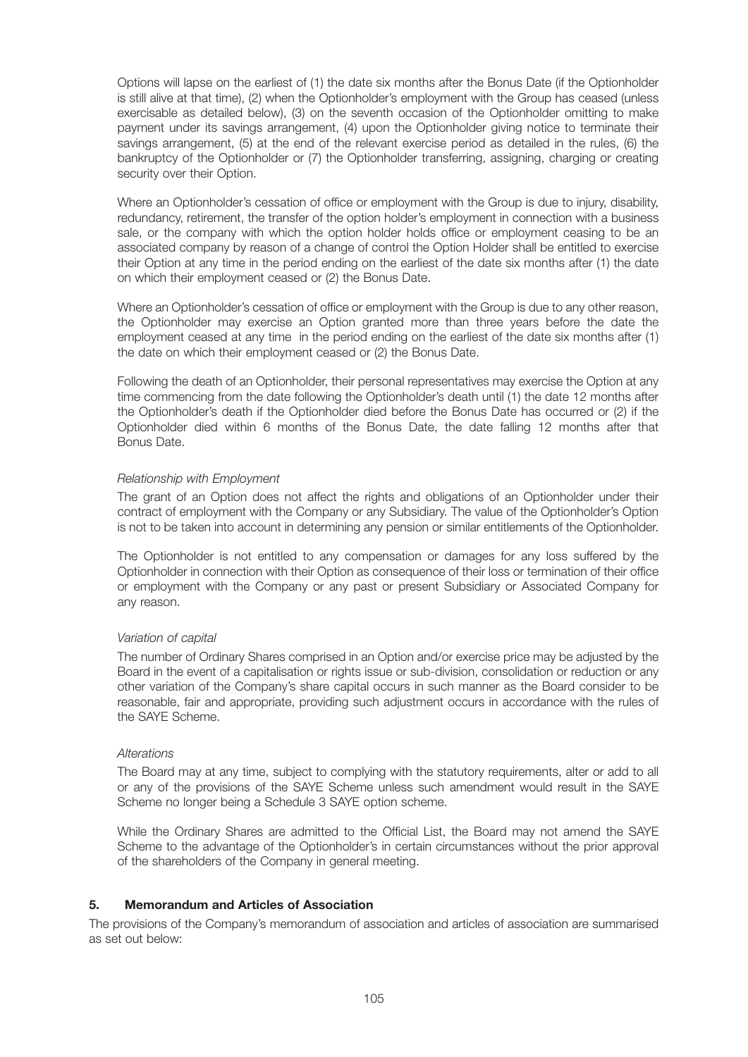Options will lapse on the earliest of (1) the date six months after the Bonus Date (if the Optionholder is still alive at that time), (2) when the Optionholder's employment with the Group has ceased (unless exercisable as detailed below), (3) on the seventh occasion of the Optionholder omitting to make payment under its savings arrangement, (4) upon the Optionholder giving notice to terminate their savings arrangement, (5) at the end of the relevant exercise period as detailed in the rules, (6) the bankruptcy of the Optionholder or (7) the Optionholder transferring, assigning, charging or creating security over their Option.

 Where an Optionholder's cessation of office or employment with the Group is due to injury, disability, redundancy, retirement, the transfer of the option holder's employment in connection with a business sale, or the company with which the option holder holds office or employment ceasing to be an associated company by reason of a change of control the Option Holder shall be entitled to exercise their Option at any time in the period ending on the earliest of the date six months after (1) the date on which their employment ceased or (2) the Bonus Date.

 Where an Optionholder's cessation of office or employment with the Group is due to any other reason, the Optionholder may exercise an Option granted more than three years before the date the employment ceased at any time in the period ending on the earliest of the date six months after (1) the date on which their employment ceased or (2) the Bonus Date.

 Following the death of an Optionholder, their personal representatives may exercise the Option at any time commencing from the date following the Optionholder's death until (1) the date 12 months after the Optionholder's death if the Optionholder died before the Bonus Date has occurred or (2) if the Optionholder died within 6 months of the Bonus Date, the date falling 12 months after that Bonus Date.

### *Relationship with Employment*

 The grant of an Option does not affect the rights and obligations of an Optionholder under their contract of employment with the Company or any Subsidiary. The value of the Optionholder's Option is not to be taken into account in determining any pension or similar entitlements of the Optionholder.

 The Optionholder is not entitled to any compensation or damages for any loss suffered by the Optionholder in connection with their Option as consequence of their loss or termination of their office or employment with the Company or any past or present Subsidiary or Associated Company for any reason.

#### *Variation of capital*

 The number of Ordinary Shares comprised in an Option and/or exercise price may be adjusted by the Board in the event of a capitalisation or rights issue or sub-division, consolidation or reduction or any other variation of the Company's share capital occurs in such manner as the Board consider to be reasonable, fair and appropriate, providing such adjustment occurs in accordance with the rules of the SAYE Scheme.

#### *Alterations*

 The Board may at any time, subject to complying with the statutory requirements, alter or add to all or any of the provisions of the SAYE Scheme unless such amendment would result in the SAYE Scheme no longer being a Schedule 3 SAYE option scheme.

 While the Ordinary Shares are admitted to the Official List, the Board may not amend the SAYE Scheme to the advantage of the Optionholder's in certain circumstances without the prior approval of the shareholders of the Company in general meeting.

## **5. Memorandum and Articles of Association**

The provisions of the Company's memorandum of association and articles of association are summarised as set out below: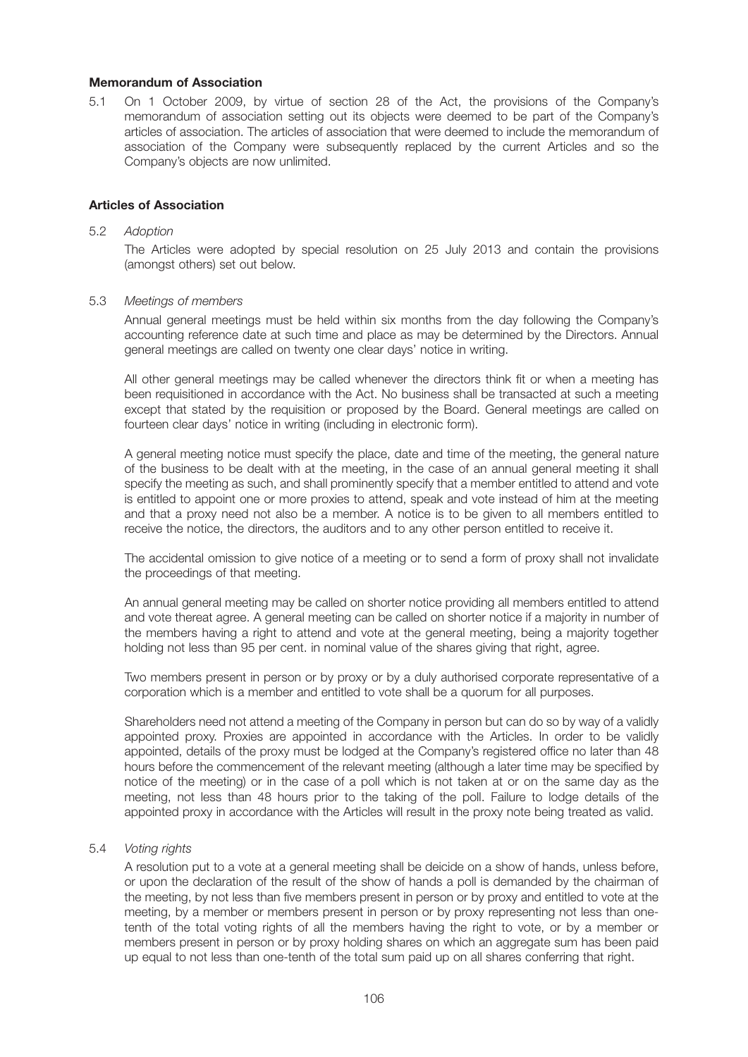### **Memorandum of Association**

5.1 On 1 October 2009, by virtue of section 28 of the Act, the provisions of the Company's memorandum of association setting out its objects were deemed to be part of the Company's articles of association. The articles of association that were deemed to include the memorandum of association of the Company were subsequently replaced by the current Articles and so the Company's objects are now unlimited.

### **Articles of Association**

#### 5.2 *Adoption*

 The Articles were adopted by special resolution on 25 July 2013 and contain the provisions (amongst others) set out below.

#### 5.3 *Meetings of members*

 Annual general meetings must be held within six months from the day following the Company's accounting reference date at such time and place as may be determined by the Directors. Annual general meetings are called on twenty one clear days' notice in writing.

 All other general meetings may be called whenever the directors think fit or when a meeting has been requisitioned in accordance with the Act. No business shall be transacted at such a meeting except that stated by the requisition or proposed by the Board. General meetings are called on fourteen clear days' notice in writing (including in electronic form).

 A general meeting notice must specify the place, date and time of the meeting, the general nature of the business to be dealt with at the meeting, in the case of an annual general meeting it shall specify the meeting as such, and shall prominently specify that a member entitled to attend and vote is entitled to appoint one or more proxies to attend, speak and vote instead of him at the meeting and that a proxy need not also be a member. A notice is to be given to all members entitled to receive the notice, the directors, the auditors and to any other person entitled to receive it.

 The accidental omission to give notice of a meeting or to send a form of proxy shall not invalidate the proceedings of that meeting.

 An annual general meeting may be called on shorter notice providing all members entitled to attend and vote thereat agree. A general meeting can be called on shorter notice if a majority in number of the members having a right to attend and vote at the general meeting, being a majority together holding not less than 95 per cent. in nominal value of the shares giving that right, agree.

 Two members present in person or by proxy or by a duly authorised corporate representative of a corporation which is a member and entitled to vote shall be a quorum for all purposes.

 Shareholders need not attend a meeting of the Company in person but can do so by way of a validly appointed proxy. Proxies are appointed in accordance with the Articles. In order to be validly appointed, details of the proxy must be lodged at the Company's registered office no later than 48 hours before the commencement of the relevant meeting (although a later time may be specified by notice of the meeting) or in the case of a poll which is not taken at or on the same day as the meeting, not less than 48 hours prior to the taking of the poll. Failure to lodge details of the appointed proxy in accordance with the Articles will result in the proxy note being treated as valid.

#### 5.4 *Voting rights*

 A resolution put to a vote at a general meeting shall be deicide on a show of hands, unless before, or upon the declaration of the result of the show of hands a poll is demanded by the chairman of the meeting, by not less than five members present in person or by proxy and entitled to vote at the meeting, by a member or members present in person or by proxy representing not less than onetenth of the total voting rights of all the members having the right to vote, or by a member or members present in person or by proxy holding shares on which an aggregate sum has been paid up equal to not less than one-tenth of the total sum paid up on all shares conferring that right.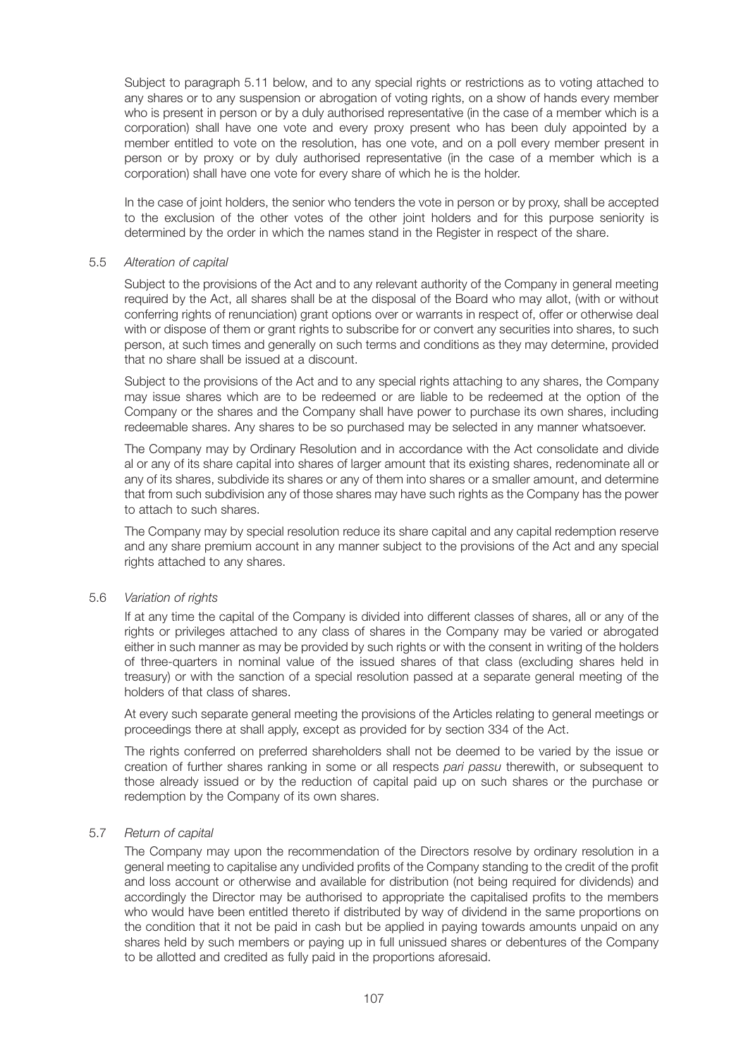Subject to paragraph 5.11 below, and to any special rights or restrictions as to voting attached to any shares or to any suspension or abrogation of voting rights, on a show of hands every member who is present in person or by a duly authorised representative (in the case of a member which is a corporation) shall have one vote and every proxy present who has been duly appointed by a member entitled to vote on the resolution, has one vote, and on a poll every member present in person or by proxy or by duly authorised representative (in the case of a member which is a corporation) shall have one vote for every share of which he is the holder.

 In the case of joint holders, the senior who tenders the vote in person or by proxy, shall be accepted to the exclusion of the other votes of the other joint holders and for this purpose seniority is determined by the order in which the names stand in the Register in respect of the share.

#### 5.5 *Alteration of capital*

 Subject to the provisions of the Act and to any relevant authority of the Company in general meeting required by the Act, all shares shall be at the disposal of the Board who may allot, (with or without conferring rights of renunciation) grant options over or warrants in respect of, offer or otherwise deal with or dispose of them or grant rights to subscribe for or convert any securities into shares, to such person, at such times and generally on such terms and conditions as they may determine, provided that no share shall be issued at a discount.

 Subject to the provisions of the Act and to any special rights attaching to any shares, the Company may issue shares which are to be redeemed or are liable to be redeemed at the option of the Company or the shares and the Company shall have power to purchase its own shares, including redeemable shares. Any shares to be so purchased may be selected in any manner whatsoever.

 The Company may by Ordinary Resolution and in accordance with the Act consolidate and divide al or any of its share capital into shares of larger amount that its existing shares, redenominate all or any of its shares, subdivide its shares or any of them into shares or a smaller amount, and determine that from such subdivision any of those shares may have such rights as the Company has the power to attach to such shares.

 The Company may by special resolution reduce its share capital and any capital redemption reserve and any share premium account in any manner subject to the provisions of the Act and any special rights attached to any shares.

## 5.6 *Variation of rights*

 If at any time the capital of the Company is divided into different classes of shares, all or any of the rights or privileges attached to any class of shares in the Company may be varied or abrogated either in such manner as may be provided by such rights or with the consent in writing of the holders of three-quarters in nominal value of the issued shares of that class (excluding shares held in treasury) or with the sanction of a special resolution passed at a separate general meeting of the holders of that class of shares.

 At every such separate general meeting the provisions of the Articles relating to general meetings or proceedings there at shall apply, except as provided for by section 334 of the Act.

 The rights conferred on preferred shareholders shall not be deemed to be varied by the issue or creation of further shares ranking in some or all respects *pari passu* therewith, or subsequent to those already issued or by the reduction of capital paid up on such shares or the purchase or redemption by the Company of its own shares.

## 5.7 *Return of capital*

 The Company may upon the recommendation of the Directors resolve by ordinary resolution in a general meeting to capitalise any undivided profits of the Company standing to the credit of the profit and loss account or otherwise and available for distribution (not being required for dividends) and accordingly the Director may be authorised to appropriate the capitalised profits to the members who would have been entitled thereto if distributed by way of dividend in the same proportions on the condition that it not be paid in cash but be applied in paying towards amounts unpaid on any shares held by such members or paying up in full unissued shares or debentures of the Company to be allotted and credited as fully paid in the proportions aforesaid.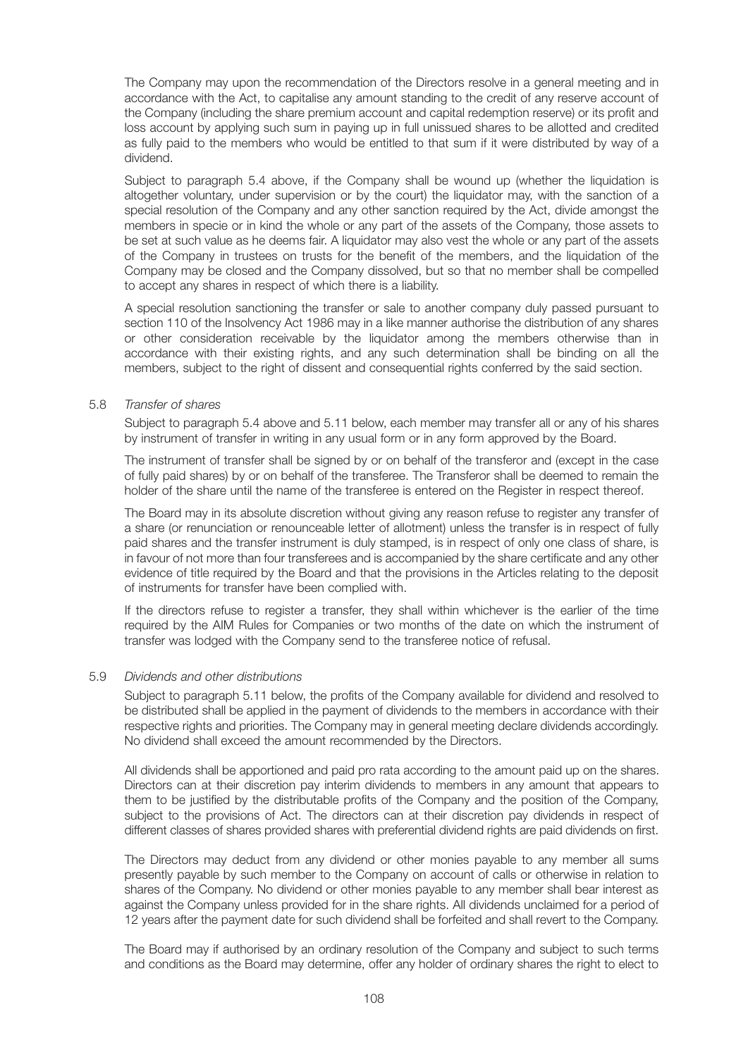The Company may upon the recommendation of the Directors resolve in a general meeting and in accordance with the Act, to capitalise any amount standing to the credit of any reserve account of the Company (including the share premium account and capital redemption reserve) or its profit and loss account by applying such sum in paying up in full unissued shares to be allotted and credited as fully paid to the members who would be entitled to that sum if it were distributed by way of a dividend.

 Subject to paragraph 5.4 above, if the Company shall be wound up (whether the liquidation is altogether voluntary, under supervision or by the court) the liquidator may, with the sanction of a special resolution of the Company and any other sanction required by the Act, divide amongst the members in specie or in kind the whole or any part of the assets of the Company, those assets to be set at such value as he deems fair. A liquidator may also vest the whole or any part of the assets of the Company in trustees on trusts for the benefit of the members, and the liquidation of the Company may be closed and the Company dissolved, but so that no member shall be compelled to accept any shares in respect of which there is a liability.

 A special resolution sanctioning the transfer or sale to another company duly passed pursuant to section 110 of the Insolvency Act 1986 may in a like manner authorise the distribution of any shares or other consideration receivable by the liquidator among the members otherwise than in accordance with their existing rights, and any such determination shall be binding on all the members, subject to the right of dissent and consequential rights conferred by the said section.

#### 5.8 *Transfer of shares*

 Subject to paragraph 5.4 above and 5.11 below, each member may transfer all or any of his shares by instrument of transfer in writing in any usual form or in any form approved by the Board.

 The instrument of transfer shall be signed by or on behalf of the transferor and (except in the case of fully paid shares) by or on behalf of the transferee. The Transferor shall be deemed to remain the holder of the share until the name of the transferee is entered on the Register in respect thereof.

 The Board may in its absolute discretion without giving any reason refuse to register any transfer of a share (or renunciation or renounceable letter of allotment) unless the transfer is in respect of fully paid shares and the transfer instrument is duly stamped, is in respect of only one class of share, is in favour of not more than four transferees and is accompanied by the share certificate and any other evidence of title required by the Board and that the provisions in the Articles relating to the deposit of instruments for transfer have been complied with.

 If the directors refuse to register a transfer, they shall within whichever is the earlier of the time required by the AIM Rules for Companies or two months of the date on which the instrument of transfer was lodged with the Company send to the transferee notice of refusal.

#### 5.9 *Dividends and other distributions*

 Subject to paragraph 5.11 below, the profits of the Company available for dividend and resolved to be distributed shall be applied in the payment of dividends to the members in accordance with their respective rights and priorities. The Company may in general meeting declare dividends accordingly. No dividend shall exceed the amount recommended by the Directors.

 All dividends shall be apportioned and paid pro rata according to the amount paid up on the shares. Directors can at their discretion pay interim dividends to members in any amount that appears to them to be justified by the distributable profits of the Company and the position of the Company, subject to the provisions of Act. The directors can at their discretion pay dividends in respect of different classes of shares provided shares with preferential dividend rights are paid dividends on first.

 The Directors may deduct from any dividend or other monies payable to any member all sums presently payable by such member to the Company on account of calls or otherwise in relation to shares of the Company. No dividend or other monies payable to any member shall bear interest as against the Company unless provided for in the share rights. All dividends unclaimed for a period of 12 years after the payment date for such dividend shall be forfeited and shall revert to the Company.

 The Board may if authorised by an ordinary resolution of the Company and subject to such terms and conditions as the Board may determine, offer any holder of ordinary shares the right to elect to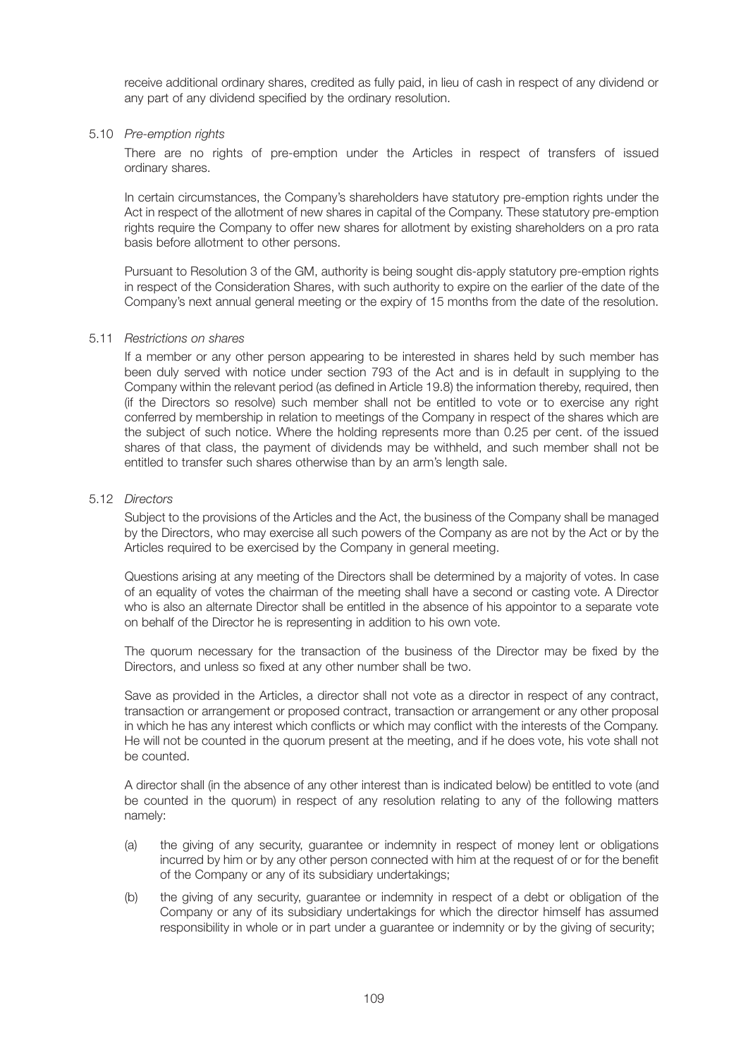receive additional ordinary shares, credited as fully paid, in lieu of cash in respect of any dividend or any part of any dividend specified by the ordinary resolution.

#### 5.10 *Pre-emption rights*

 There are no rights of pre-emption under the Articles in respect of transfers of issued ordinary shares.

 In certain circumstances, the Company's shareholders have statutory pre-emption rights under the Act in respect of the allotment of new shares in capital of the Company. These statutory pre-emption rights require the Company to offer new shares for allotment by existing shareholders on a pro rata basis before allotment to other persons.

 Pursuant to Resolution 3 of the GM, authority is being sought dis-apply statutory pre-emption rights in respect of the Consideration Shares, with such authority to expire on the earlier of the date of the Company's next annual general meeting or the expiry of 15 months from the date of the resolution.

#### 5.11 *Restrictions on shares*

 If a member or any other person appearing to be interested in shares held by such member has been duly served with notice under section 793 of the Act and is in default in supplying to the Company within the relevant period (as defined in Article 19.8) the information thereby, required, then (if the Directors so resolve) such member shall not be entitled to vote or to exercise any right conferred by membership in relation to meetings of the Company in respect of the shares which are the subject of such notice. Where the holding represents more than 0.25 per cent. of the issued shares of that class, the payment of dividends may be withheld, and such member shall not be entitled to transfer such shares otherwise than by an arm's length sale.

#### 5.12 *Directors*

 Subject to the provisions of the Articles and the Act, the business of the Company shall be managed by the Directors, who may exercise all such powers of the Company as are not by the Act or by the Articles required to be exercised by the Company in general meeting.

 Questions arising at any meeting of the Directors shall be determined by a majority of votes. In case of an equality of votes the chairman of the meeting shall have a second or casting vote. A Director who is also an alternate Director shall be entitled in the absence of his appointor to a separate vote on behalf of the Director he is representing in addition to his own vote.

 The quorum necessary for the transaction of the business of the Director may be fixed by the Directors, and unless so fixed at any other number shall be two.

 Save as provided in the Articles, a director shall not vote as a director in respect of any contract, transaction or arrangement or proposed contract, transaction or arrangement or any other proposal in which he has any interest which conflicts or which may conflict with the interests of the Company. He will not be counted in the quorum present at the meeting, and if he does vote, his vote shall not be counted.

 A director shall (in the absence of any other interest than is indicated below) be entitled to vote (and be counted in the quorum) in respect of any resolution relating to any of the following matters namely:

- (a) the giving of any security, guarantee or indemnity in respect of money lent or obligations incurred by him or by any other person connected with him at the request of or for the benefit of the Company or any of its subsidiary undertakings;
- (b) the giving of any security, guarantee or indemnity in respect of a debt or obligation of the Company or any of its subsidiary undertakings for which the director himself has assumed responsibility in whole or in part under a guarantee or indemnity or by the giving of security;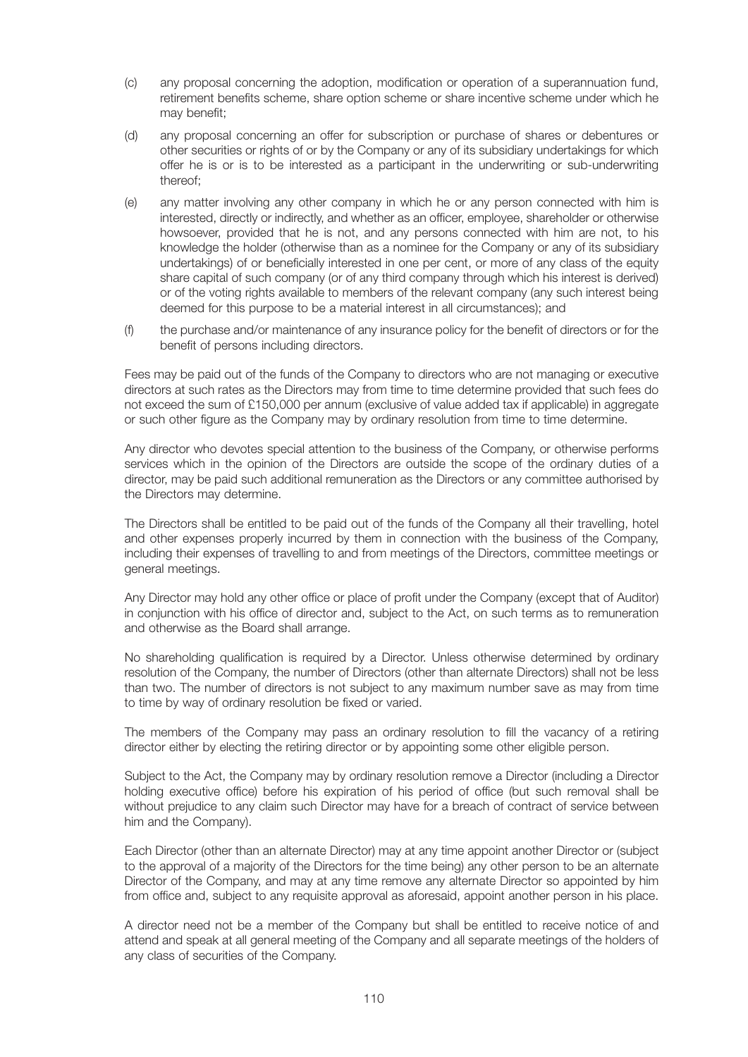- (c) any proposal concerning the adoption, modification or operation of a superannuation fund, retirement benefits scheme, share option scheme or share incentive scheme under which he may benefit;
- (d) any proposal concerning an offer for subscription or purchase of shares or debentures or other securities or rights of or by the Company or any of its subsidiary undertakings for which offer he is or is to be interested as a participant in the underwriting or sub-underwriting thereof;
- (e) any matter involving any other company in which he or any person connected with him is interested, directly or indirectly, and whether as an officer, employee, shareholder or otherwise howsoever, provided that he is not, and any persons connected with him are not, to his knowledge the holder (otherwise than as a nominee for the Company or any of its subsidiary undertakings) of or beneficially interested in one per cent, or more of any class of the equity share capital of such company (or of any third company through which his interest is derived) or of the voting rights available to members of the relevant company (any such interest being deemed for this purpose to be a material interest in all circumstances); and
- (f) the purchase and/or maintenance of any insurance policy for the benefit of directors or for the benefit of persons including directors.

 Fees may be paid out of the funds of the Company to directors who are not managing or executive directors at such rates as the Directors may from time to time determine provided that such fees do not exceed the sum of £150,000 per annum (exclusive of value added tax if applicable) in aggregate or such other figure as the Company may by ordinary resolution from time to time determine.

 Any director who devotes special attention to the business of the Company, or otherwise performs services which in the opinion of the Directors are outside the scope of the ordinary duties of a director, may be paid such additional remuneration as the Directors or any committee authorised by the Directors may determine.

 The Directors shall be entitled to be paid out of the funds of the Company all their travelling, hotel and other expenses properly incurred by them in connection with the business of the Company, including their expenses of travelling to and from meetings of the Directors, committee meetings or general meetings.

 Any Director may hold any other office or place of profit under the Company (except that of Auditor) in conjunction with his office of director and, subject to the Act, on such terms as to remuneration and otherwise as the Board shall arrange.

 No shareholding qualification is required by a Director. Unless otherwise determined by ordinary resolution of the Company, the number of Directors (other than alternate Directors) shall not be less than two. The number of directors is not subject to any maximum number save as may from time to time by way of ordinary resolution be fixed or varied.

 The members of the Company may pass an ordinary resolution to fill the vacancy of a retiring director either by electing the retiring director or by appointing some other eligible person.

 Subject to the Act, the Company may by ordinary resolution remove a Director (including a Director holding executive office) before his expiration of his period of office (but such removal shall be without prejudice to any claim such Director may have for a breach of contract of service between him and the Company).

 Each Director (other than an alternate Director) may at any time appoint another Director or (subject to the approval of a majority of the Directors for the time being) any other person to be an alternate Director of the Company, and may at any time remove any alternate Director so appointed by him from office and, subject to any requisite approval as aforesaid, appoint another person in his place.

 A director need not be a member of the Company but shall be entitled to receive notice of and attend and speak at all general meeting of the Company and all separate meetings of the holders of any class of securities of the Company.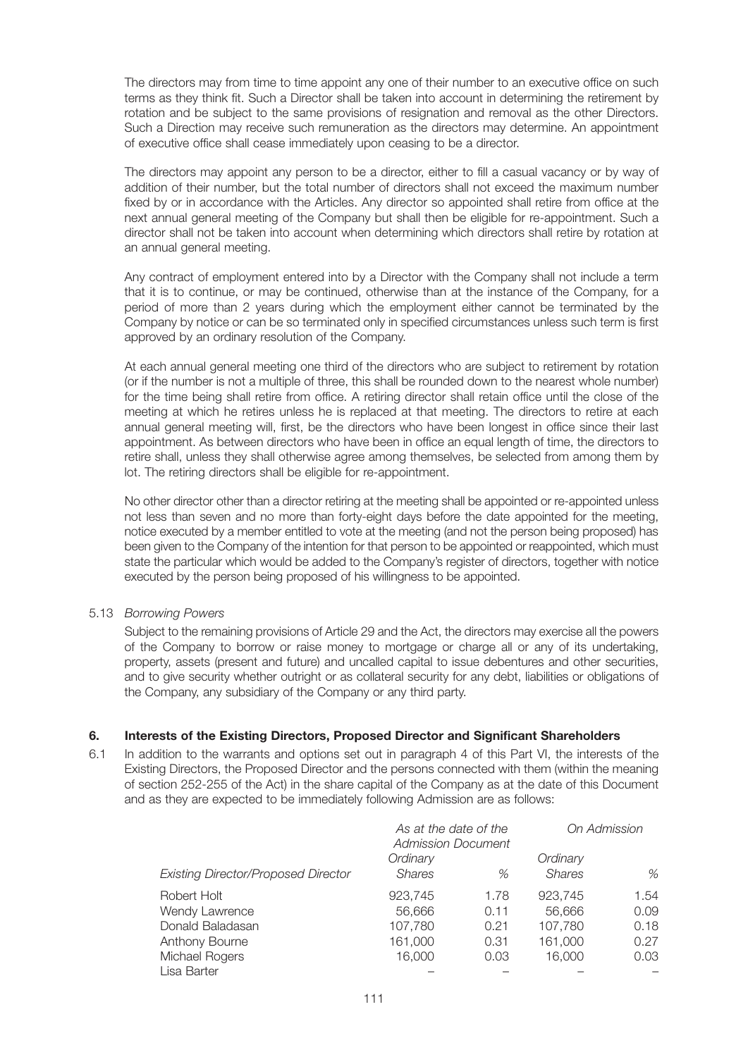The directors may from time to time appoint any one of their number to an executive office on such terms as they think fit. Such a Director shall be taken into account in determining the retirement by rotation and be subject to the same provisions of resignation and removal as the other Directors. Such a Direction may receive such remuneration as the directors may determine. An appointment of executive office shall cease immediately upon ceasing to be a director.

 The directors may appoint any person to be a director, either to fill a casual vacancy or by way of addition of their number, but the total number of directors shall not exceed the maximum number fixed by or in accordance with the Articles. Any director so appointed shall retire from office at the next annual general meeting of the Company but shall then be eligible for re-appointment. Such a director shall not be taken into account when determining which directors shall retire by rotation at an annual general meeting.

 Any contract of employment entered into by a Director with the Company shall not include a term that it is to continue, or may be continued, otherwise than at the instance of the Company, for a period of more than 2 years during which the employment either cannot be terminated by the Company by notice or can be so terminated only in specified circumstances unless such term is first approved by an ordinary resolution of the Company.

 At each annual general meeting one third of the directors who are subject to retirement by rotation (or if the number is not a multiple of three, this shall be rounded down to the nearest whole number) for the time being shall retire from office. A retiring director shall retain office until the close of the meeting at which he retires unless he is replaced at that meeting. The directors to retire at each annual general meeting will, first, be the directors who have been longest in office since their last appointment. As between directors who have been in office an equal length of time, the directors to retire shall, unless they shall otherwise agree among themselves, be selected from among them by lot. The retiring directors shall be eligible for re-appointment.

 No other director other than a director retiring at the meeting shall be appointed or re-appointed unless not less than seven and no more than forty-eight days before the date appointed for the meeting, notice executed by a member entitled to vote at the meeting (and not the person being proposed) has been given to the Company of the intention for that person to be appointed or reappointed, which must state the particular which would be added to the Company's register of directors, together with notice executed by the person being proposed of his willingness to be appointed.

#### 5.13 *Borrowing Powers*

 Subject to the remaining provisions of Article 29 and the Act, the directors may exercise all the powers of the Company to borrow or raise money to mortgage or charge all or any of its undertaking, property, assets (present and future) and uncalled capital to issue debentures and other securities, and to give security whether outright or as collateral security for any debt, liabilities or obligations of the Company, any subsidiary of the Company or any third party.

#### **6. Interests of the Existing Directors, Proposed Director and Significant Shareholders**

6.1 In addition to the warrants and options set out in paragraph 4 of this Part VI, the interests of the Existing Directors, the Proposed Director and the persons connected with them (within the meaning of section 252-255 of the Act) in the share capital of the Company as at the date of this Document and as they are expected to be immediately following Admission are as follows:

|                                            | As at the date of the<br><b>Admission Document</b> |      | On Admission  |      |
|--------------------------------------------|----------------------------------------------------|------|---------------|------|
|                                            | Ordinary                                           |      | Ordinary      |      |
| <b>Existing Director/Proposed Director</b> | <b>Shares</b>                                      | %    | <b>Shares</b> | %    |
| Robert Holt                                | 923,745                                            | 1.78 | 923,745       | 1.54 |
| Wendy Lawrence                             | 56.666                                             | 0.11 | 56.666        | 0.09 |
| Donald Baladasan                           | 107,780                                            | 0.21 | 107,780       | 0.18 |
| Anthony Bourne                             | 161,000                                            | 0.31 | 161,000       | 0.27 |
| Michael Rogers                             | 16,000                                             | 0.03 | 16,000        | 0.03 |
| Lisa Barter                                |                                                    |      |               |      |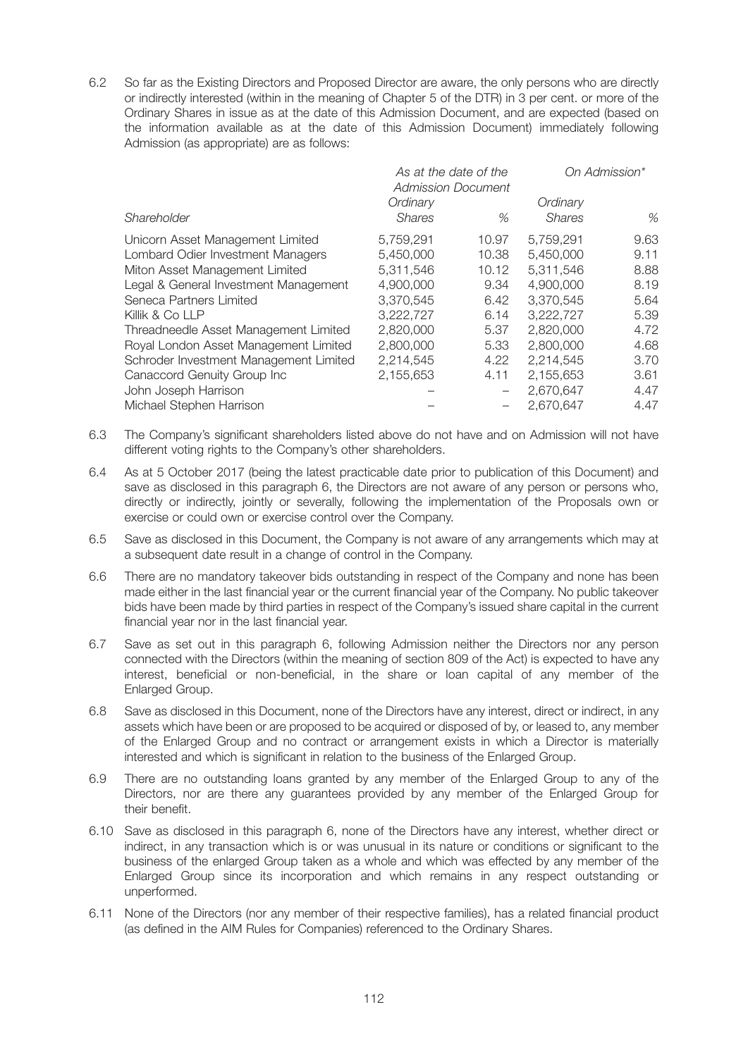6.2 So far as the Existing Directors and Proposed Director are aware, the only persons who are directly or indirectly interested (within in the meaning of Chapter 5 of the DTR) in 3 per cent. or more of the Ordinary Shares in issue as at the date of this Admission Document, and are expected (based on the information available as at the date of this Admission Document) immediately following Admission (as appropriate) are as follows:

| As at the date of the<br><b>Admission Document</b> |                           | On Admission*            |                           |      |
|----------------------------------------------------|---------------------------|--------------------------|---------------------------|------|
| Shareholder                                        | Ordinary<br><b>Shares</b> | %                        | Ordinary<br><b>Shares</b> | %    |
| Unicorn Asset Management Limited                   | 5,759,291                 | 10.97                    | 5,759,291                 | 9.63 |
| Lombard Odier Investment Managers                  | 5,450,000                 | 10.38                    | 5,450,000                 | 9.11 |
| Miton Asset Management Limited                     | 5,311,546                 | 10.12                    | 5,311,546                 | 8.88 |
| Legal & General Investment Management              | 4,900,000                 | 9.34                     | 4,900,000                 | 8.19 |
| Seneca Partners Limited                            | 3,370,545                 | 6.42                     | 3,370,545                 | 5.64 |
| Killik & Co LLP                                    | 3,222,727                 | 6.14                     | 3,222,727                 | 5.39 |
| Threadneedle Asset Management Limited              | 2,820,000                 | 5.37                     | 2,820,000                 | 4.72 |
| Royal London Asset Management Limited              | 2,800,000                 | 5.33                     | 2,800,000                 | 4.68 |
| Schroder Investment Management Limited             | 2,214,545                 | 4.22                     | 2,214,545                 | 3.70 |
| Canaccord Genuity Group Inc                        | 2,155,653                 | 4.11                     | 2,155,653                 | 3.61 |
| John Joseph Harrison                               |                           | $\overline{\phantom{0}}$ | 2.670.647                 | 4.47 |
| Michael Stephen Harrison                           |                           |                          | 2,670,647                 | 4.47 |
|                                                    |                           |                          |                           |      |

- 6.3 The Company's significant shareholders listed above do not have and on Admission will not have different voting rights to the Company's other shareholders.
- 6.4 As at 5 October 2017 (being the latest practicable date prior to publication of this Document) and save as disclosed in this paragraph 6, the Directors are not aware of any person or persons who, directly or indirectly, jointly or severally, following the implementation of the Proposals own or exercise or could own or exercise control over the Company.
- 6.5 Save as disclosed in this Document, the Company is not aware of any arrangements which may at a subsequent date result in a change of control in the Company.
- 6.6 There are no mandatory takeover bids outstanding in respect of the Company and none has been made either in the last financial year or the current financial year of the Company. No public takeover bids have been made by third parties in respect of the Company's issued share capital in the current financial year nor in the last financial year.
- 6.7 Save as set out in this paragraph 6, following Admission neither the Directors nor any person connected with the Directors (within the meaning of section 809 of the Act) is expected to have any interest, beneficial or non-beneficial, in the share or loan capital of any member of the Enlarged Group.
- 6.8 Save as disclosed in this Document, none of the Directors have any interest, direct or indirect, in any assets which have been or are proposed to be acquired or disposed of by, or leased to, any member of the Enlarged Group and no contract or arrangement exists in which a Director is materially interested and which is significant in relation to the business of the Enlarged Group.
- 6.9 There are no outstanding loans granted by any member of the Enlarged Group to any of the Directors, nor are there any guarantees provided by any member of the Enlarged Group for their benefit.
- 6.10 Save as disclosed in this paragraph 6, none of the Directors have any interest, whether direct or indirect, in any transaction which is or was unusual in its nature or conditions or significant to the business of the enlarged Group taken as a whole and which was effected by any member of the Enlarged Group since its incorporation and which remains in any respect outstanding or unperformed.
- 6.11 None of the Directors (nor any member of their respective families), has a related financial product (as defined in the AIM Rules for Companies) referenced to the Ordinary Shares.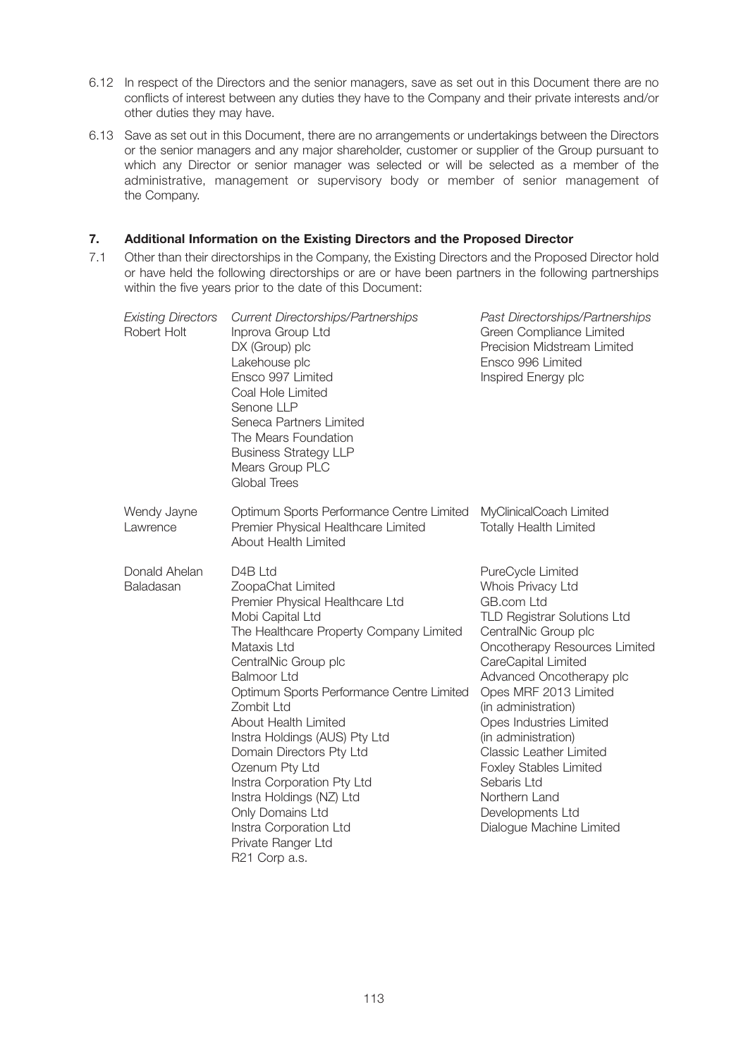- 6.12 In respect of the Directors and the senior managers, save as set out in this Document there are no conflicts of interest between any duties they have to the Company and their private interests and/or other duties they may have.
- 6.13 Save as set out in this Document, there are no arrangements or undertakings between the Directors or the senior managers and any major shareholder, customer or supplier of the Group pursuant to which any Director or senior manager was selected or will be selected as a member of the administrative, management or supervisory body or member of senior management of the Company.

### **7. Additional Information on the Existing Directors and the Proposed Director**

7.1 Other than their directorships in the Company, the Existing Directors and the Proposed Director hold or have held the following directorships or are or have been partners in the following partnerships within the five years prior to the date of this Document:

| <b>Existing Directors</b><br>Robert Holt | <b>Current Directorships/Partnerships</b><br>Inprova Group Ltd<br>DX (Group) plc<br>Lakehouse plc<br>Ensco 997 Limited<br>Coal Hole Limited<br>Senone LLP<br>Seneca Partners Limited<br>The Mears Foundation<br><b>Business Strategy LLP</b><br>Mears Group PLC<br><b>Global Trees</b>                                                                                                                                                                                                                                    | Past Directorships/Partnerships<br>Green Compliance Limited<br>Precision Midstream Limited<br>Ensco 996 Limited<br>Inspired Energy plc                                                                                                                                                                                                                                                                                                                      |
|------------------------------------------|---------------------------------------------------------------------------------------------------------------------------------------------------------------------------------------------------------------------------------------------------------------------------------------------------------------------------------------------------------------------------------------------------------------------------------------------------------------------------------------------------------------------------|-------------------------------------------------------------------------------------------------------------------------------------------------------------------------------------------------------------------------------------------------------------------------------------------------------------------------------------------------------------------------------------------------------------------------------------------------------------|
| Wendy Jayne<br>Lawrence                  | Optimum Sports Performance Centre Limited<br>Premier Physical Healthcare Limited<br>About Health Limited                                                                                                                                                                                                                                                                                                                                                                                                                  | MyClinicalCoach Limited<br><b>Totally Health Limited</b>                                                                                                                                                                                                                                                                                                                                                                                                    |
| Donald Ahelan<br>Baladasan               | D <sub>4</sub> B Ltd<br>ZoopaChat Limited<br>Premier Physical Healthcare Ltd<br>Mobi Capital Ltd<br>The Healthcare Property Company Limited<br>Mataxis Ltd<br>CentralNic Group plc<br><b>Balmoor Ltd</b><br>Optimum Sports Performance Centre Limited<br>Zombit Ltd<br>About Health Limited<br>Instra Holdings (AUS) Pty Ltd<br>Domain Directors Pty Ltd<br>Ozenum Pty Ltd<br>Instra Corporation Pty Ltd<br>Instra Holdings (NZ) Ltd<br>Only Domains Ltd<br>Instra Corporation Ltd<br>Private Ranger Ltd<br>R21 Corp a.s. | PureCycle Limited<br>Whois Privacy Ltd<br>GB.com Ltd<br><b>TLD Registrar Solutions Ltd</b><br>CentralNic Group plc<br>Oncotherapy Resources Limited<br>CareCapital Limited<br>Advanced Oncotherapy plc<br>Opes MRF 2013 Limited<br>(in administration)<br>Opes Industries Limited<br>(in administration)<br><b>Classic Leather Limited</b><br><b>Foxley Stables Limited</b><br>Sebaris Ltd<br>Northern Land<br>Developments Ltd<br>Dialogue Machine Limited |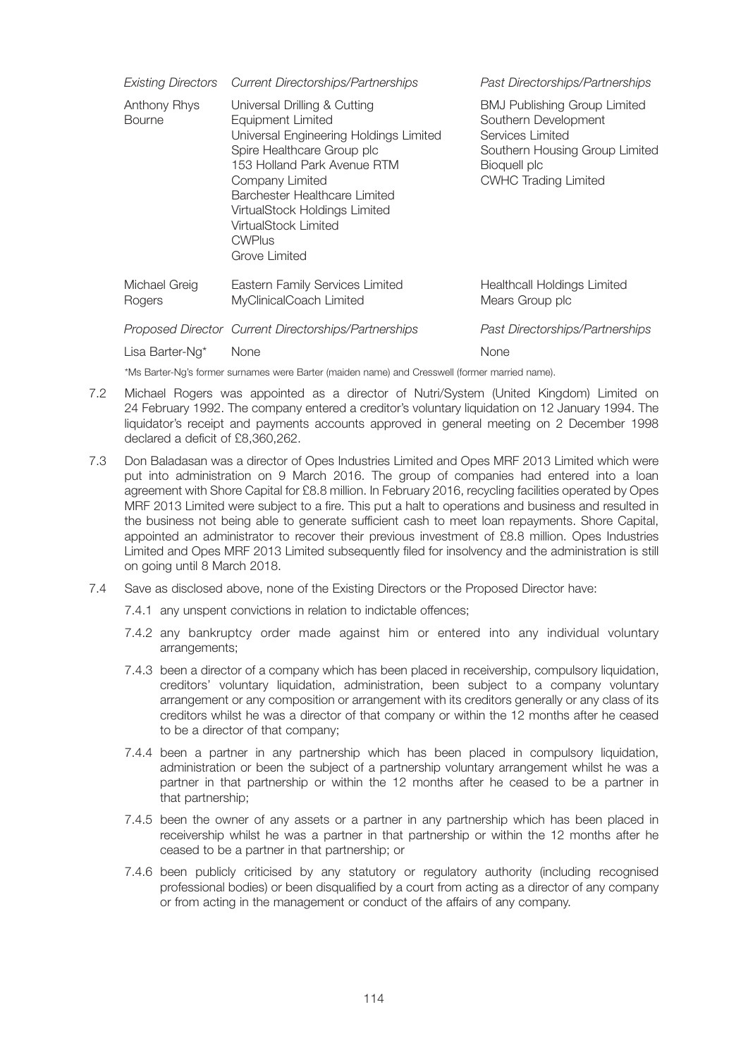|                               | Existing Directors Current Directorships/Partnerships                                                                                                                                                                                                                                                   | Past Directorships/Partnerships                                                                                                                                  |  |  |  |
|-------------------------------|---------------------------------------------------------------------------------------------------------------------------------------------------------------------------------------------------------------------------------------------------------------------------------------------------------|------------------------------------------------------------------------------------------------------------------------------------------------------------------|--|--|--|
| Anthony Rhys<br><b>Bourne</b> | Universal Drilling & Cutting<br>Equipment Limited<br>Universal Engineering Holdings Limited<br>Spire Healthcare Group plc<br>153 Holland Park Avenue RTM<br>Company Limited<br>Barchester Healthcare Limited<br>VirtualStock Holdings Limited<br>VirtualStock Limited<br><b>CWPlus</b><br>Grove Limited | <b>BMJ Publishing Group Limited</b><br>Southern Development<br>Services Limited<br>Southern Housing Group Limited<br>Bioquell plc<br><b>CWHC Trading Limited</b> |  |  |  |
| Michael Greig<br>Rogers       | Eastern Family Services Limited<br>MyClinicalCoach Limited                                                                                                                                                                                                                                              | <b>Healthcall Holdings Limited</b><br>Mears Group plc                                                                                                            |  |  |  |
|                               | Proposed Director Current Directorships/Partnerships                                                                                                                                                                                                                                                    | Past Directorships/Partnerships                                                                                                                                  |  |  |  |
| Lisa Barter-Ng*               | <b>None</b>                                                                                                                                                                                                                                                                                             | None                                                                                                                                                             |  |  |  |
|                               | *Ms Barter-Ng's former surnames were Barter (maiden name) and Cresswell (former married name).                                                                                                                                                                                                          |                                                                                                                                                                  |  |  |  |

- 7.2 Michael Rogers was appointed as a director of Nutri/System (United Kingdom) Limited on 24 February 1992. The company entered a creditor's voluntary liquidation on 12 January 1994. The liquidator's receipt and payments accounts approved in general meeting on 2 December 1998 declared a deficit of £8,360,262.
- 7.3 Don Baladasan was a director of Opes Industries Limited and Opes MRF 2013 Limited which were put into administration on 9 March 2016. The group of companies had entered into a loan agreement with Shore Capital for £8.8 million. In February 2016, recycling facilities operated by Opes MRF 2013 Limited were subject to a fire. This put a halt to operations and business and resulted in the business not being able to generate sufficient cash to meet loan repayments. Shore Capital, appointed an administrator to recover their previous investment of £8.8 million. Opes Industries Limited and Opes MRF 2013 Limited subsequently filed for insolvency and the administration is still on going until 8 March 2018.
- 7.4 Save as disclosed above, none of the Existing Directors or the Proposed Director have:
	- 7.4.1 any unspent convictions in relation to indictable offences;
	- 7.4.2 any bankruptcy order made against him or entered into any individual voluntary arrangements;
	- 7.4.3 been a director of a company which has been placed in receivership, compulsory liquidation, creditors' voluntary liquidation, administration, been subject to a company voluntary arrangement or any composition or arrangement with its creditors generally or any class of its creditors whilst he was a director of that company or within the 12 months after he ceased to be a director of that company;
	- 7.4.4 been a partner in any partnership which has been placed in compulsory liquidation, administration or been the subject of a partnership voluntary arrangement whilst he was a partner in that partnership or within the 12 months after he ceased to be a partner in that partnership;
	- 7.4.5 been the owner of any assets or a partner in any partnership which has been placed in receivership whilst he was a partner in that partnership or within the 12 months after he ceased to be a partner in that partnership; or
	- 7.4.6 been publicly criticised by any statutory or regulatory authority (including recognised professional bodies) or been disqualified by a court from acting as a director of any company or from acting in the management or conduct of the affairs of any company.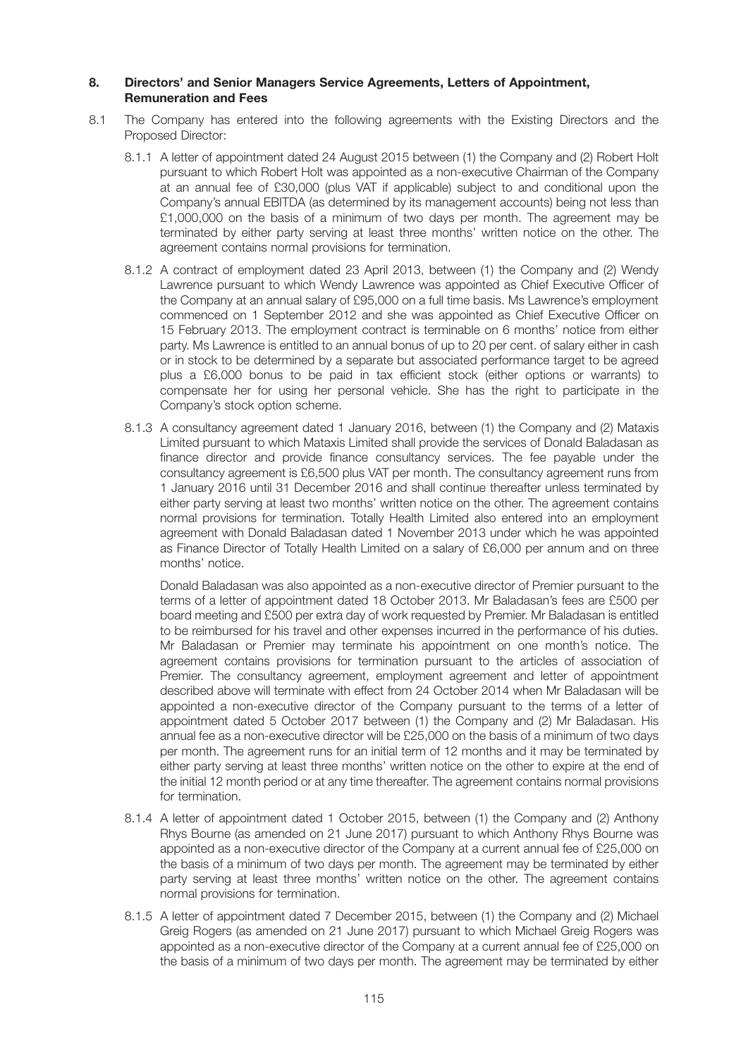#### **8. Directors' and Senior Managers Service Agreements, Letters of Appointment, Remuneration and Fees**

- 8.1 The Company has entered into the following agreements with the Existing Directors and the Proposed Director:
	- 8.1.1 A letter of appointment dated 24 August 2015 between (1) the Company and (2) Robert Holt pursuant to which Robert Holt was appointed as a non-executive Chairman of the Company at an annual fee of £30,000 (plus VAT if applicable) subject to and conditional upon the Company's annual EBITDA (as determined by its management accounts) being not less than £1,000,000 on the basis of a minimum of two days per month. The agreement may be terminated by either party serving at least three months' written notice on the other. The agreement contains normal provisions for termination.
	- 8.1.2 A contract of employment dated 23 April 2013, between (1) the Company and (2) Wendy Lawrence pursuant to which Wendy Lawrence was appointed as Chief Executive Officer of the Company at an annual salary of £95,000 on a full time basis. Ms Lawrence's employment commenced on 1 September 2012 and she was appointed as Chief Executive Officer on 15 February 2013. The employment contract is terminable on 6 months' notice from either party. Ms Lawrence is entitled to an annual bonus of up to 20 per cent. of salary either in cash or in stock to be determined by a separate but associated performance target to be agreed plus a £6,000 bonus to be paid in tax efficient stock (either options or warrants) to compensate her for using her personal vehicle. She has the right to participate in the Company's stock option scheme.
	- 8.1.3 A consultancy agreement dated 1 January 2016, between (1) the Company and (2) Mataxis Limited pursuant to which Mataxis Limited shall provide the services of Donald Baladasan as finance director and provide finance consultancy services. The fee payable under the consultancy agreement is £6,500 plus VAT per month. The consultancy agreement runs from 1 January 2016 until 31 December 2016 and shall continue thereafter unless terminated by either party serving at least two months' written notice on the other. The agreement contains normal provisions for termination. Totally Health Limited also entered into an employment agreement with Donald Baladasan dated 1 November 2013 under which he was appointed as Finance Director of Totally Health Limited on a salary of £6,000 per annum and on three months' notice.

 Donald Baladasan was also appointed as a non-executive director of Premier pursuant to the terms of a letter of appointment dated 18 October 2013. Mr Baladasan's fees are £500 per board meeting and £500 per extra day of work requested by Premier. Mr Baladasan is entitled to be reimbursed for his travel and other expenses incurred in the performance of his duties. Mr Baladasan or Premier may terminate his appointment on one month's notice. The agreement contains provisions for termination pursuant to the articles of association of Premier. The consultancy agreement, employment agreement and letter of appointment described above will terminate with effect from 24 October 2014 when Mr Baladasan will be appointed a non-executive director of the Company pursuant to the terms of a letter of appointment dated 5 October 2017 between (1) the Company and (2) Mr Baladasan. His annual fee as a non-executive director will be £25,000 on the basis of a minimum of two days per month. The agreement runs for an initial term of 12 months and it may be terminated by either party serving at least three months' written notice on the other to expire at the end of the initial 12 month period or at any time thereafter. The agreement contains normal provisions for termination.

- 8.1.4 A letter of appointment dated 1 October 2015, between (1) the Company and (2) Anthony Rhys Bourne (as amended on 21 June 2017) pursuant to which Anthony Rhys Bourne was appointed as a non-executive director of the Company at a current annual fee of £25,000 on the basis of a minimum of two days per month. The agreement may be terminated by either party serving at least three months' written notice on the other. The agreement contains normal provisions for termination.
- 8.1.5 A letter of appointment dated 7 December 2015, between (1) the Company and (2) Michael Greig Rogers (as amended on 21 June 2017) pursuant to which Michael Greig Rogers was appointed as a non-executive director of the Company at a current annual fee of £25,000 on the basis of a minimum of two days per month. The agreement may be terminated by either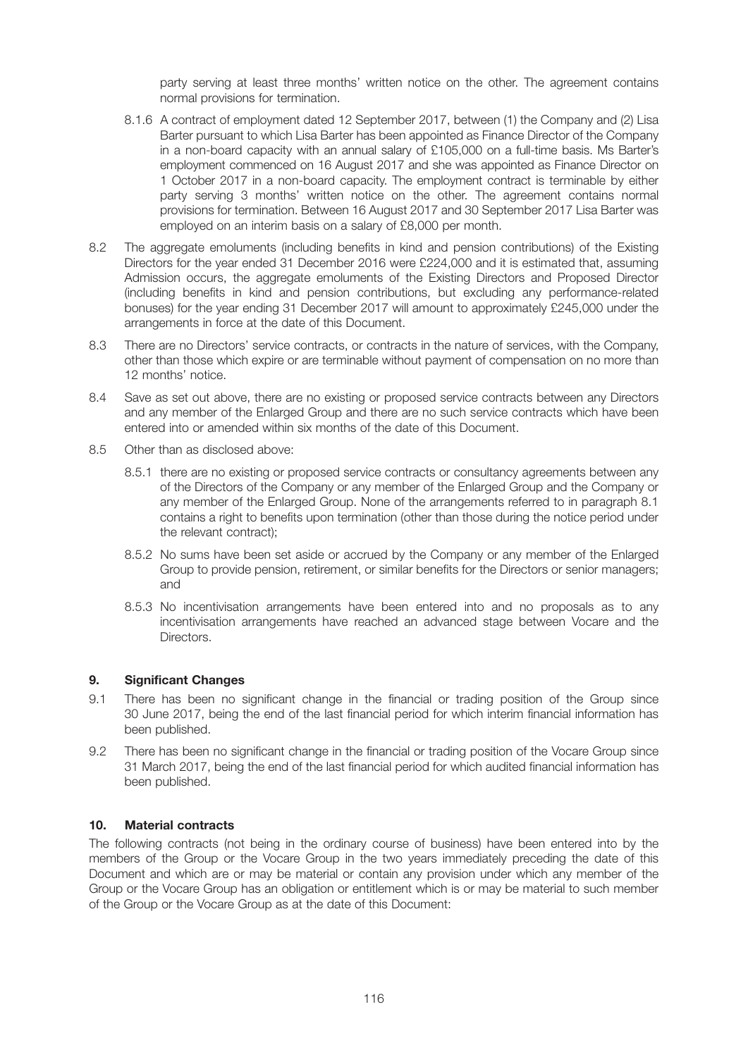party serving at least three months' written notice on the other. The agreement contains normal provisions for termination.

- 8.1.6 A contract of employment dated 12 September 2017, between (1) the Company and (2) Lisa Barter pursuant to which Lisa Barter has been appointed as Finance Director of the Company in a non-board capacity with an annual salary of £105,000 on a full-time basis. Ms Barter's employment commenced on 16 August 2017 and she was appointed as Finance Director on 1 October 2017 in a non-board capacity. The employment contract is terminable by either party serving 3 months' written notice on the other. The agreement contains normal provisions for termination. Between 16 August 2017 and 30 September 2017 Lisa Barter was employed on an interim basis on a salary of £8,000 per month.
- 8.2 The aggregate emoluments (including benefits in kind and pension contributions) of the Existing Directors for the year ended 31 December 2016 were £224,000 and it is estimated that, assuming Admission occurs, the aggregate emoluments of the Existing Directors and Proposed Director (including benefits in kind and pension contributions, but excluding any performance-related bonuses) for the year ending 31 December 2017 will amount to approximately £245,000 under the arrangements in force at the date of this Document.
- 8.3 There are no Directors' service contracts, or contracts in the nature of services, with the Company, other than those which expire or are terminable without payment of compensation on no more than 12 months' notice.
- 8.4 Save as set out above, there are no existing or proposed service contracts between any Directors and any member of the Enlarged Group and there are no such service contracts which have been entered into or amended within six months of the date of this Document.
- 8.5 Other than as disclosed above:
	- 8.5.1 there are no existing or proposed service contracts or consultancy agreements between any of the Directors of the Company or any member of the Enlarged Group and the Company or any member of the Enlarged Group. None of the arrangements referred to in paragraph 8.1 contains a right to benefits upon termination (other than those during the notice period under the relevant contract);
	- 8.5.2 No sums have been set aside or accrued by the Company or any member of the Enlarged Group to provide pension, retirement, or similar benefits for the Directors or senior managers; and
	- 8.5.3 No incentivisation arrangements have been entered into and no proposals as to any incentivisation arrangements have reached an advanced stage between Vocare and the Directors.

#### **9. Significant Changes**

- 9.1 There has been no significant change in the financial or trading position of the Group since 30 June 2017, being the end of the last financial period for which interim financial information has been published.
- 9.2 There has been no significant change in the financial or trading position of the Vocare Group since 31 March 2017, being the end of the last financial period for which audited financial information has been published.

#### **10. Material contracts**

The following contracts (not being in the ordinary course of business) have been entered into by the members of the Group or the Vocare Group in the two years immediately preceding the date of this Document and which are or may be material or contain any provision under which any member of the Group or the Vocare Group has an obligation or entitlement which is or may be material to such member of the Group or the Vocare Group as at the date of this Document: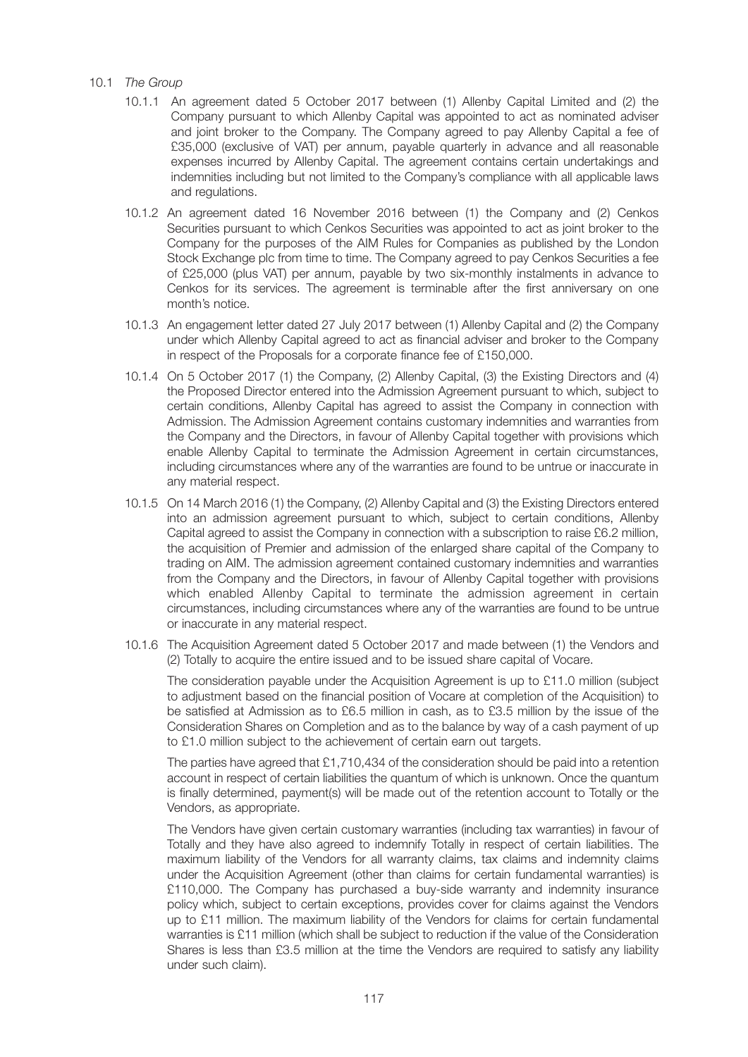#### 10.1 *The Group*

- 10.1.1 An agreement dated 5 October 2017 between (1) Allenby Capital Limited and (2) the Company pursuant to which Allenby Capital was appointed to act as nominated adviser and joint broker to the Company. The Company agreed to pay Allenby Capital a fee of £35,000 (exclusive of VAT) per annum, payable quarterly in advance and all reasonable expenses incurred by Allenby Capital. The agreement contains certain undertakings and indemnities including but not limited to the Company's compliance with all applicable laws and regulations.
- 10.1.2 An agreement dated 16 November 2016 between (1) the Company and (2) Cenkos Securities pursuant to which Cenkos Securities was appointed to act as joint broker to the Company for the purposes of the AIM Rules for Companies as published by the London Stock Exchange plc from time to time. The Company agreed to pay Cenkos Securities a fee of £25,000 (plus VAT) per annum, payable by two six-monthly instalments in advance to Cenkos for its services. The agreement is terminable after the first anniversary on one month's notice.
- 10.1.3 An engagement letter dated 27 July 2017 between (1) Allenby Capital and (2) the Company under which Allenby Capital agreed to act as financial adviser and broker to the Company in respect of the Proposals for a corporate finance fee of £150,000.
- 10.1.4 On 5 October 2017 (1) the Company, (2) Allenby Capital, (3) the Existing Directors and (4) the Proposed Director entered into the Admission Agreement pursuant to which, subject to certain conditions, Allenby Capital has agreed to assist the Company in connection with Admission. The Admission Agreement contains customary indemnities and warranties from the Company and the Directors, in favour of Allenby Capital together with provisions which enable Allenby Capital to terminate the Admission Agreement in certain circumstances, including circumstances where any of the warranties are found to be untrue or inaccurate in any material respect.
- 10.1.5 On 14 March 2016 (1) the Company, (2) Allenby Capital and (3) the Existing Directors entered into an admission agreement pursuant to which, subject to certain conditions, Allenby Capital agreed to assist the Company in connection with a subscription to raise £6.2 million, the acquisition of Premier and admission of the enlarged share capital of the Company to trading on AIM. The admission agreement contained customary indemnities and warranties from the Company and the Directors, in favour of Allenby Capital together with provisions which enabled Allenby Capital to terminate the admission agreement in certain circumstances, including circumstances where any of the warranties are found to be untrue or inaccurate in any material respect.
- 10.1.6 The Acquisition Agreement dated 5 October 2017 and made between (1) the Vendors and (2) Totally to acquire the entire issued and to be issued share capital of Vocare.

 The consideration payable under the Acquisition Agreement is up to £11.0 million (subject to adjustment based on the financial position of Vocare at completion of the Acquisition) to be satisfied at Admission as to £6.5 million in cash, as to £3.5 million by the issue of the Consideration Shares on Completion and as to the balance by way of a cash payment of up to £1.0 million subject to the achievement of certain earn out targets.

 The parties have agreed that £1,710,434 of the consideration should be paid into a retention account in respect of certain liabilities the quantum of which is unknown. Once the quantum is finally determined, payment(s) will be made out of the retention account to Totally or the Vendors, as appropriate.

 The Vendors have given certain customary warranties (including tax warranties) in favour of Totally and they have also agreed to indemnify Totally in respect of certain liabilities. The maximum liability of the Vendors for all warranty claims, tax claims and indemnity claims under the Acquisition Agreement (other than claims for certain fundamental warranties) is £110,000. The Company has purchased a buy-side warranty and indemnity insurance policy which, subject to certain exceptions, provides cover for claims against the Vendors up to £11 million. The maximum liability of the Vendors for claims for certain fundamental warranties is £11 million (which shall be subject to reduction if the value of the Consideration Shares is less than £3.5 million at the time the Vendors are required to satisfy any liability under such claim).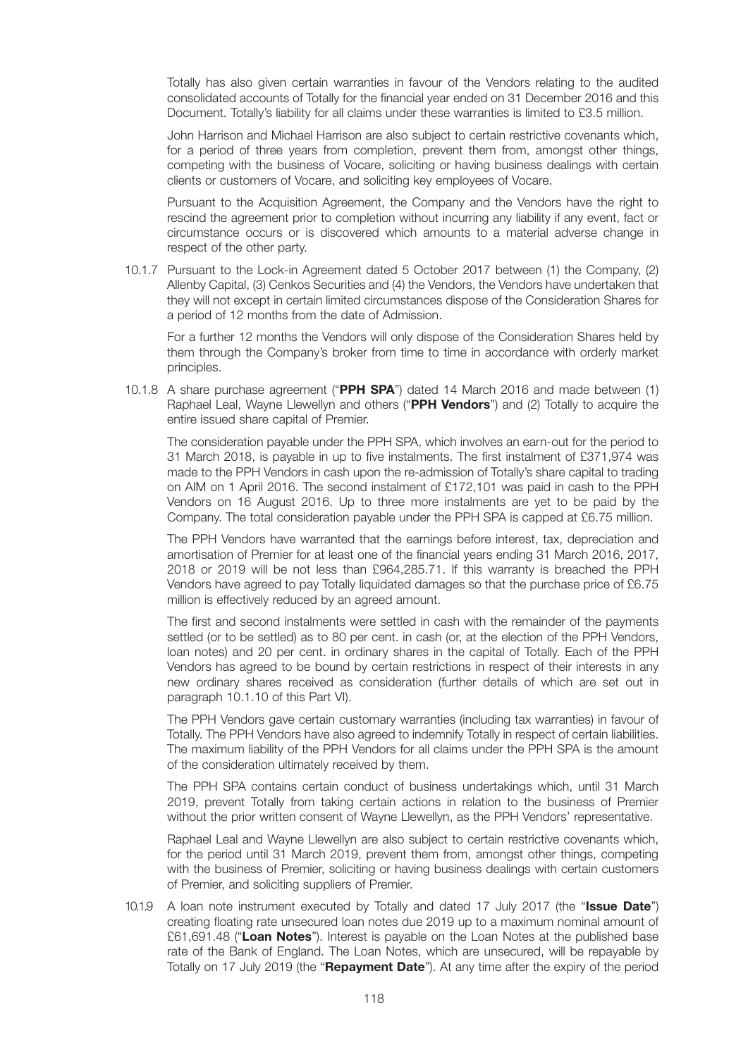Totally has also given certain warranties in favour of the Vendors relating to the audited consolidated accounts of Totally for the financial year ended on 31 December 2016 and this Document. Totally's liability for all claims under these warranties is limited to £3.5 million.

 John Harrison and Michael Harrison are also subject to certain restrictive covenants which, for a period of three years from completion, prevent them from, amongst other things, competing with the business of Vocare, soliciting or having business dealings with certain clients or customers of Vocare, and soliciting key employees of Vocare.

 Pursuant to the Acquisition Agreement, the Company and the Vendors have the right to rescind the agreement prior to completion without incurring any liability if any event, fact or circumstance occurs or is discovered which amounts to a material adverse change in respect of the other party.

 10.1.7 Pursuant to the Lock-in Agreement dated 5 October 2017 between (1) the Company, (2) Allenby Capital, (3) Cenkos Securities and (4) the Vendors, the Vendors have undertaken that they will not except in certain limited circumstances dispose of the Consideration Shares for a period of 12 months from the date of Admission.

 For a further 12 months the Vendors will only dispose of the Consideration Shares held by them through the Company's broker from time to time in accordance with orderly market principles.

 10.1.8 A share purchase agreement ("**PPH SPA**") dated 14 March 2016 and made between (1) Raphael Leal, Wayne Llewellyn and others ("**PPH Vendors**") and (2) Totally to acquire the entire issued share capital of Premier.

 The consideration payable under the PPH SPA, which involves an earn-out for the period to 31 March 2018, is payable in up to five instalments. The first instalment of £371,974 was made to the PPH Vendors in cash upon the re-admission of Totally's share capital to trading on AIM on 1 April 2016. The second instalment of £172,101 was paid in cash to the PPH Vendors on 16 August 2016. Up to three more instalments are yet to be paid by the Company. The total consideration payable under the PPH SPA is capped at £6.75 million.

 The PPH Vendors have warranted that the earnings before interest, tax, depreciation and amortisation of Premier for at least one of the financial years ending 31 March 2016, 2017, 2018 or 2019 will be not less than £964,285.71. If this warranty is breached the PPH Vendors have agreed to pay Totally liquidated damages so that the purchase price of £6.75 million is effectively reduced by an agreed amount.

 The first and second instalments were settled in cash with the remainder of the payments settled (or to be settled) as to 80 per cent. in cash (or, at the election of the PPH Vendors, loan notes) and 20 per cent. in ordinary shares in the capital of Totally. Each of the PPH Vendors has agreed to be bound by certain restrictions in respect of their interests in any new ordinary shares received as consideration (further details of which are set out in paragraph 10.1.10 of this Part VI).

 The PPH Vendors gave certain customary warranties (including tax warranties) in favour of Totally. The PPH Vendors have also agreed to indemnify Totally in respect of certain liabilities. The maximum liability of the PPH Vendors for all claims under the PPH SPA is the amount of the consideration ultimately received by them.

 The PPH SPA contains certain conduct of business undertakings which, until 31 March 2019, prevent Totally from taking certain actions in relation to the business of Premier without the prior written consent of Wayne Llewellyn, as the PPH Vendors' representative.

 Raphael Leal and Wayne Llewellyn are also subject to certain restrictive covenants which, for the period until 31 March 2019, prevent them from, amongst other things, competing with the business of Premier, soliciting or having business dealings with certain customers of Premier, and soliciting suppliers of Premier.

 10.1.9 A loan note instrument executed by Totally and dated 17 July 2017 (the "**Issue Date**") creating floating rate unsecured loan notes due 2019 up to a maximum nominal amount of £61,691.48 ("**Loan Notes**"). Interest is payable on the Loan Notes at the published base rate of the Bank of England. The Loan Notes, which are unsecured, will be repayable by Totally on 17 July 2019 (the "**Repayment Date**"). At any time after the expiry of the period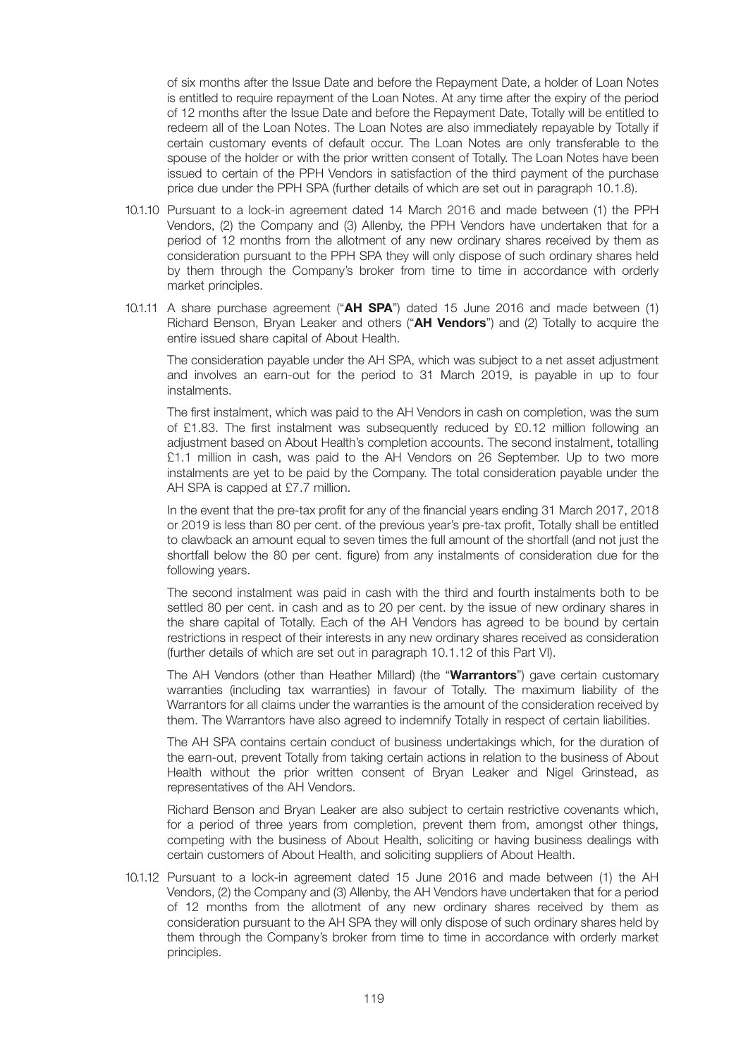of six months after the Issue Date and before the Repayment Date, a holder of Loan Notes is entitled to require repayment of the Loan Notes. At any time after the expiry of the period of 12 months after the Issue Date and before the Repayment Date, Totally will be entitled to redeem all of the Loan Notes. The Loan Notes are also immediately repayable by Totally if certain customary events of default occur. The Loan Notes are only transferable to the spouse of the holder or with the prior written consent of Totally. The Loan Notes have been issued to certain of the PPH Vendors in satisfaction of the third payment of the purchase price due under the PPH SPA (further details of which are set out in paragraph 10.1.8).

- 10.1.10 Pursuant to a lock-in agreement dated 14 March 2016 and made between (1) the PPH Vendors, (2) the Company and (3) Allenby, the PPH Vendors have undertaken that for a period of 12 months from the allotment of any new ordinary shares received by them as consideration pursuant to the PPH SPA they will only dispose of such ordinary shares held by them through the Company's broker from time to time in accordance with orderly market principles.
- 10.1.11 A share purchase agreement ("**AH SPA**") dated 15 June 2016 and made between (1) Richard Benson, Bryan Leaker and others ("**AH Vendors**") and (2) Totally to acquire the entire issued share capital of About Health.

 The consideration payable under the AH SPA, which was subject to a net asset adjustment and involves an earn-out for the period to 31 March 2019, is payable in up to four instalments.

 The first instalment, which was paid to the AH Vendors in cash on completion, was the sum of £1.83. The first instalment was subsequently reduced by £0.12 million following an adjustment based on About Health's completion accounts. The second instalment, totalling £1.1 million in cash, was paid to the AH Vendors on 26 September. Up to two more instalments are yet to be paid by the Company. The total consideration payable under the AH SPA is capped at £7.7 million.

 In the event that the pre-tax profit for any of the financial years ending 31 March 2017, 2018 or 2019 is less than 80 per cent. of the previous year's pre-tax profit, Totally shall be entitled to clawback an amount equal to seven times the full amount of the shortfall (and not just the shortfall below the 80 per cent. figure) from any instalments of consideration due for the following years.

 The second instalment was paid in cash with the third and fourth instalments both to be settled 80 per cent. in cash and as to 20 per cent. by the issue of new ordinary shares in the share capital of Totally. Each of the AH Vendors has agreed to be bound by certain restrictions in respect of their interests in any new ordinary shares received as consideration (further details of which are set out in paragraph 10.1.12 of this Part VI).

 The AH Vendors (other than Heather Millard) (the "**Warrantors**") gave certain customary warranties (including tax warranties) in favour of Totally. The maximum liability of the Warrantors for all claims under the warranties is the amount of the consideration received by them. The Warrantors have also agreed to indemnify Totally in respect of certain liabilities.

 The AH SPA contains certain conduct of business undertakings which, for the duration of the earn-out, prevent Totally from taking certain actions in relation to the business of About Health without the prior written consent of Bryan Leaker and Nigel Grinstead, as representatives of the AH Vendors.

 Richard Benson and Bryan Leaker are also subject to certain restrictive covenants which, for a period of three years from completion, prevent them from, amongst other things, competing with the business of About Health, soliciting or having business dealings with certain customers of About Health, and soliciting suppliers of About Health.

 10.1.12 Pursuant to a lock-in agreement dated 15 June 2016 and made between (1) the AH Vendors, (2) the Company and (3) Allenby, the AH Vendors have undertaken that for a period of 12 months from the allotment of any new ordinary shares received by them as consideration pursuant to the AH SPA they will only dispose of such ordinary shares held by them through the Company's broker from time to time in accordance with orderly market principles.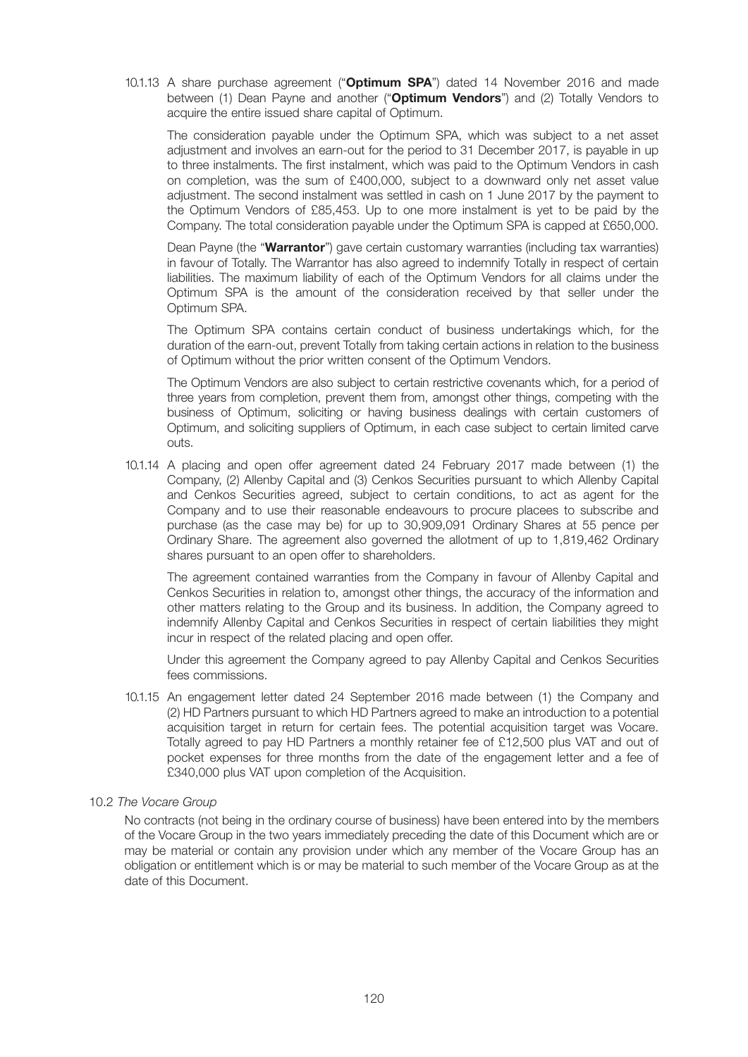10.1.13 A share purchase agreement ("**Optimum SPA**") dated 14 November 2016 and made between (1) Dean Payne and another ("**Optimum Vendors**") and (2) Totally Vendors to acquire the entire issued share capital of Optimum.

 The consideration payable under the Optimum SPA, which was subject to a net asset adjustment and involves an earn-out for the period to 31 December 2017, is payable in up to three instalments. The first instalment, which was paid to the Optimum Vendors in cash on completion, was the sum of £400,000, subject to a downward only net asset value adjustment. The second instalment was settled in cash on 1 June 2017 by the payment to the Optimum Vendors of £85,453. Up to one more instalment is yet to be paid by the Company. The total consideration payable under the Optimum SPA is capped at £650,000.

 Dean Payne (the "**Warrantor**") gave certain customary warranties (including tax warranties) in favour of Totally. The Warrantor has also agreed to indemnify Totally in respect of certain liabilities. The maximum liability of each of the Optimum Vendors for all claims under the Optimum SPA is the amount of the consideration received by that seller under the Optimum SPA.

 The Optimum SPA contains certain conduct of business undertakings which, for the duration of the earn-out, prevent Totally from taking certain actions in relation to the business of Optimum without the prior written consent of the Optimum Vendors.

 The Optimum Vendors are also subject to certain restrictive covenants which, for a period of three years from completion, prevent them from, amongst other things, competing with the business of Optimum, soliciting or having business dealings with certain customers of Optimum, and soliciting suppliers of Optimum, in each case subject to certain limited carve outs.

 10.1.14 A placing and open offer agreement dated 24 February 2017 made between (1) the Company, (2) Allenby Capital and (3) Cenkos Securities pursuant to which Allenby Capital and Cenkos Securities agreed, subject to certain conditions, to act as agent for the Company and to use their reasonable endeavours to procure placees to subscribe and purchase (as the case may be) for up to 30,909,091 Ordinary Shares at 55 pence per Ordinary Share. The agreement also governed the allotment of up to 1,819,462 Ordinary shares pursuant to an open offer to shareholders.

 The agreement contained warranties from the Company in favour of Allenby Capital and Cenkos Securities in relation to, amongst other things, the accuracy of the information and other matters relating to the Group and its business. In addition, the Company agreed to indemnify Allenby Capital and Cenkos Securities in respect of certain liabilities they might incur in respect of the related placing and open offer.

 Under this agreement the Company agreed to pay Allenby Capital and Cenkos Securities fees commissions.

 10.1.15 An engagement letter dated 24 September 2016 made between (1) the Company and (2) HD Partners pursuant to which HD Partners agreed to make an introduction to a potential acquisition target in return for certain fees. The potential acquisition target was Vocare. Totally agreed to pay HD Partners a monthly retainer fee of £12,500 plus VAT and out of pocket expenses for three months from the date of the engagement letter and a fee of £340,000 plus VAT upon completion of the Acquisition.

#### 10.2 *The Vocare Group*

 No contracts (not being in the ordinary course of business) have been entered into by the members of the Vocare Group in the two years immediately preceding the date of this Document which are or may be material or contain any provision under which any member of the Vocare Group has an obligation or entitlement which is or may be material to such member of the Vocare Group as at the date of this Document.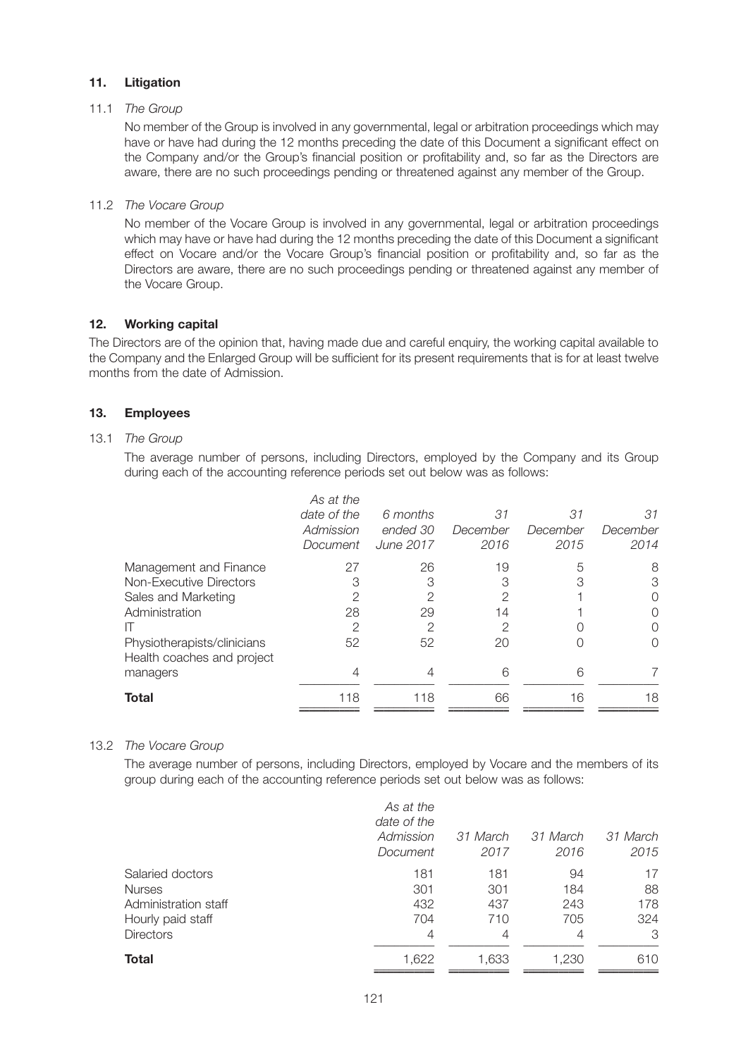#### **11. Litigation**

#### 11.1 *The Group*

 No member of the Group is involved in any governmental, legal or arbitration proceedings which may have or have had during the 12 months preceding the date of this Document a significant effect on the Company and/or the Group's financial position or profitability and, so far as the Directors are aware, there are no such proceedings pending or threatened against any member of the Group.

#### 11.2 *The Vocare Group*

 No member of the Vocare Group is involved in any governmental, legal or arbitration proceedings which may have or have had during the 12 months preceding the date of this Document a significant effect on Vocare and/or the Vocare Group's financial position or profitability and, so far as the Directors are aware, there are no such proceedings pending or threatened against any member of the Vocare Group.

#### **12. Working capital**

The Directors are of the opinion that, having made due and careful enquiry, the working capital available to the Company and the Enlarged Group will be sufficient for its present requirements that is for at least twelve months from the date of Admission.

#### **13. Employees**

#### 13.1 *The Group*

 The average number of persons, including Directors, employed by the Company and its Group during each of the accounting reference periods set out below was as follows:

|                                                           | As at the<br>date of the<br>Admission<br>Document | 6 months<br>ended 30<br>June 2017 | 31<br>December<br>2016 | 31<br>December<br>2015 | 31<br>December<br>2014 |
|-----------------------------------------------------------|---------------------------------------------------|-----------------------------------|------------------------|------------------------|------------------------|
| Management and Finance                                    | 27                                                | 26                                | 19                     | 5                      | 8                      |
| Non-Executive Directors                                   | 3                                                 | 3                                 | 3                      | 3                      | 3                      |
| Sales and Marketing                                       | 2                                                 | 2                                 | 2                      |                        | ()                     |
| Administration                                            | 28                                                | 29                                | 14                     |                        | 〔 〕                    |
|                                                           | 2                                                 | 2                                 | 2                      |                        | ( )                    |
| Physiotherapists/clinicians<br>Health coaches and project | 52                                                | 52                                | 20                     |                        |                        |
| managers                                                  | 4                                                 | 4                                 | 6                      | 6                      |                        |
| <b>Total</b>                                              | 118                                               | 118                               | 66                     | 16                     | 18                     |
|                                                           |                                                   |                                   |                        |                        |                        |

#### 13.2 *The Vocare Group*

 The average number of persons, including Directors, employed by Vocare and the members of its group during each of the accounting reference periods set out below was as follows:

|                      | As at the<br>date of the<br>Admission<br>Document | 31 March<br>2017 | 31 March<br>2016 | 31 March<br>2015 |
|----------------------|---------------------------------------------------|------------------|------------------|------------------|
| Salaried doctors     | 181                                               | 181              | 94               | 17               |
| <b>Nurses</b>        | 301                                               | 301              | 184              | 88               |
| Administration staff | 432                                               | 437              | 243              | 178              |
| Hourly paid staff    | 704                                               | 710              | 705              | 324              |
| <b>Directors</b>     | 4                                                 | 4                | 4                | 3                |
| <b>Total</b>         | 1,622                                             | 1,633            | 1,230            | 610              |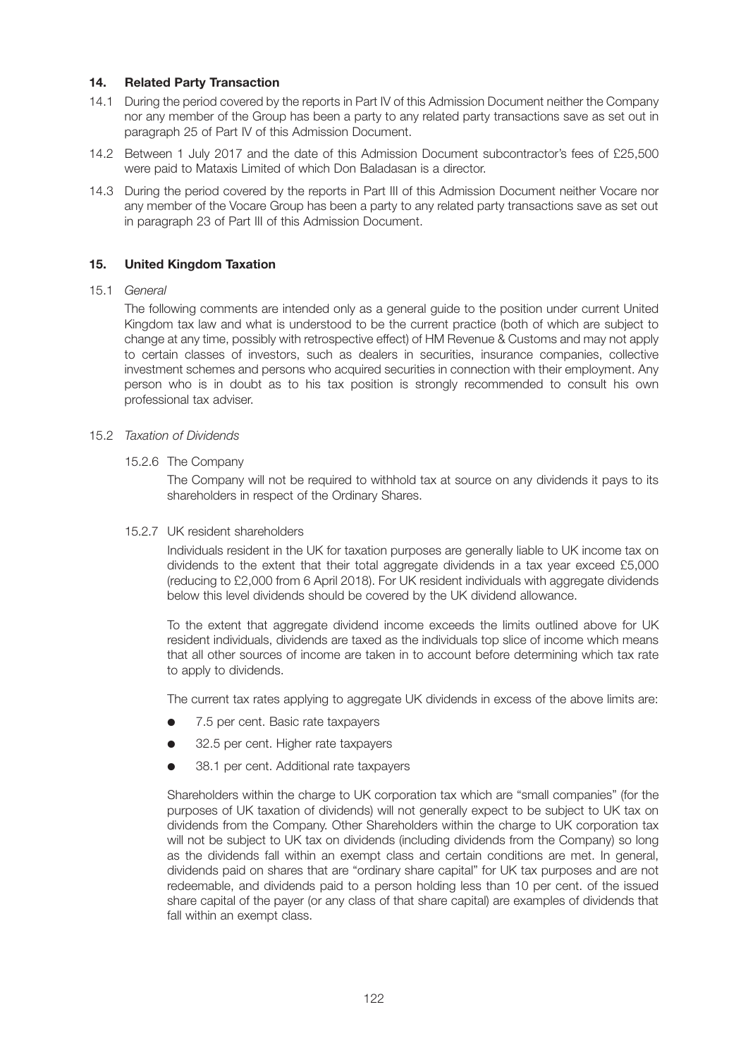#### **14. Related Party Transaction**

- 14.1 During the period covered by the reports in Part IV of this Admission Document neither the Company nor any member of the Group has been a party to any related party transactions save as set out in paragraph 25 of Part IV of this Admission Document.
- 14.2 Between 1 July 2017 and the date of this Admission Document subcontractor's fees of £25,500 were paid to Mataxis Limited of which Don Baladasan is a director.
- 14.3 During the period covered by the reports in Part III of this Admission Document neither Vocare nor any member of the Vocare Group has been a party to any related party transactions save as set out in paragraph 23 of Part III of this Admission Document.

### **15. United Kingdom Taxation**

#### 15.1 *General*

 The following comments are intended only as a general guide to the position under current United Kingdom tax law and what is understood to be the current practice (both of which are subject to change at any time, possibly with retrospective effect) of HM Revenue & Customs and may not apply to certain classes of investors, such as dealers in securities, insurance companies, collective investment schemes and persons who acquired securities in connection with their employment. Any person who is in doubt as to his tax position is strongly recommended to consult his own professional tax adviser.

#### 15.2 *Taxation of Dividends*

#### 15.2.6The Company

 The Company will not be required to withhold tax at source on any dividends it pays to its shareholders in respect of the Ordinary Shares.

#### 15.2.7 UK resident shareholders

 Individuals resident in the UK for taxation purposes are generally liable to UK income tax on dividends to the extent that their total aggregate dividends in a tax year exceed £5,000 (reducing to £2,000 from 6 April 2018). For UK resident individuals with aggregate dividends below this level dividends should be covered by the UK dividend allowance.

 To the extent that aggregate dividend income exceeds the limits outlined above for UK resident individuals, dividends are taxed as the individuals top slice of income which means that all other sources of income are taken in to account before determining which tax rate to apply to dividends.

The current tax rates applying to aggregate UK dividends in excess of the above limits are:

- 7.5 per cent. Basic rate taxpayers
- 32.5 per cent. Higher rate taxpayers
- 38.1 per cent. Additional rate taxpayers

 Shareholders within the charge to UK corporation tax which are "small companies" (for the purposes of UK taxation of dividends) will not generally expect to be subject to UK tax on dividends from the Company. Other Shareholders within the charge to UK corporation tax will not be subject to UK tax on dividends (including dividends from the Company) so long as the dividends fall within an exempt class and certain conditions are met. In general, dividends paid on shares that are "ordinary share capital" for UK tax purposes and are not redeemable, and dividends paid to a person holding less than 10 per cent. of the issued share capital of the payer (or any class of that share capital) are examples of dividends that fall within an exempt class.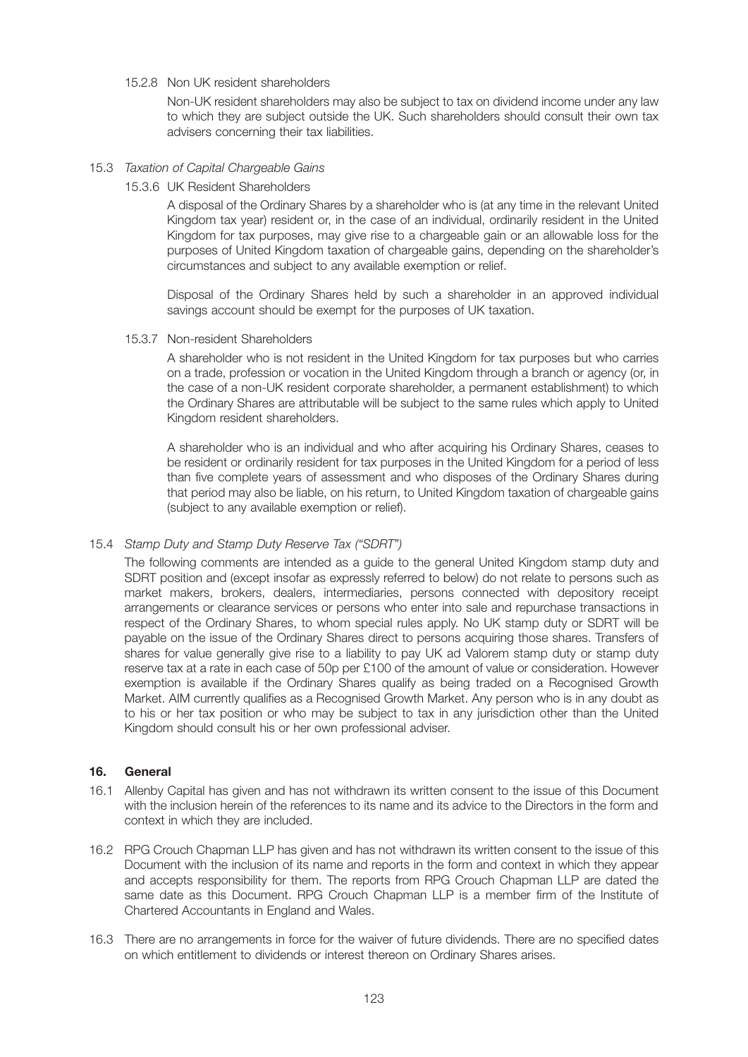15.2.8Non UK resident shareholders

 Non-UK resident shareholders may also be subject to tax on dividend income under any law to which they are subject outside the UK. Such shareholders should consult their own tax advisers concerning their tax liabilities.

#### 15.3 *Taxation of Capital Chargeable Gains*

15.3.6 UK Resident Shareholders

 A disposal of the Ordinary Shares by a shareholder who is (at any time in the relevant United Kingdom tax year) resident or, in the case of an individual, ordinarily resident in the United Kingdom for tax purposes, may give rise to a chargeable gain or an allowable loss for the purposes of United Kingdom taxation of chargeable gains, depending on the shareholder's circumstances and subject to any available exemption or relief.

 Disposal of the Ordinary Shares held by such a shareholder in an approved individual savings account should be exempt for the purposes of UK taxation.

15.3.7 Non-resident Shareholders

 A shareholder who is not resident in the United Kingdom for tax purposes but who carries on a trade, profession or vocation in the United Kingdom through a branch or agency (or, in the case of a non-UK resident corporate shareholder, a permanent establishment) to which the Ordinary Shares are attributable will be subject to the same rules which apply to United Kingdom resident shareholders.

 A shareholder who is an individual and who after acquiring his Ordinary Shares, ceases to be resident or ordinarily resident for tax purposes in the United Kingdom for a period of less than five complete years of assessment and who disposes of the Ordinary Shares during that period may also be liable, on his return, to United Kingdom taxation of chargeable gains (subject to any available exemption or relief).

## 15.4 *Stamp Duty and Stamp Duty Reserve Tax ("SDRT")*

 The following comments are intended as a guide to the general United Kingdom stamp duty and SDRT position and (except insofar as expressly referred to below) do not relate to persons such as market makers, brokers, dealers, intermediaries, persons connected with depository receipt arrangements or clearance services or persons who enter into sale and repurchase transactions in respect of the Ordinary Shares, to whom special rules apply. No UK stamp duty or SDRT will be payable on the issue of the Ordinary Shares direct to persons acquiring those shares. Transfers of shares for value generally give rise to a liability to pay UK ad Valorem stamp duty or stamp duty reserve tax at a rate in each case of 50p per £100 of the amount of value or consideration. However exemption is available if the Ordinary Shares qualify as being traded on a Recognised Growth Market. AIM currently qualifies as a Recognised Growth Market. Any person who is in any doubt as to his or her tax position or who may be subject to tax in any jurisdiction other than the United Kingdom should consult his or her own professional adviser.

#### **16. General**

- 16.1 Allenby Capital has given and has not withdrawn its written consent to the issue of this Document with the inclusion herein of the references to its name and its advice to the Directors in the form and context in which they are included.
- 16.2 RPG Crouch Chapman LLP has given and has not withdrawn its written consent to the issue of this Document with the inclusion of its name and reports in the form and context in which they appear and accepts responsibility for them. The reports from RPG Crouch Chapman LLP are dated the same date as this Document. RPG Crouch Chapman LLP is a member firm of the Institute of Chartered Accountants in England and Wales.
- 16.3 There are no arrangements in force for the waiver of future dividends. There are no specified dates on which entitlement to dividends or interest thereon on Ordinary Shares arises.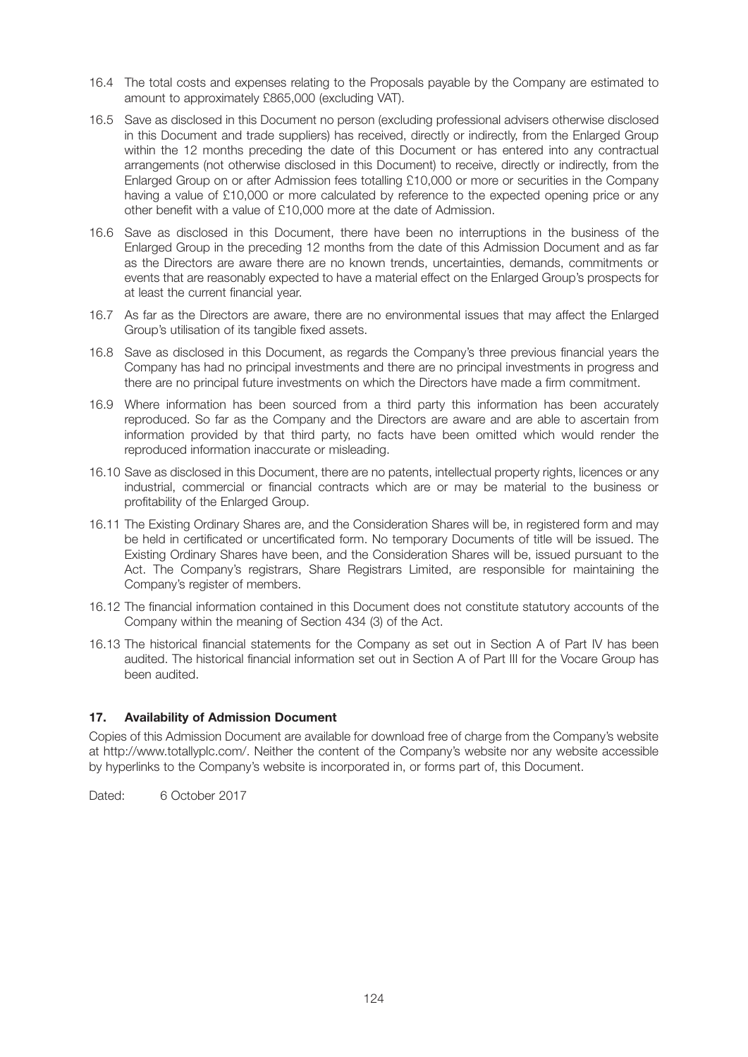- 16.4 The total costs and expenses relating to the Proposals payable by the Company are estimated to amount to approximately £865,000 (excluding VAT).
- 16.5 Save as disclosed in this Document no person (excluding professional advisers otherwise disclosed in this Document and trade suppliers) has received, directly or indirectly, from the Enlarged Group within the 12 months preceding the date of this Document or has entered into any contractual arrangements (not otherwise disclosed in this Document) to receive, directly or indirectly, from the Enlarged Group on or after Admission fees totalling £10,000 or more or securities in the Company having a value of £10,000 or more calculated by reference to the expected opening price or any other benefit with a value of £10,000 more at the date of Admission.
- 16.6 Save as disclosed in this Document, there have been no interruptions in the business of the Enlarged Group in the preceding 12 months from the date of this Admission Document and as far as the Directors are aware there are no known trends, uncertainties, demands, commitments or events that are reasonably expected to have a material effect on the Enlarged Group's prospects for at least the current financial year.
- 16.7 As far as the Directors are aware, there are no environmental issues that may affect the Enlarged Group's utilisation of its tangible fixed assets.
- 16.8 Save as disclosed in this Document, as regards the Company's three previous financial years the Company has had no principal investments and there are no principal investments in progress and there are no principal future investments on which the Directors have made a firm commitment.
- 16.9 Where information has been sourced from a third party this information has been accurately reproduced. So far as the Company and the Directors are aware and are able to ascertain from information provided by that third party, no facts have been omitted which would render the reproduced information inaccurate or misleading.
- 16.10 Save as disclosed in this Document, there are no patents, intellectual property rights, licences or any industrial, commercial or financial contracts which are or may be material to the business or profitability of the Enlarged Group.
- 16.11 The Existing Ordinary Shares are, and the Consideration Shares will be, in registered form and may be held in certificated or uncertificated form. No temporary Documents of title will be issued. The Existing Ordinary Shares have been, and the Consideration Shares will be, issued pursuant to the Act. The Company's registrars, Share Registrars Limited, are responsible for maintaining the Company's register of members.
- 16.12 The financial information contained in this Document does not constitute statutory accounts of the Company within the meaning of Section 434 (3) of the Act.
- 16.13 The historical financial statements for the Company as set out in Section A of Part IV has been audited. The historical financial information set out in Section A of Part III for the Vocare Group has been audited.

#### **17. Availability of Admission Document**

Copies of this Admission Document are available for download free of charge from the Company's website at http://www.totallyplc.com/. Neither the content of the Company's website nor any website accessible by hyperlinks to the Company's website is incorporated in, or forms part of, this Document.

Dated: 6 October 2017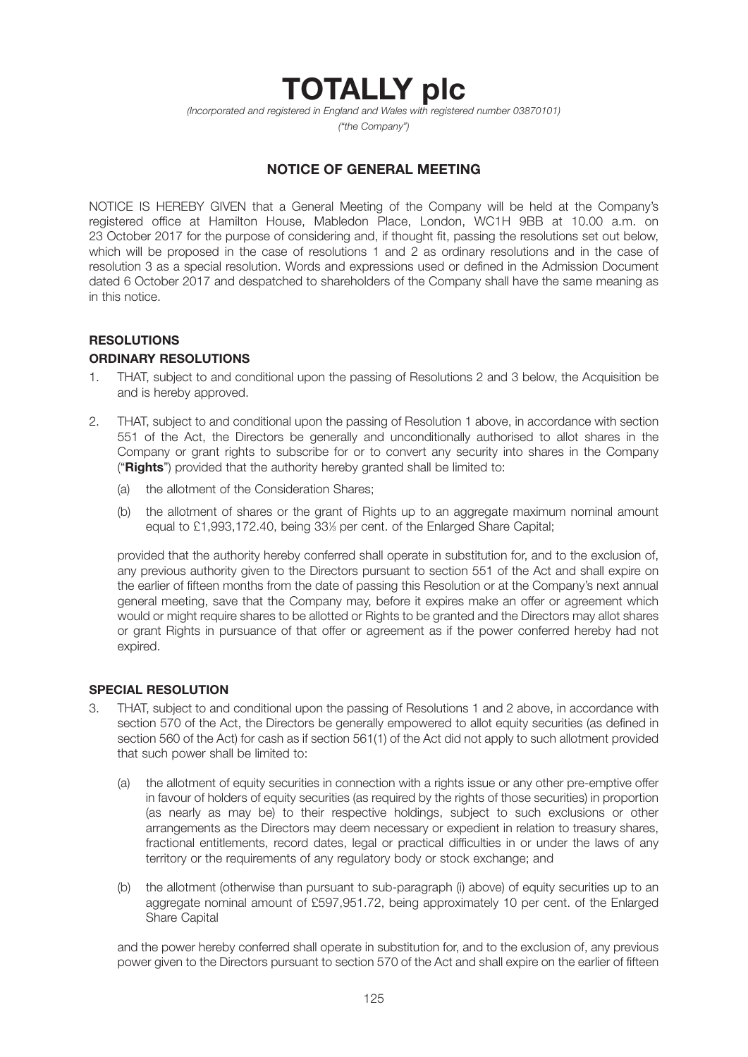# **TOTALLY plc**

*(Incorporated and registered in England and Wales with registered number 03870101)*

*("the Company")*

# **NOTICE OF GENERAL MEETING**

NOTICE IS HEREBY GIVEN that a General Meeting of the Company will be held at the Company's registered office at Hamilton House, Mabledon Place, London, WC1H 9BB at 10.00 a.m. on 23 October 2017 for the purpose of considering and, if thought fit, passing the resolutions set out below, which will be proposed in the case of resolutions 1 and 2 as ordinary resolutions and in the case of resolution 3 as a special resolution. Words and expressions used or defined in the Admission Document dated 6 October 2017 and despatched to shareholders of the Company shall have the same meaning as in this notice.

# **RESOLUTIONS**

# **ORDINARY RESOLUTIONS**

- 1. THAT, subject to and conditional upon the passing of Resolutions 2 and 3 below, the Acquisition be and is hereby approved.
- 2. THAT, subject to and conditional upon the passing of Resolution 1 above, in accordance with section 551 of the Act, the Directors be generally and unconditionally authorised to allot shares in the Company or grant rights to subscribe for or to convert any security into shares in the Company ("**Rights**") provided that the authority hereby granted shall be limited to:
	- (a) the allotment of the Consideration Shares;
	- (b) the allotment of shares or the grant of Rights up to an aggregate maximum nominal amount equal to £1,993,172.40, being 33% per cent. of the Enlarged Share Capital;

 provided that the authority hereby conferred shall operate in substitution for, and to the exclusion of, any previous authority given to the Directors pursuant to section 551 of the Act and shall expire on the earlier of fifteen months from the date of passing this Resolution or at the Company's next annual general meeting, save that the Company may, before it expires make an offer or agreement which would or might require shares to be allotted or Rights to be granted and the Directors may allot shares or grant Rights in pursuance of that offer or agreement as if the power conferred hereby had not expired.

#### **SPECIAL RESOLUTION**

- 3. THAT, subject to and conditional upon the passing of Resolutions 1 and 2 above, in accordance with section 570 of the Act, the Directors be generally empowered to allot equity securities (as defined in section 560 of the Act) for cash as if section 561(1) of the Act did not apply to such allotment provided that such power shall be limited to:
	- (a) the allotment of equity securities in connection with a rights issue or any other pre-emptive offer in favour of holders of equity securities (as required by the rights of those securities) in proportion (as nearly as may be) to their respective holdings, subject to such exclusions or other arrangements as the Directors may deem necessary or expedient in relation to treasury shares, fractional entitlements, record dates, legal or practical difficulties in or under the laws of any territory or the requirements of any regulatory body or stock exchange; and
	- (b) the allotment (otherwise than pursuant to sub-paragraph (i) above) of equity securities up to an aggregate nominal amount of £597,951.72, being approximately 10 per cent. of the Enlarged Share Capital

 and the power hereby conferred shall operate in substitution for, and to the exclusion of, any previous power given to the Directors pursuant to section 570 of the Act and shall expire on the earlier of fifteen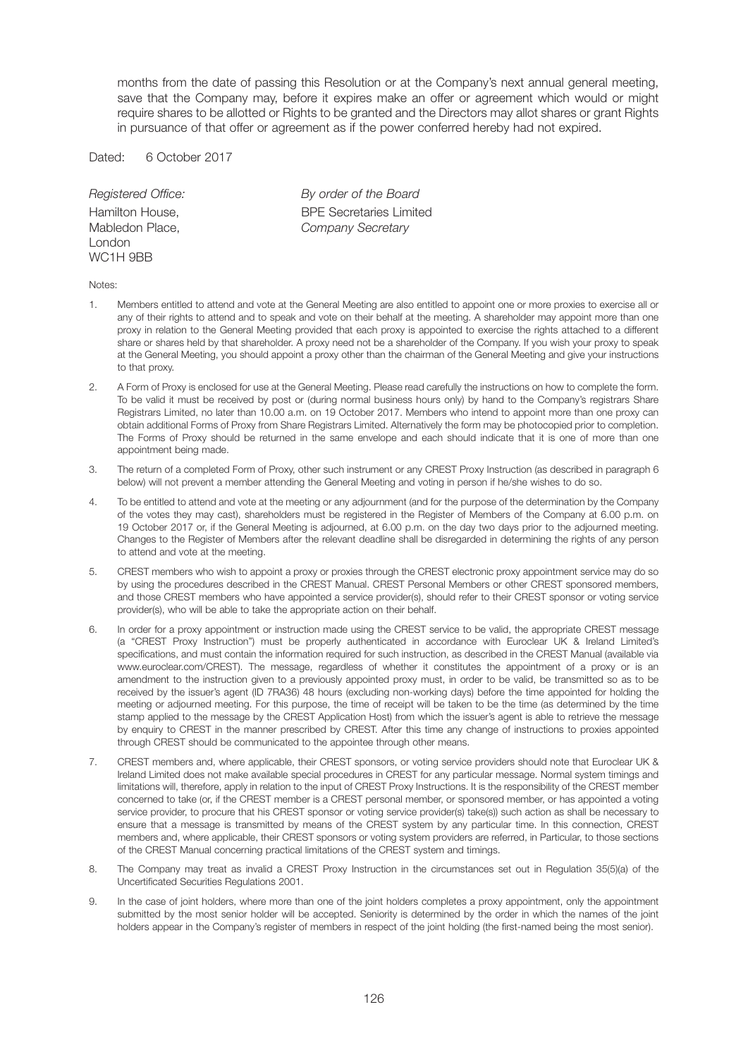months from the date of passing this Resolution or at the Company's next annual general meeting, save that the Company may, before it expires make an offer or agreement which would or might require shares to be allotted or Rights to be granted and the Directors may allot shares or grant Rights in pursuance of that offer or agreement as if the power conferred hereby had not expired.

Dated: 6 October 2017

London WC1H 9BB

*Registered Office: By order of the Board* Hamilton House,<br>
Mabledon Place.<br>
Company Secretary Company Secretary

#### Notes:

- 1. Members entitled to attend and vote at the General Meeting are also entitled to appoint one or more proxies to exercise all or any of their rights to attend and to speak and vote on their behalf at the meeting. A shareholder may appoint more than one proxy in relation to the General Meeting provided that each proxy is appointed to exercise the rights attached to a different share or shares held by that shareholder. A proxy need not be a shareholder of the Company. If you wish your proxy to speak at the General Meeting, you should appoint a proxy other than the chairman of the General Meeting and give your instructions to that proxy.
- 2. A Form of Proxy is enclosed for use at the General Meeting. Please read carefully the instructions on how to complete the form. To be valid it must be received by post or (during normal business hours only) by hand to the Company's registrars Share Registrars Limited, no later than 10.00 a.m. on 19 October 2017. Members who intend to appoint more than one proxy can obtain additional Forms of Proxy from Share Registrars Limited. Alternatively the form may be photocopied prior to completion. The Forms of Proxy should be returned in the same envelope and each should indicate that it is one of more than one appointment being made.
- 3. The return of a completed Form of Proxy, other such instrument or any CREST Proxy Instruction (as described in paragraph 6 below) will not prevent a member attending the General Meeting and voting in person if he/she wishes to do so.
- 4. To be entitled to attend and vote at the meeting or any adjournment (and for the purpose of the determination by the Company of the votes they may cast), shareholders must be registered in the Register of Members of the Company at 6.00 p.m. on 19 October 2017 or, if the General Meeting is adjourned, at 6.00 p.m. on the day two days prior to the adjourned meeting. Changes to the Register of Members after the relevant deadline shall be disregarded in determining the rights of any person to attend and vote at the meeting.
- 5. CREST members who wish to appoint a proxy or proxies through the CREST electronic proxy appointment service may do so by using the procedures described in the CREST Manual. CREST Personal Members or other CREST sponsored members, and those CREST members who have appointed a service provider(s), should refer to their CREST sponsor or voting service provider(s), who will be able to take the appropriate action on their behalf.
- 6. In order for a proxy appointment or instruction made using the CREST service to be valid, the appropriate CREST message (a "CREST Proxy Instruction") must be properly authenticated in accordance with Euroclear UK & Ireland Limited's specifications, and must contain the information required for such instruction, as described in the CREST Manual (available via www.euroclear.com/CREST). The message, regardless of whether it constitutes the appointment of a proxy or is an amendment to the instruction given to a previously appointed proxy must, in order to be valid, be transmitted so as to be received by the issuer's agent (ID 7RA36) 48 hours (excluding non-working days) before the time appointed for holding the meeting or adjourned meeting. For this purpose, the time of receipt will be taken to be the time (as determined by the time stamp applied to the message by the CREST Application Host) from which the issuer's agent is able to retrieve the message by enquiry to CREST in the manner prescribed by CREST. After this time any change of instructions to proxies appointed through CREST should be communicated to the appointee through other means.
- 7. CREST members and, where applicable, their CREST sponsors, or voting service providers should note that Euroclear UK & Ireland Limited does not make available special procedures in CREST for any particular message. Normal system timings and limitations will, therefore, apply in relation to the input of CREST Proxy Instructions. It is the responsibility of the CREST member concerned to take (or, if the CREST member is a CREST personal member, or sponsored member, or has appointed a voting service provider, to procure that his CREST sponsor or voting service provider(s) take(s)) such action as shall be necessary to ensure that a message is transmitted by means of the CREST system by any particular time. In this connection, CREST members and, where applicable, their CREST sponsors or voting system providers are referred, in Particular, to those sections of the CREST Manual concerning practical limitations of the CREST system and timings.
- 8. The Company may treat as invalid a CREST Proxy Instruction in the circumstances set out in Regulation 35(5)(a) of the Uncertificated Securities Regulations 2001.
- 9. In the case of joint holders, where more than one of the joint holders completes a proxy appointment, only the appointment submitted by the most senior holder will be accepted. Seniority is determined by the order in which the names of the joint holders appear in the Company's register of members in respect of the joint holding (the first-named being the most senior).